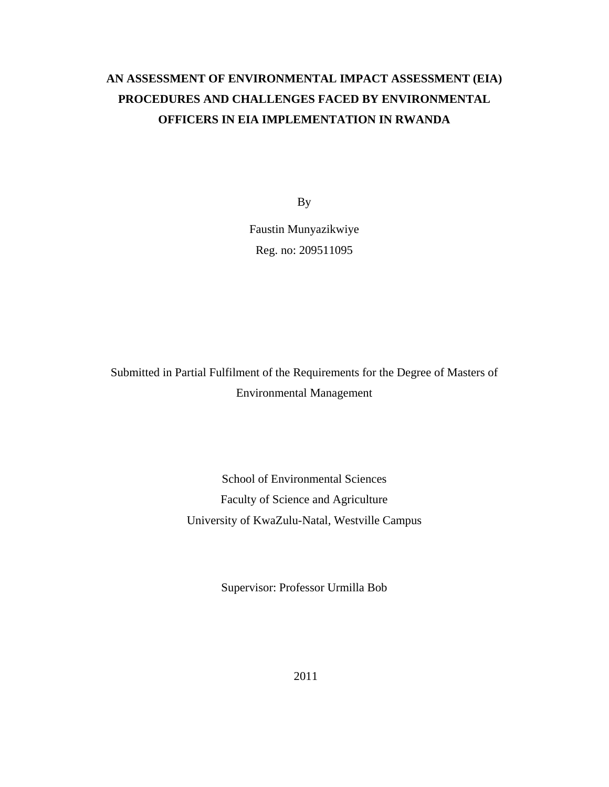# **AN ASSESSMENT OF ENVIRONMENTAL IMPACT ASSESSMENT (EIA) PROCEDURES AND CHALLENGES FACED BY ENVIRONMENTAL OFFICERS IN EIA IMPLEMENTATION IN RWANDA**

By

Faustin Munyazikwiye Reg. no: 209511095

Submitted in Partial Fulfilment of the Requirements for the Degree of Masters of Environmental Management

> School of Environmental Sciences Faculty of Science and Agriculture University of KwaZulu-Natal, Westville Campus

> > Supervisor: Professor Urmilla Bob

2011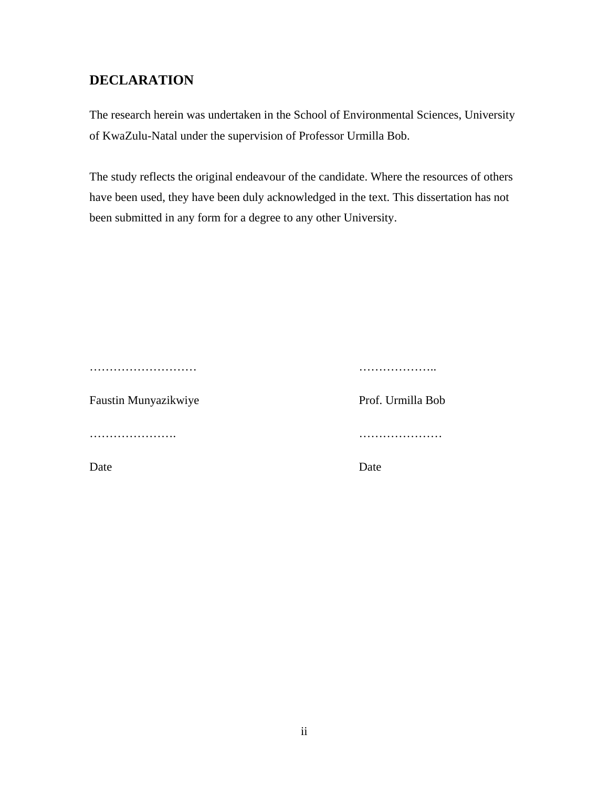# **DECLARATION**

The research herein was undertaken in the School of Environmental Sciences, University of KwaZulu-Natal under the supervision of Professor Urmilla Bob.

The study reflects the original endeavour of the candidate. Where the resources of others have been used, they have been duly acknowledged in the text. This dissertation has not been submitted in any form for a degree to any other University.

| .                    |                   |
|----------------------|-------------------|
| Faustin Munyazikwiye | Prof. Urmilla Bol |
|                      | .                 |

Prof. Urmilla Bob

Date Date Date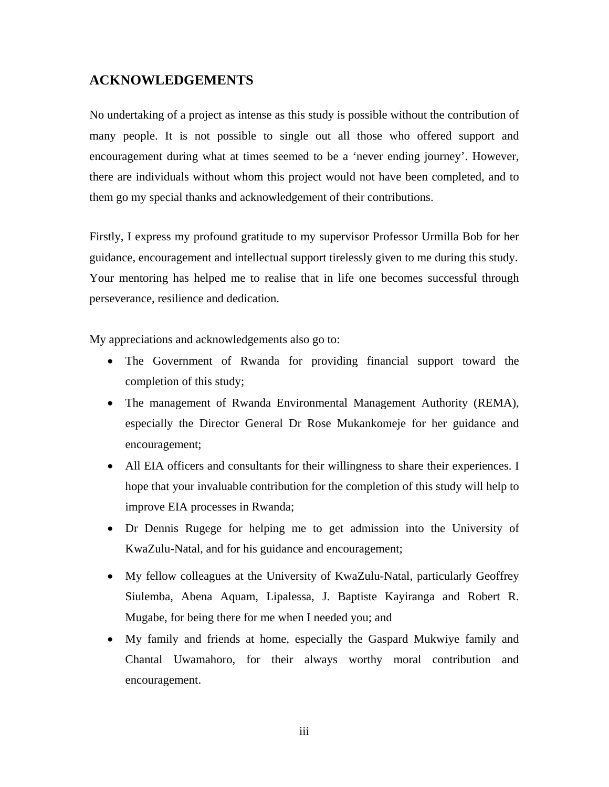# **ACKNOWLEDGEMENTS**

No undertaking of a project as intense as this study is possible without the contribution of many people. It is not possible to single out all those who offered support and encouragement during what at times seemed to be a 'never ending journey'. However, there are individuals without whom this project would not have been completed, and to them go my special thanks and acknowledgement of their contributions.

Firstly, I express my profound gratitude to my supervisor Professor Urmilla Bob for her guidance, encouragement and intellectual support tirelessly given to me during this study. Your mentoring has helped me to realise that in life one becomes successful through perseverance, resilience and dedication.

My appreciations and acknowledgements also go to:

- The Government of Rwanda for providing financial support toward the completion of this study;
- The management of Rwanda Environmental Management Authority (REMA), especially the Director General Dr Rose Mukankomeje for her guidance and encouragement;
- All EIA officers and consultants for their willingness to share their experiences. I hope that your invaluable contribution for the completion of this study will help to improve EIA processes in Rwanda;
- Dr Dennis Rugege for helping me to get admission into the University of KwaZulu-Natal, and for his guidance and encouragement;
- My fellow colleagues at the University of KwaZulu-Natal, particularly Geoffrey Siulemba, Abena Aquam, Lipalessa, J. Baptiste Kayiranga and Robert R. Mugabe, for being there for me when I needed you; and
- My family and friends at home, especially the Gaspard Mukwiye family and Chantal Uwamahoro, for their always worthy moral contribution and encouragement.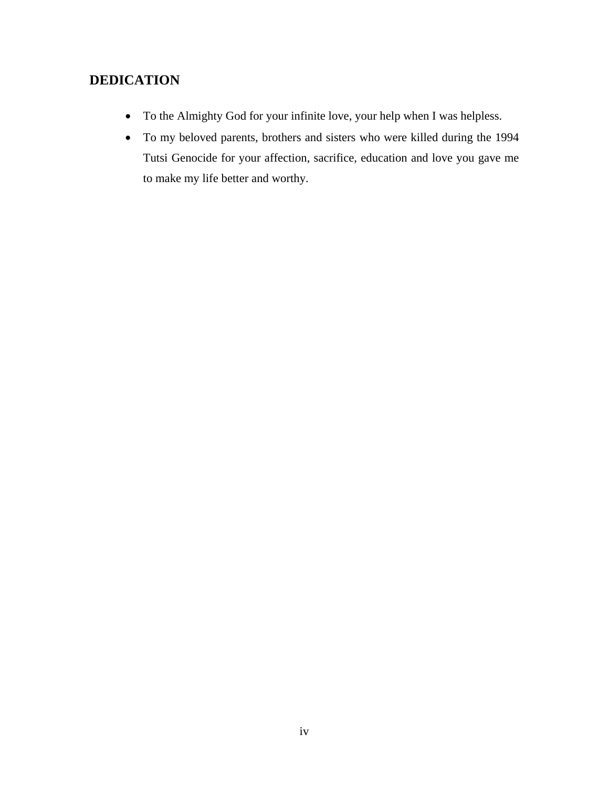# **DEDICATION**

- To the Almighty God for your infinite love, your help when I was helpless.
- To my beloved parents, brothers and sisters who were killed during the 1994 Tutsi Genocide for your affection, sacrifice, education and love you gave me to make my life better and worthy.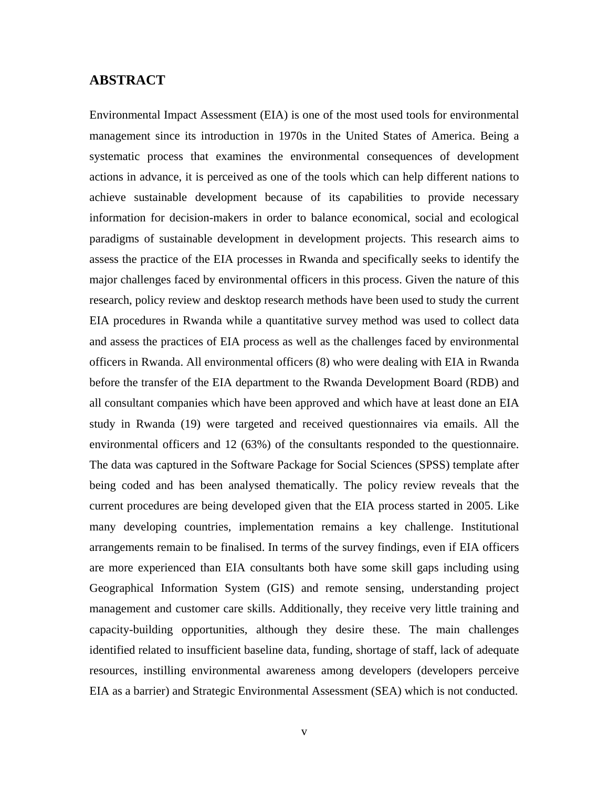# **ABSTRACT**

Environmental Impact Assessment (EIA) is one of the most used tools for environmental management since its introduction in 1970s in the United States of America. Being a systematic process that examines the environmental consequences of development actions in advance, it is perceived as one of the tools which can help different nations to achieve sustainable development because of its capabilities to provide necessary information for decision-makers in order to balance economical, social and ecological paradigms of sustainable development in development projects. This research aims to assess the practice of the EIA processes in Rwanda and specifically seeks to identify the major challenges faced by environmental officers in this process. Given the nature of this research, policy review and desktop research methods have been used to study the current EIA procedures in Rwanda while a quantitative survey method was used to collect data and assess the practices of EIA process as well as the challenges faced by environmental officers in Rwanda. All environmental officers (8) who were dealing with EIA in Rwanda before the transfer of the EIA department to the Rwanda Development Board (RDB) and all consultant companies which have been approved and which have at least done an EIA study in Rwanda (19) were targeted and received questionnaires via emails. All the environmental officers and 12 (63%) of the consultants responded to the questionnaire. The data was captured in the Software Package for Social Sciences (SPSS) template after being coded and has been analysed thematically. The policy review reveals that the current procedures are being developed given that the EIA process started in 2005. Like many developing countries, implementation remains a key challenge. Institutional arrangements remain to be finalised. In terms of the survey findings, even if EIA officers are more experienced than EIA consultants both have some skill gaps including using Geographical Information System (GIS) and remote sensing, understanding project management and customer care skills. Additionally, they receive very little training and capacity-building opportunities, although they desire these. The main challenges identified related to insufficient baseline data, funding, shortage of staff, lack of adequate resources, instilling environmental awareness among developers (developers perceive EIA as a barrier) and Strategic Environmental Assessment (SEA) which is not conducted.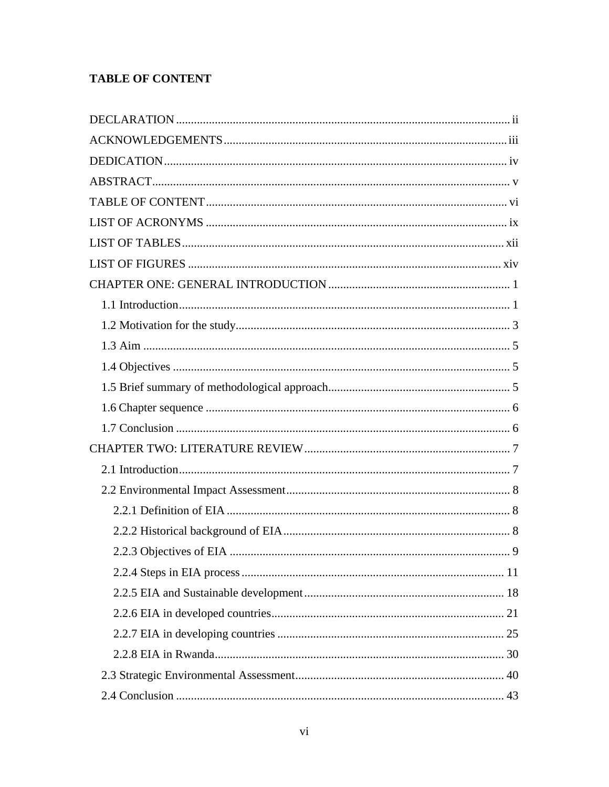# **TABLE OF CONTENT**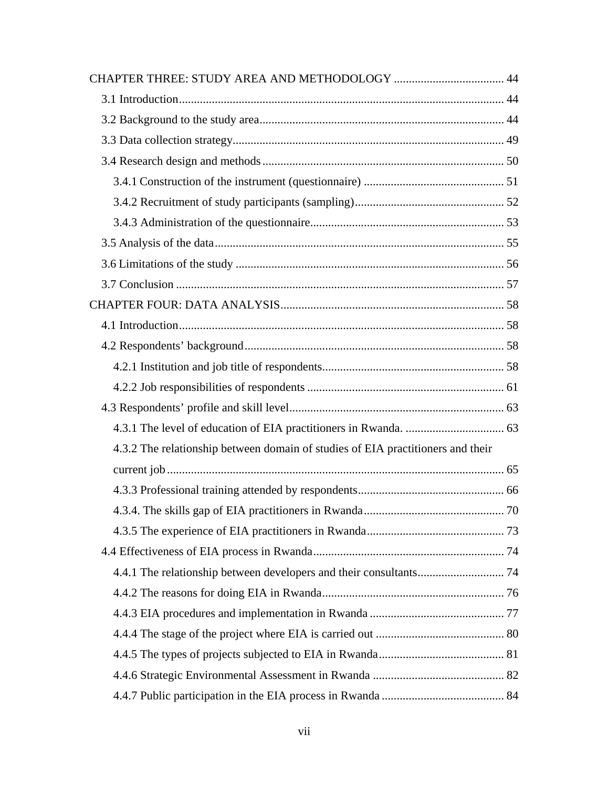| 4.3.2 The relationship between domain of studies of EIA practitioners and their |  |
|---------------------------------------------------------------------------------|--|
|                                                                                 |  |
|                                                                                 |  |
|                                                                                 |  |
|                                                                                 |  |
|                                                                                 |  |
|                                                                                 |  |
|                                                                                 |  |
|                                                                                 |  |
|                                                                                 |  |
|                                                                                 |  |
|                                                                                 |  |
|                                                                                 |  |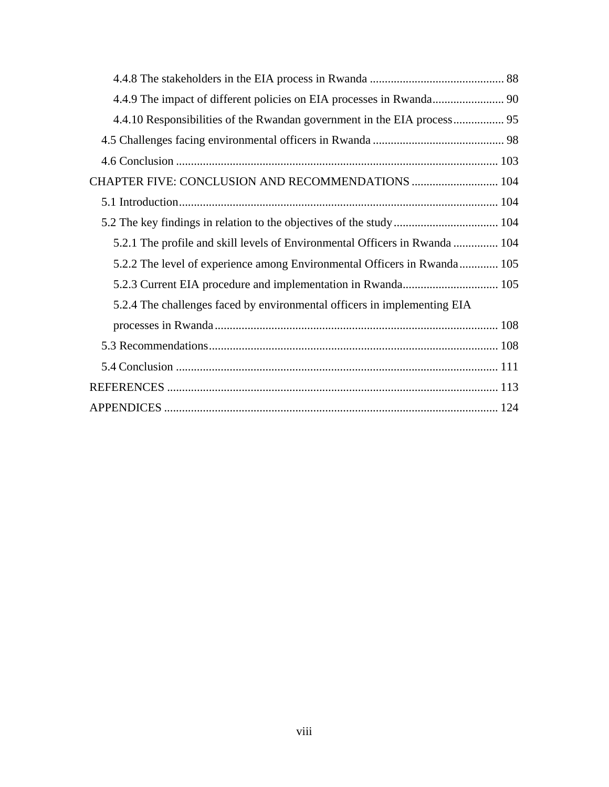| CHAPTER FIVE: CONCLUSION AND RECOMMENDATIONS  104                           |  |
|-----------------------------------------------------------------------------|--|
|                                                                             |  |
|                                                                             |  |
| 5.2.1 The profile and skill levels of Environmental Officers in Rwanda  104 |  |
| 5.2.2 The level of experience among Environmental Officers in Rwanda 105    |  |
|                                                                             |  |
| 5.2.4 The challenges faced by environmental officers in implementing EIA    |  |
|                                                                             |  |
|                                                                             |  |
|                                                                             |  |
|                                                                             |  |
|                                                                             |  |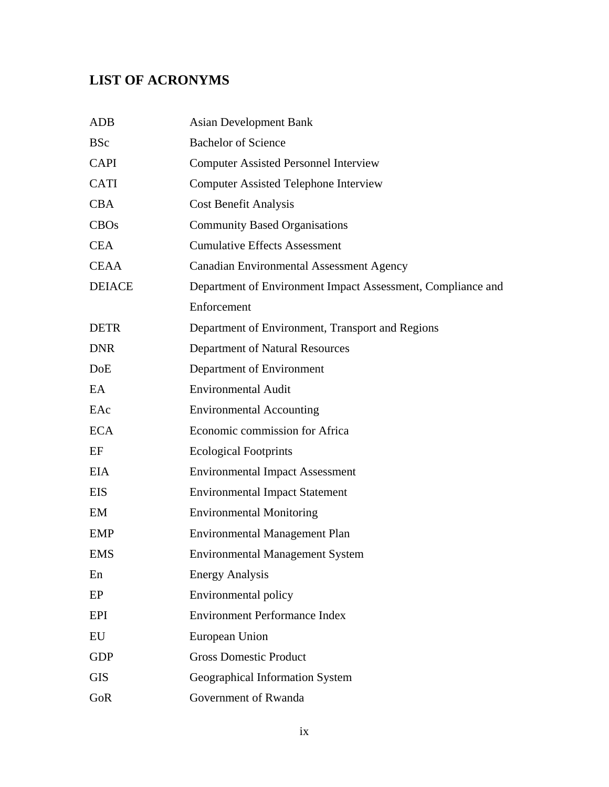# **LIST OF ACRONYMS**

| <b>Asian Development Bank</b>                               |
|-------------------------------------------------------------|
| <b>Bachelor of Science</b>                                  |
| <b>Computer Assisted Personnel Interview</b>                |
| <b>Computer Assisted Telephone Interview</b>                |
| <b>Cost Benefit Analysis</b>                                |
| <b>Community Based Organisations</b>                        |
| <b>Cumulative Effects Assessment</b>                        |
| <b>Canadian Environmental Assessment Agency</b>             |
| Department of Environment Impact Assessment, Compliance and |
| Enforcement                                                 |
| Department of Environment, Transport and Regions            |
| Department of Natural Resources                             |
| Department of Environment                                   |
| <b>Environmental Audit</b>                                  |
| <b>Environmental Accounting</b>                             |
| Economic commission for Africa                              |
| <b>Ecological Footprints</b>                                |
| <b>Environmental Impact Assessment</b>                      |
| <b>Environmental Impact Statement</b>                       |
| <b>Environmental Monitoring</b>                             |
| <b>Environmental Management Plan</b>                        |
| <b>Environmental Management System</b>                      |
| <b>Energy Analysis</b>                                      |
| Environmental policy                                        |
| <b>Environment Performance Index</b>                        |
| European Union                                              |
| <b>Gross Domestic Product</b>                               |
| Geographical Information System                             |
| Government of Rwanda                                        |
|                                                             |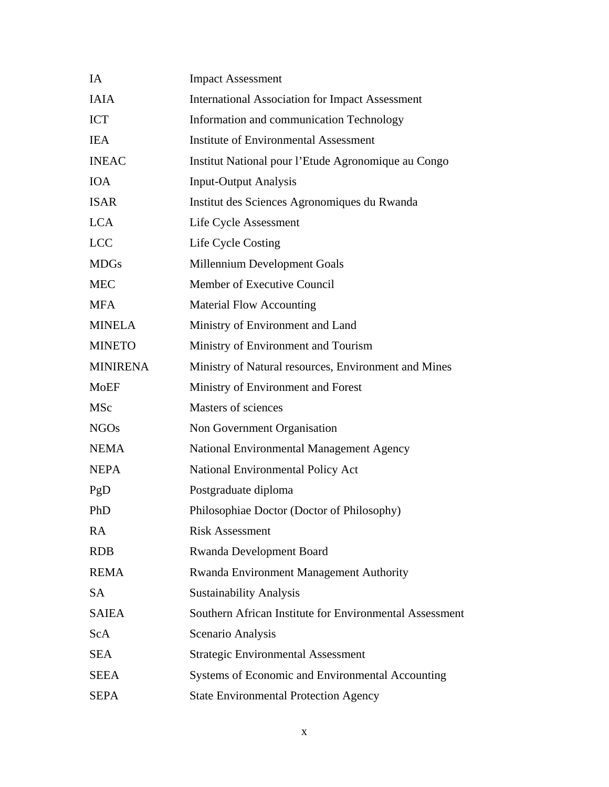| IA              | <b>Impact Assessment</b>                                |
|-----------------|---------------------------------------------------------|
| <b>IAIA</b>     | <b>International Association for Impact Assessment</b>  |
| <b>ICT</b>      | Information and communication Technology                |
| <b>IEA</b>      | <b>Institute of Environmental Assessment</b>            |
| <b>INEAC</b>    | Institut National pour l'Etude Agronomique au Congo     |
| <b>IOA</b>      | <b>Input-Output Analysis</b>                            |
| <b>ISAR</b>     | Institut des Sciences Agronomiques du Rwanda            |
| <b>LCA</b>      | Life Cycle Assessment                                   |
| <b>LCC</b>      | Life Cycle Costing                                      |
| <b>MDGs</b>     | Millennium Development Goals                            |
| <b>MEC</b>      | Member of Executive Council                             |
| <b>MFA</b>      | <b>Material Flow Accounting</b>                         |
| <b>MINELA</b>   | Ministry of Environment and Land                        |
| <b>MINETO</b>   | Ministry of Environment and Tourism                     |
| <b>MINIRENA</b> | Ministry of Natural resources, Environment and Mines    |
| MoEF            | Ministry of Environment and Forest                      |
| <b>MSc</b>      | Masters of sciences                                     |
| <b>NGOs</b>     | Non Government Organisation                             |
| <b>NEMA</b>     | National Environmental Management Agency                |
| <b>NEPA</b>     | National Environmental Policy Act                       |
| PgD             | Postgraduate diploma                                    |
| PhD             | Philosophiae Doctor (Doctor of Philosophy)              |
| <b>RA</b>       | <b>Risk Assessment</b>                                  |
| <b>RDB</b>      | Rwanda Development Board                                |
| <b>REMA</b>     | Rwanda Environment Management Authority                 |
| <b>SA</b>       | <b>Sustainability Analysis</b>                          |
| <b>SAIEA</b>    | Southern African Institute for Environmental Assessment |
| ScA             | Scenario Analysis                                       |
| <b>SEA</b>      | <b>Strategic Environmental Assessment</b>               |
| <b>SEEA</b>     | Systems of Economic and Environmental Accounting        |
| <b>SEPA</b>     | <b>State Environmental Protection Agency</b>            |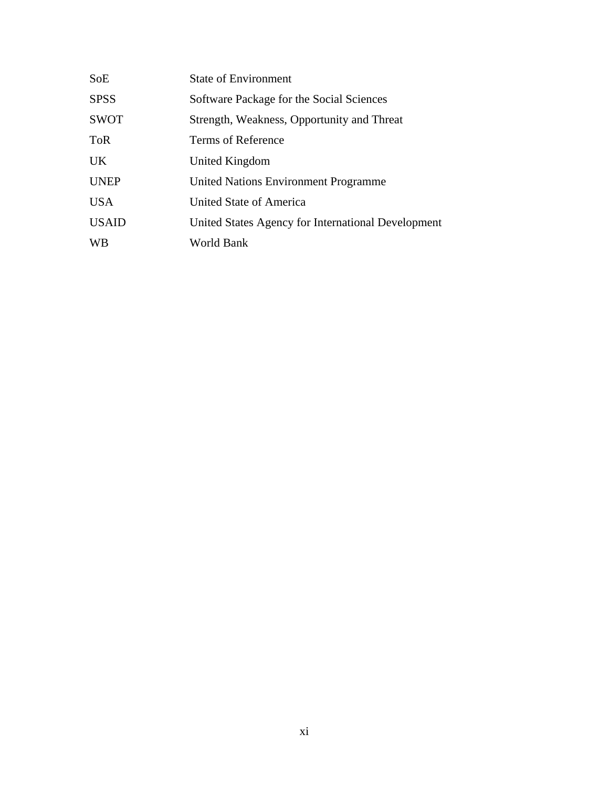| SoE          | <b>State of Environment</b>                        |
|--------------|----------------------------------------------------|
| <b>SPSS</b>  | Software Package for the Social Sciences           |
| <b>SWOT</b>  | Strength, Weakness, Opportunity and Threat         |
| <b>ToR</b>   | Terms of Reference                                 |
| <b>UK</b>    | United Kingdom                                     |
| <b>UNEP</b>  | <b>United Nations Environment Programme</b>        |
| <b>USA</b>   | United State of America                            |
| <b>USAID</b> | United States Agency for International Development |
| <b>WB</b>    | World Bank                                         |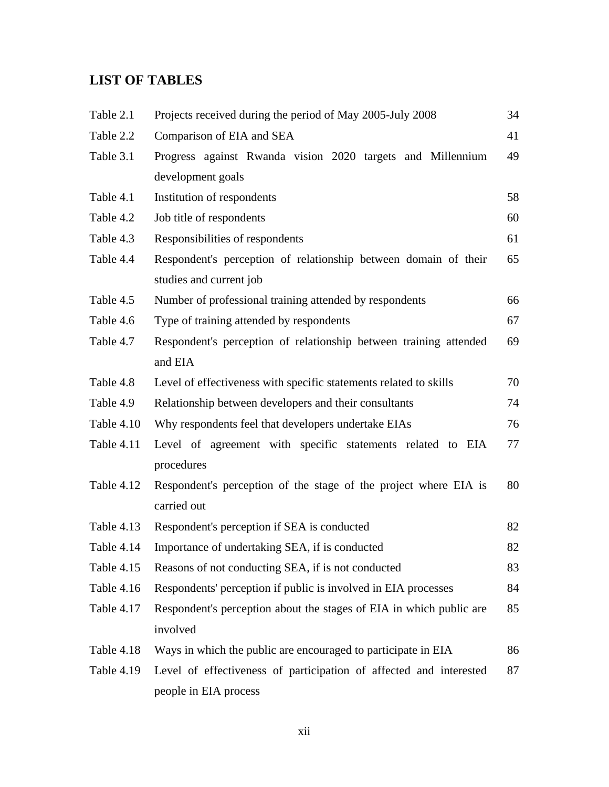# **LIST OF TABLES**

| Table 2.1  | Projects received during the period of May 2005-July 2008           | 34 |
|------------|---------------------------------------------------------------------|----|
| Table 2.2  | Comparison of EIA and SEA                                           | 41 |
| Table 3.1  | Progress against Rwanda vision 2020 targets and Millennium          | 49 |
|            | development goals                                                   |    |
| Table 4.1  | Institution of respondents                                          | 58 |
| Table 4.2  | Job title of respondents                                            | 60 |
| Table 4.3  | Responsibilities of respondents                                     | 61 |
| Table 4.4  | Respondent's perception of relationship between domain of their     | 65 |
|            | studies and current job                                             |    |
| Table 4.5  | Number of professional training attended by respondents             | 66 |
| Table 4.6  | Type of training attended by respondents                            | 67 |
| Table 4.7  | Respondent's perception of relationship between training attended   | 69 |
|            | and EIA                                                             |    |
| Table 4.8  | Level of effectiveness with specific statements related to skills   | 70 |
| Table 4.9  | Relationship between developers and their consultants               | 74 |
| Table 4.10 | Why respondents feel that developers undertake EIAs                 | 76 |
| Table 4.11 | Level of agreement with specific statements related to EIA          | 77 |
|            | procedures                                                          |    |
| Table 4.12 | Respondent's perception of the stage of the project where EIA is    | 80 |
|            | carried out                                                         |    |
| Table 4.13 | Respondent's perception if SEA is conducted                         | 82 |
| Table 4.14 | Importance of undertaking SEA, if is conducted                      | 82 |
| Table 4.15 | Reasons of not conducting SEA, if is not conducted                  | 83 |
| Table 4.16 | Respondents' perception if public is involved in EIA processes      | 84 |
| Table 4.17 | Respondent's perception about the stages of EIA in which public are | 85 |
|            | involved                                                            |    |
| Table 4.18 | Ways in which the public are encouraged to participate in EIA       | 86 |
| Table 4.19 | Level of effectiveness of participation of affected and interested  | 87 |
|            | people in EIA process                                               |    |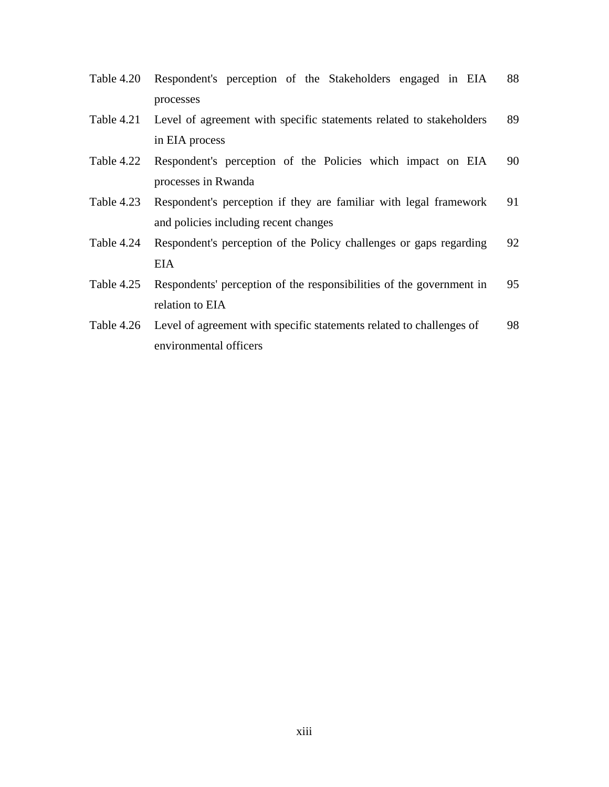- Table 4.20 Respondent's perception of the Stakeholders engaged in EIA processes 88
- Table 4.21 Level of agreement with specific statements related to stakeholders in EIA process 89
- Table 4.22 Respondent's perception of the Policies which impact on EIA processes in Rwanda 90
- Table 4.23 Respondent's perception if they are familiar with legal framework and policies including recent changes 91
- Table 4.24 Respondent's perception of the Policy challenges or gaps regarding EIA 92
- Table 4.25 Respondents' perception of the responsibilities of the government in relation to EIA 95
- Table 4.26 Level of agreement with specific statements related to challenges of environmental officers 98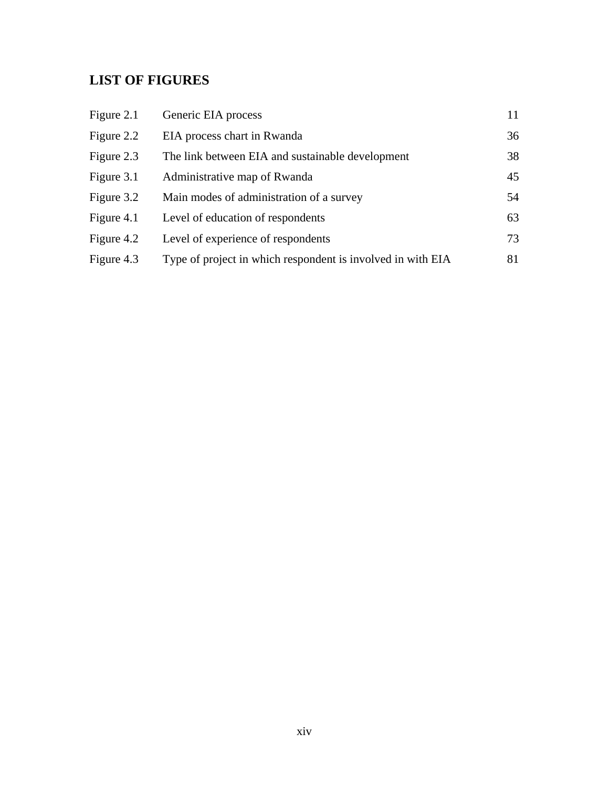# **LIST OF FIGURES**

| Figure 2.1 | Generic EIA process                                         | 11 |
|------------|-------------------------------------------------------------|----|
| Figure 2.2 | EIA process chart in Rwanda                                 | 36 |
| Figure 2.3 | The link between EIA and sustainable development            | 38 |
| Figure 3.1 | Administrative map of Rwanda                                | 45 |
| Figure 3.2 | Main modes of administration of a survey                    | 54 |
| Figure 4.1 | Level of education of respondents                           | 63 |
| Figure 4.2 | Level of experience of respondents                          | 73 |
| Figure 4.3 | Type of project in which respondent is involved in with EIA | 81 |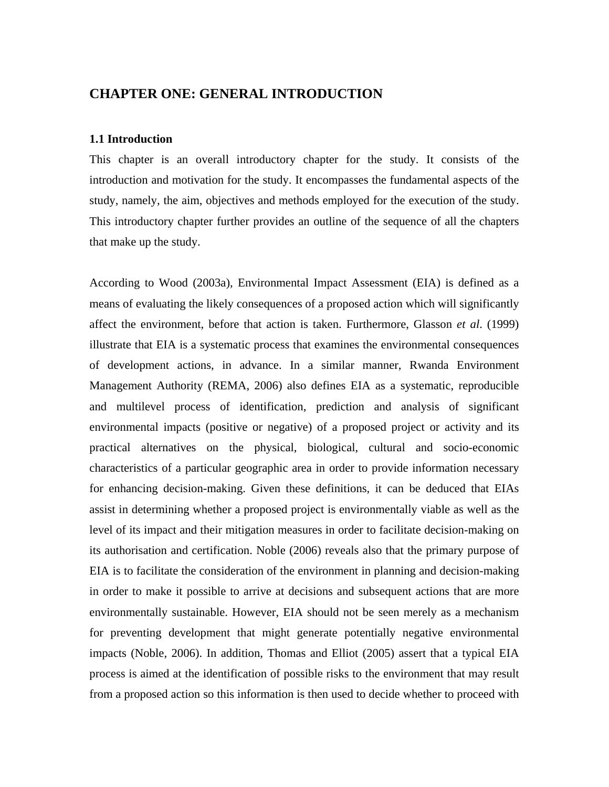# **CHAPTER ONE: GENERAL INTRODUCTION**

### **1.1 Introduction**

This chapter is an overall introductory chapter for the study. It consists of the introduction and motivation for the study. It encompasses the fundamental aspects of the study, namely, the aim, objectives and methods employed for the execution of the study. This introductory chapter further provides an outline of the sequence of all the chapters that make up the study.

According to Wood (2003a), Environmental Impact Assessment (EIA) is defined as a means of evaluating the likely consequences of a proposed action which will significantly affect the environment, before that action is taken. Furthermore, Glasson *et al*. (1999) illustrate that EIA is a systematic process that examines the environmental consequences of development actions, in advance. In a similar manner, Rwanda Environment Management Authority (REMA, 2006) also defines EIA as a systematic, reproducible and multilevel process of identification, prediction and analysis of significant environmental impacts (positive or negative) of a proposed project or activity and its practical alternatives on the physical, biological, cultural and socio-economic characteristics of a particular geographic area in order to provide information necessary for enhancing decision-making. Given these definitions, it can be deduced that EIAs assist in determining whether a proposed project is environmentally viable as well as the level of its impact and their mitigation measures in order to facilitate decision-making on its authorisation and certification. Noble (2006) reveals also that the primary purpose of EIA is to facilitate the consideration of the environment in planning and decision-making in order to make it possible to arrive at decisions and subsequent actions that are more environmentally sustainable. However, EIA should not be seen merely as a mechanism for preventing development that might generate potentially negative environmental impacts (Noble, 2006). In addition, Thomas and Elliot (2005) assert that a typical EIA process is aimed at the identification of possible risks to the environment that may result from a proposed action so this information is then used to decide whether to proceed with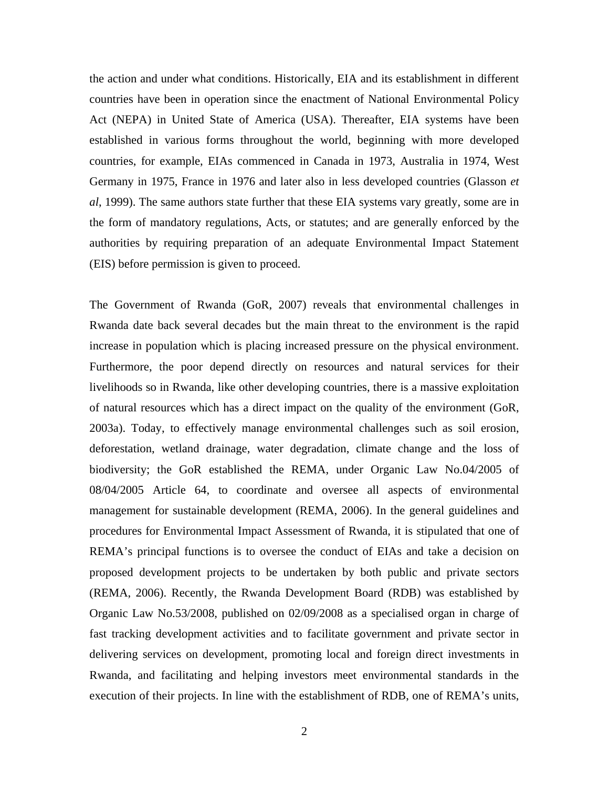the action and under what conditions. Historically, EIA and its establishment in different countries have been in operation since the enactment of National Environmental Policy Act (NEPA) in United State of America (USA). Thereafter, EIA systems have been established in various forms throughout the world, beginning with more developed countries, for example, EIAs commenced in Canada in 1973, Australia in 1974, West Germany in 1975, France in 1976 and later also in less developed countries (Glasson *et al*, 1999). The same authors state further that these EIA systems vary greatly, some are in the form of mandatory regulations, Acts, or statutes; and are generally enforced by the authorities by requiring preparation of an adequate Environmental Impact Statement (EIS) before permission is given to proceed.

The Government of Rwanda (GoR, 2007) reveals that environmental challenges in Rwanda date back several decades but the main threat to the environment is the rapid increase in population which is placing increased pressure on the physical environment. Furthermore, the poor depend directly on resources and natural services for their livelihoods so in Rwanda, like other developing countries, there is a massive exploitation of natural resources which has a direct impact on the quality of the environment (GoR, 2003a). Today, to effectively manage environmental challenges such as soil erosion, deforestation, wetland drainage, water degradation, climate change and the loss of biodiversity; the GoR established the REMA, under Organic Law No.04/2005 of 08/04/2005 Article 64, to coordinate and oversee all aspects of environmental management for sustainable development (REMA, 2006). In the general guidelines and procedures for Environmental Impact Assessment of Rwanda, it is stipulated that one of REMA's principal functions is to oversee the conduct of EIAs and take a decision on proposed development projects to be undertaken by both public and private sectors (REMA, 2006). Recently, the Rwanda Development Board (RDB) was established by Organic Law No.53/2008, published on 02/09/2008 as a specialised organ in charge of fast tracking development activities and to facilitate government and private sector in delivering services on development, promoting local and foreign direct investments in Rwanda, and facilitating and helping investors meet environmental standards in the execution of their projects. In line with the establishment of RDB, one of REMA's units,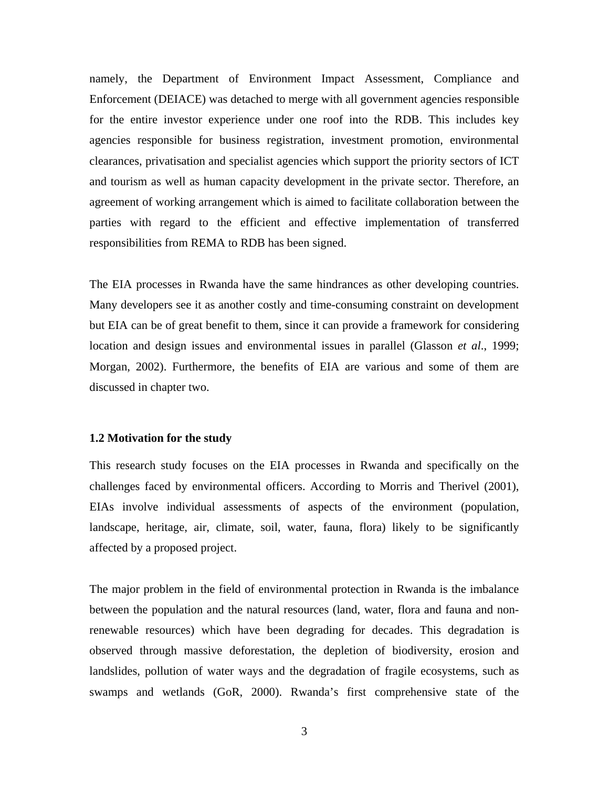namely, the Department of Environment Impact Assessment, Compliance and Enforcement (DEIACE) was detached to merge with all government agencies responsible for the entire investor experience under one roof into the RDB. This includes key agencies responsible for business registration, investment promotion, environmental clearances, privatisation and specialist agencies which support the priority sectors of ICT and tourism as well as human capacity development in the private sector. Therefore, an agreement of working arrangement which is aimed to facilitate collaboration between the parties with regard to the efficient and effective implementation of transferred responsibilities from REMA to RDB has been signed.

The EIA processes in Rwanda have the same hindrances as other developing countries. Many developers see it as another costly and time-consuming constraint on development but EIA can be of great benefit to them, since it can provide a framework for considering location and design issues and environmental issues in parallel (Glasson *et al*., 1999; Morgan, 2002). Furthermore, the benefits of EIA are various and some of them are discussed in chapter two.

### **1.2 Motivation for the study**

This research study focuses on the EIA processes in Rwanda and specifically on the challenges faced by environmental officers. According to Morris and Therivel (2001), EIAs involve individual assessments of aspects of the environment (population, landscape, heritage, air, climate, soil, water, fauna, flora) likely to be significantly affected by a proposed project.

The major problem in the field of environmental protection in Rwanda is the imbalance between the population and the natural resources (land, water, flora and fauna and nonrenewable resources) which have been degrading for decades. This degradation is observed through massive deforestation, the depletion of biodiversity, erosion and landslides, pollution of water ways and the degradation of fragile ecosystems, such as swamps and wetlands (GoR, 2000). Rwanda's first comprehensive state of the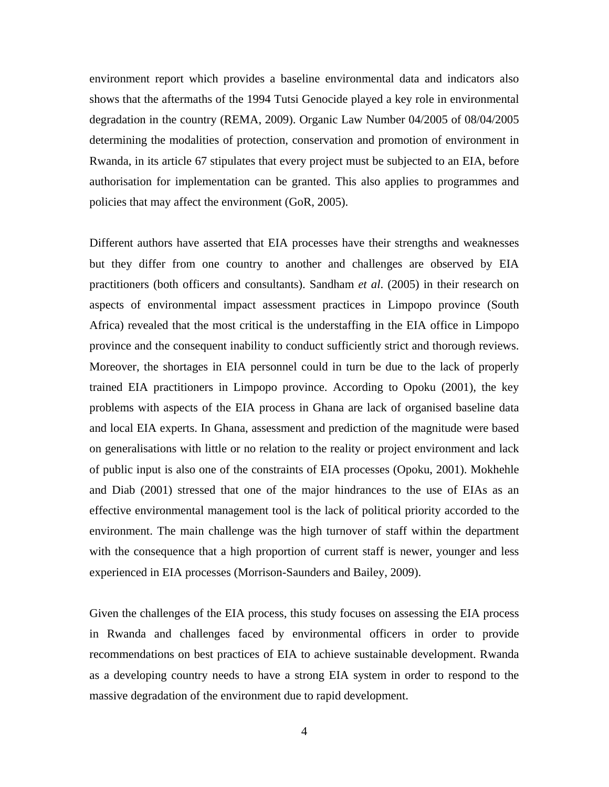environment report which provides a baseline environmental data and indicators also shows that the aftermaths of the 1994 Tutsi Genocide played a key role in environmental degradation in the country (REMA, 2009). Organic Law Number 04/2005 of 08/04/2005 determining the modalities of protection, conservation and promotion of environment in Rwanda, in its article 67 stipulates that every project must be subjected to an EIA, before authorisation for implementation can be granted. This also applies to programmes and policies that may affect the environment (GoR, 2005).

Different authors have asserted that EIA processes have their strengths and weaknesses but they differ from one country to another and challenges are observed by EIA practitioners (both officers and consultants). Sandham *et al*. (2005) in their research on aspects of environmental impact assessment practices in Limpopo province (South Africa) revealed that the most critical is the understaffing in the EIA office in Limpopo province and the consequent inability to conduct sufficiently strict and thorough reviews. Moreover, the shortages in EIA personnel could in turn be due to the lack of properly trained EIA practitioners in Limpopo province. According to Opoku (2001), the key problems with aspects of the EIA process in Ghana are lack of organised baseline data and local EIA experts. In Ghana, assessment and prediction of the magnitude were based on generalisations with little or no relation to the reality or project environment and lack of public input is also one of the constraints of EIA processes (Opoku, 2001). Mokhehle and Diab (2001) stressed that one of the major hindrances to the use of EIAs as an effective environmental management tool is the lack of political priority accorded to the environment. The main challenge was the high turnover of staff within the department with the consequence that a high proportion of current staff is newer, younger and less experienced in EIA processes (Morrison-Saunders and Bailey, 2009).

Given the challenges of the EIA process, this study focuses on assessing the EIA process in Rwanda and challenges faced by environmental officers in order to provide recommendations on best practices of EIA to achieve sustainable development. Rwanda as a developing country needs to have a strong EIA system in order to respond to the massive degradation of the environment due to rapid development.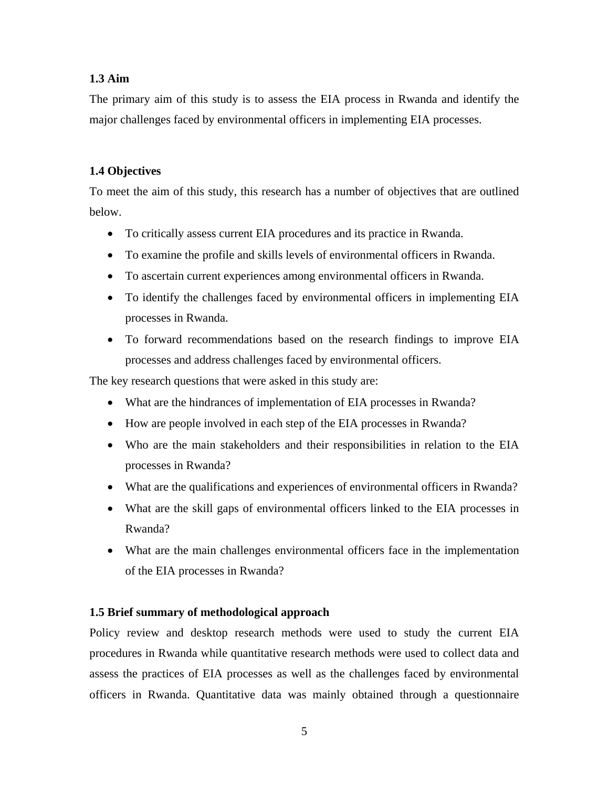## **1.3 Aim**

The primary aim of this study is to assess the EIA process in Rwanda and identify the major challenges faced by environmental officers in implementing EIA processes.

# **1.4 Objectives**

To meet the aim of this study, this research has a number of objectives that are outlined below.

- To critically assess current EIA procedures and its practice in Rwanda.
- To examine the profile and skills levels of environmental officers in Rwanda.
- To ascertain current experiences among environmental officers in Rwanda.
- To identify the challenges faced by environmental officers in implementing EIA processes in Rwanda.
- To forward recommendations based on the research findings to improve EIA processes and address challenges faced by environmental officers.

The key research questions that were asked in this study are:

- What are the hindrances of implementation of EIA processes in Rwanda?
- How are people involved in each step of the EIA processes in Rwanda?
- Who are the main stakeholders and their responsibilities in relation to the EIA processes in Rwanda?
- What are the qualifications and experiences of environmental officers in Rwanda?
- What are the skill gaps of environmental officers linked to the EIA processes in Rwanda?
- What are the main challenges environmental officers face in the implementation of the EIA processes in Rwanda?

# **1.5 Brief summary of methodological approach**

Policy review and desktop research methods were used to study the current EIA procedures in Rwanda while quantitative research methods were used to collect data and assess the practices of EIA processes as well as the challenges faced by environmental officers in Rwanda. Quantitative data was mainly obtained through a questionnaire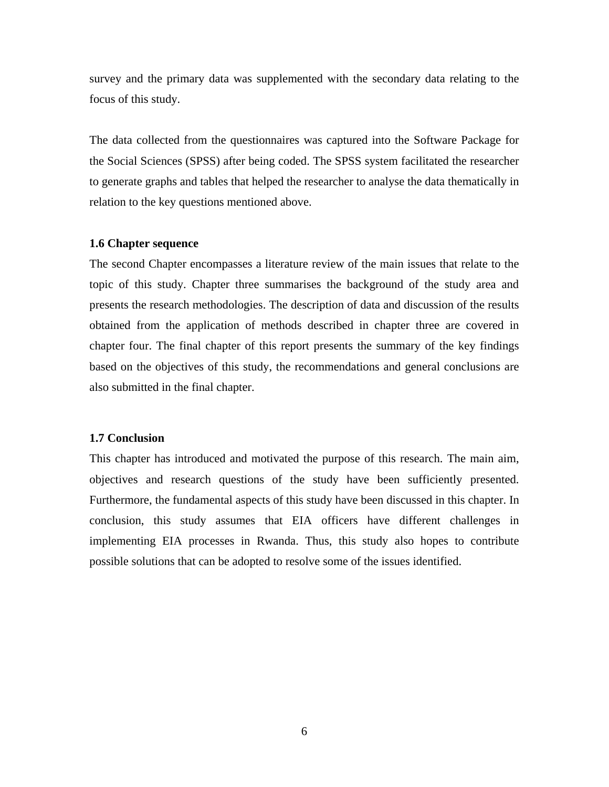survey and the primary data was supplemented with the secondary data relating to the focus of this study.

The data collected from the questionnaires was captured into the Software Package for the Social Sciences (SPSS) after being coded. The SPSS system facilitated the researcher to generate graphs and tables that helped the researcher to analyse the data thematically in relation to the key questions mentioned above.

## **1.6 Chapter sequence**

The second Chapter encompasses a literature review of the main issues that relate to the topic of this study. Chapter three summarises the background of the study area and presents the research methodologies. The description of data and discussion of the results obtained from the application of methods described in chapter three are covered in chapter four. The final chapter of this report presents the summary of the key findings based on the objectives of this study, the recommendations and general conclusions are also submitted in the final chapter.

#### **1.7 Conclusion**

This chapter has introduced and motivated the purpose of this research. The main aim, objectives and research questions of the study have been sufficiently presented. Furthermore, the fundamental aspects of this study have been discussed in this chapter. In conclusion, this study assumes that EIA officers have different challenges in implementing EIA processes in Rwanda. Thus, this study also hopes to contribute possible solutions that can be adopted to resolve some of the issues identified.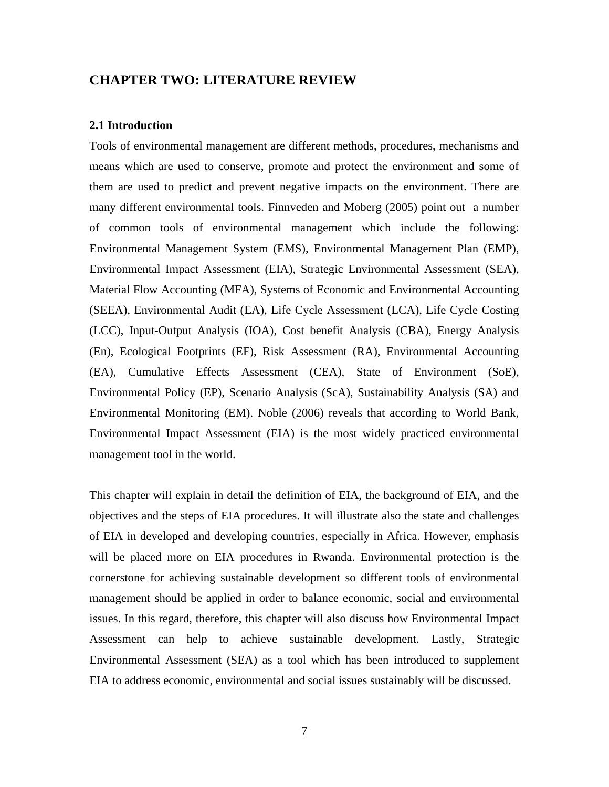# **CHAPTER TWO: LITERATURE REVIEW**

### **2.1 Introduction**

Tools of environmental management are different methods, procedures, mechanisms and means which are used to conserve, promote and protect the environment and some of them are used to predict and prevent negative impacts on the environment. There are many different environmental tools. Finnveden and Moberg (2005) point out a number of common tools of environmental management which include the following: Environmental Management System (EMS), Environmental Management Plan (EMP), Environmental Impact Assessment (EIA), Strategic Environmental Assessment (SEA), Material Flow Accounting (MFA), Systems of Economic and Environmental Accounting (SEEA), Environmental Audit (EA), Life Cycle Assessment (LCA), Life Cycle Costing (LCC), Input-Output Analysis (IOA), Cost benefit Analysis (CBA), Energy Analysis (En), Ecological Footprints (EF), Risk Assessment (RA), Environmental Accounting (EA), Cumulative Effects Assessment (CEA), State of Environment (SoE), Environmental Policy (EP), Scenario Analysis (ScA), Sustainability Analysis (SA) and Environmental Monitoring (EM). Noble (2006) reveals that according to World Bank, Environmental Impact Assessment (EIA) is the most widely practiced environmental management tool in the world.

This chapter will explain in detail the definition of EIA, the background of EIA, and the objectives and the steps of EIA procedures. It will illustrate also the state and challenges of EIA in developed and developing countries, especially in Africa. However, emphasis will be placed more on EIA procedures in Rwanda. Environmental protection is the cornerstone for achieving sustainable development so different tools of environmental management should be applied in order to balance economic, social and environmental issues. In this regard, therefore, this chapter will also discuss how Environmental Impact Assessment can help to achieve sustainable development. Lastly, Strategic Environmental Assessment (SEA) as a tool which has been introduced to supplement EIA to address economic, environmental and social issues sustainably will be discussed.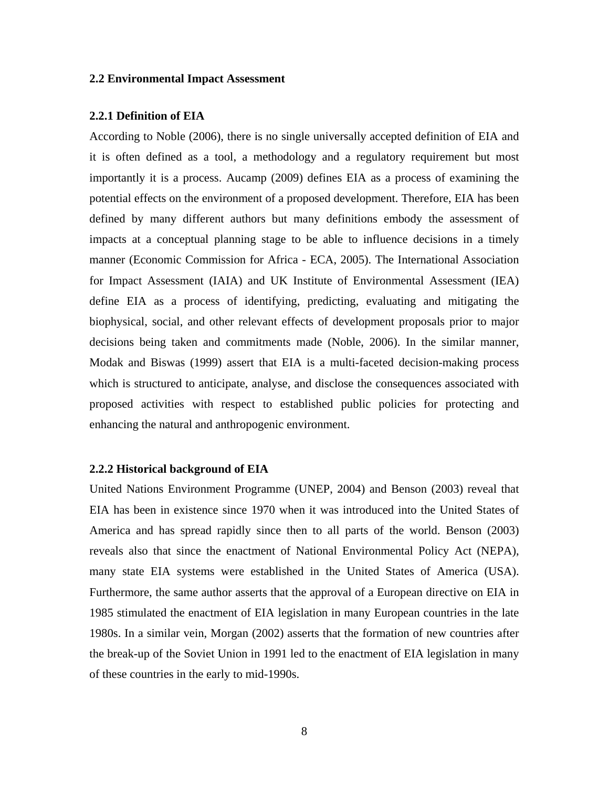## **2.2 Environmental Impact Assessment**

#### **2.2.1 Definition of EIA**

According to Noble (2006), there is no single universally accepted definition of EIA and it is often defined as a tool, a methodology and a regulatory requirement but most importantly it is a process. Aucamp (2009) defines EIA as a process of examining the potential effects on the environment of a proposed development. Therefore, EIA has been defined by many different authors but many definitions embody the assessment of impacts at a conceptual planning stage to be able to influence decisions in a timely manner (Economic Commission for Africa - ECA, 2005). The International Association for Impact Assessment (IAIA) and UK Institute of Environmental Assessment (IEA) define EIA as a process of identifying, predicting, evaluating and mitigating the biophysical, social, and other relevant effects of development proposals prior to major decisions being taken and commitments made (Noble, 2006). In the similar manner, Modak and Biswas (1999) assert that EIA is a multi-faceted decision-making process which is structured to anticipate, analyse, and disclose the consequences associated with proposed activities with respect to established public policies for protecting and enhancing the natural and anthropogenic environment.

### **2.2.2 Historical background of EIA**

United Nations Environment Programme (UNEP, 2004) and Benson (2003) reveal that EIA has been in existence since 1970 when it was introduced into the United States of America and has spread rapidly since then to all parts of the world. Benson (2003) reveals also that since the enactment of National Environmental Policy Act (NEPA), many state EIA systems were established in the United States of America (USA). Furthermore, the same author asserts that the approval of a European directive on EIA in 1985 stimulated the enactment of EIA legislation in many European countries in the late 1980s. In a similar vein, Morgan (2002) asserts that the formation of new countries after the break-up of the Soviet Union in 1991 led to the enactment of EIA legislation in many of these countries in the early to mid-1990s.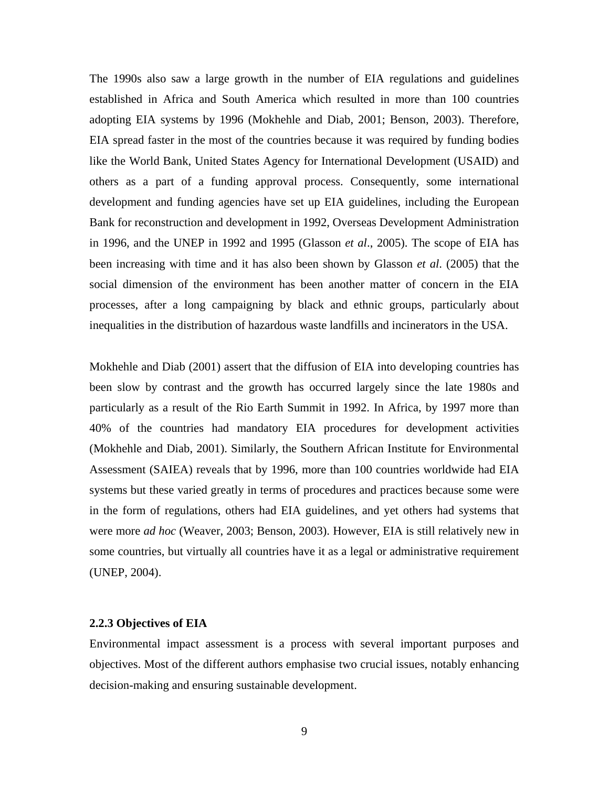The 1990s also saw a large growth in the number of EIA regulations and guidelines established in Africa and South America which resulted in more than 100 countries adopting EIA systems by 1996 (Mokhehle and Diab, 2001; Benson, 2003). Therefore, EIA spread faster in the most of the countries because it was required by funding bodies like the World Bank, United States Agency for International Development (USAID) and others as a part of a funding approval process. Consequently, some international development and funding agencies have set up EIA guidelines, including the European Bank for reconstruction and development in 1992, Overseas Development Administration in 1996, and the UNEP in 1992 and 1995 (Glasson *et al*., 2005). The scope of EIA has been increasing with time and it has also been shown by Glasson *et al*. (2005) that the social dimension of the environment has been another matter of concern in the EIA processes, after a long campaigning by black and ethnic groups, particularly about inequalities in the distribution of hazardous waste landfills and incinerators in the USA.

Mokhehle and Diab (2001) assert that the diffusion of EIA into developing countries has been slow by contrast and the growth has occurred largely since the late 1980s and particularly as a result of the Rio Earth Summit in 1992. In Africa, by 1997 more than 40% of the countries had mandatory EIA procedures for development activities (Mokhehle and Diab, 2001). Similarly, the Southern African Institute for Environmental Assessment (SAIEA) reveals that by 1996, more than 100 countries worldwide had EIA systems but these varied greatly in terms of procedures and practices because some were in the form of regulations, others had EIA guidelines, and yet others had systems that were more *ad hoc* (Weaver, 2003; Benson, 2003). However, EIA is still relatively new in some countries, but virtually all countries have it as a legal or administrative requirement (UNEP, 2004).

### **2.2.3 Objectives of EIA**

Environmental impact assessment is a process with several important purposes and objectives. Most of the different authors emphasise two crucial issues, notably enhancing decision-making and ensuring sustainable development.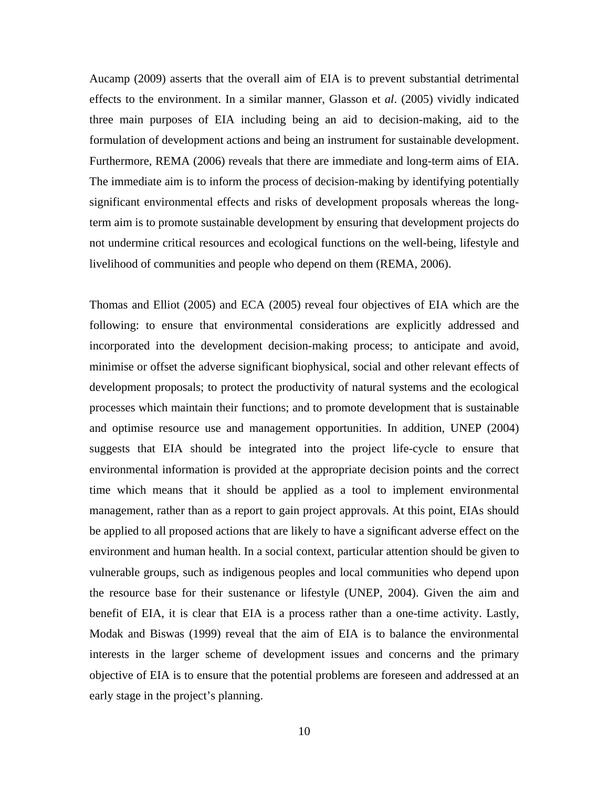Aucamp (2009) asserts that the overall aim of EIA is to prevent substantial detrimental effects to the environment. In a similar manner, Glasson et *al*. (2005) vividly indicated three main purposes of EIA including being an aid to decision-making, aid to the formulation of development actions and being an instrument for sustainable development. Furthermore, REMA (2006) reveals that there are immediate and long-term aims of EIA. The immediate aim is to inform the process of decision-making by identifying potentially significant environmental effects and risks of development proposals whereas the longterm aim is to promote sustainable development by ensuring that development projects do not undermine critical resources and ecological functions on the well-being, lifestyle and livelihood of communities and people who depend on them (REMA, 2006).

Thomas and Elliot (2005) and ECA (2005) reveal four objectives of EIA which are the following: to ensure that environmental considerations are explicitly addressed and incorporated into the development decision-making process; to anticipate and avoid, minimise or offset the adverse significant biophysical, social and other relevant effects of development proposals; to protect the productivity of natural systems and the ecological processes which maintain their functions; and to promote development that is sustainable and optimise resource use and management opportunities. In addition, UNEP (2004) suggests that EIA should be integrated into the project life-cycle to ensure that environmental information is provided at the appropriate decision points and the correct time which means that it should be applied as a tool to implement environmental management, rather than as a report to gain project approvals. At this point, EIAs should be applied to all proposed actions that are likely to have a significant adverse effect on the environment and human health. In a social context, particular attention should be given to vulnerable groups, such as indigenous peoples and local communities who depend upon the resource base for their sustenance or lifestyle (UNEP, 2004). Given the aim and benefit of EIA, it is clear that EIA is a process rather than a one-time activity. Lastly, Modak and Biswas (1999) reveal that the aim of EIA is to balance the environmental interests in the larger scheme of development issues and concerns and the primary objective of EIA is to ensure that the potential problems are foreseen and addressed at an early stage in the project's planning.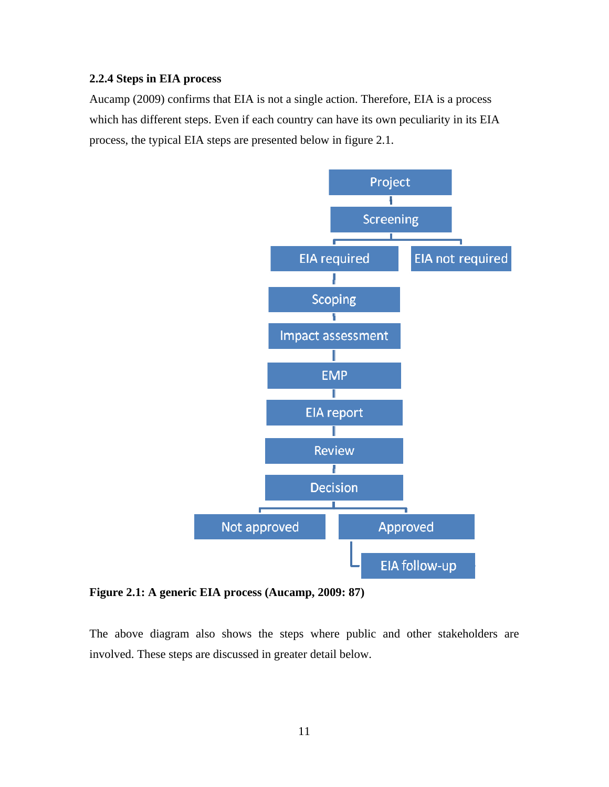## **2.2.4 Steps in EIA process**

Aucamp (2009) confirms that EIA is not a single action. Therefore, EIA is a process which has different steps. Even if each country can have its own peculiarity in its EIA process, the typical EIA steps are presented below in figure 2.1.



**Figure 2.1: A generic EIA process (Aucamp, 2009: 87)** 

The above diagram also shows the steps where public and other stakeholders are involved. These steps are discussed in greater detail below.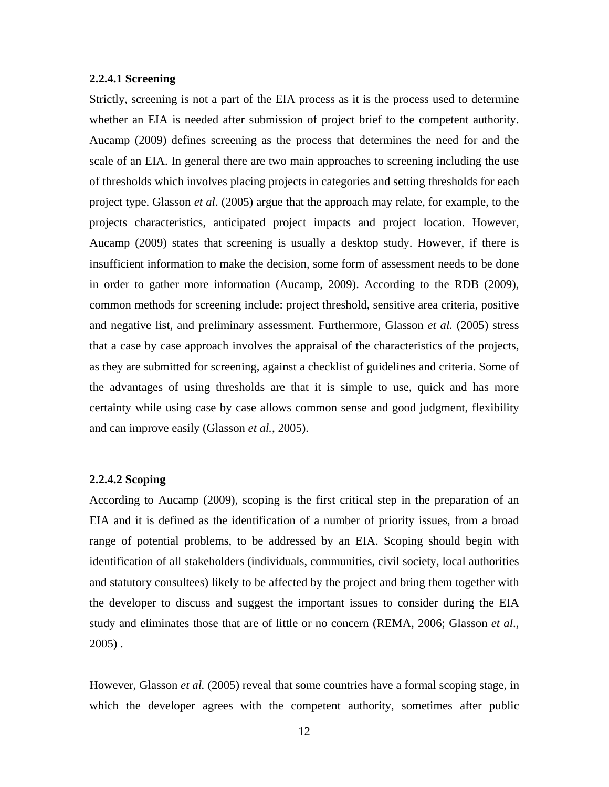## **2.2.4.1 Screening**

Strictly, screening is not a part of the EIA process as it is the process used to determine whether an EIA is needed after submission of project brief to the competent authority. Aucamp (2009) defines screening as the process that determines the need for and the scale of an EIA. In general there are two main approaches to screening including the use of thresholds which involves placing projects in categories and setting thresholds for each project type. Glasson *et al*. (2005) argue that the approach may relate, for example, to the projects characteristics, anticipated project impacts and project location. However, Aucamp (2009) states that screening is usually a desktop study. However, if there is insufficient information to make the decision, some form of assessment needs to be done in order to gather more information (Aucamp, 2009). According to the RDB (2009), common methods for screening include: project threshold, sensitive area criteria, positive and negative list, and preliminary assessment. Furthermore, Glasson *et al.* (2005) stress that a case by case approach involves the appraisal of the characteristics of the projects, as they are submitted for screening, against a checklist of guidelines and criteria. Some of the advantages of using thresholds are that it is simple to use, quick and has more certainty while using case by case allows common sense and good judgment, flexibility and can improve easily (Glasson *et al.*, 2005).

#### **2.2.4.2 Scoping**

According to Aucamp (2009), scoping is the first critical step in the preparation of an EIA and it is defined as the identification of a number of priority issues, from a broad range of potential problems, to be addressed by an EIA. Scoping should begin with identification of all stakeholders (individuals, communities, civil society, local authorities and statutory consultees) likely to be affected by the project and bring them together with the developer to discuss and suggest the important issues to consider during the EIA study and eliminates those that are of little or no concern (REMA, 2006; Glasson *et al*., 2005) .

However, Glasson *et al.* (2005) reveal that some countries have a formal scoping stage, in which the developer agrees with the competent authority, sometimes after public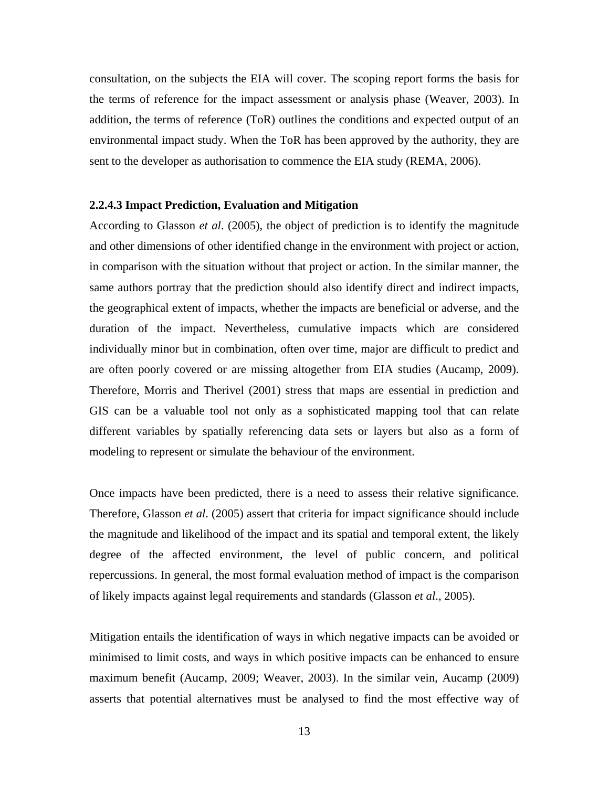consultation, on the subjects the EIA will cover. The scoping report forms the basis for the terms of reference for the impact assessment or analysis phase (Weaver, 2003). In addition, the terms of reference (ToR) outlines the conditions and expected output of an environmental impact study. When the ToR has been approved by the authority, they are sent to the developer as authorisation to commence the EIA study (REMA, 2006).

### **2.2.4.3 Impact Prediction, Evaluation and Mitigation**

According to Glasson *et al*. (2005), the object of prediction is to identify the magnitude and other dimensions of other identified change in the environment with project or action, in comparison with the situation without that project or action. In the similar manner, the same authors portray that the prediction should also identify direct and indirect impacts, the geographical extent of impacts, whether the impacts are beneficial or adverse, and the duration of the impact. Nevertheless, cumulative impacts which are considered individually minor but in combination, often over time, major are difficult to predict and are often poorly covered or are missing altogether from EIA studies (Aucamp, 2009). Therefore, Morris and Therivel (2001) stress that maps are essential in prediction and GIS can be a valuable tool not only as a sophisticated mapping tool that can relate different variables by spatially referencing data sets or layers but also as a form of modeling to represent or simulate the behaviour of the environment.

Once impacts have been predicted, there is a need to assess their relative significance. Therefore, Glasson *et al*. (2005) assert that criteria for impact significance should include the magnitude and likelihood of the impact and its spatial and temporal extent, the likely degree of the affected environment, the level of public concern, and political repercussions. In general, the most formal evaluation method of impact is the comparison of likely impacts against legal requirements and standards (Glasson *et al*., 2005).

Mitigation entails the identification of ways in which negative impacts can be avoided or minimised to limit costs, and ways in which positive impacts can be enhanced to ensure maximum benefit (Aucamp, 2009; Weaver, 2003). In the similar vein, Aucamp (2009) asserts that potential alternatives must be analysed to find the most effective way of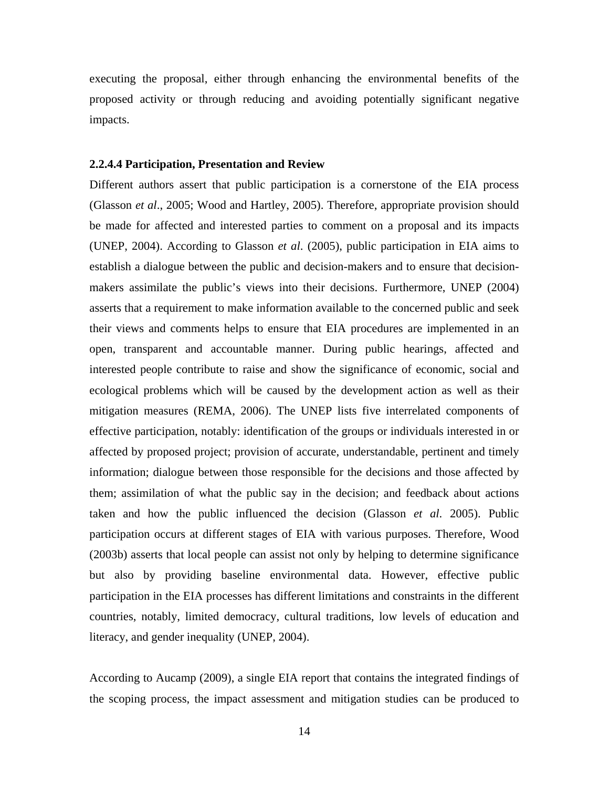executing the proposal, either through enhancing the environmental benefits of the proposed activity or through reducing and avoiding potentially significant negative impacts.

### **2.2.4.4 Participation, Presentation and Review**

Different authors assert that public participation is a cornerstone of the EIA process (Glasson *et al*., 2005; Wood and Hartley, 2005). Therefore, appropriate provision should be made for affected and interested parties to comment on a proposal and its impacts (UNEP, 2004). According to Glasson *et al*. (2005), public participation in EIA aims to establish a dialogue between the public and decision-makers and to ensure that decisionmakers assimilate the public's views into their decisions. Furthermore, UNEP (2004) asserts that a requirement to make information available to the concerned public and seek their views and comments helps to ensure that EIA procedures are implemented in an open, transparent and accountable manner. During public hearings, affected and interested people contribute to raise and show the significance of economic, social and ecological problems which will be caused by the development action as well as their mitigation measures (REMA, 2006). The UNEP lists five interrelated components of effective participation, notably: identification of the groups or individuals interested in or affected by proposed project; provision of accurate, understandable, pertinent and timely information; dialogue between those responsible for the decisions and those affected by them; assimilation of what the public say in the decision; and feedback about actions taken and how the public influenced the decision (Glasson *et al*. 2005). Public participation occurs at different stages of EIA with various purposes. Therefore, Wood (2003b) asserts that local people can assist not only by helping to determine significance but also by providing baseline environmental data. However, effective public participation in the EIA processes has different limitations and constraints in the different countries, notably, limited democracy, cultural traditions, low levels of education and literacy, and gender inequality (UNEP, 2004).

According to Aucamp (2009), a single EIA report that contains the integrated findings of the scoping process, the impact assessment and mitigation studies can be produced to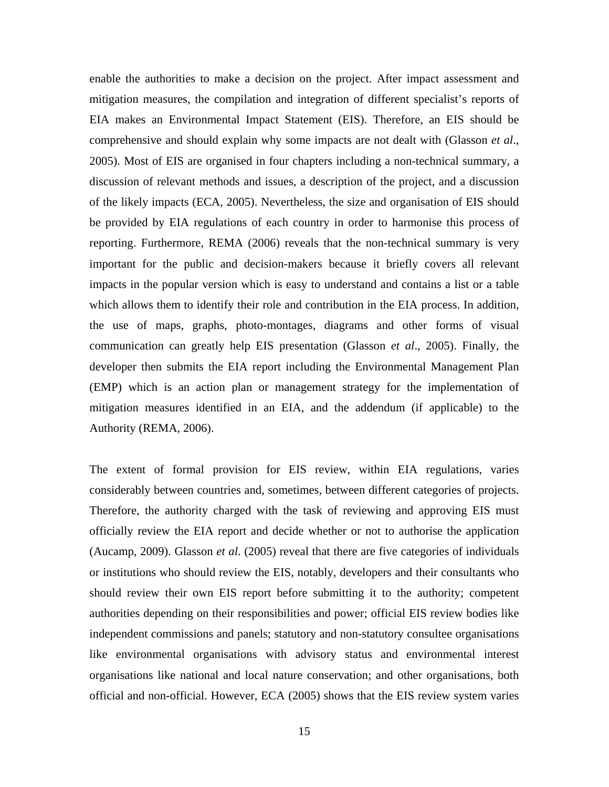enable the authorities to make a decision on the project. After impact assessment and mitigation measures, the compilation and integration of different specialist's reports of EIA makes an Environmental Impact Statement (EIS). Therefore, an EIS should be comprehensive and should explain why some impacts are not dealt with (Glasson *et al*., 2005). Most of EIS are organised in four chapters including a non-technical summary, a discussion of relevant methods and issues, a description of the project, and a discussion of the likely impacts (ECA, 2005). Nevertheless, the size and organisation of EIS should be provided by EIA regulations of each country in order to harmonise this process of reporting. Furthermore, REMA (2006) reveals that the non-technical summary is very important for the public and decision-makers because it briefly covers all relevant impacts in the popular version which is easy to understand and contains a list or a table which allows them to identify their role and contribution in the EIA process. In addition, the use of maps, graphs, photo-montages, diagrams and other forms of visual communication can greatly help EIS presentation (Glasson *et al*., 2005). Finally, the developer then submits the EIA report including the Environmental Management Plan (EMP) which is an action plan or management strategy for the implementation of mitigation measures identified in an EIA, and the addendum (if applicable) to the Authority (REMA, 2006).

The extent of formal provision for EIS review, within EIA regulations, varies considerably between countries and, sometimes, between different categories of projects. Therefore, the authority charged with the task of reviewing and approving EIS must officially review the EIA report and decide whether or not to authorise the application (Aucamp, 2009). Glasson *et al*. (2005) reveal that there are five categories of individuals or institutions who should review the EIS, notably, developers and their consultants who should review their own EIS report before submitting it to the authority; competent authorities depending on their responsibilities and power; official EIS review bodies like independent commissions and panels; statutory and non-statutory consultee organisations like environmental organisations with advisory status and environmental interest organisations like national and local nature conservation; and other organisations, both official and non-official. However, ECA (2005) shows that the EIS review system varies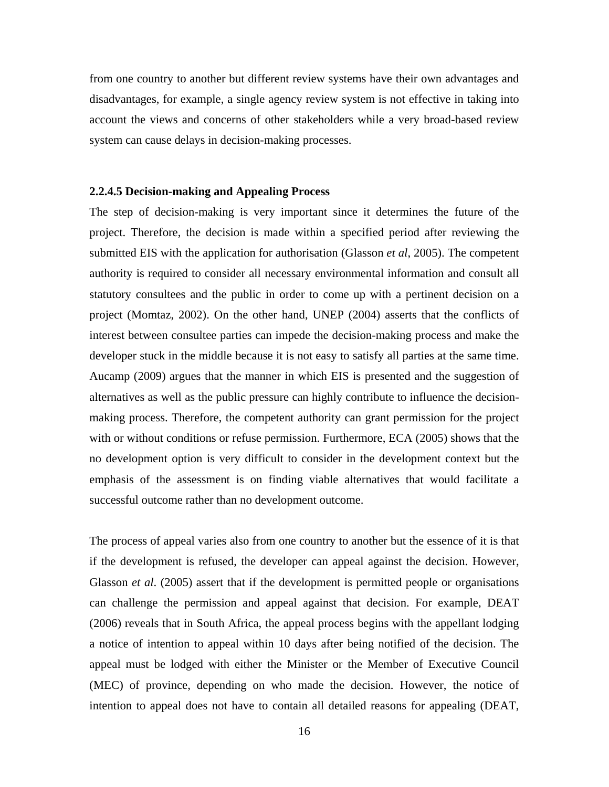from one country to another but different review systems have their own advantages and disadvantages, for example, a single agency review system is not effective in taking into account the views and concerns of other stakeholders while a very broad-based review system can cause delays in decision-making processes.

## **2.2.4.5 Decision-making and Appealing Process**

The step of decision-making is very important since it determines the future of the project. Therefore, the decision is made within a specified period after reviewing the submitted EIS with the application for authorisation (Glasson *et al*, 2005). The competent authority is required to consider all necessary environmental information and consult all statutory consultees and the public in order to come up with a pertinent decision on a project (Momtaz, 2002). On the other hand, UNEP (2004) asserts that the conflicts of interest between consultee parties can impede the decision-making process and make the developer stuck in the middle because it is not easy to satisfy all parties at the same time. Aucamp (2009) argues that the manner in which EIS is presented and the suggestion of alternatives as well as the public pressure can highly contribute to influence the decisionmaking process. Therefore, the competent authority can grant permission for the project with or without conditions or refuse permission. Furthermore, ECA (2005) shows that the no development option is very difficult to consider in the development context but the emphasis of the assessment is on finding viable alternatives that would facilitate a successful outcome rather than no development outcome.

The process of appeal varies also from one country to another but the essence of it is that if the development is refused, the developer can appeal against the decision. However, Glasson *et al*. (2005) assert that if the development is permitted people or organisations can challenge the permission and appeal against that decision. For example, DEAT (2006) reveals that in South Africa, the appeal process begins with the appellant lodging a notice of intention to appeal within 10 days after being notified of the decision. The appeal must be lodged with either the Minister or the Member of Executive Council (MEC) of province, depending on who made the decision. However, the notice of intention to appeal does not have to contain all detailed reasons for appealing (DEAT,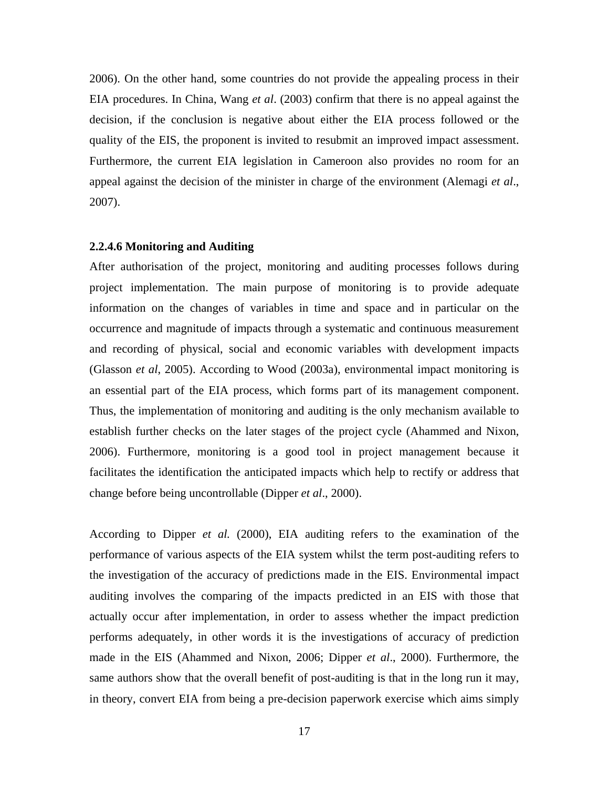2006). On the other hand, some countries do not provide the appealing process in their EIA procedures. In China, Wang *et al*. (2003) confirm that there is no appeal against the decision, if the conclusion is negative about either the EIA process followed or the quality of the EIS, the proponent is invited to resubmit an improved impact assessment. Furthermore, the current EIA legislation in Cameroon also provides no room for an appeal against the decision of the minister in charge of the environment (Alemagi *et al*., 2007).

### **2.2.4.6 Monitoring and Auditing**

After authorisation of the project, monitoring and auditing processes follows during project implementation. The main purpose of monitoring is to provide adequate information on the changes of variables in time and space and in particular on the occurrence and magnitude of impacts through a systematic and continuous measurement and recording of physical, social and economic variables with development impacts (Glasson *et al*, 2005). According to Wood (2003a), environmental impact monitoring is an essential part of the EIA process, which forms part of its management component. Thus, the implementation of monitoring and auditing is the only mechanism available to establish further checks on the later stages of the project cycle (Ahammed and Nixon, 2006). Furthermore, monitoring is a good tool in project management because it facilitates the identification the anticipated impacts which help to rectify or address that change before being uncontrollable (Dipper *et al*., 2000).

According to Dipper *et al.* (2000), EIA auditing refers to the examination of the performance of various aspects of the EIA system whilst the term post-auditing refers to the investigation of the accuracy of predictions made in the EIS. Environmental impact auditing involves the comparing of the impacts predicted in an EIS with those that actually occur after implementation, in order to assess whether the impact prediction performs adequately, in other words it is the investigations of accuracy of prediction made in the EIS (Ahammed and Nixon, 2006; Dipper *et al*., 2000). Furthermore, the same authors show that the overall benefit of post-auditing is that in the long run it may, in theory, convert EIA from being a pre-decision paperwork exercise which aims simply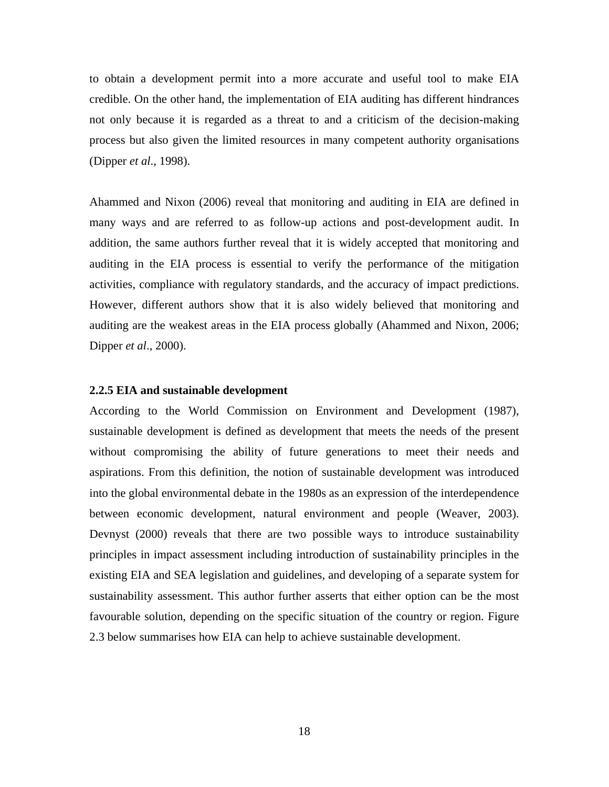to obtain a development permit into a more accurate and useful tool to make EIA credible. On the other hand, the implementation of EIA auditing has different hindrances not only because it is regarded as a threat to and a criticism of the decision-making process but also given the limited resources in many competent authority organisations (Dipper *et al*., 1998).

Ahammed and Nixon (2006) reveal that monitoring and auditing in EIA are defined in many ways and are referred to as follow-up actions and post-development audit. In addition, the same authors further reveal that it is widely accepted that monitoring and auditing in the EIA process is essential to verify the performance of the mitigation activities, compliance with regulatory standards, and the accuracy of impact predictions. However, different authors show that it is also widely believed that monitoring and auditing are the weakest areas in the EIA process globally (Ahammed and Nixon, 2006; Dipper *et al*., 2000).

### **2.2.5 EIA and sustainable development**

According to the World Commission on Environment and Development (1987), sustainable development is defined as development that meets the needs of the present without compromising the ability of future generations to meet their needs and aspirations. From this definition, the notion of sustainable development was introduced into the global environmental debate in the 1980s as an expression of the interdependence between economic development, natural environment and people (Weaver, 2003). Devnyst (2000) reveals that there are two possible ways to introduce sustainability principles in impact assessment including introduction of sustainability principles in the existing EIA and SEA legislation and guidelines, and developing of a separate system for sustainability assessment. This author further asserts that either option can be the most favourable solution, depending on the specific situation of the country or region. Figure 2.3 below summarises how EIA can help to achieve sustainable development.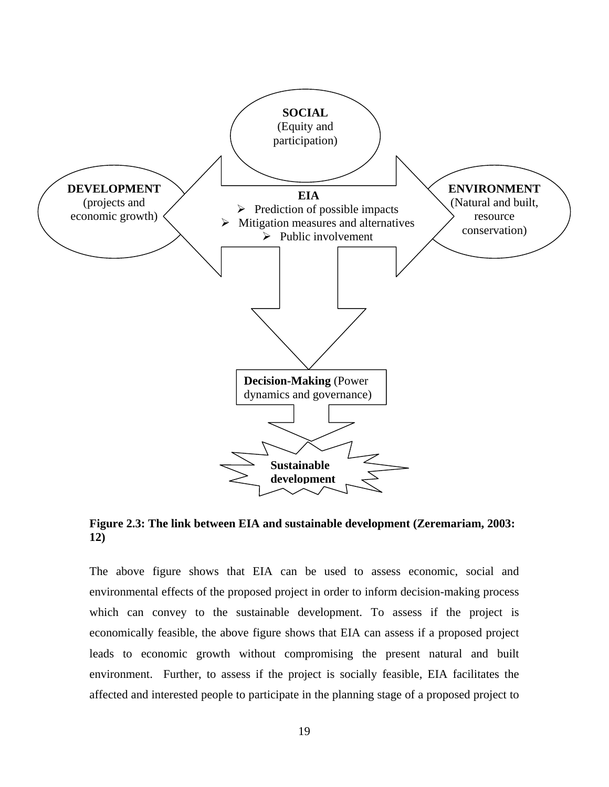

**Figure 2.3: The link between EIA and sustainable development (Zeremariam, 2003: 12)** 

The above figure shows that EIA can be used to assess economic, social and environmental effects of the proposed project in order to inform decision-making process which can convey to the sustainable development. To assess if the project is economically feasible, the above figure shows that EIA can assess if a proposed project leads to economic growth without compromising the present natural and built environment. Further, to assess if the project is socially feasible, EIA facilitates the affected and interested people to participate in the planning stage of a proposed project to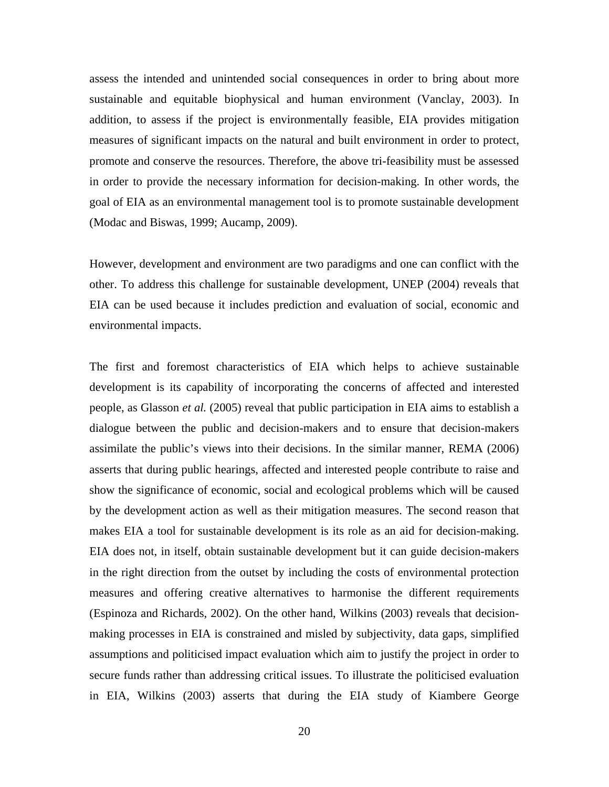assess the intended and unintended social consequences in order to bring about more sustainable and equitable biophysical and human environment (Vanclay, 2003). In addition, to assess if the project is environmentally feasible, EIA provides mitigation measures of significant impacts on the natural and built environment in order to protect, promote and conserve the resources. Therefore, the above tri-feasibility must be assessed in order to provide the necessary information for decision-making. In other words, the goal of EIA as an environmental management tool is to promote sustainable development (Modac and Biswas, 1999; Aucamp, 2009).

However, development and environment are two paradigms and one can conflict with the other. To address this challenge for sustainable development, UNEP (2004) reveals that EIA can be used because it includes prediction and evaluation of social, economic and environmental impacts.

The first and foremost characteristics of EIA which helps to achieve sustainable development is its capability of incorporating the concerns of affected and interested people, as Glasson *et al.* (2005) reveal that public participation in EIA aims to establish a dialogue between the public and decision-makers and to ensure that decision-makers assimilate the public's views into their decisions. In the similar manner, REMA (2006) asserts that during public hearings, affected and interested people contribute to raise and show the significance of economic, social and ecological problems which will be caused by the development action as well as their mitigation measures. The second reason that makes EIA a tool for sustainable development is its role as an aid for decision-making. EIA does not, in itself, obtain sustainable development but it can guide decision-makers in the right direction from the outset by including the costs of environmental protection measures and offering creative alternatives to harmonise the different requirements (Espinoza and Richards, 2002). On the other hand, Wilkins (2003) reveals that decisionmaking processes in EIA is constrained and misled by subjectivity, data gaps, simplified assumptions and politicised impact evaluation which aim to justify the project in order to secure funds rather than addressing critical issues. To illustrate the politicised evaluation in EIA, Wilkins (2003) asserts that during the EIA study of Kiambere George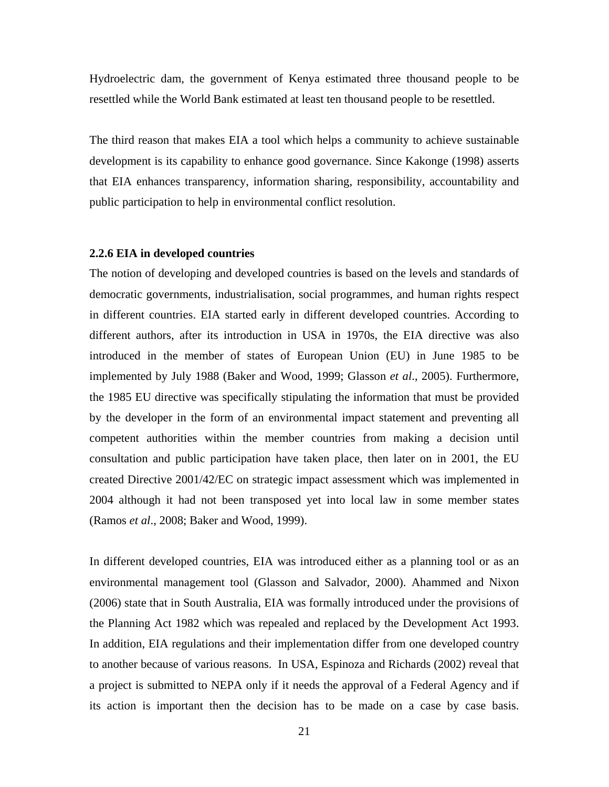Hydroelectric dam, the government of Kenya estimated three thousand people to be resettled while the World Bank estimated at least ten thousand people to be resettled.

The third reason that makes EIA a tool which helps a community to achieve sustainable development is its capability to enhance good governance. Since Kakonge (1998) asserts that EIA enhances transparency, information sharing, responsibility, accountability and public participation to help in environmental conflict resolution.

### **2.2.6 EIA in developed countries**

The notion of developing and developed countries is based on the levels and standards of democratic governments, industrialisation, social programmes, and human rights respect in different countries. EIA started early in different developed countries. According to different authors, after its introduction in USA in 1970s, the EIA directive was also introduced in the member of states of European Union (EU) in June 1985 to be implemented by July 1988 (Baker and Wood, 1999; Glasson *et al*., 2005). Furthermore, the 1985 EU directive was specifically stipulating the information that must be provided by the developer in the form of an environmental impact statement and preventing all competent authorities within the member countries from making a decision until consultation and public participation have taken place, then later on in 2001, the EU created Directive 2001/42/EC on strategic impact assessment which was implemented in 2004 although it had not been transposed yet into local law in some member states (Ramos *et al*., 2008; Baker and Wood, 1999).

In different developed countries, EIA was introduced either as a planning tool or as an environmental management tool (Glasson and Salvador, 2000). Ahammed and Nixon (2006) state that in South Australia, EIA was formally introduced under the provisions of the Planning Act 1982 which was repealed and replaced by the Development Act 1993. In addition, EIA regulations and their implementation differ from one developed country to another because of various reasons. In USA, Espinoza and Richards (2002) reveal that a project is submitted to NEPA only if it needs the approval of a Federal Agency and if its action is important then the decision has to be made on a case by case basis.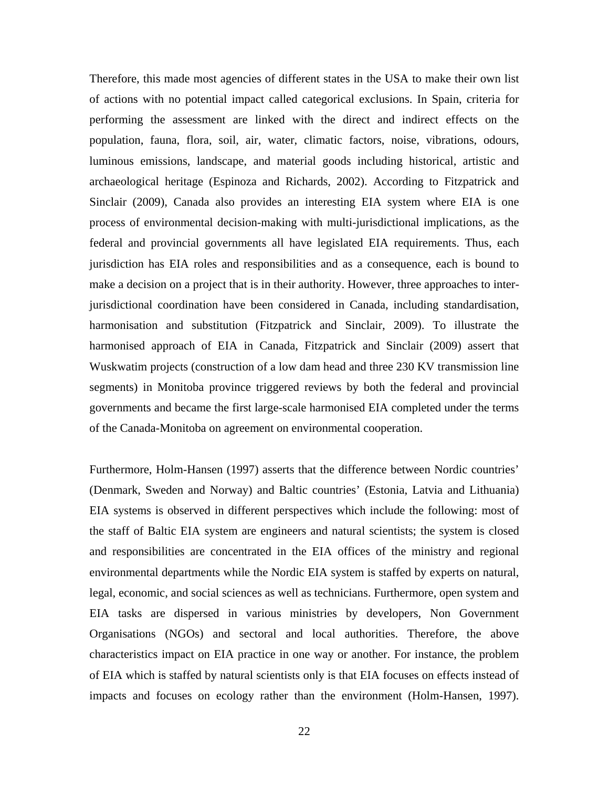Therefore, this made most agencies of different states in the USA to make their own list of actions with no potential impact called categorical exclusions. In Spain, criteria for performing the assessment are linked with the direct and indirect effects on the population, fauna, flora, soil, air, water, climatic factors, noise, vibrations, odours, luminous emissions, landscape, and material goods including historical, artistic and archaeological heritage (Espinoza and Richards, 2002). According to Fitzpatrick and Sinclair (2009), Canada also provides an interesting EIA system where EIA is one process of environmental decision-making with multi-jurisdictional implications, as the federal and provincial governments all have legislated EIA requirements. Thus, each jurisdiction has EIA roles and responsibilities and as a consequence, each is bound to make a decision on a project that is in their authority. However, three approaches to interjurisdictional coordination have been considered in Canada, including standardisation, harmonisation and substitution (Fitzpatrick and Sinclair, 2009). To illustrate the harmonised approach of EIA in Canada, Fitzpatrick and Sinclair (2009) assert that Wuskwatim projects (construction of a low dam head and three 230 KV transmission line segments) in Monitoba province triggered reviews by both the federal and provincial governments and became the first large-scale harmonised EIA completed under the terms of the Canada-Monitoba on agreement on environmental cooperation.

Furthermore, Holm-Hansen (1997) asserts that the difference between Nordic countries' (Denmark, Sweden and Norway) and Baltic countries' (Estonia, Latvia and Lithuania) EIA systems is observed in different perspectives which include the following: most of the staff of Baltic EIA system are engineers and natural scientists; the system is closed and responsibilities are concentrated in the EIA offices of the ministry and regional environmental departments while the Nordic EIA system is staffed by experts on natural, legal, economic, and social sciences as well as technicians. Furthermore, open system and EIA tasks are dispersed in various ministries by developers, Non Government Organisations (NGOs) and sectoral and local authorities. Therefore, the above characteristics impact on EIA practice in one way or another. For instance, the problem of EIA which is staffed by natural scientists only is that EIA focuses on effects instead of impacts and focuses on ecology rather than the environment (Holm-Hansen, 1997).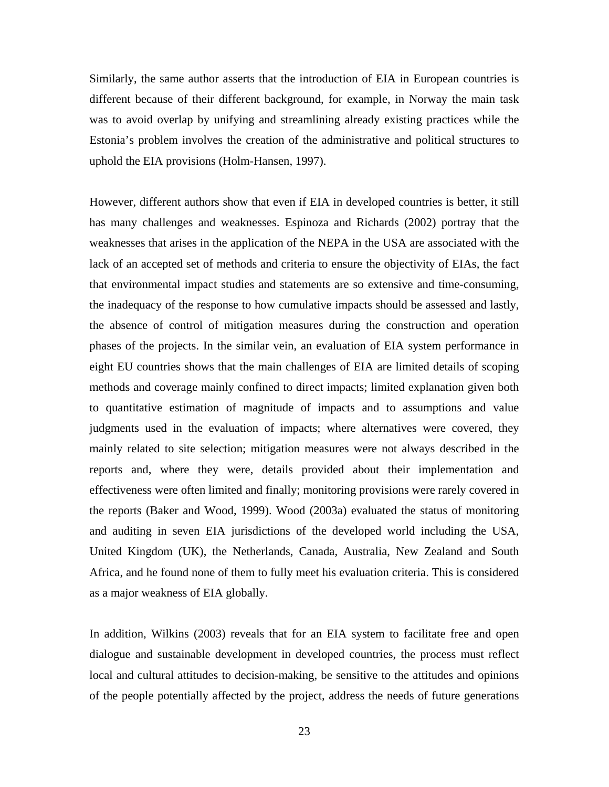Similarly, the same author asserts that the introduction of EIA in European countries is different because of their different background, for example, in Norway the main task was to avoid overlap by unifying and streamlining already existing practices while the Estonia's problem involves the creation of the administrative and political structures to uphold the EIA provisions (Holm-Hansen, 1997).

However, different authors show that even if EIA in developed countries is better, it still has many challenges and weaknesses. Espinoza and Richards (2002) portray that the weaknesses that arises in the application of the NEPA in the USA are associated with the lack of an accepted set of methods and criteria to ensure the objectivity of EIAs, the fact that environmental impact studies and statements are so extensive and time-consuming, the inadequacy of the response to how cumulative impacts should be assessed and lastly, the absence of control of mitigation measures during the construction and operation phases of the projects. In the similar vein, an evaluation of EIA system performance in eight EU countries shows that the main challenges of EIA are limited details of scoping methods and coverage mainly confined to direct impacts; limited explanation given both to quantitative estimation of magnitude of impacts and to assumptions and value judgments used in the evaluation of impacts; where alternatives were covered, they mainly related to site selection; mitigation measures were not always described in the reports and, where they were, details provided about their implementation and effectiveness were often limited and finally; monitoring provisions were rarely covered in the reports (Baker and Wood, 1999). Wood (2003a) evaluated the status of monitoring and auditing in seven EIA jurisdictions of the developed world including the USA, United Kingdom (UK), the Netherlands, Canada, Australia, New Zealand and South Africa, and he found none of them to fully meet his evaluation criteria. This is considered as a major weakness of EIA globally.

In addition, Wilkins (2003) reveals that for an EIA system to facilitate free and open dialogue and sustainable development in developed countries, the process must reflect local and cultural attitudes to decision-making, be sensitive to the attitudes and opinions of the people potentially affected by the project, address the needs of future generations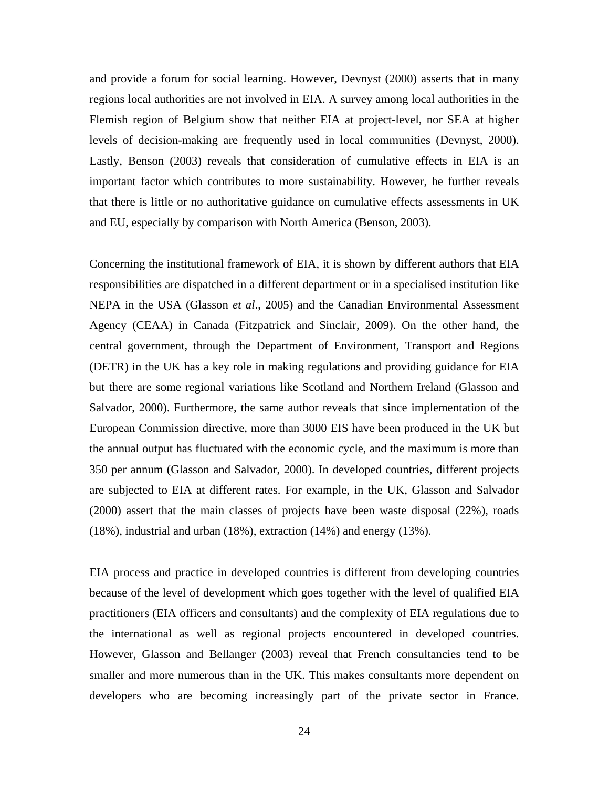and provide a forum for social learning. However, Devnyst (2000) asserts that in many regions local authorities are not involved in EIA. A survey among local authorities in the Flemish region of Belgium show that neither EIA at project-level, nor SEA at higher levels of decision-making are frequently used in local communities (Devnyst, 2000). Lastly, Benson (2003) reveals that consideration of cumulative effects in EIA is an important factor which contributes to more sustainability. However, he further reveals that there is little or no authoritative guidance on cumulative effects assessments in UK and EU, especially by comparison with North America (Benson, 2003).

Concerning the institutional framework of EIA, it is shown by different authors that EIA responsibilities are dispatched in a different department or in a specialised institution like NEPA in the USA (Glasson *et al*., 2005) and the Canadian Environmental Assessment Agency (CEAA) in Canada (Fitzpatrick and Sinclair, 2009). On the other hand, the central government, through the Department of Environment, Transport and Regions (DETR) in the UK has a key role in making regulations and providing guidance for EIA but there are some regional variations like Scotland and Northern Ireland (Glasson and Salvador, 2000). Furthermore, the same author reveals that since implementation of the European Commission directive, more than 3000 EIS have been produced in the UK but the annual output has fluctuated with the economic cycle, and the maximum is more than 350 per annum (Glasson and Salvador, 2000). In developed countries, different projects are subjected to EIA at different rates. For example, in the UK, Glasson and Salvador (2000) assert that the main classes of projects have been waste disposal (22%), roads (18%), industrial and urban (18%), extraction (14%) and energy (13%).

EIA process and practice in developed countries is different from developing countries because of the level of development which goes together with the level of qualified EIA practitioners (EIA officers and consultants) and the complexity of EIA regulations due to the international as well as regional projects encountered in developed countries. However, Glasson and Bellanger (2003) reveal that French consultancies tend to be smaller and more numerous than in the UK. This makes consultants more dependent on developers who are becoming increasingly part of the private sector in France.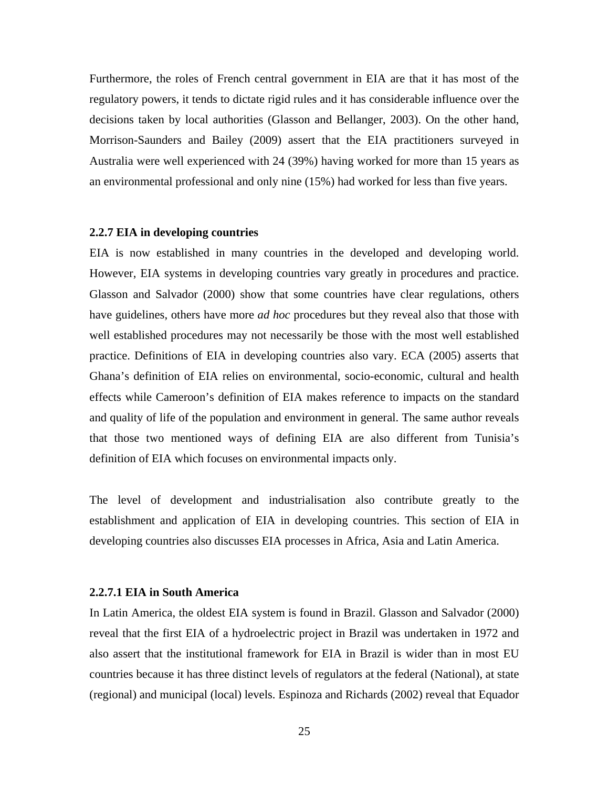Furthermore, the roles of French central government in EIA are that it has most of the regulatory powers, it tends to dictate rigid rules and it has considerable influence over the decisions taken by local authorities (Glasson and Bellanger, 2003). On the other hand, Morrison-Saunders and Bailey (2009) assert that the EIA practitioners surveyed in Australia were well experienced with 24 (39%) having worked for more than 15 years as an environmental professional and only nine (15%) had worked for less than five years.

#### **2.2.7 EIA in developing countries**

EIA is now established in many countries in the developed and developing world. However, EIA systems in developing countries vary greatly in procedures and practice. Glasson and Salvador (2000) show that some countries have clear regulations, others have guidelines, others have more *ad hoc* procedures but they reveal also that those with well established procedures may not necessarily be those with the most well established practice. Definitions of EIA in developing countries also vary. ECA (2005) asserts that Ghana's definition of EIA relies on environmental, socio-economic, cultural and health effects while Cameroon's definition of EIA makes reference to impacts on the standard and quality of life of the population and environment in general. The same author reveals that those two mentioned ways of defining EIA are also different from Tunisia's definition of EIA which focuses on environmental impacts only.

The level of development and industrialisation also contribute greatly to the establishment and application of EIA in developing countries. This section of EIA in developing countries also discusses EIA processes in Africa, Asia and Latin America.

## **2.2.7.1 EIA in South America**

In Latin America, the oldest EIA system is found in Brazil. Glasson and Salvador (2000) reveal that the first EIA of a hydroelectric project in Brazil was undertaken in 1972 and also assert that the institutional framework for EIA in Brazil is wider than in most EU countries because it has three distinct levels of regulators at the federal (National), at state (regional) and municipal (local) levels. Espinoza and Richards (2002) reveal that Equador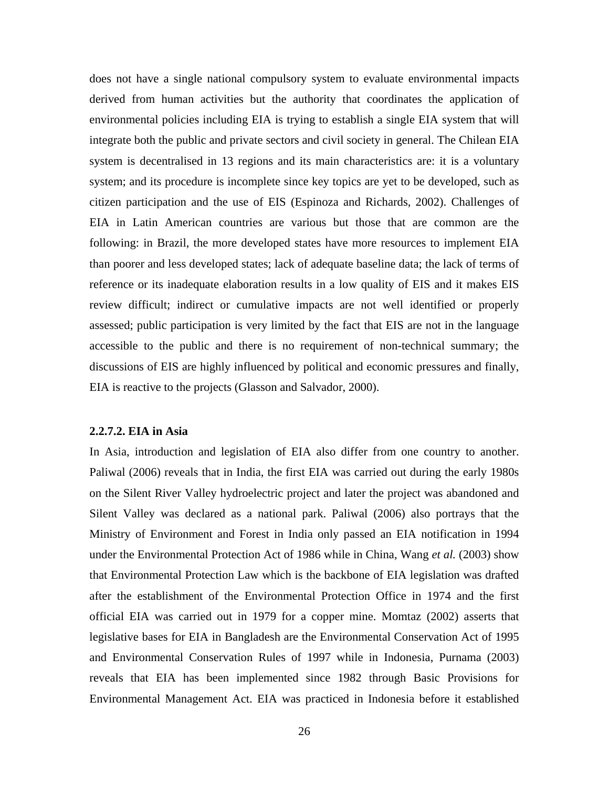does not have a single national compulsory system to evaluate environmental impacts derived from human activities but the authority that coordinates the application of environmental policies including EIA is trying to establish a single EIA system that will integrate both the public and private sectors and civil society in general. The Chilean EIA system is decentralised in 13 regions and its main characteristics are: it is a voluntary system; and its procedure is incomplete since key topics are yet to be developed, such as citizen participation and the use of EIS (Espinoza and Richards, 2002). Challenges of EIA in Latin American countries are various but those that are common are the following: in Brazil, the more developed states have more resources to implement EIA than poorer and less developed states; lack of adequate baseline data; the lack of terms of reference or its inadequate elaboration results in a low quality of EIS and it makes EIS review difficult; indirect or cumulative impacts are not well identified or properly assessed; public participation is very limited by the fact that EIS are not in the language accessible to the public and there is no requirement of non-technical summary; the discussions of EIS are highly influenced by political and economic pressures and finally, EIA is reactive to the projects (Glasson and Salvador, 2000).

## **2.2.7.2. EIA in Asia**

In Asia, introduction and legislation of EIA also differ from one country to another. Paliwal (2006) reveals that in India, the first EIA was carried out during the early 1980s on the Silent River Valley hydroelectric project and later the project was abandoned and Silent Valley was declared as a national park. Paliwal (2006) also portrays that the Ministry of Environment and Forest in India only passed an EIA notification in 1994 under the Environmental Protection Act of 1986 while in China, Wang *et al.* (2003) show that Environmental Protection Law which is the backbone of EIA legislation was drafted after the establishment of the Environmental Protection Office in 1974 and the first official EIA was carried out in 1979 for a copper mine. Momtaz (2002) asserts that legislative bases for EIA in Bangladesh are the Environmental Conservation Act of 1995 and Environmental Conservation Rules of 1997 while in Indonesia, Purnama (2003) reveals that EIA has been implemented since 1982 through Basic Provisions for Environmental Management Act. EIA was practiced in Indonesia before it established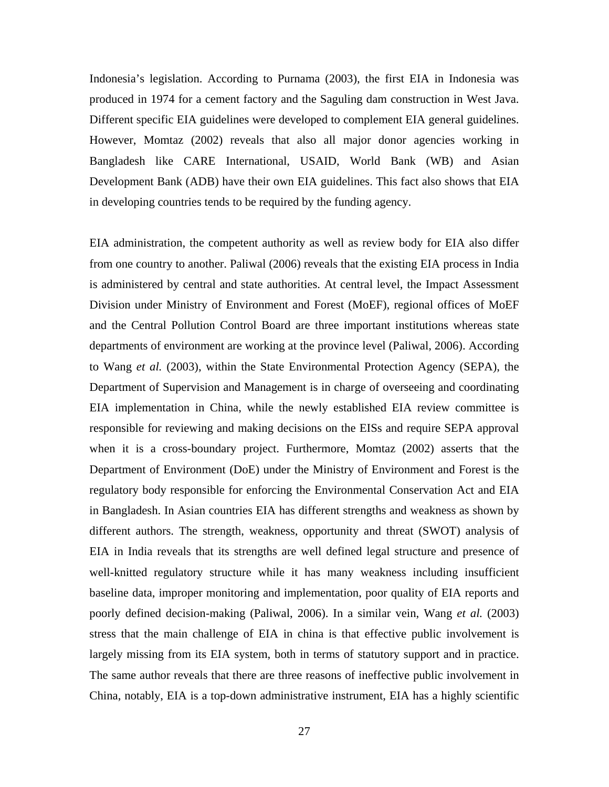Indonesia's legislation. According to Purnama (2003), the first EIA in Indonesia was produced in 1974 for a cement factory and the Saguling dam construction in West Java. Different specific EIA guidelines were developed to complement EIA general guidelines. However, Momtaz (2002) reveals that also all major donor agencies working in Bangladesh like CARE International, USAID, World Bank (WB) and Asian Development Bank (ADB) have their own EIA guidelines. This fact also shows that EIA in developing countries tends to be required by the funding agency.

EIA administration, the competent authority as well as review body for EIA also differ from one country to another. Paliwal (2006) reveals that the existing EIA process in India is administered by central and state authorities. At central level, the Impact Assessment Division under Ministry of Environment and Forest (MoEF), regional offices of MoEF and the Central Pollution Control Board are three important institutions whereas state departments of environment are working at the province level (Paliwal, 2006). According to Wang *et al.* (2003), within the State Environmental Protection Agency (SEPA), the Department of Supervision and Management is in charge of overseeing and coordinating EIA implementation in China, while the newly established EIA review committee is responsible for reviewing and making decisions on the EISs and require SEPA approval when it is a cross-boundary project. Furthermore, Momtaz (2002) asserts that the Department of Environment (DoE) under the Ministry of Environment and Forest is the regulatory body responsible for enforcing the Environmental Conservation Act and EIA in Bangladesh. In Asian countries EIA has different strengths and weakness as shown by different authors. The strength, weakness, opportunity and threat (SWOT) analysis of EIA in India reveals that its strengths are well defined legal structure and presence of well-knitted regulatory structure while it has many weakness including insufficient baseline data, improper monitoring and implementation, poor quality of EIA reports and poorly defined decision-making (Paliwal, 2006). In a similar vein, Wang *et al.* (2003) stress that the main challenge of EIA in china is that effective public involvement is largely missing from its EIA system, both in terms of statutory support and in practice. The same author reveals that there are three reasons of ineffective public involvement in China, notably, EIA is a top-down administrative instrument, EIA has a highly scientific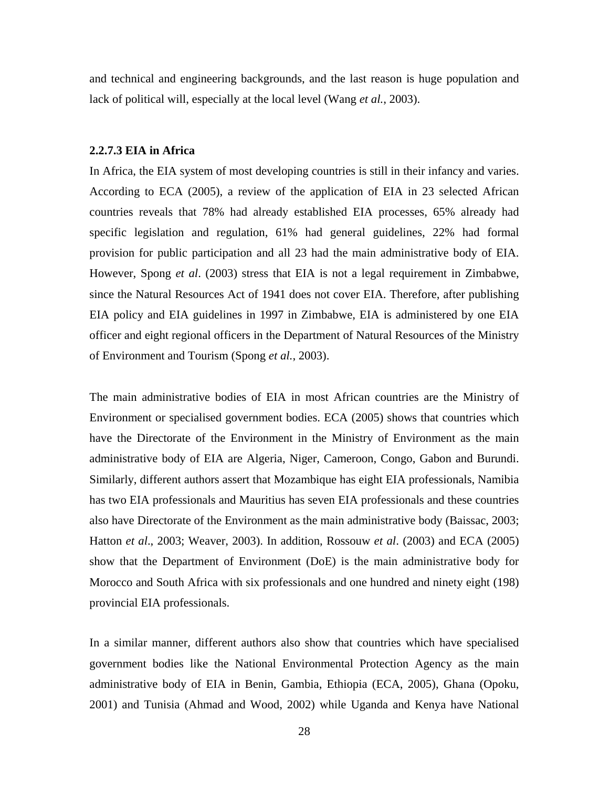and technical and engineering backgrounds, and the last reason is huge population and lack of political will, especially at the local level (Wang *et al.*, 2003).

## **2.2.7.3 EIA in Africa**

In Africa, the EIA system of most developing countries is still in their infancy and varies. According to ECA (2005), a review of the application of EIA in 23 selected African countries reveals that 78% had already established EIA processes, 65% already had specific legislation and regulation, 61% had general guidelines, 22% had formal provision for public participation and all 23 had the main administrative body of EIA. However, Spong *et al*. (2003) stress that EIA is not a legal requirement in Zimbabwe, since the Natural Resources Act of 1941 does not cover EIA. Therefore, after publishing EIA policy and EIA guidelines in 1997 in Zimbabwe, EIA is administered by one EIA officer and eight regional officers in the Department of Natural Resources of the Ministry of Environment and Tourism (Spong *et al.*, 2003).

The main administrative bodies of EIA in most African countries are the Ministry of Environment or specialised government bodies. ECA (2005) shows that countries which have the Directorate of the Environment in the Ministry of Environment as the main administrative body of EIA are Algeria, Niger, Cameroon, Congo, Gabon and Burundi. Similarly, different authors assert that Mozambique has eight EIA professionals, Namibia has two EIA professionals and Mauritius has seven EIA professionals and these countries also have Directorate of the Environment as the main administrative body (Baissac, 2003; Hatton *et al*., 2003; Weaver, 2003). In addition, Rossouw *et al*. (2003) and ECA (2005) show that the Department of Environment (DoE) is the main administrative body for Morocco and South Africa with six professionals and one hundred and ninety eight (198) provincial EIA professionals.

In a similar manner, different authors also show that countries which have specialised government bodies like the National Environmental Protection Agency as the main administrative body of EIA in Benin, Gambia, Ethiopia (ECA, 2005), Ghana (Opoku, 2001) and Tunisia (Ahmad and Wood, 2002) while Uganda and Kenya have National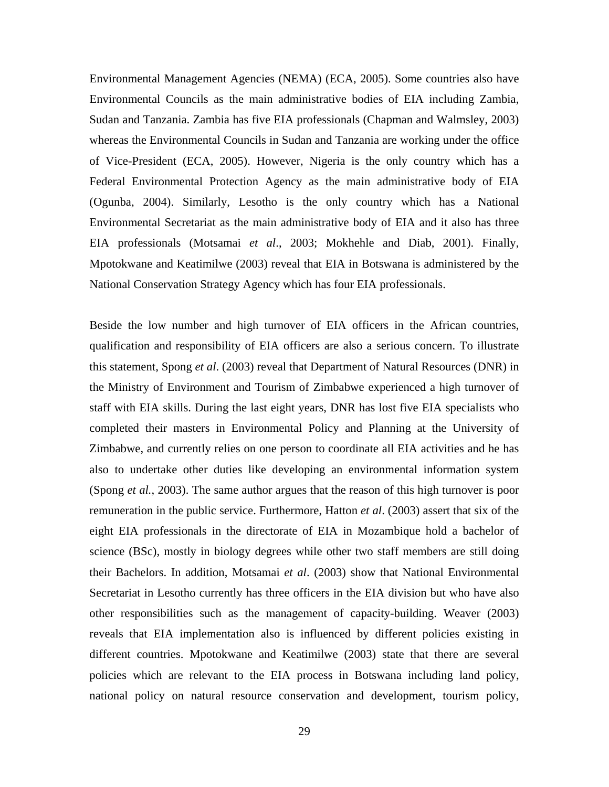Environmental Management Agencies (NEMA) (ECA, 2005). Some countries also have Environmental Councils as the main administrative bodies of EIA including Zambia, Sudan and Tanzania. Zambia has five EIA professionals (Chapman and Walmsley, 2003) whereas the Environmental Councils in Sudan and Tanzania are working under the office of Vice-President (ECA, 2005). However, Nigeria is the only country which has a Federal Environmental Protection Agency as the main administrative body of EIA (Ogunba, 2004). Similarly, Lesotho is the only country which has a National Environmental Secretariat as the main administrative body of EIA and it also has three EIA professionals (Motsamai *et al*., 2003; Mokhehle and Diab, 2001). Finally, Mpotokwane and Keatimilwe (2003) reveal that EIA in Botswana is administered by the National Conservation Strategy Agency which has four EIA professionals.

Beside the low number and high turnover of EIA officers in the African countries, qualification and responsibility of EIA officers are also a serious concern. To illustrate this statement, Spong *et al*. (2003) reveal that Department of Natural Resources (DNR) in the Ministry of Environment and Tourism of Zimbabwe experienced a high turnover of staff with EIA skills. During the last eight years, DNR has lost five EIA specialists who completed their masters in Environmental Policy and Planning at the University of Zimbabwe, and currently relies on one person to coordinate all EIA activities and he has also to undertake other duties like developing an environmental information system (Spong *et al.*, 2003). The same author argues that the reason of this high turnover is poor remuneration in the public service. Furthermore, Hatton *et al*. (2003) assert that six of the eight EIA professionals in the directorate of EIA in Mozambique hold a bachelor of science (BSc), mostly in biology degrees while other two staff members are still doing their Bachelors. In addition, Motsamai *et al*. (2003) show that National Environmental Secretariat in Lesotho currently has three officers in the EIA division but who have also other responsibilities such as the management of capacity-building. Weaver (2003) reveals that EIA implementation also is influenced by different policies existing in different countries. Mpotokwane and Keatimilwe (2003) state that there are several policies which are relevant to the EIA process in Botswana including land policy, national policy on natural resource conservation and development, tourism policy,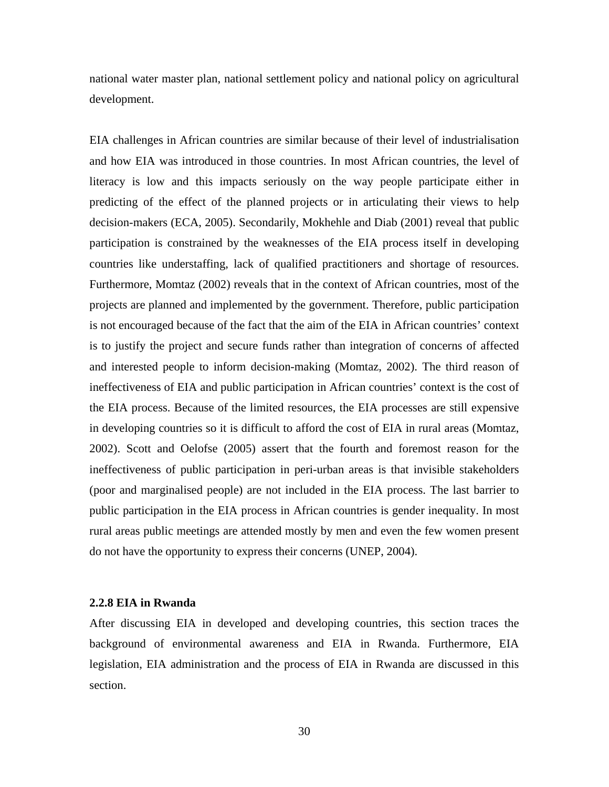national water master plan, national settlement policy and national policy on agricultural development.

EIA challenges in African countries are similar because of their level of industrialisation and how EIA was introduced in those countries. In most African countries, the level of literacy is low and this impacts seriously on the way people participate either in predicting of the effect of the planned projects or in articulating their views to help decision-makers (ECA, 2005). Secondarily, Mokhehle and Diab (2001) reveal that public participation is constrained by the weaknesses of the EIA process itself in developing countries like understaffing, lack of qualified practitioners and shortage of resources. Furthermore, Momtaz (2002) reveals that in the context of African countries, most of the projects are planned and implemented by the government. Therefore, public participation is not encouraged because of the fact that the aim of the EIA in African countries' context is to justify the project and secure funds rather than integration of concerns of affected and interested people to inform decision-making (Momtaz, 2002). The third reason of ineffectiveness of EIA and public participation in African countries' context is the cost of the EIA process. Because of the limited resources, the EIA processes are still expensive in developing countries so it is difficult to afford the cost of EIA in rural areas (Momtaz, 2002). Scott and Oelofse (2005) assert that the fourth and foremost reason for the ineffectiveness of public participation in peri-urban areas is that invisible stakeholders (poor and marginalised people) are not included in the EIA process. The last barrier to public participation in the EIA process in African countries is gender inequality. In most rural areas public meetings are attended mostly by men and even the few women present do not have the opportunity to express their concerns (UNEP, 2004).

## **2.2.8 EIA in Rwanda**

After discussing EIA in developed and developing countries, this section traces the background of environmental awareness and EIA in Rwanda. Furthermore, EIA legislation, EIA administration and the process of EIA in Rwanda are discussed in this section.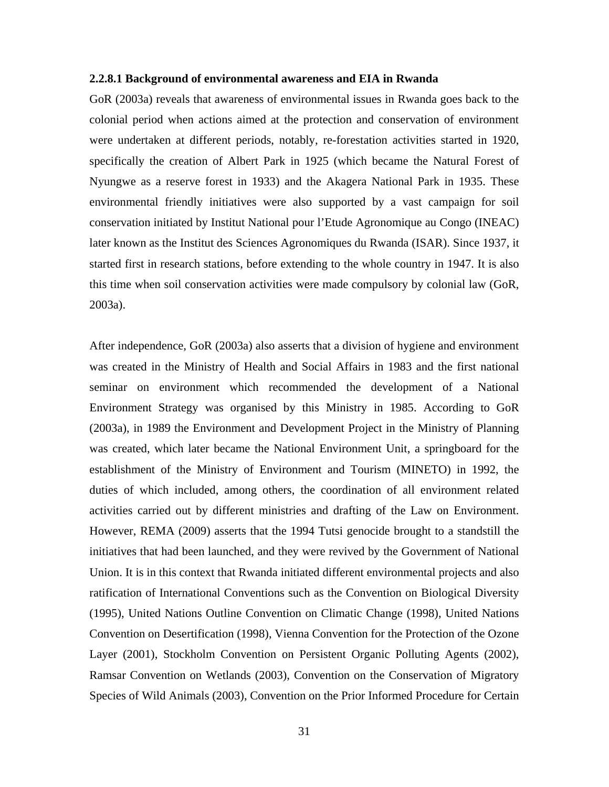### **2.2.8.1 Background of environmental awareness and EIA in Rwanda**

GoR (2003a) reveals that awareness of environmental issues in Rwanda goes back to the colonial period when actions aimed at the protection and conservation of environment were undertaken at different periods, notably, re-forestation activities started in 1920, specifically the creation of Albert Park in 1925 (which became the Natural Forest of Nyungwe as a reserve forest in 1933) and the Akagera National Park in 1935. These environmental friendly initiatives were also supported by a vast campaign for soil conservation initiated by Institut National pour l'Etude Agronomique au Congo (INEAC) later known as the Institut des Sciences Agronomiques du Rwanda (ISAR). Since 1937, it started first in research stations, before extending to the whole country in 1947. It is also this time when soil conservation activities were made compulsory by colonial law (GoR, 2003a).

After independence, GoR (2003a) also asserts that a division of hygiene and environment was created in the Ministry of Health and Social Affairs in 1983 and the first national seminar on environment which recommended the development of a National Environment Strategy was organised by this Ministry in 1985. According to GoR (2003a), in 1989 the Environment and Development Project in the Ministry of Planning was created, which later became the National Environment Unit, a springboard for the establishment of the Ministry of Environment and Tourism (MINETO) in 1992, the duties of which included, among others, the coordination of all environment related activities carried out by different ministries and drafting of the Law on Environment. However, REMA (2009) asserts that the 1994 Tutsi genocide brought to a standstill the initiatives that had been launched, and they were revived by the Government of National Union. It is in this context that Rwanda initiated different environmental projects and also ratification of International Conventions such as the Convention on Biological Diversity (1995), United Nations Outline Convention on Climatic Change (1998), United Nations Convention on Desertification (1998), Vienna Convention for the Protection of the Ozone Layer (2001), Stockholm Convention on Persistent Organic Polluting Agents (2002), Ramsar Convention on Wetlands (2003), Convention on the Conservation of Migratory Species of Wild Animals (2003), Convention on the Prior Informed Procedure for Certain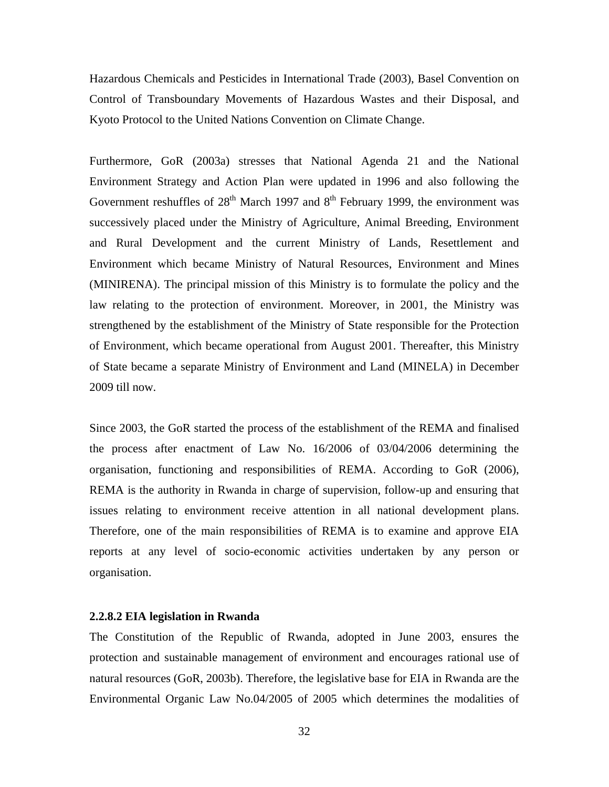Hazardous Chemicals and Pesticides in International Trade (2003), Basel Convention on Control of Transboundary Movements of Hazardous Wastes and their Disposal, and Kyoto Protocol to the United Nations Convention on Climate Change.

Furthermore, GoR (2003a) stresses that National Agenda 21 and the National Environment Strategy and Action Plan were updated in 1996 and also following the Government reshuffles of  $28<sup>th</sup>$  March 1997 and  $8<sup>th</sup>$  February 1999, the environment was successively placed under the Ministry of Agriculture, Animal Breeding, Environment and Rural Development and the current Ministry of Lands, Resettlement and Environment which became Ministry of Natural Resources, Environment and Mines (MINIRENA). The principal mission of this Ministry is to formulate the policy and the law relating to the protection of environment. Moreover, in 2001, the Ministry was strengthened by the establishment of the Ministry of State responsible for the Protection of Environment, which became operational from August 2001. Thereafter, this Ministry of State became a separate Ministry of Environment and Land (MINELA) in December 2009 till now.

Since 2003, the GoR started the process of the establishment of the REMA and finalised the process after enactment of Law No. 16/2006 of 03/04/2006 determining the organisation, functioning and responsibilities of REMA. According to GoR (2006), REMA is the authority in Rwanda in charge of supervision, follow-up and ensuring that issues relating to environment receive attention in all national development plans. Therefore, one of the main responsibilities of REMA is to examine and approve EIA reports at any level of socio-economic activities undertaken by any person or organisation.

## **2.2.8.2 EIA legislation in Rwanda**

The Constitution of the Republic of Rwanda, adopted in June 2003, ensures the protection and sustainable management of environment and encourages rational use of natural resources (GoR, 2003b). Therefore, the legislative base for EIA in Rwanda are the Environmental Organic Law No.04/2005 of 2005 which determines the modalities of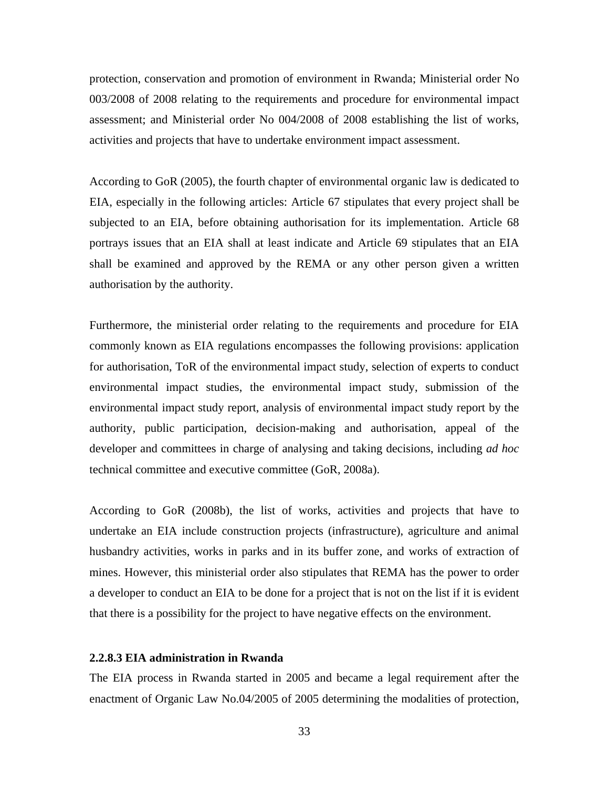protection, conservation and promotion of environment in Rwanda; Ministerial order No 003/2008 of 2008 relating to the requirements and procedure for environmental impact assessment; and Ministerial order No 004/2008 of 2008 establishing the list of works, activities and projects that have to undertake environment impact assessment.

According to GoR (2005), the fourth chapter of environmental organic law is dedicated to EIA, especially in the following articles: Article 67 stipulates that every project shall be subjected to an EIA, before obtaining authorisation for its implementation. Article 68 portrays issues that an EIA shall at least indicate and Article 69 stipulates that an EIA shall be examined and approved by the REMA or any other person given a written authorisation by the authority.

Furthermore, the ministerial order relating to the requirements and procedure for EIA commonly known as EIA regulations encompasses the following provisions: application for authorisation, ToR of the environmental impact study, selection of experts to conduct environmental impact studies, the environmental impact study, submission of the environmental impact study report, analysis of environmental impact study report by the authority, public participation, decision-making and authorisation, appeal of the developer and committees in charge of analysing and taking decisions, including *ad hoc* technical committee and executive committee (GoR, 2008a).

According to GoR (2008b), the list of works, activities and projects that have to undertake an EIA include construction projects (infrastructure), agriculture and animal husbandry activities, works in parks and in its buffer zone, and works of extraction of mines. However, this ministerial order also stipulates that REMA has the power to order a developer to conduct an EIA to be done for a project that is not on the list if it is evident that there is a possibility for the project to have negative effects on the environment.

## **2.2.8.3 EIA administration in Rwanda**

The EIA process in Rwanda started in 2005 and became a legal requirement after the enactment of Organic Law No.04/2005 of 2005 determining the modalities of protection,

33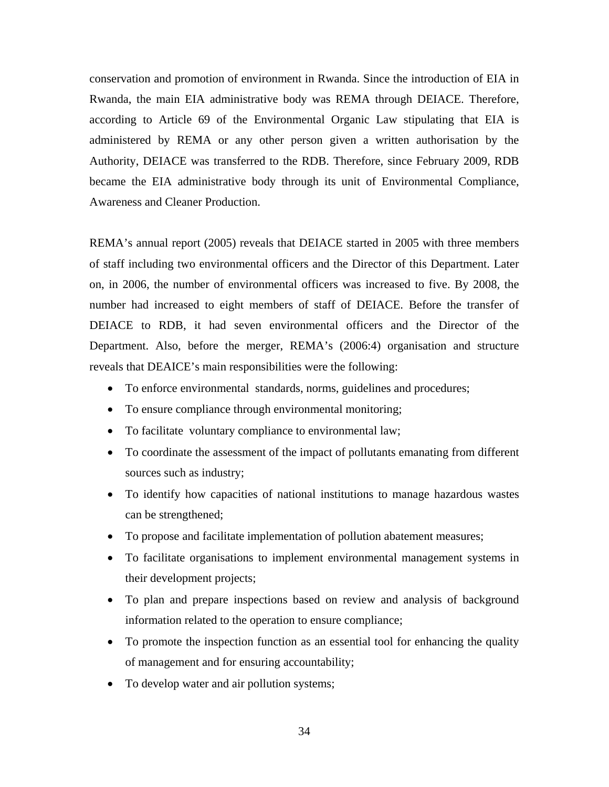conservation and promotion of environment in Rwanda. Since the introduction of EIA in Rwanda, the main EIA administrative body was REMA through DEIACE. Therefore, according to Article 69 of the Environmental Organic Law stipulating that EIA is administered by REMA or any other person given a written authorisation by the Authority, DEIACE was transferred to the RDB. Therefore, since February 2009, RDB became the EIA administrative body through its unit of Environmental Compliance, Awareness and Cleaner Production.

REMA's annual report (2005) reveals that DEIACE started in 2005 with three members of staff including two environmental officers and the Director of this Department. Later on, in 2006, the number of environmental officers was increased to five. By 2008, the number had increased to eight members of staff of DEIACE. Before the transfer of DEIACE to RDB, it had seven environmental officers and the Director of the Department. Also, before the merger, REMA's (2006:4) organisation and structure reveals that DEAICE's main responsibilities were the following:

- To enforce environmental standards, norms, guidelines and procedures;
- To ensure compliance through environmental monitoring;
- To facilitate voluntary compliance to environmental law;
- To coordinate the assessment of the impact of pollutants emanating from different sources such as industry;
- To identify how capacities of national institutions to manage hazardous wastes can be strengthened;
- To propose and facilitate implementation of pollution abatement measures;
- To facilitate organisations to implement environmental management systems in their development projects;
- To plan and prepare inspections based on review and analysis of background information related to the operation to ensure compliance;
- To promote the inspection function as an essential tool for enhancing the quality of management and for ensuring accountability;
- To develop water and air pollution systems;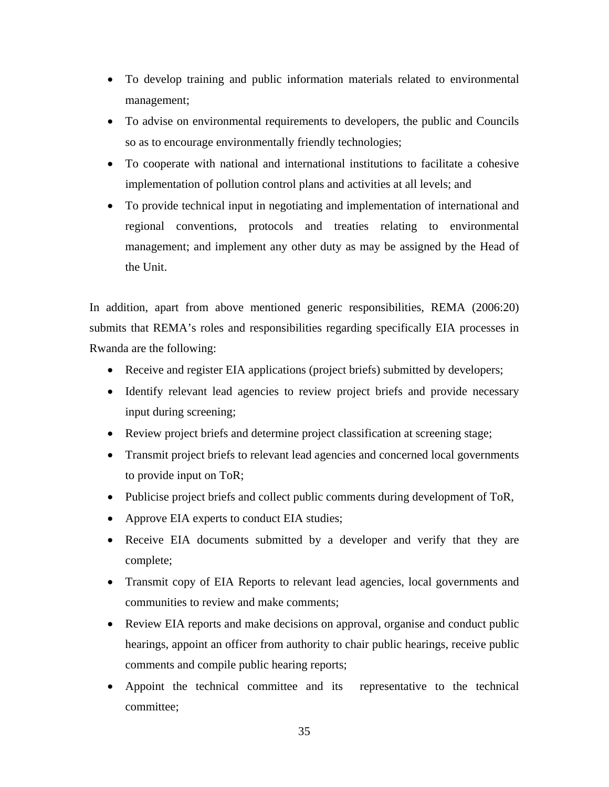- To develop training and public information materials related to environmental management;
- To advise on environmental requirements to developers, the public and Councils so as to encourage environmentally friendly technologies;
- To cooperate with national and international institutions to facilitate a cohesive implementation of pollution control plans and activities at all levels; and
- To provide technical input in negotiating and implementation of international and regional conventions, protocols and treaties relating to environmental management; and implement any other duty as may be assigned by the Head of the Unit.

In addition, apart from above mentioned generic responsibilities, REMA (2006:20) submits that REMA's roles and responsibilities regarding specifically EIA processes in Rwanda are the following:

- Receive and register EIA applications (project briefs) submitted by developers;
- Identify relevant lead agencies to review project briefs and provide necessary input during screening;
- Review project briefs and determine project classification at screening stage;
- Transmit project briefs to relevant lead agencies and concerned local governments to provide input on ToR;
- Publicise project briefs and collect public comments during development of ToR,
- Approve EIA experts to conduct EIA studies;
- Receive EIA documents submitted by a developer and verify that they are complete;
- Transmit copy of EIA Reports to relevant lead agencies, local governments and communities to review and make comments;
- Review EIA reports and make decisions on approval, organise and conduct public hearings, appoint an officer from authority to chair public hearings, receive public comments and compile public hearing reports;
- Appoint the technical committee and its representative to the technical committee;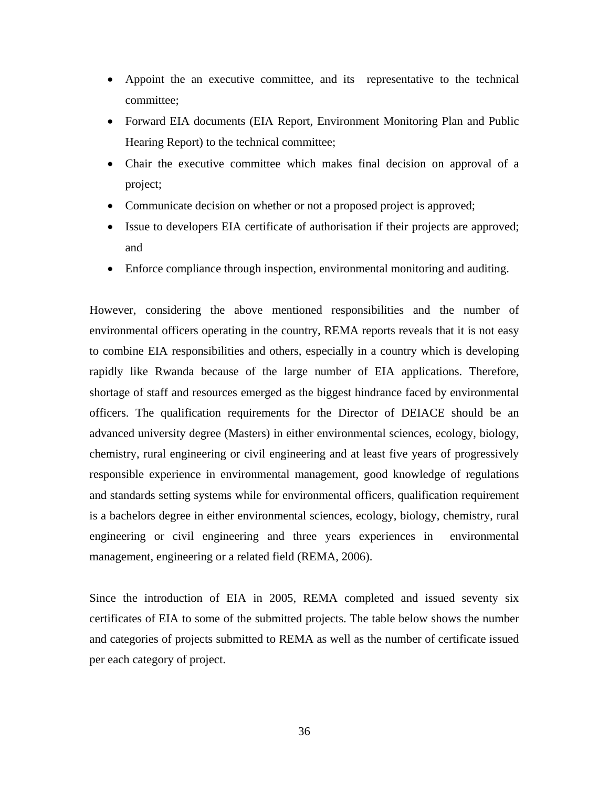- Appoint the an executive committee, and its representative to the technical committee;
- Forward EIA documents (EIA Report, Environment Monitoring Plan and Public Hearing Report) to the technical committee;
- Chair the executive committee which makes final decision on approval of a project;
- Communicate decision on whether or not a proposed project is approved;
- Issue to developers EIA certificate of authorisation if their projects are approved; and
- Enforce compliance through inspection, environmental monitoring and auditing.

However, considering the above mentioned responsibilities and the number of environmental officers operating in the country, REMA reports reveals that it is not easy to combine EIA responsibilities and others, especially in a country which is developing rapidly like Rwanda because of the large number of EIA applications. Therefore, shortage of staff and resources emerged as the biggest hindrance faced by environmental officers. The qualification requirements for the Director of DEIACE should be an advanced university degree (Masters) in either environmental sciences, ecology, biology, chemistry, rural engineering or civil engineering and at least five years of progressively responsible experience in environmental management, good knowledge of regulations and standards setting systems while for environmental officers, qualification requirement is a bachelors degree in either environmental sciences, ecology, biology, chemistry, rural engineering or civil engineering and three years experiences in environmental management, engineering or a related field (REMA, 2006).

Since the introduction of EIA in 2005, REMA completed and issued seventy six certificates of EIA to some of the submitted projects. The table below shows the number and categories of projects submitted to REMA as well as the number of certificate issued per each category of project.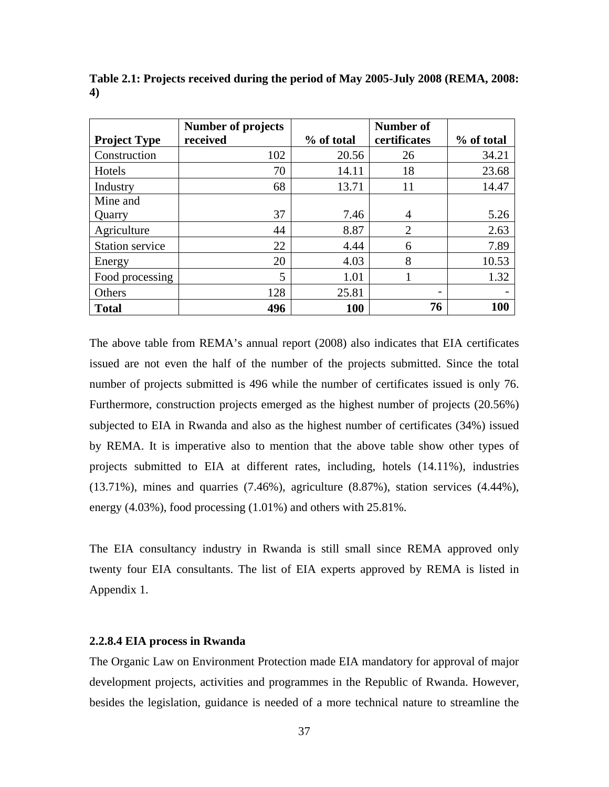|                        | <b>Number of projects</b> |            | Number of                |            |
|------------------------|---------------------------|------------|--------------------------|------------|
| <b>Project Type</b>    | received                  | % of total | certificates             | % of total |
| Construction           | 102                       | 20.56      | 26                       | 34.21      |
| Hotels                 | 70                        | 14.11      | 18                       | 23.68      |
| Industry               | 68                        | 13.71      | 11                       | 14.47      |
| Mine and               |                           |            |                          |            |
| Quarry                 | 37                        | 7.46       | 4                        | 5.26       |
| Agriculture            | 44                        | 8.87       | $\overline{2}$           | 2.63       |
| <b>Station service</b> | 22                        | 4.44       | 6                        | 7.89       |
| Energy                 | 20                        | 4.03       | 8                        | 10.53      |
| Food processing        | 5                         | 1.01       |                          | 1.32       |
| Others                 | 128                       | 25.81      | $\overline{\phantom{0}}$ |            |
| <b>Total</b>           | 496                       | 100        | 76                       | 100        |

**Table 2.1: Projects received during the period of May 2005-July 2008 (REMA, 2008: 4)** 

The above table from REMA's annual report (2008) also indicates that EIA certificates issued are not even the half of the number of the projects submitted. Since the total number of projects submitted is 496 while the number of certificates issued is only 76. Furthermore, construction projects emerged as the highest number of projects (20.56%) subjected to EIA in Rwanda and also as the highest number of certificates (34%) issued by REMA. It is imperative also to mention that the above table show other types of projects submitted to EIA at different rates, including, hotels (14.11%), industries (13.71%), mines and quarries (7.46%), agriculture (8.87%), station services (4.44%), energy (4.03%), food processing (1.01%) and others with 25.81%.

The EIA consultancy industry in Rwanda is still small since REMA approved only twenty four EIA consultants. The list of EIA experts approved by REMA is listed in Appendix 1.

## **2.2.8.4 EIA process in Rwanda**

The Organic Law on Environment Protection made EIA mandatory for approval of major development projects, activities and programmes in the Republic of Rwanda. However, besides the legislation, guidance is needed of a more technical nature to streamline the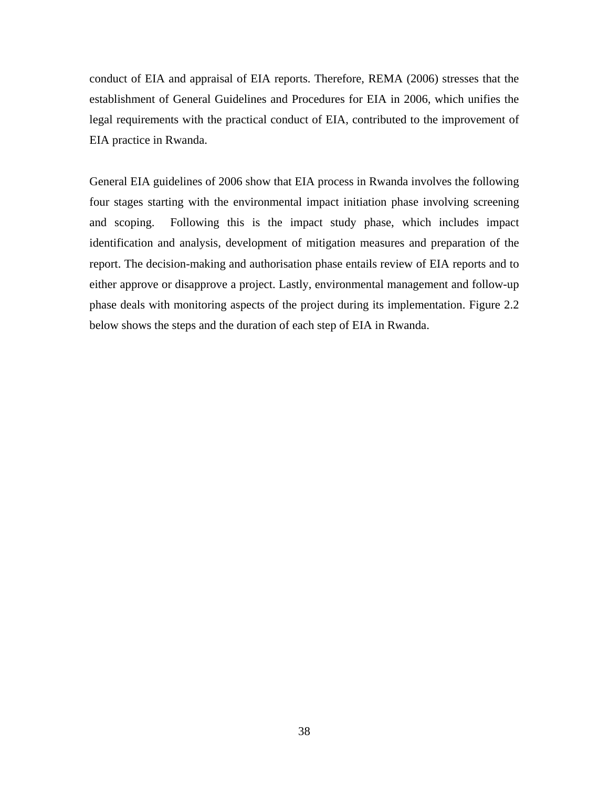conduct of EIA and appraisal of EIA reports. Therefore, REMA (2006) stresses that the establishment of General Guidelines and Procedures for EIA in 2006*,* which unifies the legal requirements with the practical conduct of EIA, contributed to the improvement of EIA practice in Rwanda.

General EIA guidelines of 2006 show that EIA process in Rwanda involves the following four stages starting with the environmental impact initiation phase involving screening and scoping. Following this is the impact study phase, which includes impact identification and analysis, development of mitigation measures and preparation of the report. The decision-making and authorisation phase entails review of EIA reports and to either approve or disapprove a project. Lastly, environmental management and follow-up phase deals with monitoring aspects of the project during its implementation. Figure 2.2 below shows the steps and the duration of each step of EIA in Rwanda.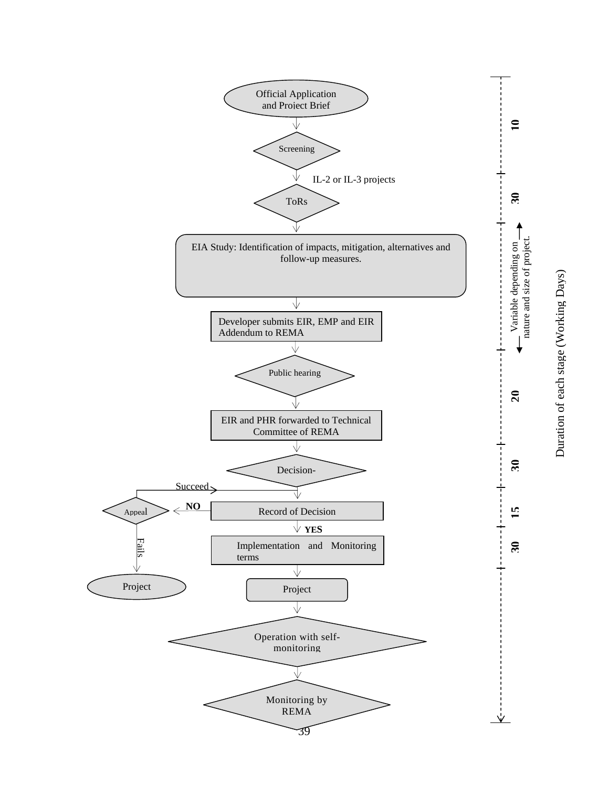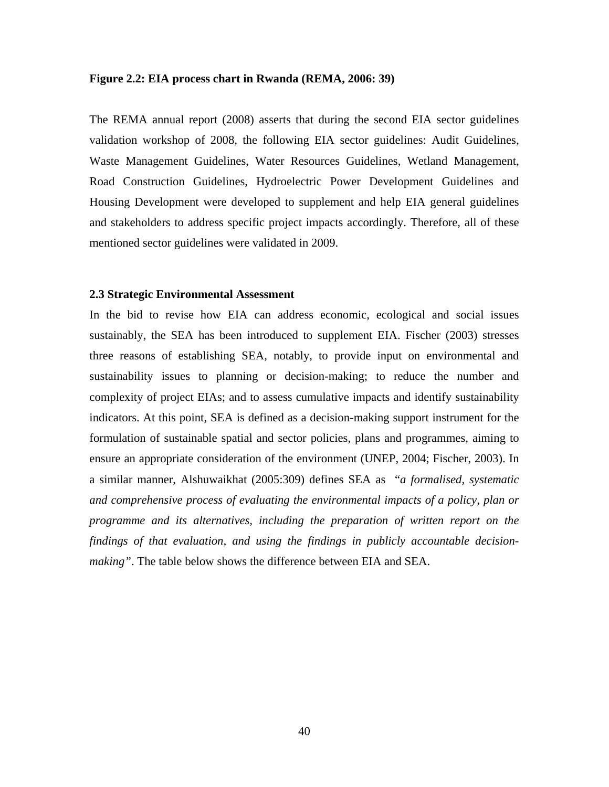#### **Figure 2.2: EIA process chart in Rwanda (REMA, 2006: 39)**

The REMA annual report (2008) asserts that during the second EIA sector guidelines validation workshop of 2008, the following EIA sector guidelines: Audit Guidelines, Waste Management Guidelines, Water Resources Guidelines, Wetland Management, Road Construction Guidelines, Hydroelectric Power Development Guidelines and Housing Development were developed to supplement and help EIA general guidelines and stakeholders to address specific project impacts accordingly. Therefore, all of these mentioned sector guidelines were validated in 2009.

### **2.3 Strategic Environmental Assessment**

In the bid to revise how EIA can address economic, ecological and social issues sustainably, the SEA has been introduced to supplement EIA. Fischer (2003) stresses three reasons of establishing SEA, notably, to provide input on environmental and sustainability issues to planning or decision-making; to reduce the number and complexity of project EIAs; and to assess cumulative impacts and identify sustainability indicators. At this point, SEA is defined as a decision-making support instrument for the formulation of sustainable spatial and sector policies, plans and programmes, aiming to ensure an appropriate consideration of the environment (UNEP, 2004; Fischer, 2003). In a similar manner, Alshuwaikhat (2005:309) defines SEA as "*a formalised, systematic and comprehensive process of evaluating the environmental impacts of a policy, plan or programme and its alternatives, including the preparation of written report on the findings of that evaluation, and using the findings in publicly accountable decisionmaking"*. The table below shows the difference between EIA and SEA.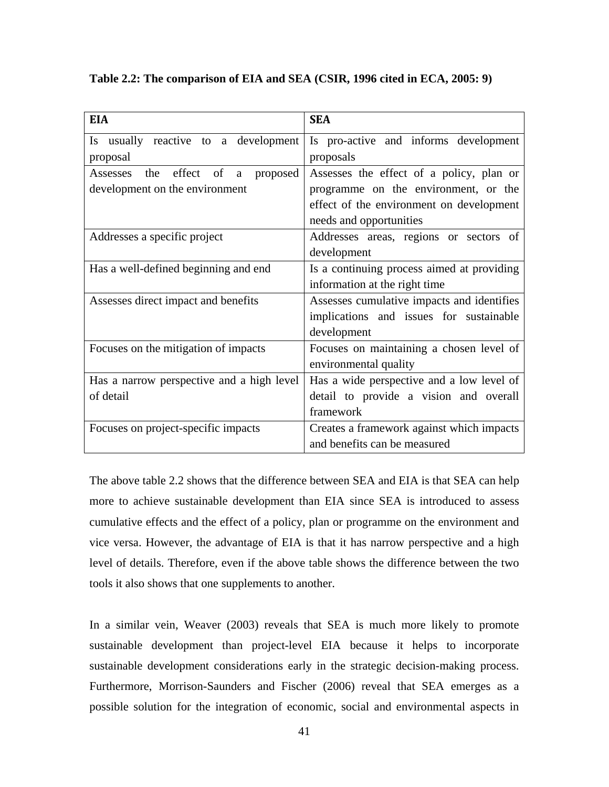**Table 2.2: The comparison of EIA and SEA (CSIR, 1996 cited in ECA, 2005: 9)** 

| <b>EIA</b>                                | <b>SEA</b>                                 |  |  |
|-------------------------------------------|--------------------------------------------|--|--|
| Is usually reactive to a development      | Is pro-active and informs development      |  |  |
| proposal                                  | proposals                                  |  |  |
| Assesses<br>the effect of a<br>proposed   | Assesses the effect of a policy, plan or   |  |  |
| development on the environment            | programme on the environment, or the       |  |  |
|                                           | effect of the environment on development   |  |  |
|                                           | needs and opportunities                    |  |  |
| Addresses a specific project              | Addresses areas, regions or sectors of     |  |  |
|                                           | development                                |  |  |
| Has a well-defined beginning and end      | Is a continuing process aimed at providing |  |  |
|                                           | information at the right time              |  |  |
| Assesses direct impact and benefits       | Assesses cumulative impacts and identifies |  |  |
|                                           | implications and issues for sustainable    |  |  |
|                                           | development                                |  |  |
| Focuses on the mitigation of impacts      | Focuses on maintaining a chosen level of   |  |  |
|                                           | environmental quality                      |  |  |
| Has a narrow perspective and a high level | Has a wide perspective and a low level of  |  |  |
| of detail                                 | detail to provide a vision and overall     |  |  |
|                                           | framework                                  |  |  |
| Focuses on project-specific impacts       | Creates a framework against which impacts  |  |  |
|                                           | and benefits can be measured               |  |  |

The above table 2.2 shows that the difference between SEA and EIA is that SEA can help more to achieve sustainable development than EIA since SEA is introduced to assess cumulative effects and the effect of a policy, plan or programme on the environment and vice versa. However, the advantage of EIA is that it has narrow perspective and a high level of details. Therefore, even if the above table shows the difference between the two tools it also shows that one supplements to another.

In a similar vein, Weaver (2003) reveals that SEA is much more likely to promote sustainable development than project-level EIA because it helps to incorporate sustainable development considerations early in the strategic decision-making process. Furthermore, Morrison-Saunders and Fischer (2006) reveal that SEA emerges as a possible solution for the integration of economic, social and environmental aspects in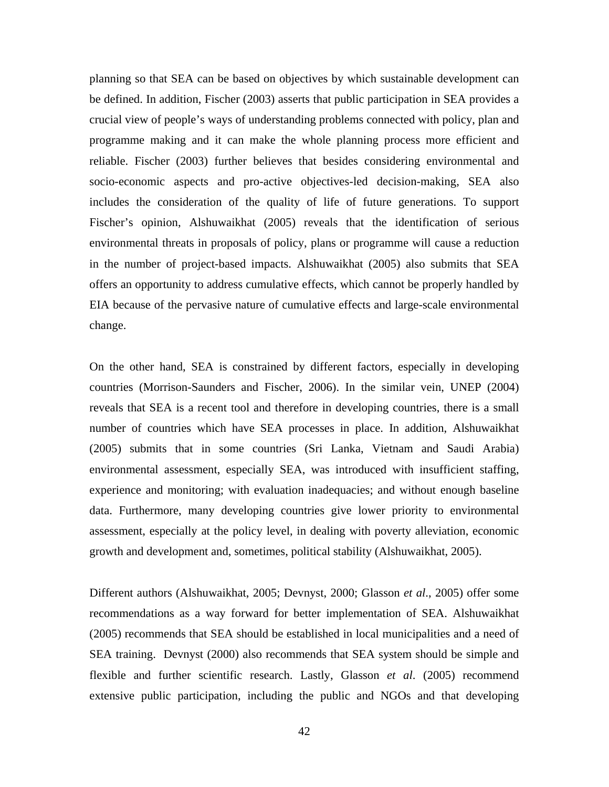planning so that SEA can be based on objectives by which sustainable development can be defined. In addition, Fischer (2003) asserts that public participation in SEA provides a crucial view of people's ways of understanding problems connected with policy, plan and programme making and it can make the whole planning process more efficient and reliable. Fischer (2003) further believes that besides considering environmental and socio-economic aspects and pro-active objectives-led decision-making, SEA also includes the consideration of the quality of life of future generations. To support Fischer's opinion, Alshuwaikhat (2005) reveals that the identification of serious environmental threats in proposals of policy, plans or programme will cause a reduction in the number of project-based impacts. Alshuwaikhat (2005) also submits that SEA offers an opportunity to address cumulative effects, which cannot be properly handled by EIA because of the pervasive nature of cumulative effects and large-scale environmental change.

On the other hand, SEA is constrained by different factors, especially in developing countries (Morrison-Saunders and Fischer, 2006). In the similar vein, UNEP (2004) reveals that SEA is a recent tool and therefore in developing countries, there is a small number of countries which have SEA processes in place. In addition, Alshuwaikhat (2005) submits that in some countries (Sri Lanka, Vietnam and Saudi Arabia) environmental assessment, especially SEA, was introduced with insufficient staffing, experience and monitoring; with evaluation inadequacies; and without enough baseline data. Furthermore, many developing countries give lower priority to environmental assessment, especially at the policy level, in dealing with poverty alleviation, economic growth and development and, sometimes, political stability (Alshuwaikhat, 2005).

Different authors (Alshuwaikhat, 2005; Devnyst, 2000; Glasson *et al*., 2005) offer some recommendations as a way forward for better implementation of SEA. Alshuwaikhat (2005) recommends that SEA should be established in local municipalities and a need of SEA training. Devnyst (2000) also recommends that SEA system should be simple and flexible and further scientific research. Lastly, Glasson *et al*. (2005) recommend extensive public participation, including the public and NGOs and that developing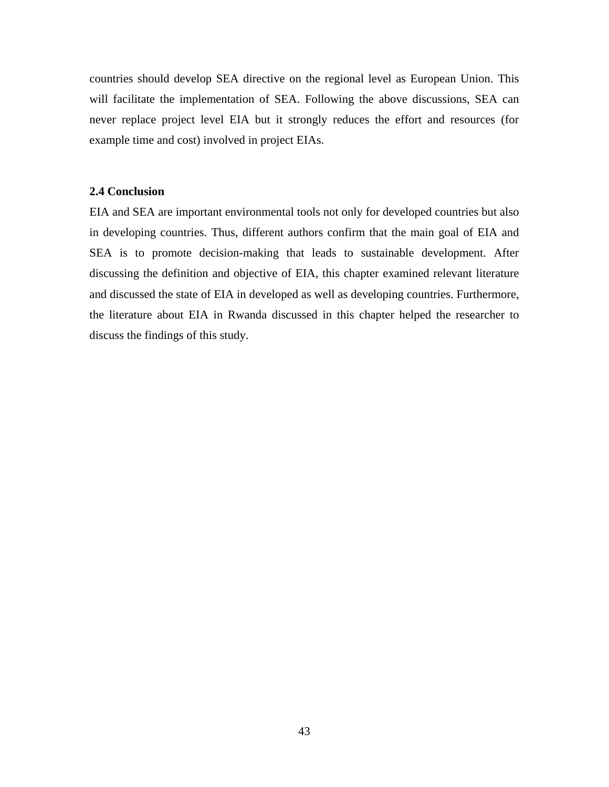countries should develop SEA directive on the regional level as European Union. This will facilitate the implementation of SEA. Following the above discussions, SEA can never replace project level EIA but it strongly reduces the effort and resources (for example time and cost) involved in project EIAs.

## **2.4 Conclusion**

EIA and SEA are important environmental tools not only for developed countries but also in developing countries. Thus, different authors confirm that the main goal of EIA and SEA is to promote decision-making that leads to sustainable development. After discussing the definition and objective of EIA, this chapter examined relevant literature and discussed the state of EIA in developed as well as developing countries. Furthermore, the literature about EIA in Rwanda discussed in this chapter helped the researcher to discuss the findings of this study.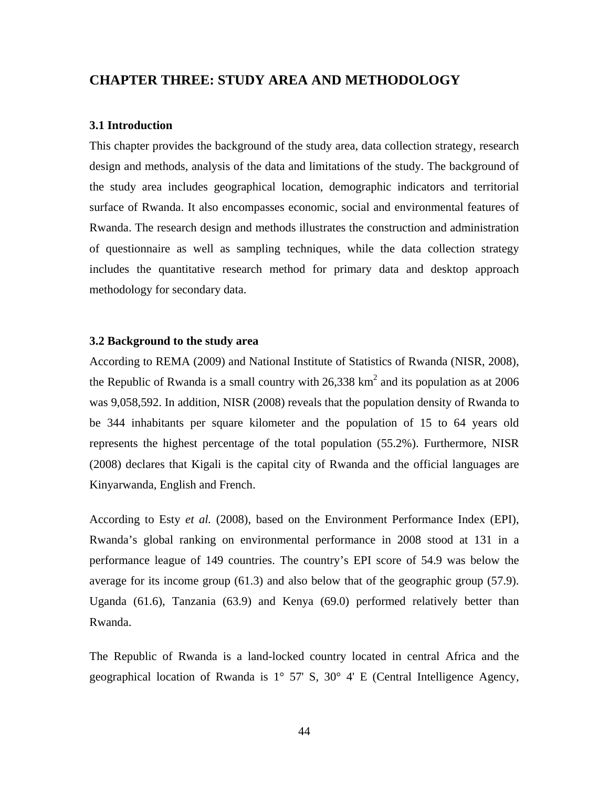## **CHAPTER THREE: STUDY AREA AND METHODOLOGY**

## **3.1 Introduction**

This chapter provides the background of the study area, data collection strategy, research design and methods, analysis of the data and limitations of the study. The background of the study area includes geographical location, demographic indicators and territorial surface of Rwanda. It also encompasses economic, social and environmental features of Rwanda. The research design and methods illustrates the construction and administration of questionnaire as well as sampling techniques, while the data collection strategy includes the quantitative research method for primary data and desktop approach methodology for secondary data.

## **3.2 Background to the study area**

According to REMA (2009) and National Institute of Statistics of Rwanda (NISR, 2008), the Republic of Rwanda is a small country with  $26,338$  km<sup>2</sup> and its population as at 2006 was 9,058,592. In addition, NISR (2008) reveals that the population density of Rwanda to be 344 inhabitants per square kilometer and the population of 15 to 64 years old represents the highest percentage of the total population (55.2%). Furthermore, NISR (2008) declares that Kigali is the capital city of Rwanda and the official languages are Kinyarwanda, English and French.

According to Esty *et al.* (2008), based on the Environment Performance Index (EPI), Rwanda's global ranking on environmental performance in 2008 stood at 131 in a performance league of 149 countries. The country's EPI score of 54.9 was below the average for its income group (61.3) and also below that of the geographic group (57.9). Uganda (61.6), Tanzania (63.9) and Kenya (69.0) performed relatively better than Rwanda.

The Republic of Rwanda is a land-locked country located in central Africa and the geographical location of Rwanda is 1° 57' S, 30° 4' E (Central Intelligence Agency,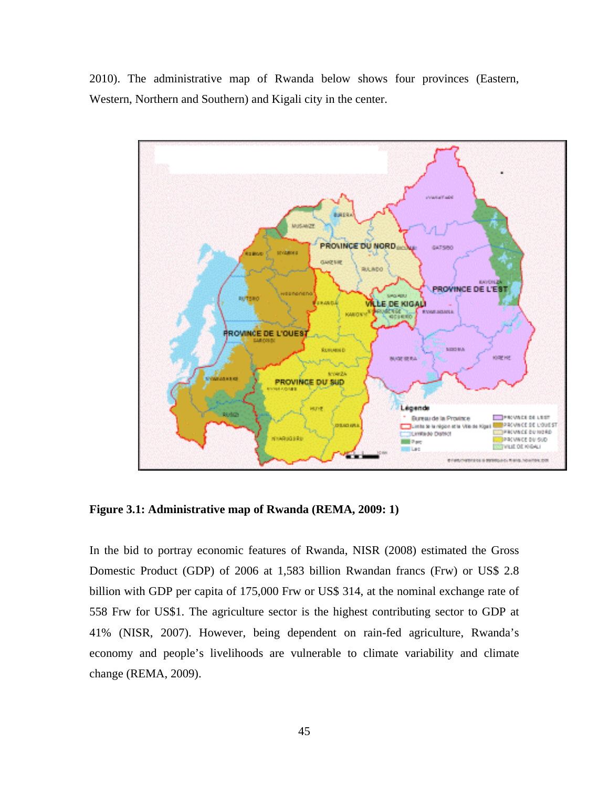2010). The administrative map of Rwanda below shows four provinces (Eastern, Western, Northern and Southern) and Kigali city in the center.



**Figure 3.1: Administrative map of Rwanda (REMA, 2009: 1)** 

In the bid to portray economic features of Rwanda, NISR (2008) estimated the Gross Domestic Product (GDP) of 2006 at 1,583 billion Rwandan francs (Frw) or US\$ 2.8 billion with GDP per capita of 175,000 Frw or US\$ 314, at the nominal exchange rate of 558 Frw for US\$1. The agriculture sector is the highest contributing sector to GDP at 41% (NISR, 2007). However, being dependent on rain-fed agriculture, Rwanda's economy and people's livelihoods are vulnerable to climate variability and climate change (REMA, 2009).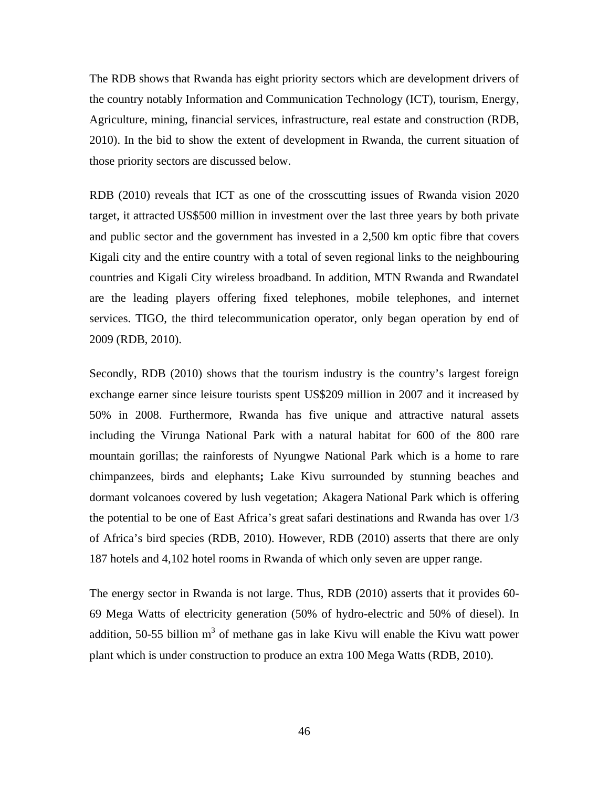The RDB shows that Rwanda has eight priority sectors which are development drivers of the country notably Information and Communication Technology (ICT), tourism, Energy, Agriculture, mining, financial services, infrastructure, real estate and construction (RDB, 2010). In the bid to show the extent of development in Rwanda, the current situation of those priority sectors are discussed below.

RDB (2010) reveals that ICT as one of the crosscutting issues of Rwanda vision 2020 target, it attracted US\$500 million in investment over the last three years by both private and public sector and the government has invested in a 2,500 km optic fibre that covers Kigali city and the entire country with a total of seven regional links to the neighbouring countries and Kigali City wireless broadband. In addition, MTN Rwanda and Rwandatel are the leading players offering fixed telephones, mobile telephones, and internet services. TIGO, the third telecommunication operator, only began operation by end of 2009 (RDB, 2010).

Secondly, RDB (2010) shows that the tourism industry is the country's largest foreign exchange earner since leisure tourists spent US\$209 million in 2007 and it increased by 50% in 2008. Furthermore, Rwanda has five unique and attractive natural assets including the Virunga National Park with a natural habitat for 600 of the 800 rare mountain gorillas; the rainforests of Nyungwe National Park which is a home to rare chimpanzees, birds and elephants**;** Lake Kivu surrounded by stunning beaches and dormant volcanoes covered by lush vegetation; Akagera National Park which is offering the potential to be one of East Africa's great safari destinations and Rwanda has over 1/3 of Africa's bird species (RDB, 2010). However, RDB (2010) asserts that there are only 187 hotels and 4,102 hotel rooms in Rwanda of which only seven are upper range.

The energy sector in Rwanda is not large. Thus, RDB (2010) asserts that it provides 60- 69 Mega Watts of electricity generation (50% of hydro-electric and 50% of diesel). In addition, 50-55 billion  $m<sup>3</sup>$  of methane gas in lake Kivu will enable the Kivu watt power plant which is under construction to produce an extra 100 Mega Watts (RDB, 2010).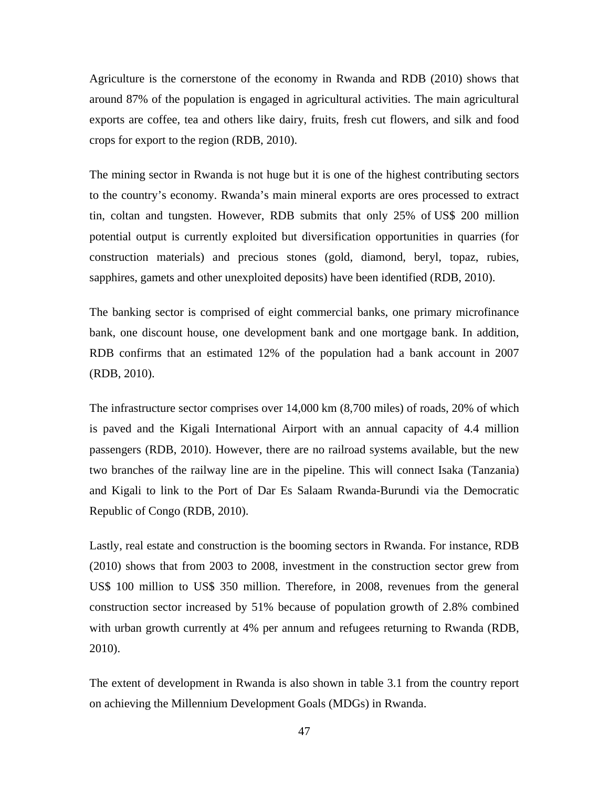Agriculture is the cornerstone of the economy in Rwanda and RDB (2010) shows that around 87% of the population is engaged in agricultural activities. The main agricultural exports are coffee, tea and others like dairy, fruits, fresh cut flowers, and silk and food crops for export to the region (RDB, 2010).

The mining sector in Rwanda is not huge but it is one of the highest contributing sectors to the country's economy. Rwanda's main mineral exports are ores processed to extract tin, coltan and tungsten. However, RDB submits that only 25% of US\$ 200 million potential output is currently exploited but diversification opportunities in quarries (for construction materials) and precious stones (gold, diamond, beryl, topaz, rubies, sapphires, gamets and other unexploited deposits) have been identified (RDB, 2010).

The banking sector is comprised of eight commercial banks, one primary microfinance bank, one discount house, one development bank and one mortgage bank. In addition, RDB confirms that an estimated 12% of the population had a bank account in 2007 (RDB, 2010).

The infrastructure sector comprises over 14,000 km (8,700 miles) of roads, 20% of which is paved and the Kigali International Airport with an annual capacity of 4.4 million passengers (RDB, 2010). However, there are no railroad systems available, but the new two branches of the railway line are in the pipeline. This will connect Isaka (Tanzania) and Kigali to link to the Port of Dar Es Salaam Rwanda-Burundi via the Democratic Republic of Congo (RDB, 2010).

Lastly, real estate and construction is the booming sectors in Rwanda. For instance, RDB (2010) shows that from 2003 to 2008, investment in the construction sector grew from US\$ 100 million to US\$ 350 million. Therefore, in 2008, revenues from the general construction sector increased by 51% because of population growth of 2.8% combined with urban growth currently at 4% per annum and refugees returning to Rwanda (RDB, 2010).

The extent of development in Rwanda is also shown in table 3.1 from the country report on achieving the Millennium Development Goals (MDGs) in Rwanda.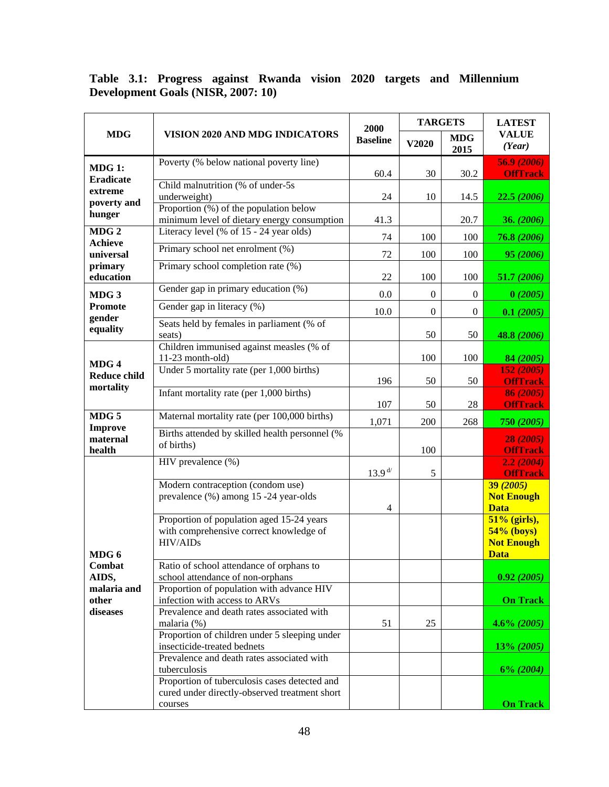## **Table 3.1: Progress against Rwanda vision 2020 targets and Millennium Development Goals (NISR, 2007: 10)**

| <b>MDG</b>                                                            | VISION 2020 AND MDG INDICATORS                                                                             | 2000<br><b>Baseline</b> | <b>TARGETS</b>   |                    | <b>LATEST</b>                                                    |
|-----------------------------------------------------------------------|------------------------------------------------------------------------------------------------------------|-------------------------|------------------|--------------------|------------------------------------------------------------------|
|                                                                       |                                                                                                            |                         | V2020            | <b>MDG</b><br>2015 | <b>VALUE</b><br>(Year)                                           |
| <b>MDG 1:</b><br><b>Eradicate</b><br>extreme<br>poverty and<br>hunger | Poverty (% below national poverty line)                                                                    | 60.4                    | 30               | 30.2               | 56.9 (2006)<br><b>OffTrack</b>                                   |
|                                                                       | Child malnutrition (% of under-5s)<br>underweight)                                                         | 24                      | 10               | 14.5               | 22.5 (2006)                                                      |
|                                                                       | Proportion $(\%)$ of the population below<br>minimum level of dietary energy consumption                   | 41.3                    |                  | 20.7               | 36. (2006)                                                       |
| MDG <sub>2</sub><br><b>Achieve</b>                                    | Literacy level (% of 15 - 24 year olds)                                                                    | 74                      | 100              | 100                | 76.8 (2006)                                                      |
| universal                                                             | Primary school net enrolment (%)                                                                           | 72                      | 100              | 100                | 95 (2006)                                                        |
| primary<br>education                                                  | Primary school completion rate (%)                                                                         | 22                      | 100              | 100                | 51.7 (2006)                                                      |
| MDG 3                                                                 | Gender gap in primary education (%)                                                                        | 0.0                     | $\boldsymbol{0}$ | $\theta$           | 0(2005)                                                          |
| <b>Promote</b><br>gender                                              | Gender gap in literacy (%)                                                                                 | 10.0                    | $\overline{0}$   | $\mathbf{0}$       | 0.1(2005)                                                        |
| equality                                                              | Seats held by females in parliament (% of<br>seats)                                                        |                         | 50               | 50                 | 48.8 (2006)                                                      |
|                                                                       | Children immunised against measles (% of<br>$11-23$ month-old)                                             |                         | 100              | 100                | 84 (2005)                                                        |
| MDG4<br><b>Reduce child</b><br>mortality                              | Under 5 mortality rate (per 1,000 births)                                                                  | 196                     | 50               | 50                 | 152 (2005)<br><b>OffTrack</b>                                    |
|                                                                       | Infant mortality rate (per 1,000 births)                                                                   | 107                     | 50               | 28                 | 86 (2005)<br><b>OffTrack</b>                                     |
| MDG <sub>5</sub><br><b>Improve</b><br>maternal<br>health              | Maternal mortality rate (per 100,000 births)                                                               | 1,071                   | 200              | 268                | 750 (2005)                                                       |
|                                                                       | Births attended by skilled health personnel (%<br>of births)                                               |                         | 100              |                    | 28 (2005)<br><b>OffTrack</b>                                     |
| MDG 6<br>Combat<br>AIDS,<br>malaria and<br>other<br>diseases          | HIV prevalence (%)                                                                                         | $13.9^{ d/ }$           | 5                |                    | 2.2(2004)<br><b>OffTrack</b>                                     |
|                                                                       | Modern contraception (condom use)<br>prevalence (%) among 15 -24 year-olds                                 | 4                       |                  |                    | 39(2005)<br><b>Not Enough</b><br><b>Data</b>                     |
|                                                                       | Proportion of population aged 15-24 years<br>with comprehensive correct knowledge of<br>HIV/AIDs           |                         |                  |                    | 51% (girls),<br>$54%$ (boys)<br><b>Not Enough</b><br><b>Data</b> |
|                                                                       | Ratio of school attendance of orphans to<br>school attendance of non-orphans                               |                         |                  |                    | 0.92(2005)                                                       |
|                                                                       | Proportion of population with advance HIV<br>infection with access to ARVs                                 |                         |                  |                    | <b>On Track</b>                                                  |
|                                                                       | Prevalence and death rates associated with<br>malaria (%)<br>Proportion of children under 5 sleeping under | 51                      | 25               |                    | $4.6\% (2005)$                                                   |
|                                                                       | insecticide-treated bednets<br>Prevalence and death rates associated with                                  |                         |                  |                    | 13% (2005)                                                       |
|                                                                       | tuberculosis                                                                                               |                         |                  |                    | $6\% (2004)$                                                     |
|                                                                       | Proportion of tuberculosis cases detected and<br>cured under directly-observed treatment short<br>courses  |                         |                  |                    | <b>On Track</b>                                                  |
|                                                                       |                                                                                                            |                         |                  |                    |                                                                  |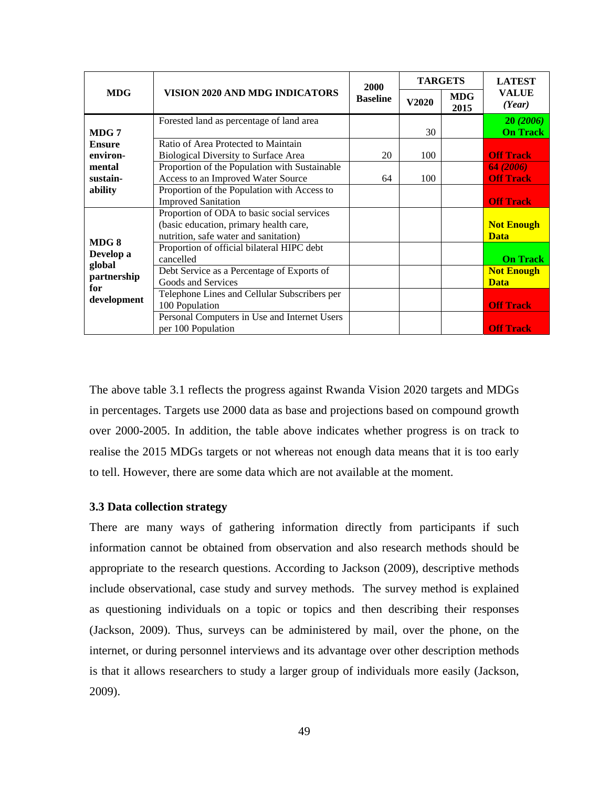| <b>MDG</b>                                                       | VISION 2020 AND MDG INDICATORS                                                                                          | 2000<br><b>Baseline</b> | <b>TARGETS</b> |                    | <b>LATEST</b>                    |
|------------------------------------------------------------------|-------------------------------------------------------------------------------------------------------------------------|-------------------------|----------------|--------------------|----------------------------------|
|                                                                  |                                                                                                                         |                         | V2020          | <b>MDG</b><br>2015 | <b>VALUE</b><br>(Year)           |
| MDG 7                                                            | Forested land as percentage of land area                                                                                |                         | 30             |                    | 20(2006)<br><b>On Track</b>      |
| <b>Ensure</b><br>environ-                                        | Ratio of Area Protected to Maintain<br>Biological Diversity to Surface Area                                             | 20                      | 100            |                    | <b>Off Track</b>                 |
| mental<br>sustain-                                               | Proportion of the Population with Sustainable<br>Access to an Improved Water Source                                     | 64                      | 100            |                    | 64 (2006)<br><b>Off Track</b>    |
| ability                                                          | Proportion of the Population with Access to<br><b>Improved Sanitation</b><br>Proportion of ODA to basic social services |                         |                |                    | <b>Off Track</b>                 |
| MDG8<br>Develop a<br>global<br>partnership<br>for<br>development | (basic education, primary health care,<br>nutrition, safe water and sanitation)                                         |                         |                |                    | <b>Not Enough</b><br><b>Data</b> |
|                                                                  | Proportion of official bilateral HIPC debt<br>cancelled                                                                 |                         |                |                    | <b>On Track</b>                  |
|                                                                  | Debt Service as a Percentage of Exports of<br>Goods and Services                                                        |                         |                |                    | <b>Not Enough</b><br><b>Data</b> |
|                                                                  | Telephone Lines and Cellular Subscribers per<br>100 Population                                                          |                         |                |                    | <b>Off Track</b>                 |
|                                                                  | Personal Computers in Use and Internet Users<br>per 100 Population                                                      |                         |                |                    | <b>Off Track</b>                 |

The above table 3.1 reflects the progress against Rwanda Vision 2020 targets and MDGs in percentages. Targets use 2000 data as base and projections based on compound growth over 2000-2005. In addition, the table above indicates whether progress is on track to realise the 2015 MDGs targets or not whereas not enough data means that it is too early to tell. However, there are some data which are not available at the moment.

## **3.3 Data collection strategy**

There are many ways of gathering information directly from participants if such information cannot be obtained from observation and also research methods should be appropriate to the research questions. According to Jackson (2009), descriptive methods include observational, case study and survey methods. The survey method is explained as questioning individuals on a topic or topics and then describing their responses (Jackson, 2009). Thus, surveys can be administered by mail, over the phone, on the internet, or during personnel interviews and its advantage over other description methods is that it allows researchers to study a larger group of individuals more easily (Jackson, 2009).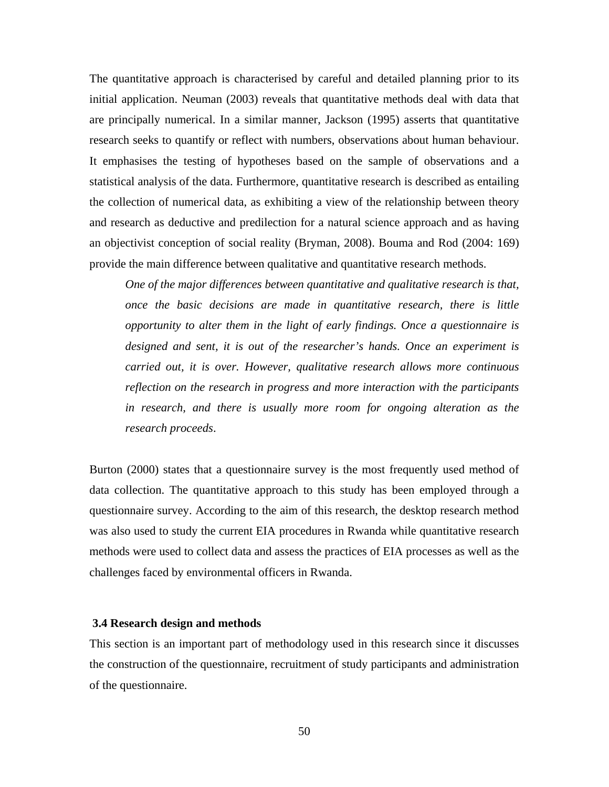The quantitative approach is characterised by careful and detailed planning prior to its initial application. Neuman (2003) reveals that quantitative methods deal with data that are principally numerical. In a similar manner, Jackson (1995) asserts that quantitative research seeks to quantify or reflect with numbers, observations about human behaviour. It emphasises the testing of hypotheses based on the sample of observations and a statistical analysis of the data. Furthermore, quantitative research is described as entailing the collection of numerical data, as exhibiting a view of the relationship between theory and research as deductive and predilection for a natural science approach and as having an objectivist conception of social reality (Bryman, 2008). Bouma and Rod (2004: 169) provide the main difference between qualitative and quantitative research methods.

*One of the major differences between quantitative and qualitative research is that, once the basic decisions are made in quantitative research, there is little opportunity to alter them in the light of early findings. Once a questionnaire is designed and sent, it is out of the researcher's hands. Once an experiment is carried out, it is over. However, qualitative research allows more continuous reflection on the research in progress and more interaction with the participants in research, and there is usually more room for ongoing alteration as the research proceeds*.

Burton (2000) states that a questionnaire survey is the most frequently used method of data collection. The quantitative approach to this study has been employed through a questionnaire survey. According to the aim of this research, the desktop research method was also used to study the current EIA procedures in Rwanda while quantitative research methods were used to collect data and assess the practices of EIA processes as well as the challenges faced by environmental officers in Rwanda.

### **3.4 Research design and methods**

This section is an important part of methodology used in this research since it discusses the construction of the questionnaire, recruitment of study participants and administration of the questionnaire.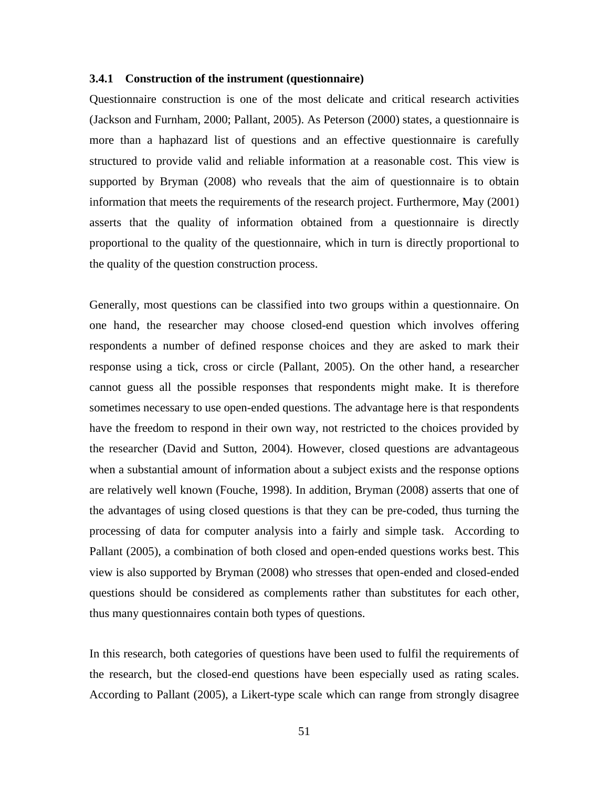#### **3.4.1 Construction of the instrument (questionnaire)**

Questionnaire construction is one of the most delicate and critical research activities (Jackson and Furnham, 2000; Pallant, 2005). As Peterson (2000) states, a questionnaire is more than a haphazard list of questions and an effective questionnaire is carefully structured to provide valid and reliable information at a reasonable cost. This view is supported by Bryman (2008) who reveals that the aim of questionnaire is to obtain information that meets the requirements of the research project. Furthermore, May (2001) asserts that the quality of information obtained from a questionnaire is directly proportional to the quality of the questionnaire, which in turn is directly proportional to the quality of the question construction process.

Generally, most questions can be classified into two groups within a questionnaire. On one hand, the researcher may choose closed-end question which involves offering respondents a number of defined response choices and they are asked to mark their response using a tick, cross or circle (Pallant, 2005). On the other hand, a researcher cannot guess all the possible responses that respondents might make. It is therefore sometimes necessary to use open-ended questions. The advantage here is that respondents have the freedom to respond in their own way, not restricted to the choices provided by the researcher (David and Sutton, 2004). However, closed questions are advantageous when a substantial amount of information about a subject exists and the response options are relatively well known (Fouche, 1998). In addition, Bryman (2008) asserts that one of the advantages of using closed questions is that they can be pre-coded, thus turning the processing of data for computer analysis into a fairly and simple task. According to Pallant (2005), a combination of both closed and open-ended questions works best. This view is also supported by Bryman (2008) who stresses that open-ended and closed-ended questions should be considered as complements rather than substitutes for each other, thus many questionnaires contain both types of questions.

In this research, both categories of questions have been used to fulfil the requirements of the research, but the closed-end questions have been especially used as rating scales. According to Pallant (2005), a Likert-type scale which can range from strongly disagree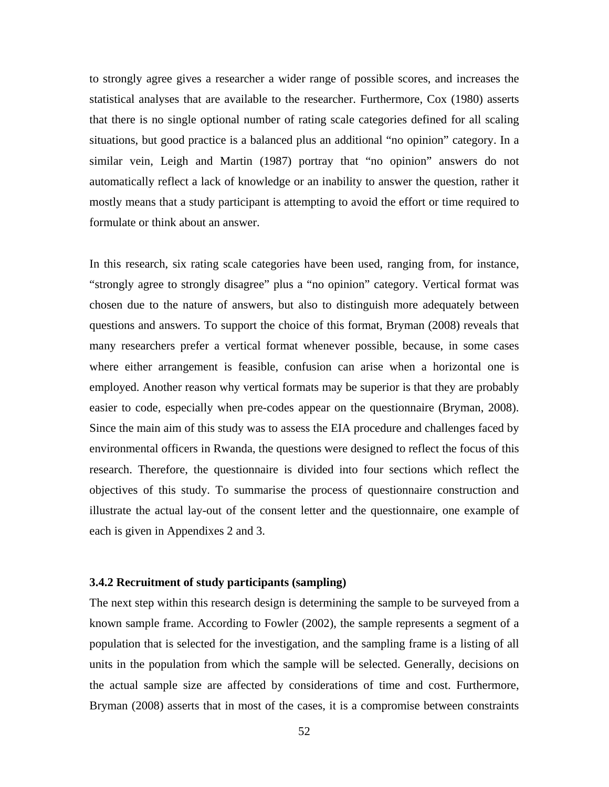to strongly agree gives a researcher a wider range of possible scores, and increases the statistical analyses that are available to the researcher. Furthermore, Cox (1980) asserts that there is no single optional number of rating scale categories defined for all scaling situations, but good practice is a balanced plus an additional "no opinion" category. In a similar vein, Leigh and Martin (1987) portray that "no opinion" answers do not automatically reflect a lack of knowledge or an inability to answer the question, rather it mostly means that a study participant is attempting to avoid the effort or time required to formulate or think about an answer.

In this research, six rating scale categories have been used, ranging from, for instance, "strongly agree to strongly disagree" plus a "no opinion" category. Vertical format was chosen due to the nature of answers, but also to distinguish more adequately between questions and answers. To support the choice of this format, Bryman (2008) reveals that many researchers prefer a vertical format whenever possible, because, in some cases where either arrangement is feasible, confusion can arise when a horizontal one is employed. Another reason why vertical formats may be superior is that they are probably easier to code, especially when pre-codes appear on the questionnaire (Bryman, 2008). Since the main aim of this study was to assess the EIA procedure and challenges faced by environmental officers in Rwanda, the questions were designed to reflect the focus of this research. Therefore, the questionnaire is divided into four sections which reflect the objectives of this study. To summarise the process of questionnaire construction and illustrate the actual lay-out of the consent letter and the questionnaire, one example of each is given in Appendixes 2 and 3.

#### **3.4.2 Recruitment of study participants (sampling)**

The next step within this research design is determining the sample to be surveyed from a known sample frame. According to Fowler (2002), the sample represents a segment of a population that is selected for the investigation, and the sampling frame is a listing of all units in the population from which the sample will be selected. Generally, decisions on the actual sample size are affected by considerations of time and cost. Furthermore, Bryman (2008) asserts that in most of the cases, it is a compromise between constraints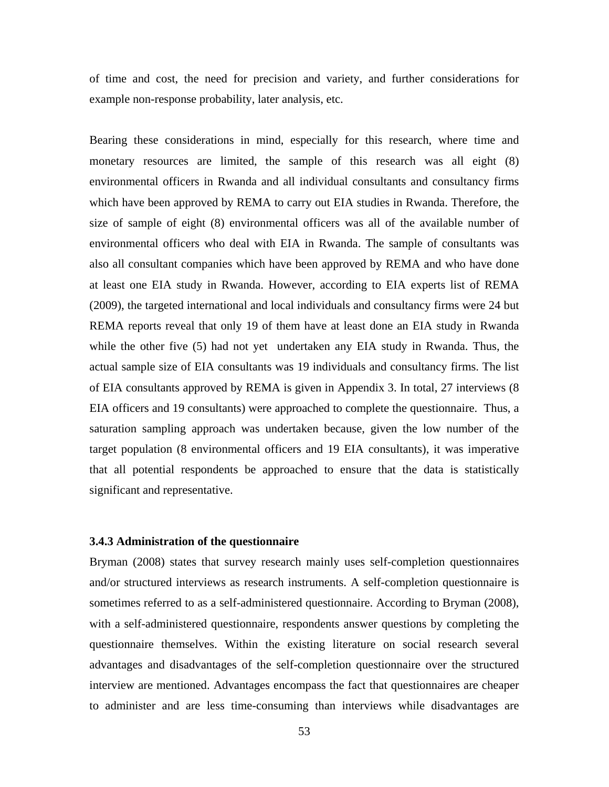of time and cost, the need for precision and variety, and further considerations for example non-response probability, later analysis, etc.

Bearing these considerations in mind, especially for this research, where time and monetary resources are limited, the sample of this research was all eight (8) environmental officers in Rwanda and all individual consultants and consultancy firms which have been approved by REMA to carry out EIA studies in Rwanda. Therefore, the size of sample of eight (8) environmental officers was all of the available number of environmental officers who deal with EIA in Rwanda. The sample of consultants was also all consultant companies which have been approved by REMA and who have done at least one EIA study in Rwanda. However, according to EIA experts list of REMA (2009), the targeted international and local individuals and consultancy firms were 24 but REMA reports reveal that only 19 of them have at least done an EIA study in Rwanda while the other five (5) had not yet undertaken any EIA study in Rwanda. Thus, the actual sample size of EIA consultants was 19 individuals and consultancy firms. The list of EIA consultants approved by REMA is given in Appendix 3. In total, 27 interviews (8 EIA officers and 19 consultants) were approached to complete the questionnaire. Thus, a saturation sampling approach was undertaken because, given the low number of the target population (8 environmental officers and 19 EIA consultants), it was imperative that all potential respondents be approached to ensure that the data is statistically significant and representative.

## **3.4.3 Administration of the questionnaire**

Bryman (2008) states that survey research mainly uses self-completion questionnaires and/or structured interviews as research instruments. A self-completion questionnaire is sometimes referred to as a self-administered questionnaire. According to Bryman (2008), with a self-administered questionnaire, respondents answer questions by completing the questionnaire themselves. Within the existing literature on social research several advantages and disadvantages of the self-completion questionnaire over the structured interview are mentioned. Advantages encompass the fact that questionnaires are cheaper to administer and are less time-consuming than interviews while disadvantages are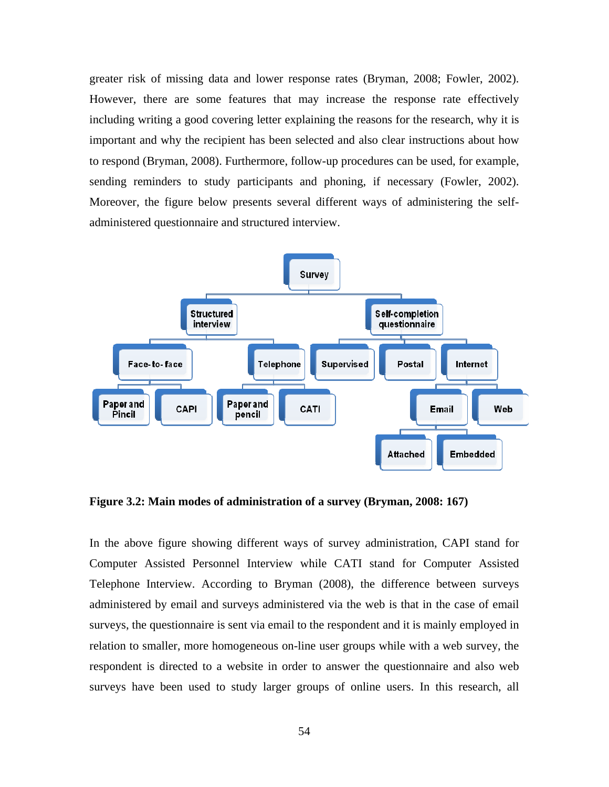greater risk of missing data and lower response rates (Bryman, 2008; Fowler, 2002). However, there are some features that may increase the response rate effectively including writing a good covering letter explaining the reasons for the research, why it is important and why the recipient has been selected and also clear instructions about how to respond (Bryman, 2008). Furthermore, follow-up procedures can be used, for example, sending reminders to study participants and phoning, if necessary (Fowler, 2002). Moreover, the figure below presents several different ways of administering the selfadministered questionnaire and structured interview.



**Figure 3.2: Main modes of administration of a survey (Bryman, 2008: 167)** 

In the above figure showing different ways of survey administration, CAPI stand for Computer Assisted Personnel Interview while CATI stand for Computer Assisted Telephone Interview. According to Bryman (2008), the difference between surveys administered by email and surveys administered via the web is that in the case of email surveys, the questionnaire is sent via email to the respondent and it is mainly employed in relation to smaller, more homogeneous on-line user groups while with a web survey, the respondent is directed to a website in order to answer the questionnaire and also web surveys have been used to study larger groups of online users. In this research, all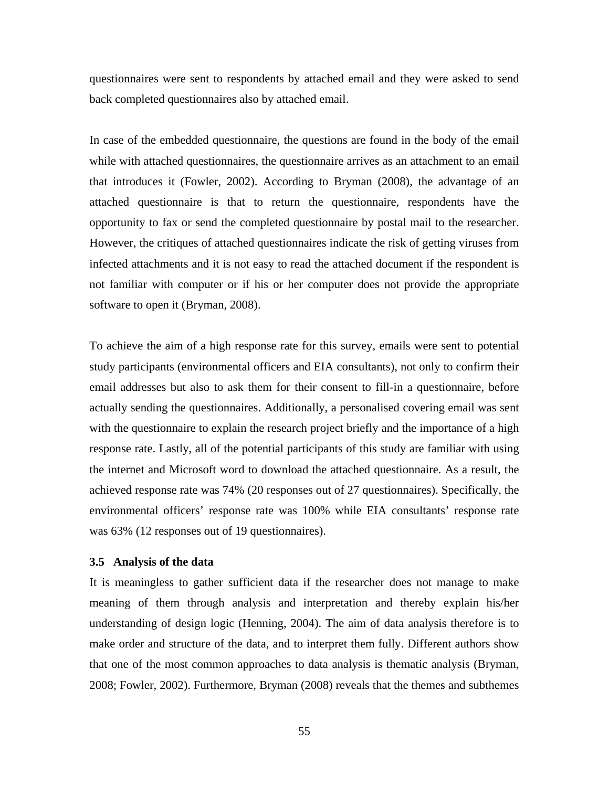questionnaires were sent to respondents by attached email and they were asked to send back completed questionnaires also by attached email.

In case of the embedded questionnaire, the questions are found in the body of the email while with attached questionnaires, the questionnaire arrives as an attachment to an email that introduces it (Fowler, 2002). According to Bryman (2008), the advantage of an attached questionnaire is that to return the questionnaire, respondents have the opportunity to fax or send the completed questionnaire by postal mail to the researcher. However, the critiques of attached questionnaires indicate the risk of getting viruses from infected attachments and it is not easy to read the attached document if the respondent is not familiar with computer or if his or her computer does not provide the appropriate software to open it (Bryman, 2008).

To achieve the aim of a high response rate for this survey, emails were sent to potential study participants (environmental officers and EIA consultants), not only to confirm their email addresses but also to ask them for their consent to fill-in a questionnaire, before actually sending the questionnaires. Additionally, a personalised covering email was sent with the questionnaire to explain the research project briefly and the importance of a high response rate. Lastly, all of the potential participants of this study are familiar with using the internet and Microsoft word to download the attached questionnaire. As a result, the achieved response rate was 74% (20 responses out of 27 questionnaires). Specifically, the environmental officers' response rate was 100% while EIA consultants' response rate was 63% (12 responses out of 19 questionnaires).

#### **3.5 Analysis of the data**

It is meaningless to gather sufficient data if the researcher does not manage to make meaning of them through analysis and interpretation and thereby explain his/her understanding of design logic (Henning, 2004). The aim of data analysis therefore is to make order and structure of the data, and to interpret them fully. Different authors show that one of the most common approaches to data analysis is thematic analysis (Bryman, 2008; Fowler, 2002). Furthermore, Bryman (2008) reveals that the themes and subthemes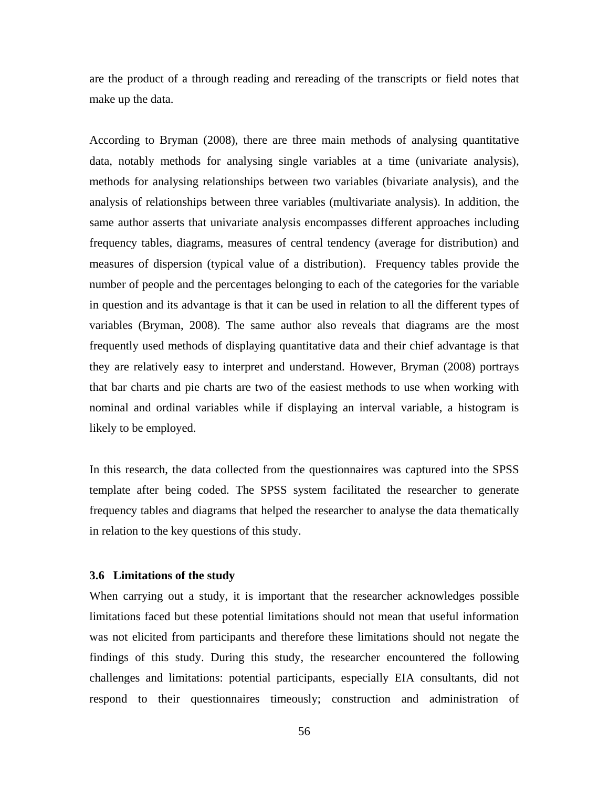are the product of a through reading and rereading of the transcripts or field notes that make up the data.

According to Bryman (2008), there are three main methods of analysing quantitative data, notably methods for analysing single variables at a time (univariate analysis), methods for analysing relationships between two variables (bivariate analysis), and the analysis of relationships between three variables (multivariate analysis). In addition, the same author asserts that univariate analysis encompasses different approaches including frequency tables, diagrams, measures of central tendency (average for distribution) and measures of dispersion (typical value of a distribution). Frequency tables provide the number of people and the percentages belonging to each of the categories for the variable in question and its advantage is that it can be used in relation to all the different types of variables (Bryman, 2008). The same author also reveals that diagrams are the most frequently used methods of displaying quantitative data and their chief advantage is that they are relatively easy to interpret and understand. However, Bryman (2008) portrays that bar charts and pie charts are two of the easiest methods to use when working with nominal and ordinal variables while if displaying an interval variable, a histogram is likely to be employed.

In this research, the data collected from the questionnaires was captured into the SPSS template after being coded. The SPSS system facilitated the researcher to generate frequency tables and diagrams that helped the researcher to analyse the data thematically in relation to the key questions of this study.

## **3.6 Limitations of the study**

When carrying out a study, it is important that the researcher acknowledges possible limitations faced but these potential limitations should not mean that useful information was not elicited from participants and therefore these limitations should not negate the findings of this study. During this study, the researcher encountered the following challenges and limitations: potential participants, especially EIA consultants, did not respond to their questionnaires timeously; construction and administration of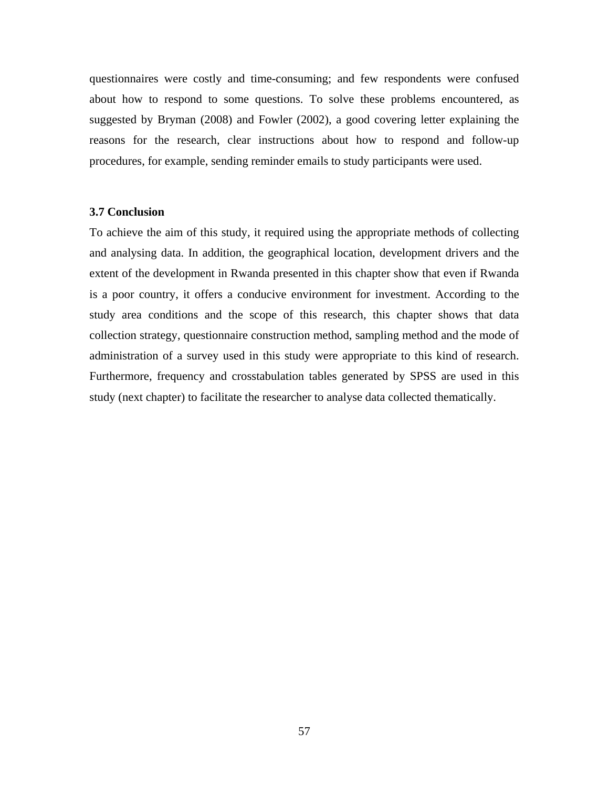questionnaires were costly and time-consuming; and few respondents were confused about how to respond to some questions. To solve these problems encountered, as suggested by Bryman (2008) and Fowler (2002), a good covering letter explaining the reasons for the research, clear instructions about how to respond and follow-up procedures, for example, sending reminder emails to study participants were used.

### **3.7 Conclusion**

To achieve the aim of this study, it required using the appropriate methods of collecting and analysing data. In addition, the geographical location, development drivers and the extent of the development in Rwanda presented in this chapter show that even if Rwanda is a poor country, it offers a conducive environment for investment. According to the study area conditions and the scope of this research, this chapter shows that data collection strategy, questionnaire construction method, sampling method and the mode of administration of a survey used in this study were appropriate to this kind of research. Furthermore, frequency and crosstabulation tables generated by SPSS are used in this study (next chapter) to facilitate the researcher to analyse data collected thematically.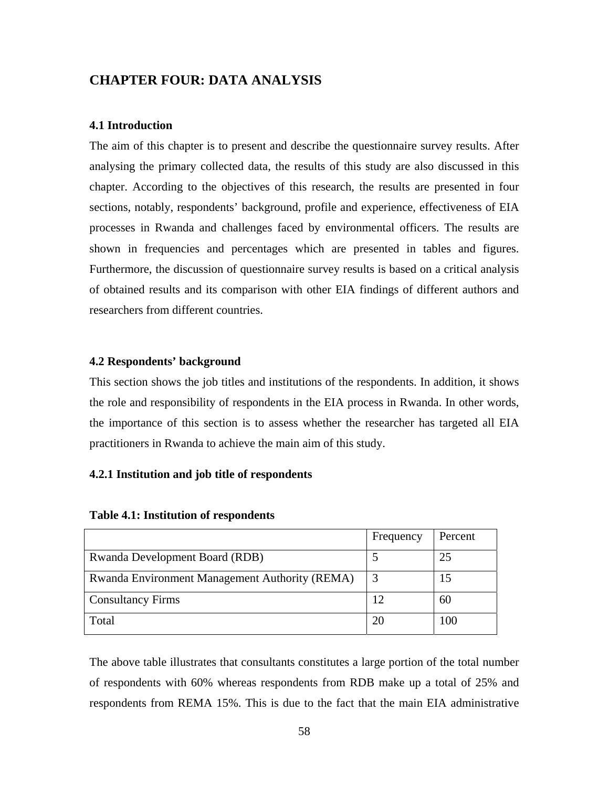# **CHAPTER FOUR: DATA ANALYSIS**

### **4.1 Introduction**

The aim of this chapter is to present and describe the questionnaire survey results. After analysing the primary collected data, the results of this study are also discussed in this chapter. According to the objectives of this research, the results are presented in four sections, notably, respondents' background, profile and experience, effectiveness of EIA processes in Rwanda and challenges faced by environmental officers. The results are shown in frequencies and percentages which are presented in tables and figures. Furthermore, the discussion of questionnaire survey results is based on a critical analysis of obtained results and its comparison with other EIA findings of different authors and researchers from different countries.

### **4.2 Respondents' background**

This section shows the job titles and institutions of the respondents. In addition, it shows the role and responsibility of respondents in the EIA process in Rwanda. In other words, the importance of this section is to assess whether the researcher has targeted all EIA practitioners in Rwanda to achieve the main aim of this study.

### **4.2.1 Institution and job title of respondents**

|                                                | Frequency | Percent |
|------------------------------------------------|-----------|---------|
| <b>Rwanda Development Board (RDB)</b>          |           | 25      |
| Rwanda Environment Management Authority (REMA) |           | 15      |
| <b>Consultancy Firms</b>                       |           | 60      |
| Total                                          |           | 100     |

### **Table 4.1: Institution of respondents**

The above table illustrates that consultants constitutes a large portion of the total number of respondents with 60% whereas respondents from RDB make up a total of 25% and respondents from REMA 15%. This is due to the fact that the main EIA administrative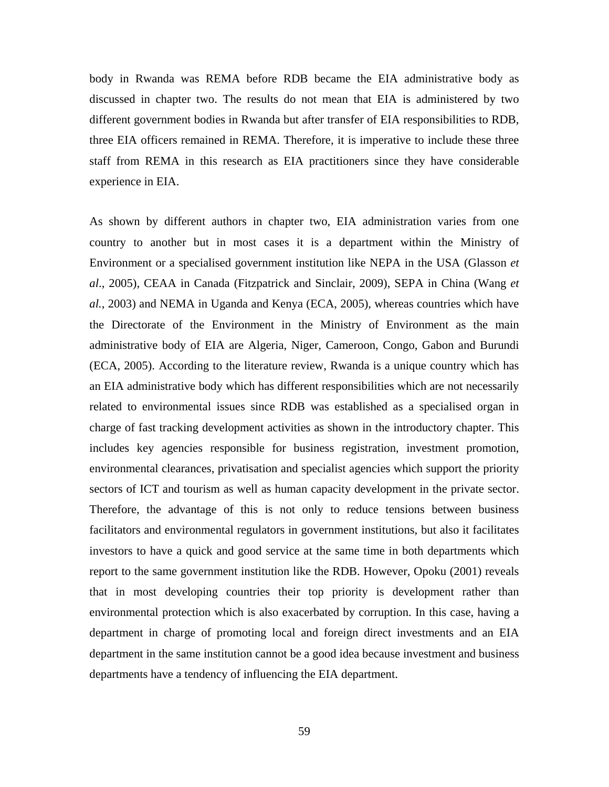body in Rwanda was REMA before RDB became the EIA administrative body as discussed in chapter two. The results do not mean that EIA is administered by two different government bodies in Rwanda but after transfer of EIA responsibilities to RDB, three EIA officers remained in REMA. Therefore, it is imperative to include these three staff from REMA in this research as EIA practitioners since they have considerable experience in EIA.

As shown by different authors in chapter two, EIA administration varies from one country to another but in most cases it is a department within the Ministry of Environment or a specialised government institution like NEPA in the USA (Glasson *et al*., 2005), CEAA in Canada (Fitzpatrick and Sinclair, 2009), SEPA in China (Wang *et al.*, 2003) and NEMA in Uganda and Kenya (ECA, 2005), whereas countries which have the Directorate of the Environment in the Ministry of Environment as the main administrative body of EIA are Algeria, Niger, Cameroon, Congo, Gabon and Burundi (ECA, 2005). According to the literature review, Rwanda is a unique country which has an EIA administrative body which has different responsibilities which are not necessarily related to environmental issues since RDB was established as a specialised organ in charge of fast tracking development activities as shown in the introductory chapter. This includes key agencies responsible for business registration, investment promotion, environmental clearances, privatisation and specialist agencies which support the priority sectors of ICT and tourism as well as human capacity development in the private sector. Therefore, the advantage of this is not only to reduce tensions between business facilitators and environmental regulators in government institutions, but also it facilitates investors to have a quick and good service at the same time in both departments which report to the same government institution like the RDB. However, Opoku (2001) reveals that in most developing countries their top priority is development rather than environmental protection which is also exacerbated by corruption. In this case, having a department in charge of promoting local and foreign direct investments and an EIA department in the same institution cannot be a good idea because investment and business departments have a tendency of influencing the EIA department.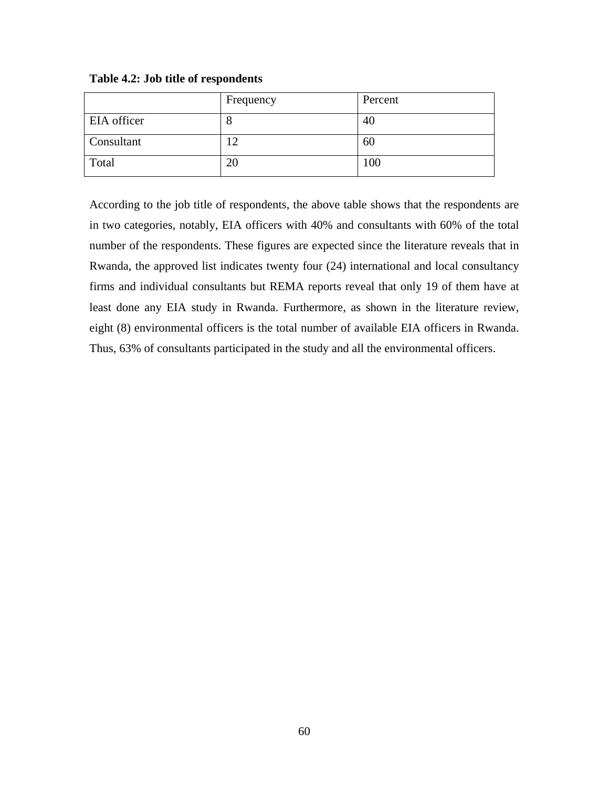|                    | Frequency | Percent |
|--------------------|-----------|---------|
| <b>EIA</b> officer | О         | 40      |
| Consultant         | 12        | 60      |
| Total              | 20        | 100     |

**Table 4.2: Job title of respondents** 

According to the job title of respondents, the above table shows that the respondents are in two categories, notably, EIA officers with 40% and consultants with 60% of the total number of the respondents. These figures are expected since the literature reveals that in Rwanda, the approved list indicates twenty four (24) international and local consultancy firms and individual consultants but REMA reports reveal that only 19 of them have at least done any EIA study in Rwanda. Furthermore, as shown in the literature review, eight (8) environmental officers is the total number of available EIA officers in Rwanda. Thus, 63% of consultants participated in the study and all the environmental officers.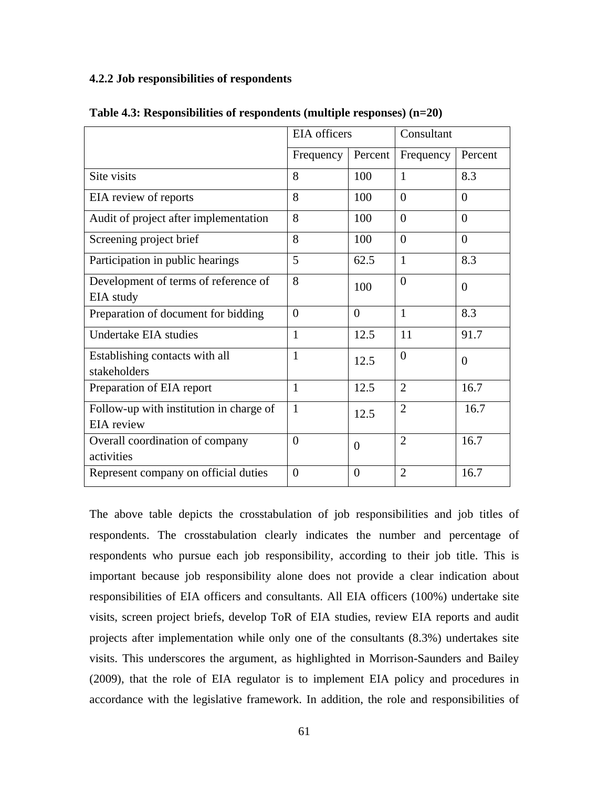### **4.2.2 Job responsibilities of respondents**

|                                                       | <b>EIA</b> officers |                | Consultant     |                |
|-------------------------------------------------------|---------------------|----------------|----------------|----------------|
|                                                       | Frequency           | Percent        | Frequency      | Percent        |
| Site visits                                           | 8                   | 100            | $\mathbf{1}$   | 8.3            |
| EIA review of reports                                 | 8                   | 100            | $\Omega$       | $\overline{0}$ |
| Audit of project after implementation                 | 8                   | 100            | $\Omega$       | $\theta$       |
| Screening project brief                               | 8                   | 100            | $\overline{0}$ | $\overline{0}$ |
| Participation in public hearings                      | 5                   | 62.5           | $\mathbf{1}$   | 8.3            |
| Development of terms of reference of<br>EIA study     | 8                   | 100            | $\overline{0}$ | $\overline{0}$ |
| Preparation of document for bidding                   | $\Omega$            | $\Omega$       | $\mathbf{1}$   | 8.3            |
| Undertake EIA studies                                 | $\mathbf{1}$        | 12.5           | 11             | 91.7           |
| Establishing contacts with all<br>stakeholders        | 1                   | 12.5           | $\overline{0}$ | $\theta$       |
| Preparation of EIA report                             | $\mathbf{1}$        | 12.5           | $\overline{2}$ | 16.7           |
| Follow-up with institution in charge of<br>EIA review | $\mathbf{1}$        | 12.5           | $\overline{2}$ | 16.7           |
| Overall coordination of company<br>activities         | 0                   | $\overline{0}$ | $\overline{2}$ | 16.7           |
| Represent company on official duties                  | $\Omega$            | $\theta$       | $\overline{2}$ | 16.7           |

**Table 4.3: Responsibilities of respondents (multiple responses) (n=20)**

The above table depicts the crosstabulation of job responsibilities and job titles of respondents. The crosstabulation clearly indicates the number and percentage of respondents who pursue each job responsibility, according to their job title. This is important because job responsibility alone does not provide a clear indication about responsibilities of EIA officers and consultants. All EIA officers (100%) undertake site visits, screen project briefs, develop ToR of EIA studies, review EIA reports and audit projects after implementation while only one of the consultants (8.3%) undertakes site visits. This underscores the argument, as highlighted in Morrison-Saunders and Bailey (2009), that the role of EIA regulator is to implement EIA policy and procedures in accordance with the legislative framework. In addition, the role and responsibilities of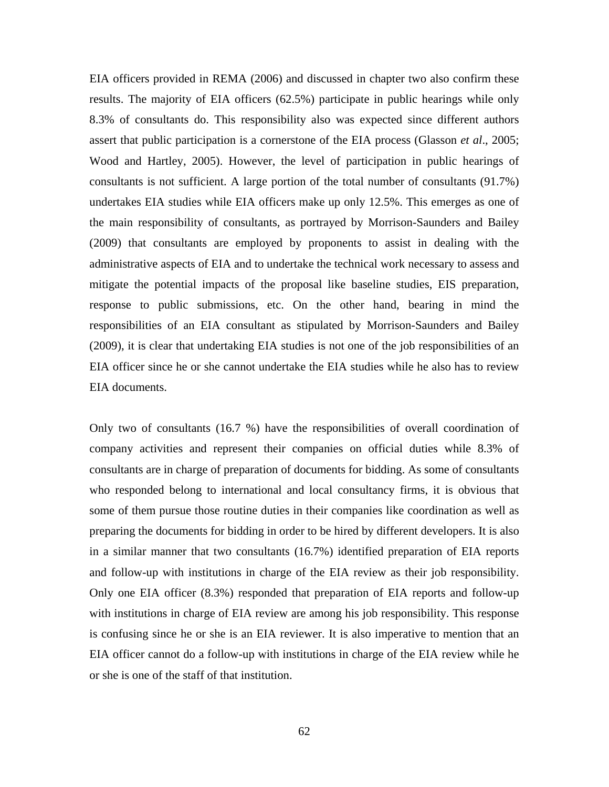EIA officers provided in REMA (2006) and discussed in chapter two also confirm these results. The majority of EIA officers (62.5%) participate in public hearings while only 8.3% of consultants do. This responsibility also was expected since different authors assert that public participation is a cornerstone of the EIA process (Glasson *et al*., 2005; Wood and Hartley, 2005). However, the level of participation in public hearings of consultants is not sufficient. A large portion of the total number of consultants (91.7%) undertakes EIA studies while EIA officers make up only 12.5%. This emerges as one of the main responsibility of consultants, as portrayed by Morrison-Saunders and Bailey (2009) that consultants are employed by proponents to assist in dealing with the administrative aspects of EIA and to undertake the technical work necessary to assess and mitigate the potential impacts of the proposal like baseline studies, EIS preparation, response to public submissions, etc. On the other hand, bearing in mind the responsibilities of an EIA consultant as stipulated by Morrison-Saunders and Bailey (2009), it is clear that undertaking EIA studies is not one of the job responsibilities of an EIA officer since he or she cannot undertake the EIA studies while he also has to review EIA documents.

Only two of consultants (16.7 %) have the responsibilities of overall coordination of company activities and represent their companies on official duties while 8.3% of consultants are in charge of preparation of documents for bidding. As some of consultants who responded belong to international and local consultancy firms, it is obvious that some of them pursue those routine duties in their companies like coordination as well as preparing the documents for bidding in order to be hired by different developers. It is also in a similar manner that two consultants (16.7%) identified preparation of EIA reports and follow-up with institutions in charge of the EIA review as their job responsibility. Only one EIA officer (8.3%) responded that preparation of EIA reports and follow-up with institutions in charge of EIA review are among his job responsibility. This response is confusing since he or she is an EIA reviewer. It is also imperative to mention that an EIA officer cannot do a follow-up with institutions in charge of the EIA review while he or she is one of the staff of that institution.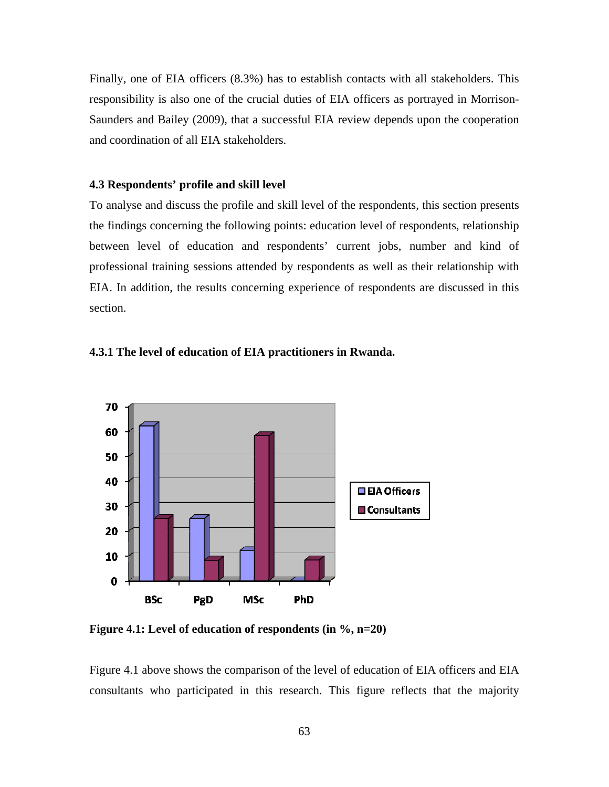Finally, one of EIA officers (8.3%) has to establish contacts with all stakeholders. This responsibility is also one of the crucial duties of EIA officers as portrayed in Morrison-Saunders and Bailey (2009), that a successful EIA review depends upon the cooperation and coordination of all EIA stakeholders.

### **4.3 Respondents' profile and skill level**

To analyse and discuss the profile and skill level of the respondents, this section presents the findings concerning the following points: education level of respondents, relationship between level of education and respondents' current jobs, number and kind of professional training sessions attended by respondents as well as their relationship with EIA. In addition, the results concerning experience of respondents are discussed in this section.



#### **4.3.1 The level of education of EIA practitioners in Rwanda.**

**Figure 4.1: Level of education of respondents (in %, n=20)**

Figure 4.1 above shows the comparison of the level of education of EIA officers and EIA consultants who participated in this research. This figure reflects that the majority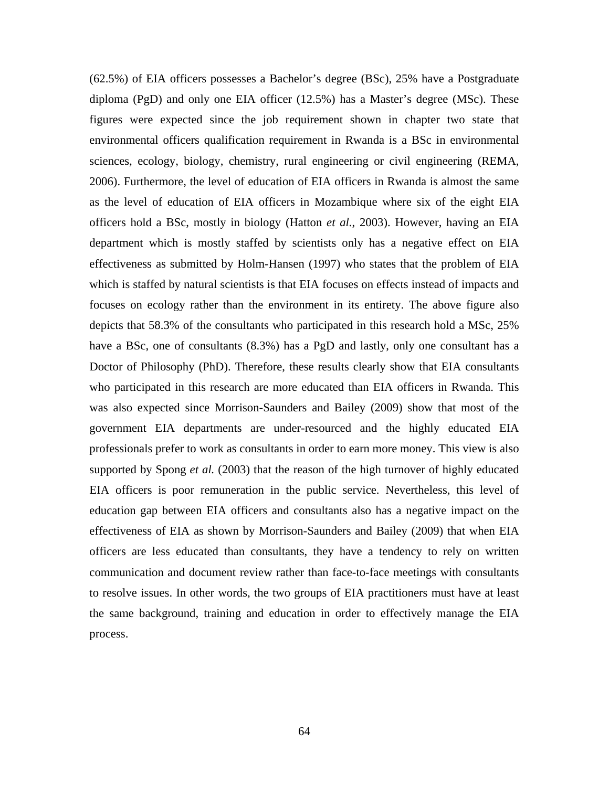(62.5%) of EIA officers possesses a Bachelor's degree (BSc), 25% have a Postgraduate diploma (PgD) and only one EIA officer  $(12.5\%)$  has a Master's degree (MSc). These figures were expected since the job requirement shown in chapter two state that environmental officers qualification requirement in Rwanda is a BSc in environmental sciences, ecology, biology, chemistry, rural engineering or civil engineering (REMA, 2006). Furthermore, the level of education of EIA officers in Rwanda is almost the same as the level of education of EIA officers in Mozambique where six of the eight EIA officers hold a BSc, mostly in biology (Hatton *et al.*, 2003). However, having an EIA department which is mostly staffed by scientists only has a negative effect on EIA effectiveness as submitted by Holm-Hansen (1997) who states that the problem of EIA which is staffed by natural scientists is that EIA focuses on effects instead of impacts and focuses on ecology rather than the environment in its entirety. The above figure also depicts that 58.3% of the consultants who participated in this research hold a MSc, 25% have a BSc, one of consultants (8.3%) has a PgD and lastly, only one consultant has a Doctor of Philosophy (PhD). Therefore, these results clearly show that EIA consultants who participated in this research are more educated than EIA officers in Rwanda. This was also expected since Morrison-Saunders and Bailey (2009) show that most of the government EIA departments are under-resourced and the highly educated EIA professionals prefer to work as consultants in order to earn more money. This view is also supported by Spong *et al.* (2003) that the reason of the high turnover of highly educated EIA officers is poor remuneration in the public service. Nevertheless, this level of education gap between EIA officers and consultants also has a negative impact on the effectiveness of EIA as shown by Morrison-Saunders and Bailey (2009) that when EIA officers are less educated than consultants, they have a tendency to rely on written communication and document review rather than face-to-face meetings with consultants to resolve issues. In other words, the two groups of EIA practitioners must have at least the same background, training and education in order to effectively manage the EIA process.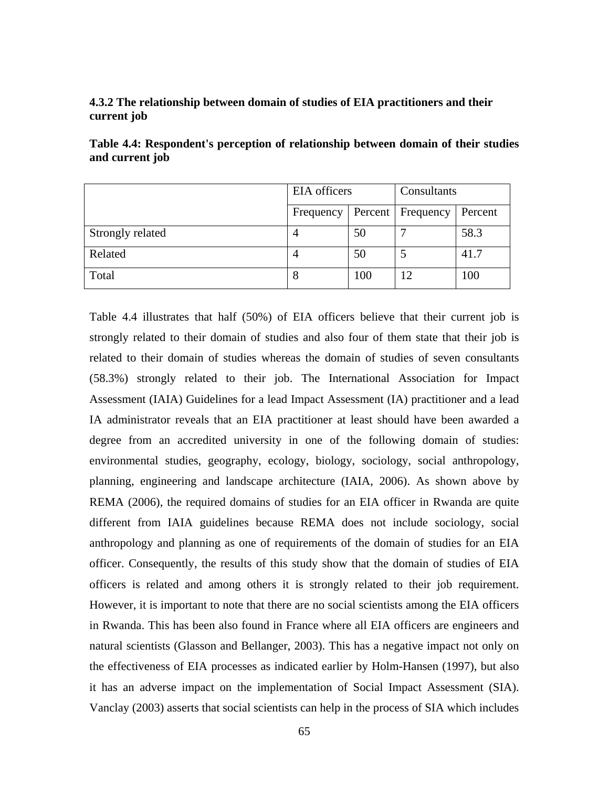## **4.3.2 The relationship between domain of studies of EIA practitioners and their current job**

|                  | EIA officers |     | Consultants         |         |
|------------------|--------------|-----|---------------------|---------|
|                  | Frequency    |     | Percent   Frequency | Percent |
| Strongly related |              | 50  |                     | 58.3    |
| Related          |              | 50  |                     | 41.7    |
| Total            | Ω            | 100 | 12                  | 100     |

**Table 4.4: Respondent's perception of relationship between domain of their studies and current job** 

Table 4.4 illustrates that half (50%) of EIA officers believe that their current job is strongly related to their domain of studies and also four of them state that their job is related to their domain of studies whereas the domain of studies of seven consultants (58.3%) strongly related to their job. The International Association for Impact Assessment (IAIA) Guidelines for a lead Impact Assessment (IA) practitioner and a lead IA administrator reveals that an EIA practitioner at least should have been awarded a degree from an accredited university in one of the following domain of studies: environmental studies, geography, ecology, biology, sociology, social anthropology, planning, engineering and landscape architecture (IAIA, 2006). As shown above by REMA (2006), the required domains of studies for an EIA officer in Rwanda are quite different from IAIA guidelines because REMA does not include sociology, social anthropology and planning as one of requirements of the domain of studies for an EIA officer. Consequently, the results of this study show that the domain of studies of EIA officers is related and among others it is strongly related to their job requirement. However, it is important to note that there are no social scientists among the EIA officers in Rwanda. This has been also found in France where all EIA officers are engineers and natural scientists (Glasson and Bellanger, 2003). This has a negative impact not only on the effectiveness of EIA processes as indicated earlier by Holm-Hansen (1997), but also it has an adverse impact on the implementation of Social Impact Assessment (SIA). Vanclay (2003) asserts that social scientists can help in the process of SIA which includes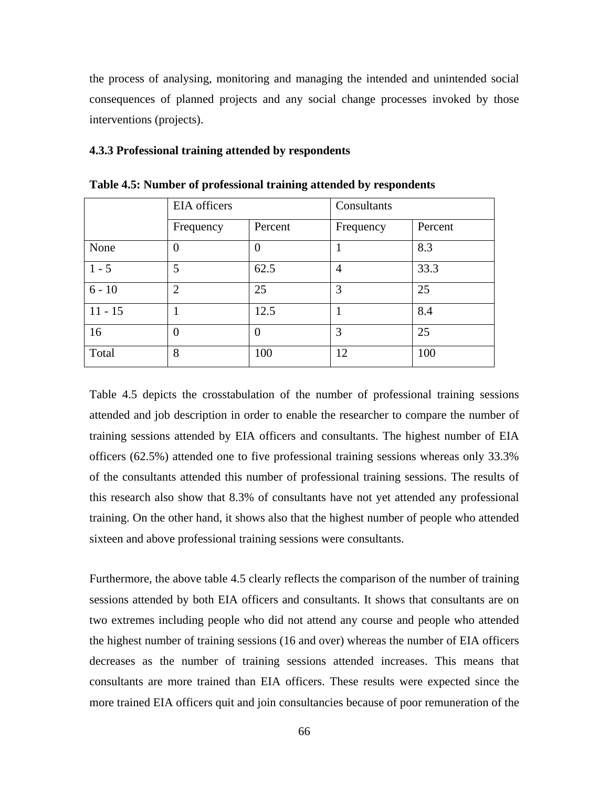the process of analysing, monitoring and managing the intended and unintended social consequences of planned projects and any social change processes invoked by those interventions (projects).

### **4.3.3 Professional training attended by respondents**

|           | EIA officers   |          | Consultants    |         |
|-----------|----------------|----------|----------------|---------|
|           | Frequency      | Percent  | Frequency      | Percent |
| None      | $\Omega$       | $\theta$ |                | 8.3     |
| $1 - 5$   | 5              | 62.5     | $\overline{4}$ | 33.3    |
| $6 - 10$  | $\overline{2}$ | 25       | 3              | 25      |
| $11 - 15$ |                | 12.5     | 1              | 8.4     |
| 16        | $\Omega$       | $\theta$ | 3              | 25      |
| Total     | 8              | 100      | 12             | 100     |

**Table 4.5: Number of professional training attended by respondents** 

Table 4.5 depicts the crosstabulation of the number of professional training sessions attended and job description in order to enable the researcher to compare the number of training sessions attended by EIA officers and consultants. The highest number of EIA officers (62.5%) attended one to five professional training sessions whereas only 33.3% of the consultants attended this number of professional training sessions. The results of this research also show that 8.3% of consultants have not yet attended any professional training. On the other hand, it shows also that the highest number of people who attended sixteen and above professional training sessions were consultants.

Furthermore, the above table 4.5 clearly reflects the comparison of the number of training sessions attended by both EIA officers and consultants. It shows that consultants are on two extremes including people who did not attend any course and people who attended the highest number of training sessions (16 and over) whereas the number of EIA officers decreases as the number of training sessions attended increases. This means that consultants are more trained than EIA officers. These results were expected since the more trained EIA officers quit and join consultancies because of poor remuneration of the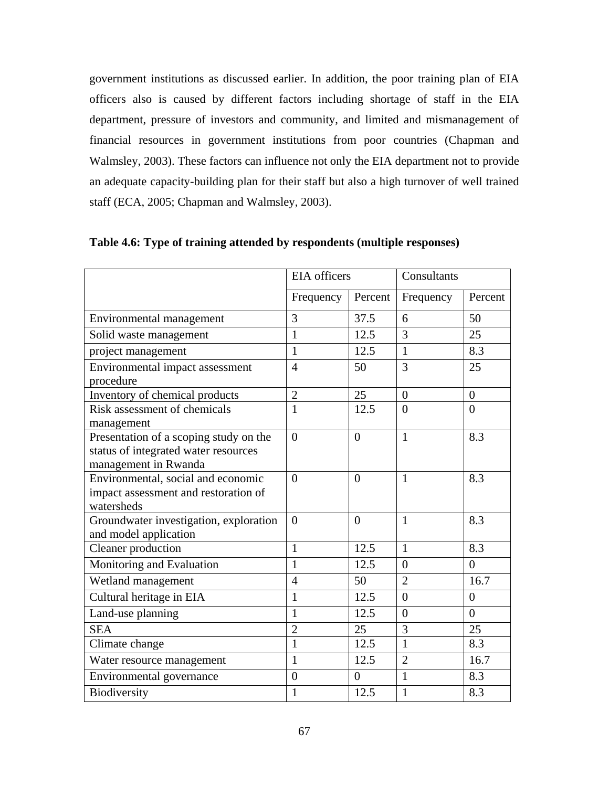government institutions as discussed earlier. In addition, the poor training plan of EIA officers also is caused by different factors including shortage of staff in the EIA department, pressure of investors and community, and limited and mismanagement of financial resources in government institutions from poor countries (Chapman and Walmsley, 2003). These factors can influence not only the EIA department not to provide an adequate capacity-building plan for their staff but also a high turnover of well trained staff (ECA, 2005; Chapman and Walmsley, 2003).

|                                                                                                        | <b>EIA</b> officers |                | Consultants    |                |
|--------------------------------------------------------------------------------------------------------|---------------------|----------------|----------------|----------------|
|                                                                                                        | Frequency           | Percent        | Frequency      | Percent        |
| Environmental management                                                                               | 3                   | 37.5           | 6              | 50             |
| Solid waste management                                                                                 | $\mathbf{1}$        | 12.5           | $\overline{3}$ | 25             |
| project management                                                                                     | $\mathbf{1}$        | 12.5           | $\mathbf{1}$   | 8.3            |
| Environmental impact assessment<br>procedure                                                           | $\overline{4}$      | 50             | 3              | 25             |
| Inventory of chemical products                                                                         | $\overline{2}$      | 25             | $\overline{0}$ | $\overline{0}$ |
| Risk assessment of chemicals<br>management                                                             | $\mathbf{1}$        | 12.5           | $\overline{0}$ | $\overline{0}$ |
| Presentation of a scoping study on the<br>status of integrated water resources<br>management in Rwanda | $\overline{0}$      | $\overline{0}$ | $\mathbf{1}$   | 8.3            |
| Environmental, social and economic<br>impact assessment and restoration of<br>watersheds               | $\theta$            | $\overline{0}$ | $\mathbf{1}$   | 8.3            |
| Groundwater investigation, exploration<br>and model application                                        | $\overline{0}$      | $\overline{0}$ | $\mathbf{1}$   | 8.3            |
| Cleaner production                                                                                     | $\mathbf{1}$        | 12.5           | $\mathbf{1}$   | 8.3            |
| Monitoring and Evaluation                                                                              | $\mathbf{1}$        | 12.5           | $\overline{0}$ | $\overline{0}$ |
| Wetland management                                                                                     | $\overline{4}$      | 50             | $\overline{2}$ | 16.7           |
| Cultural heritage in EIA                                                                               | $\mathbf{1}$        | 12.5           | $\overline{0}$ | $\overline{0}$ |
| Land-use planning                                                                                      | $\mathbf{1}$        | 12.5           | $\overline{0}$ | $\theta$       |
| <b>SEA</b>                                                                                             | $\overline{2}$      | 25             | 3              | 25             |
| Climate change                                                                                         | $\mathbf{1}$        | 12.5           | $\mathbf{1}$   | 8.3            |
| Water resource management                                                                              | $\mathbf{1}$        | 12.5           | $\overline{2}$ | 16.7           |
| Environmental governance                                                                               | $\overline{0}$      | $\overline{0}$ | $\mathbf{1}$   | 8.3            |
| Biodiversity                                                                                           | $\mathbf{1}$        | 12.5           | $\mathbf{1}$   | 8.3            |

**Table 4.6: Type of training attended by respondents (multiple responses)**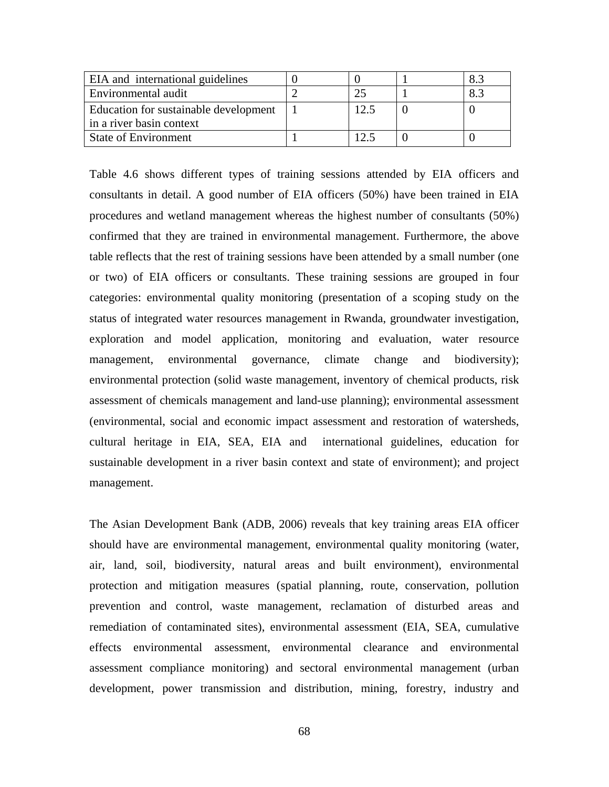| EIA and international guidelines      |     | 8.3 |
|---------------------------------------|-----|-----|
| Environmental audit                   | 25  | 8.3 |
| Education for sustainable development | 2.5 |     |
| in a river basin context              |     |     |
| <b>State of Environment</b>           |     |     |

Table 4.6 shows different types of training sessions attended by EIA officers and consultants in detail. A good number of EIA officers (50%) have been trained in EIA procedures and wetland management whereas the highest number of consultants (50%) confirmed that they are trained in environmental management. Furthermore, the above table reflects that the rest of training sessions have been attended by a small number (one or two) of EIA officers or consultants. These training sessions are grouped in four categories: environmental quality monitoring (presentation of a scoping study on the status of integrated water resources management in Rwanda, groundwater investigation, exploration and model application, monitoring and evaluation, water resource management, environmental governance, climate change and biodiversity); environmental protection (solid waste management, inventory of chemical products, risk assessment of chemicals management and land-use planning); environmental assessment (environmental, social and economic impact assessment and restoration of watersheds, cultural heritage in EIA, SEA, EIA and international guidelines, education for sustainable development in a river basin context and state of environment); and project management.

The Asian Development Bank (ADB, 2006) reveals that key training areas EIA officer should have are environmental management, environmental quality monitoring (water, air, land, soil, biodiversity, natural areas and built environment), environmental protection and mitigation measures (spatial planning, route, conservation, pollution prevention and control, waste management, reclamation of disturbed areas and remediation of contaminated sites), environmental assessment (EIA, SEA, cumulative effects environmental assessment, environmental clearance and environmental assessment compliance monitoring) and sectoral environmental management (urban development, power transmission and distribution, mining, forestry, industry and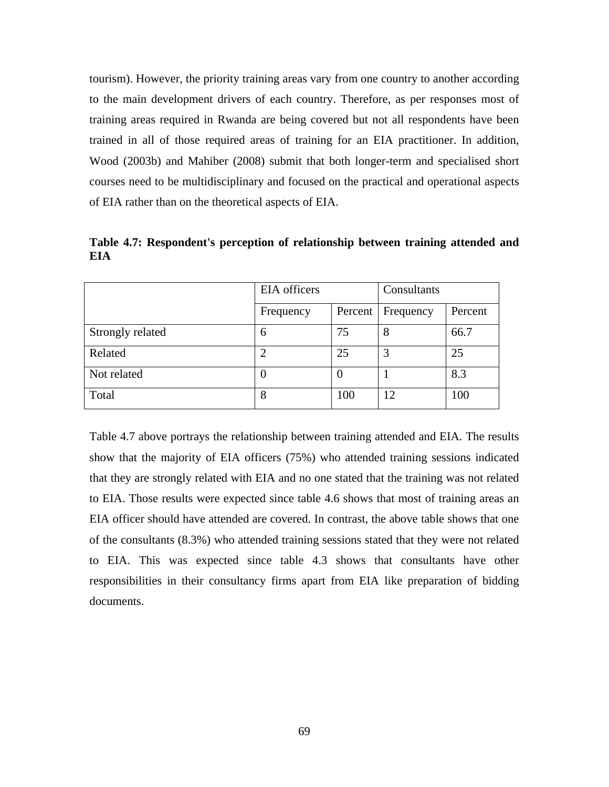tourism). However, the priority training areas vary from one country to another according to the main development drivers of each country. Therefore, as per responses most of training areas required in Rwanda are being covered but not all respondents have been trained in all of those required areas of training for an EIA practitioner. In addition, Wood (2003b) and Mahiber (2008) submit that both longer-term and specialised short courses need to be multidisciplinary and focused on the practical and operational aspects of EIA rather than on the theoretical aspects of EIA.

**Table 4.7: Respondent's perception of relationship between training attended and EIA** 

|                  | EIA officers |          | Consultants |         |
|------------------|--------------|----------|-------------|---------|
|                  | Frequency    | Percent  | Frequency   | Percent |
| Strongly related | 6            | 75       | 8           | 66.7    |
| Related          |              | 25       | 3           | 25      |
| Not related      | O            | $\theta$ |             | 8.3     |
| Total            | 8            | 100      | 12          | 100     |

Table 4.7 above portrays the relationship between training attended and EIA. The results show that the majority of EIA officers (75%) who attended training sessions indicated that they are strongly related with EIA and no one stated that the training was not related to EIA. Those results were expected since table 4.6 shows that most of training areas an EIA officer should have attended are covered. In contrast, the above table shows that one of the consultants (8.3%) who attended training sessions stated that they were not related to EIA. This was expected since table 4.3 shows that consultants have other responsibilities in their consultancy firms apart from EIA like preparation of bidding documents.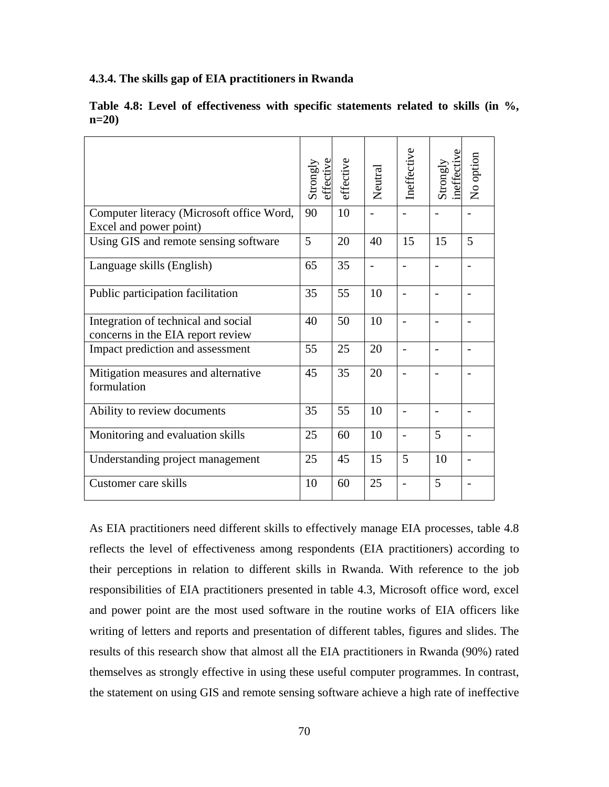### **4.3.4. The skills gap of EIA practitioners in Rwanda**

|                                                                          | Strongly<br>effective | effective | Neutral        | Ineffective | neffective<br>Strongly | No option |
|--------------------------------------------------------------------------|-----------------------|-----------|----------------|-------------|------------------------|-----------|
| Computer literacy (Microsoft office Word,<br>Excel and power point)      | 90                    | 10        |                |             |                        |           |
| Using GIS and remote sensing software                                    | 5                     | 20        | 40             | 15          | 15                     | 5         |
| Language skills (English)                                                | 65                    | 35        | $\overline{a}$ |             |                        |           |
| Public participation facilitation                                        | 35                    | 55        | 10             |             |                        |           |
| Integration of technical and social<br>concerns in the EIA report review | 40                    | 50        | 10             |             |                        |           |
| Impact prediction and assessment                                         | 55                    | 25        | 20             |             |                        |           |
| Mitigation measures and alternative<br>formulation                       | 45                    | 35        | 20             |             |                        |           |
| Ability to review documents                                              | 35                    | 55        | 10             |             |                        |           |
| Monitoring and evaluation skills                                         | 25                    | 60        | 10             |             | 5                      |           |
| Understanding project management                                         | 25                    | 45        | 15             | 5           | 10                     |           |
| Customer care skills                                                     | 10                    | 60        | 25             |             | 5                      |           |

**Table 4.8: Level of effectiveness with specific statements related to skills (in %, n=20)** 

As EIA practitioners need different skills to effectively manage EIA processes, table 4.8 reflects the level of effectiveness among respondents (EIA practitioners) according to their perceptions in relation to different skills in Rwanda. With reference to the job responsibilities of EIA practitioners presented in table 4.3, Microsoft office word, excel and power point are the most used software in the routine works of EIA officers like writing of letters and reports and presentation of different tables, figures and slides. The results of this research show that almost all the EIA practitioners in Rwanda (90%) rated themselves as strongly effective in using these useful computer programmes. In contrast, the statement on using GIS and remote sensing software achieve a high rate of ineffective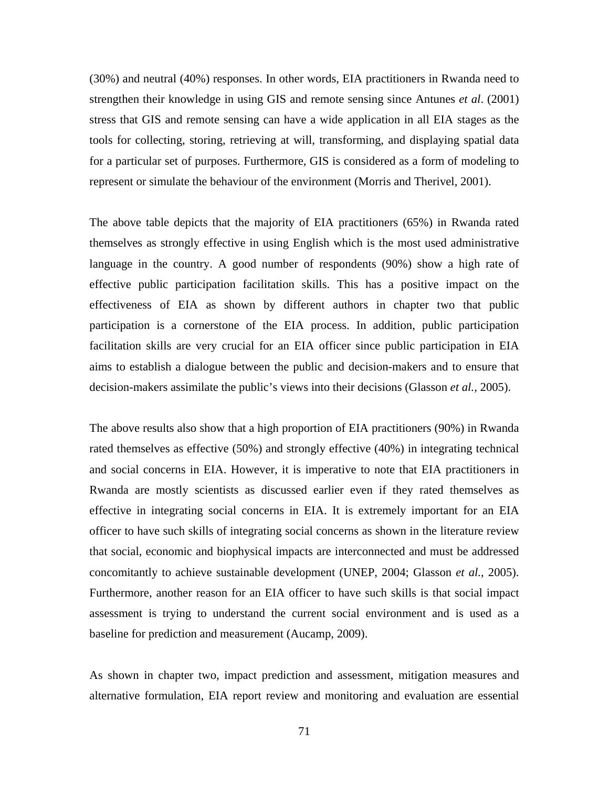(30%) and neutral (40%) responses. In other words, EIA practitioners in Rwanda need to strengthen their knowledge in using GIS and remote sensing since Antunes *et al*. (2001) stress that GIS and remote sensing can have a wide application in all EIA stages as the tools for collecting, storing, retrieving at will, transforming, and displaying spatial data for a particular set of purposes. Furthermore, GIS is considered as a form of modeling to represent or simulate the behaviour of the environment (Morris and Therivel, 2001).

The above table depicts that the majority of EIA practitioners (65%) in Rwanda rated themselves as strongly effective in using English which is the most used administrative language in the country. A good number of respondents (90%) show a high rate of effective public participation facilitation skills. This has a positive impact on the effectiveness of EIA as shown by different authors in chapter two that public participation is a cornerstone of the EIA process. In addition, public participation facilitation skills are very crucial for an EIA officer since public participation in EIA aims to establish a dialogue between the public and decision-makers and to ensure that decision-makers assimilate the public's views into their decisions (Glasson *et al.,* 2005).

The above results also show that a high proportion of EIA practitioners (90%) in Rwanda rated themselves as effective (50%) and strongly effective (40%) in integrating technical and social concerns in EIA. However, it is imperative to note that EIA practitioners in Rwanda are mostly scientists as discussed earlier even if they rated themselves as effective in integrating social concerns in EIA. It is extremely important for an EIA officer to have such skills of integrating social concerns as shown in the literature review that social, economic and biophysical impacts are interconnected and must be addressed concomitantly to achieve sustainable development (UNEP, 2004; Glasson *et al.*, 2005). Furthermore, another reason for an EIA officer to have such skills is that social impact assessment is trying to understand the current social environment and is used as a baseline for prediction and measurement (Aucamp, 2009).

As shown in chapter two, impact prediction and assessment, mitigation measures and alternative formulation, EIA report review and monitoring and evaluation are essential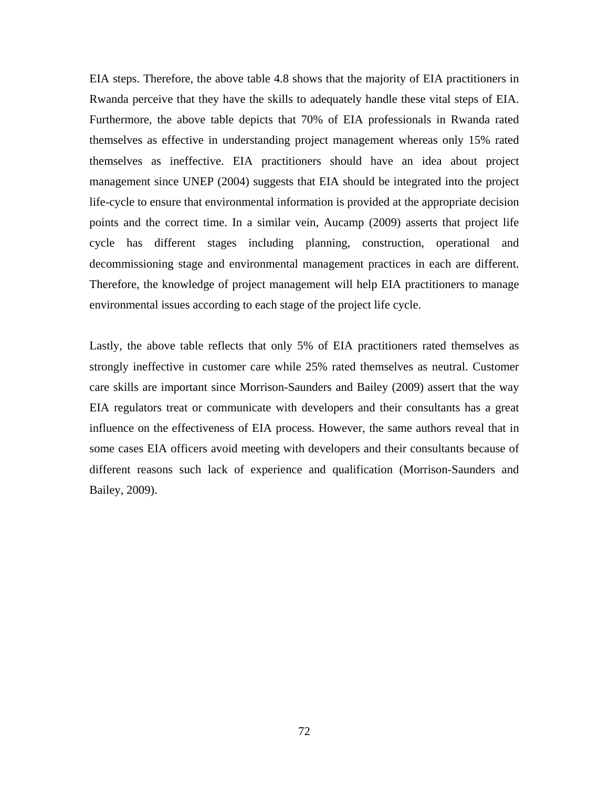EIA steps. Therefore, the above table 4.8 shows that the majority of EIA practitioners in Rwanda perceive that they have the skills to adequately handle these vital steps of EIA. Furthermore, the above table depicts that 70% of EIA professionals in Rwanda rated themselves as effective in understanding project management whereas only 15% rated themselves as ineffective. EIA practitioners should have an idea about project management since UNEP (2004) suggests that EIA should be integrated into the project life-cycle to ensure that environmental information is provided at the appropriate decision points and the correct time. In a similar vein, Aucamp (2009) asserts that project life cycle has different stages including planning, construction, operational and decommissioning stage and environmental management practices in each are different. Therefore, the knowledge of project management will help EIA practitioners to manage environmental issues according to each stage of the project life cycle.

Lastly, the above table reflects that only 5% of EIA practitioners rated themselves as strongly ineffective in customer care while 25% rated themselves as neutral. Customer care skills are important since Morrison-Saunders and Bailey (2009) assert that the way EIA regulators treat or communicate with developers and their consultants has a great influence on the effectiveness of EIA process. However, the same authors reveal that in some cases EIA officers avoid meeting with developers and their consultants because of different reasons such lack of experience and qualification (Morrison-Saunders and Bailey, 2009).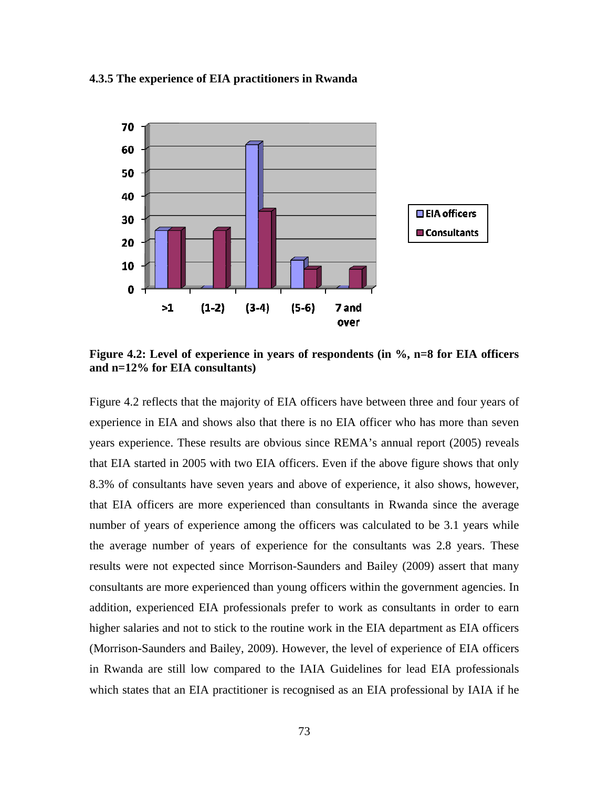

#### **4.3.5 The experience of EIA practitioners in Rwanda**

**Figure 4.2: Level of experience in years of respondents (in %, n=8 for EIA officers and n=12% for EIA consultants)** 

Figure 4.2 reflects that the majority of EIA officers have between three and four years of experience in EIA and shows also that there is no EIA officer who has more than seven years experience. These results are obvious since REMA's annual report (2005) reveals that EIA started in 2005 with two EIA officers. Even if the above figure shows that only 8.3% of consultants have seven years and above of experience, it also shows, however, that EIA officers are more experienced than consultants in Rwanda since the average number of years of experience among the officers was calculated to be 3.1 years while the average number of years of experience for the consultants was 2.8 years. These results were not expected since Morrison-Saunders and Bailey (2009) assert that many consultants are more experienced than young officers within the government agencies. In addition, experienced EIA professionals prefer to work as consultants in order to earn higher salaries and not to stick to the routine work in the EIA department as EIA officers (Morrison-Saunders and Bailey, 2009). However, the level of experience of EIA officers in Rwanda are still low compared to the IAIA Guidelines for lead EIA professionals which states that an EIA practitioner is recognised as an EIA professional by IAIA if he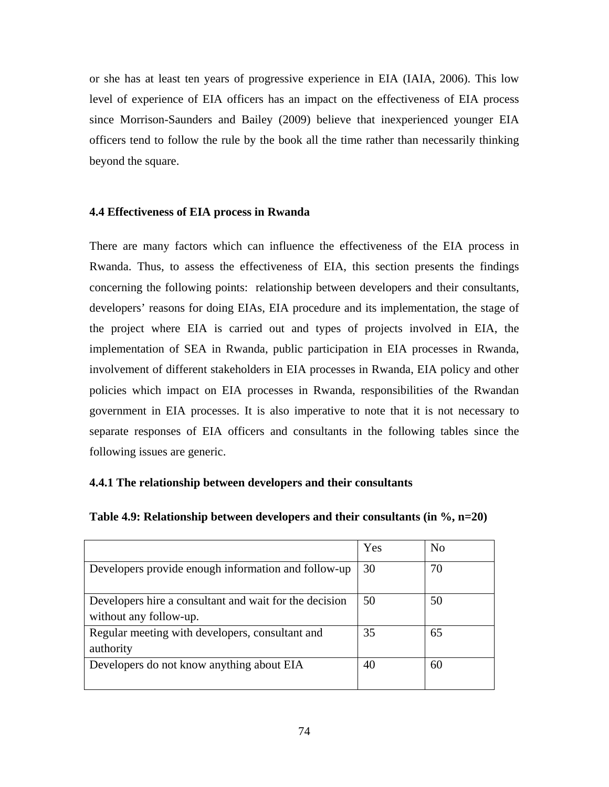or she has at least ten years of progressive experience in EIA (IAIA, 2006). This low level of experience of EIA officers has an impact on the effectiveness of EIA process since Morrison-Saunders and Bailey (2009) believe that inexperienced younger EIA officers tend to follow the rule by the book all the time rather than necessarily thinking beyond the square.

#### **4.4 Effectiveness of EIA process in Rwanda**

There are many factors which can influence the effectiveness of the EIA process in Rwanda. Thus, to assess the effectiveness of EIA, this section presents the findings concerning the following points: relationship between developers and their consultants, developers' reasons for doing EIAs, EIA procedure and its implementation, the stage of the project where EIA is carried out and types of projects involved in EIA, the implementation of SEA in Rwanda, public participation in EIA processes in Rwanda, involvement of different stakeholders in EIA processes in Rwanda, EIA policy and other policies which impact on EIA processes in Rwanda, responsibilities of the Rwandan government in EIA processes. It is also imperative to note that it is not necessary to separate responses of EIA officers and consultants in the following tables since the following issues are generic.

### **4.4.1 The relationship between developers and their consultants**

| Table 4.9: Relationship between developers and their consultants (in $\%$ , n=20) |  |  |  |  |
|-----------------------------------------------------------------------------------|--|--|--|--|
|-----------------------------------------------------------------------------------|--|--|--|--|

|                                                                                  | Yes | N <sub>o</sub> |
|----------------------------------------------------------------------------------|-----|----------------|
| Developers provide enough information and follow-up                              | 30  | 70             |
| Developers hire a consultant and wait for the decision<br>without any follow-up. | 50  | 50             |
| Regular meeting with developers, consultant and<br>authority                     | 35  | 65             |
| Developers do not know anything about EIA                                        | 40  | 60             |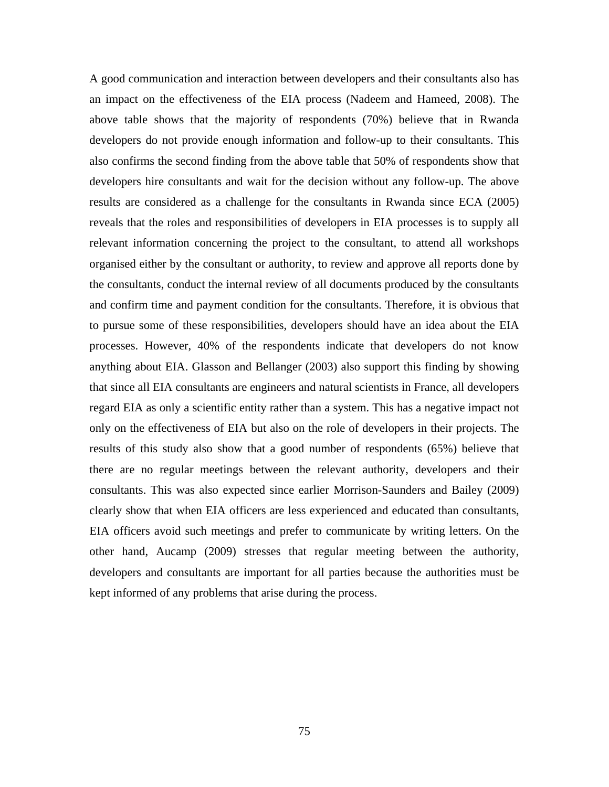A good communication and interaction between developers and their consultants also has an impact on the effectiveness of the EIA process (Nadeem and Hameed, 2008). The above table shows that the majority of respondents (70%) believe that in Rwanda developers do not provide enough information and follow-up to their consultants. This also confirms the second finding from the above table that 50% of respondents show that developers hire consultants and wait for the decision without any follow-up. The above results are considered as a challenge for the consultants in Rwanda since ECA (2005) reveals that the roles and responsibilities of developers in EIA processes is to supply all relevant information concerning the project to the consultant, to attend all workshops organised either by the consultant or authority, to review and approve all reports done by the consultants, conduct the internal review of all documents produced by the consultants and confirm time and payment condition for the consultants. Therefore, it is obvious that to pursue some of these responsibilities, developers should have an idea about the EIA processes. However, 40% of the respondents indicate that developers do not know anything about EIA. Glasson and Bellanger (2003) also support this finding by showing that since all EIA consultants are engineers and natural scientists in France, all developers regard EIA as only a scientific entity rather than a system. This has a negative impact not only on the effectiveness of EIA but also on the role of developers in their projects. The results of this study also show that a good number of respondents (65%) believe that there are no regular meetings between the relevant authority, developers and their consultants. This was also expected since earlier Morrison-Saunders and Bailey (2009) clearly show that when EIA officers are less experienced and educated than consultants, EIA officers avoid such meetings and prefer to communicate by writing letters. On the other hand, Aucamp (2009) stresses that regular meeting between the authority, developers and consultants are important for all parties because the authorities must be kept informed of any problems that arise during the process.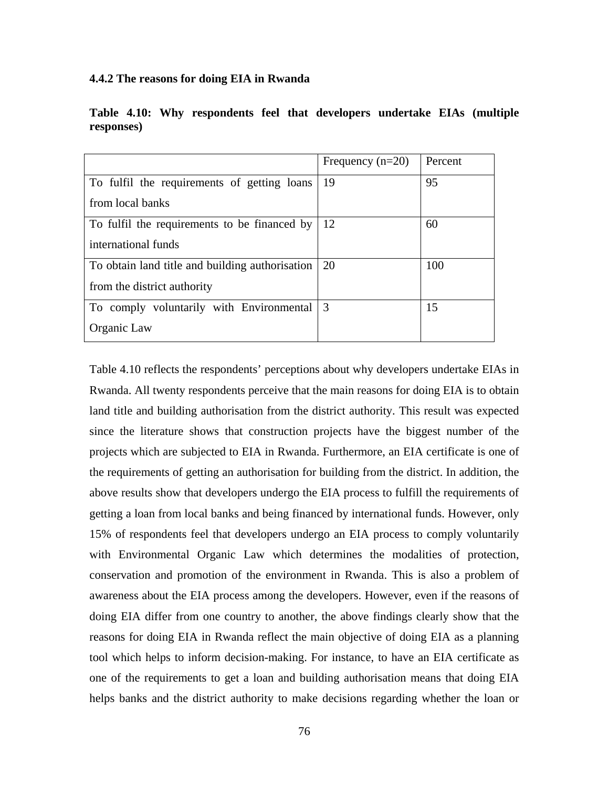#### **4.4.2 The reasons for doing EIA in Rwanda**

|                                                 | Frequency $(n=20)$ | Percent |
|-------------------------------------------------|--------------------|---------|
| To fulfil the requirements of getting loans     | 19                 | 95      |
| from local banks                                |                    |         |
| To fulfil the requirements to be financed by    | 12                 | 60      |
| international funds                             |                    |         |
| To obtain land title and building authorisation | 20                 | 100     |
| from the district authority                     |                    |         |
| To comply voluntarily with Environmental        | $\overline{3}$     | 15      |
| Organic Law                                     |                    |         |

**Table 4.10: Why respondents feel that developers undertake EIAs (multiple responses)** 

Table 4.10 reflects the respondents' perceptions about why developers undertake EIAs in Rwanda. All twenty respondents perceive that the main reasons for doing EIA is to obtain land title and building authorisation from the district authority. This result was expected since the literature shows that construction projects have the biggest number of the projects which are subjected to EIA in Rwanda. Furthermore, an EIA certificate is one of the requirements of getting an authorisation for building from the district. In addition, the above results show that developers undergo the EIA process to fulfill the requirements of getting a loan from local banks and being financed by international funds. However, only 15% of respondents feel that developers undergo an EIA process to comply voluntarily with Environmental Organic Law which determines the modalities of protection, conservation and promotion of the environment in Rwanda. This is also a problem of awareness about the EIA process among the developers. However, even if the reasons of doing EIA differ from one country to another, the above findings clearly show that the reasons for doing EIA in Rwanda reflect the main objective of doing EIA as a planning tool which helps to inform decision-making. For instance, to have an EIA certificate as one of the requirements to get a loan and building authorisation means that doing EIA helps banks and the district authority to make decisions regarding whether the loan or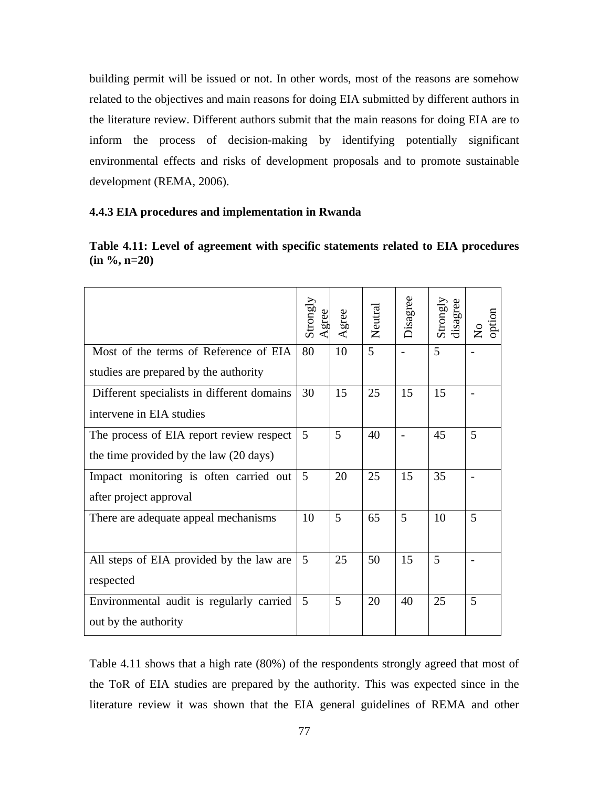building permit will be issued or not. In other words, most of the reasons are somehow related to the objectives and main reasons for doing EIA submitted by different authors in the literature review. Different authors submit that the main reasons for doing EIA are to inform the process of decision-making by identifying potentially significant environmental effects and risks of development proposals and to promote sustainable development (REMA, 2006).

#### **4.4.3 EIA procedures and implementation in Rwanda**

| Table 4.11: Level of agreement with specific statements related to EIA procedures |
|-----------------------------------------------------------------------------------|
| $(in \%, n=20)$                                                                   |
|                                                                                   |

|                                            | Strongly | Agree | Neutral | Disagree | Strongly<br>disagree | option<br>$\mathsf{S}^{\mathsf{O}}$ |
|--------------------------------------------|----------|-------|---------|----------|----------------------|-------------------------------------|
| Most of the terms of Reference of EIA      | 80       | 10    | 5       |          | 5                    |                                     |
| studies are prepared by the authority      |          |       |         |          |                      |                                     |
| Different specialists in different domains | 30       | 15    | 25      | 15       | 15                   |                                     |
| intervene in EIA studies                   |          |       |         |          |                      |                                     |
| The process of EIA report review respect   | 5        | 5     | 40      |          | 45                   | 5                                   |
| the time provided by the law (20 days)     |          |       |         |          |                      |                                     |
| Impact monitoring is often carried out     | 5        | 20    | 25      | 15       | 35                   |                                     |
| after project approval                     |          |       |         |          |                      |                                     |
| There are adequate appeal mechanisms       | 10       | 5     | 65      | 5        | 10                   | 5                                   |
|                                            |          |       |         |          |                      |                                     |
| All steps of EIA provided by the law are   | 5        | 25    | 50      | 15       | 5                    |                                     |
| respected                                  |          |       |         |          |                      |                                     |
| Environmental audit is regularly carried   | 5        | 5     | 20      | 40       | 25                   | 5                                   |
| out by the authority                       |          |       |         |          |                      |                                     |

Table 4.11 shows that a high rate (80%) of the respondents strongly agreed that most of the ToR of EIA studies are prepared by the authority. This was expected since in the literature review it was shown that the EIA general guidelines of REMA and other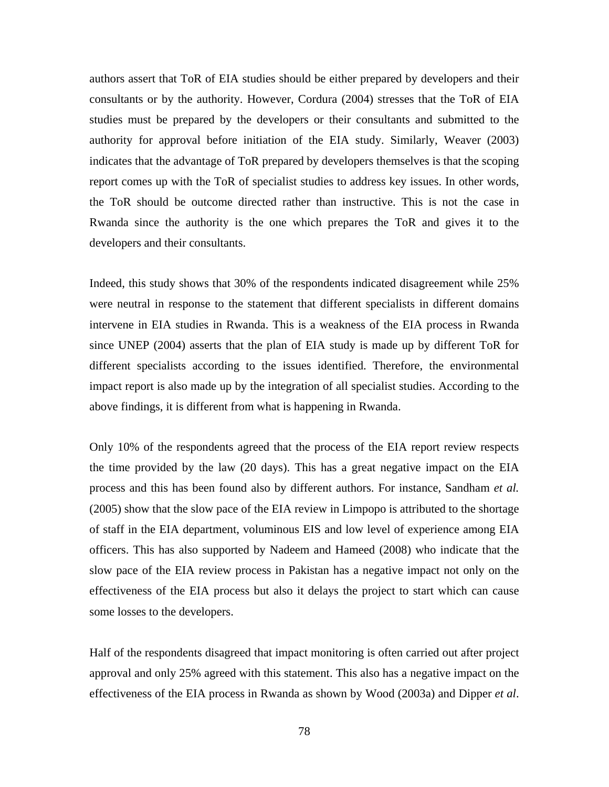authors assert that ToR of EIA studies should be either prepared by developers and their consultants or by the authority. However, Cordura (2004) stresses that the ToR of EIA studies must be prepared by the developers or their consultants and submitted to the authority for approval before initiation of the EIA study. Similarly, Weaver (2003) indicates that the advantage of ToR prepared by developers themselves is that the scoping report comes up with the ToR of specialist studies to address key issues. In other words, the ToR should be outcome directed rather than instructive. This is not the case in Rwanda since the authority is the one which prepares the ToR and gives it to the developers and their consultants.

Indeed, this study shows that 30% of the respondents indicated disagreement while 25% were neutral in response to the statement that different specialists in different domains intervene in EIA studies in Rwanda. This is a weakness of the EIA process in Rwanda since UNEP (2004) asserts that the plan of EIA study is made up by different ToR for different specialists according to the issues identified. Therefore, the environmental impact report is also made up by the integration of all specialist studies. According to the above findings, it is different from what is happening in Rwanda.

Only 10% of the respondents agreed that the process of the EIA report review respects the time provided by the law (20 days). This has a great negative impact on the EIA process and this has been found also by different authors. For instance, Sandham *et al.* (2005) show that the slow pace of the EIA review in Limpopo is attributed to the shortage of staff in the EIA department, voluminous EIS and low level of experience among EIA officers. This has also supported by Nadeem and Hameed (2008) who indicate that the slow pace of the EIA review process in Pakistan has a negative impact not only on the effectiveness of the EIA process but also it delays the project to start which can cause some losses to the developers.

Half of the respondents disagreed that impact monitoring is often carried out after project approval and only 25% agreed with this statement. This also has a negative impact on the effectiveness of the EIA process in Rwanda as shown by Wood (2003a) and Dipper *et al*.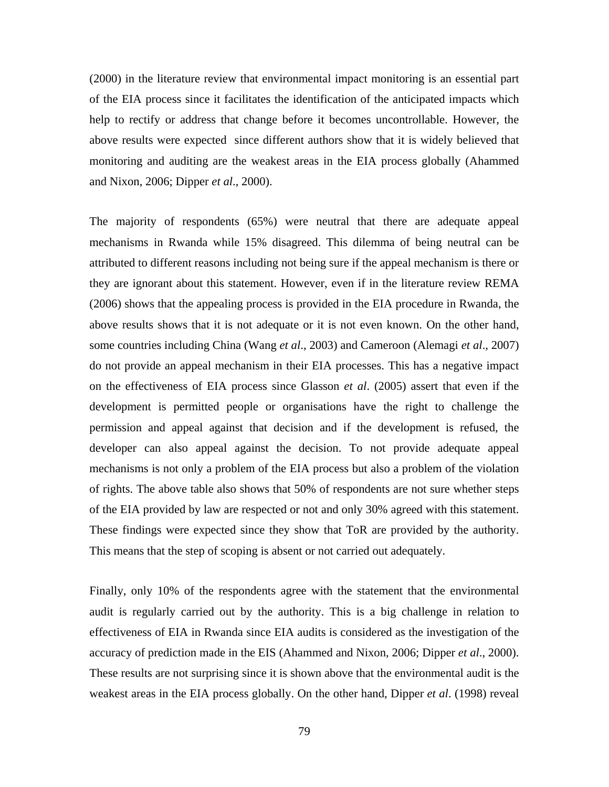(2000) in the literature review that environmental impact monitoring is an essential part of the EIA process since it facilitates the identification of the anticipated impacts which help to rectify or address that change before it becomes uncontrollable. However, the above results were expected since different authors show that it is widely believed that monitoring and auditing are the weakest areas in the EIA process globally (Ahammed and Nixon, 2006; Dipper *et al*., 2000).

The majority of respondents (65%) were neutral that there are adequate appeal mechanisms in Rwanda while 15% disagreed. This dilemma of being neutral can be attributed to different reasons including not being sure if the appeal mechanism is there or they are ignorant about this statement. However, even if in the literature review REMA (2006) shows that the appealing process is provided in the EIA procedure in Rwanda, the above results shows that it is not adequate or it is not even known. On the other hand, some countries including China (Wang *et al*., 2003) and Cameroon (Alemagi *et al*., 2007) do not provide an appeal mechanism in their EIA processes. This has a negative impact on the effectiveness of EIA process since Glasson *et al*. (2005) assert that even if the development is permitted people or organisations have the right to challenge the permission and appeal against that decision and if the development is refused, the developer can also appeal against the decision. To not provide adequate appeal mechanisms is not only a problem of the EIA process but also a problem of the violation of rights. The above table also shows that 50% of respondents are not sure whether steps of the EIA provided by law are respected or not and only 30% agreed with this statement. These findings were expected since they show that ToR are provided by the authority. This means that the step of scoping is absent or not carried out adequately.

Finally, only 10% of the respondents agree with the statement that the environmental audit is regularly carried out by the authority. This is a big challenge in relation to effectiveness of EIA in Rwanda since EIA audits is considered as the investigation of the accuracy of prediction made in the EIS (Ahammed and Nixon, 2006; Dipper *et al*., 2000). These results are not surprising since it is shown above that the environmental audit is the weakest areas in the EIA process globally. On the other hand, Dipper *et al*. (1998) reveal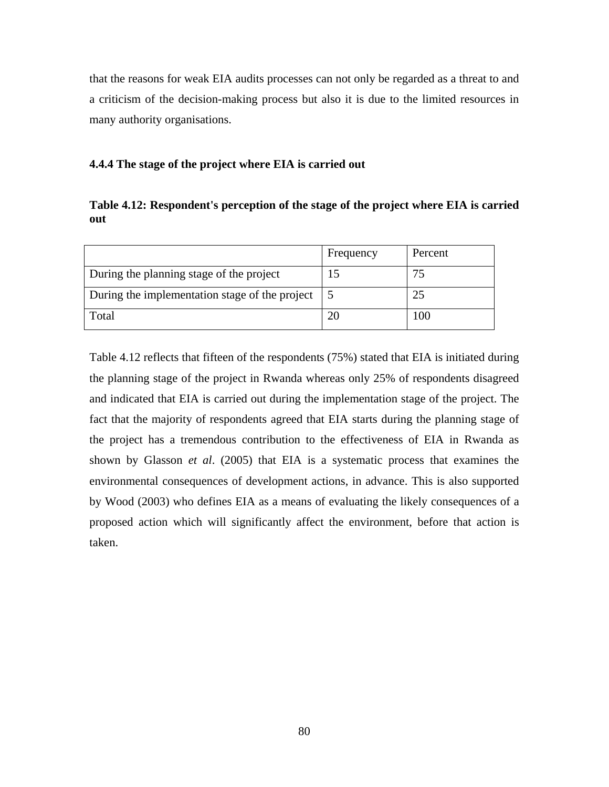that the reasons for weak EIA audits processes can not only be regarded as a threat to and a criticism of the decision-making process but also it is due to the limited resources in many authority organisations.

## **4.4.4 The stage of the project where EIA is carried out**

**Table 4.12: Respondent's perception of the stage of the project where EIA is carried out** 

|                                                | Frequency | Percent |
|------------------------------------------------|-----------|---------|
| During the planning stage of the project       | 15        | 75      |
| During the implementation stage of the project |           | 25      |
| Total                                          |           | 100     |

Table 4.12 reflects that fifteen of the respondents (75%) stated that EIA is initiated during the planning stage of the project in Rwanda whereas only 25% of respondents disagreed and indicated that EIA is carried out during the implementation stage of the project. The fact that the majority of respondents agreed that EIA starts during the planning stage of the project has a tremendous contribution to the effectiveness of EIA in Rwanda as shown by Glasson *et al*. (2005) that EIA is a systematic process that examines the environmental consequences of development actions, in advance. This is also supported by Wood (2003) who defines EIA as a means of evaluating the likely consequences of a proposed action which will significantly affect the environment, before that action is taken.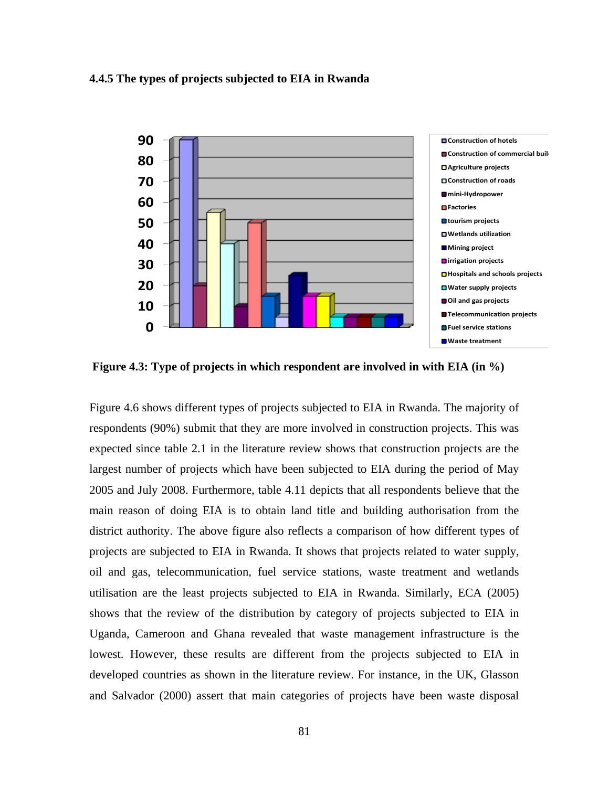#### **4.4.5 The types of projects subjected to EIA in Rwanda**



 **Figure 4.3: Type of projects in which respondent are involved in with EIA (in %)** 

Figure 4.6 shows different types of projects subjected to EIA in Rwanda. The majority of respondents (90%) submit that they are more involved in construction projects. This was expected since table 2.1 in the literature review shows that construction projects are the largest number of projects which have been subjected to EIA during the period of May 2005 and July 2008. Furthermore, table 4.11 depicts that all respondents believe that the main reason of doing EIA is to obtain land title and building authorisation from the district authority. The above figure also reflects a comparison of how different types of projects are subjected to EIA in Rwanda. It shows that projects related to water supply, oil and gas, telecommunication, fuel service stations, waste treatment and wetlands utilisation are the least projects subjected to EIA in Rwanda. Similarly, ECA (2005) shows that the review of the distribution by category of projects subjected to EIA in Uganda, Cameroon and Ghana revealed that waste management infrastructure is the lowest. However, these results are different from the projects subjected to EIA in developed countries as shown in the literature review. For instance, in the UK, Glasson and Salvador (2000) assert that main categories of projects have been waste disposal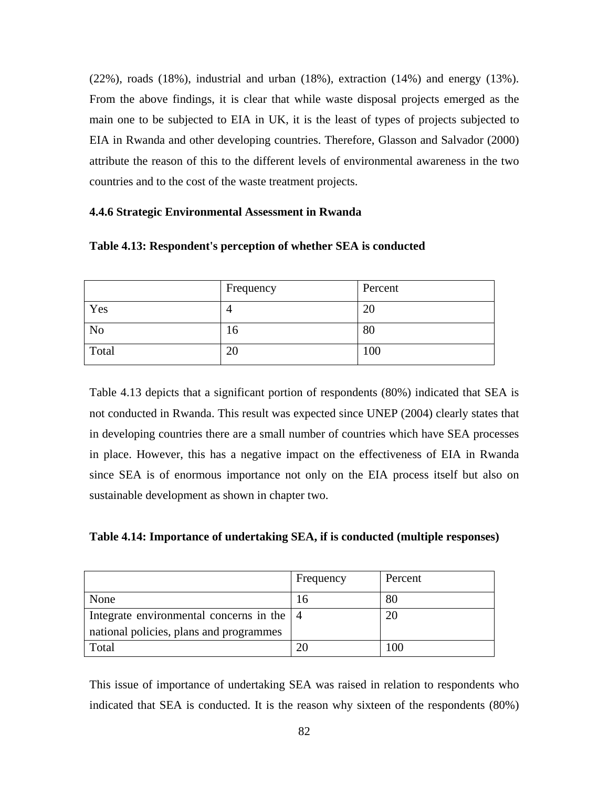(22%), roads (18%), industrial and urban (18%), extraction (14%) and energy (13%). From the above findings, it is clear that while waste disposal projects emerged as the main one to be subjected to EIA in UK, it is the least of types of projects subjected to EIA in Rwanda and other developing countries. Therefore, Glasson and Salvador (2000) attribute the reason of this to the different levels of environmental awareness in the two countries and to the cost of the waste treatment projects.

#### **4.4.6 Strategic Environmental Assessment in Rwanda**

|                | Frequency | Percent |
|----------------|-----------|---------|
| Yes            | 4         | 20      |
| N <sub>o</sub> | 10        | 80      |
| Total          | 20        | 100     |

**Table 4.13: Respondent's perception of whether SEA is conducted** 

Table 4.13 depicts that a significant portion of respondents (80%) indicated that SEA is not conducted in Rwanda. This result was expected since UNEP (2004) clearly states that in developing countries there are a small number of countries which have SEA processes in place. However, this has a negative impact on the effectiveness of EIA in Rwanda since SEA is of enormous importance not only on the EIA process itself but also on sustainable development as shown in chapter two.

**Table 4.14: Importance of undertaking SEA, if is conducted (multiple responses)** 

|                                                           | Frequency | Percent  |
|-----------------------------------------------------------|-----------|----------|
| None                                                      | Iб        | 80       |
| Integrate environmental concerns in the $\vert 4 \rangle$ |           | 20       |
| national policies, plans and programmes                   |           |          |
| Total                                                     |           | $\Omega$ |

This issue of importance of undertaking SEA was raised in relation to respondents who indicated that SEA is conducted. It is the reason why sixteen of the respondents (80%)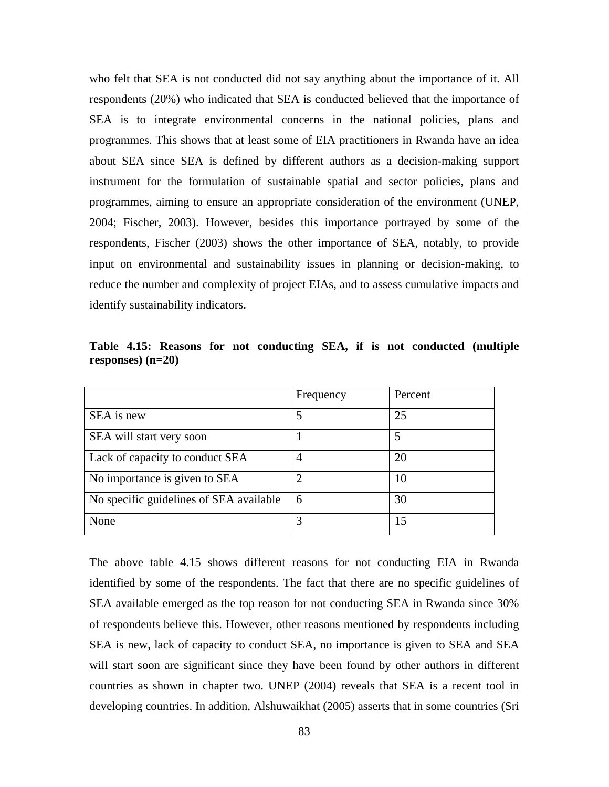who felt that SEA is not conducted did not say anything about the importance of it. All respondents (20%) who indicated that SEA is conducted believed that the importance of SEA is to integrate environmental concerns in the national policies, plans and programmes. This shows that at least some of EIA practitioners in Rwanda have an idea about SEA since SEA is defined by different authors as a decision-making support instrument for the formulation of sustainable spatial and sector policies, plans and programmes, aiming to ensure an appropriate consideration of the environment (UNEP, 2004; Fischer, 2003). However, besides this importance portrayed by some of the respondents, Fischer (2003) shows the other importance of SEA, notably, to provide input on environmental and sustainability issues in planning or decision-making, to reduce the number and complexity of project EIAs, and to assess cumulative impacts and identify sustainability indicators.

|                                         | Frequency | Percent |
|-----------------------------------------|-----------|---------|
| SEA is new                              |           | 25      |
| SEA will start very soon                |           |         |
| Lack of capacity to conduct SEA         | 4         | 20      |
| No importance is given to SEA           |           | 10      |
| No specific guidelines of SEA available | 6         | 30      |
| None                                    |           | 15      |

**Table 4.15: Reasons for not conducting SEA, if is not conducted (multiple responses) (n=20)** 

The above table 4.15 shows different reasons for not conducting EIA in Rwanda identified by some of the respondents. The fact that there are no specific guidelines of SEA available emerged as the top reason for not conducting SEA in Rwanda since 30% of respondents believe this. However, other reasons mentioned by respondents including SEA is new, lack of capacity to conduct SEA, no importance is given to SEA and SEA will start soon are significant since they have been found by other authors in different countries as shown in chapter two. UNEP (2004) reveals that SEA is a recent tool in developing countries. In addition, Alshuwaikhat (2005) asserts that in some countries (Sri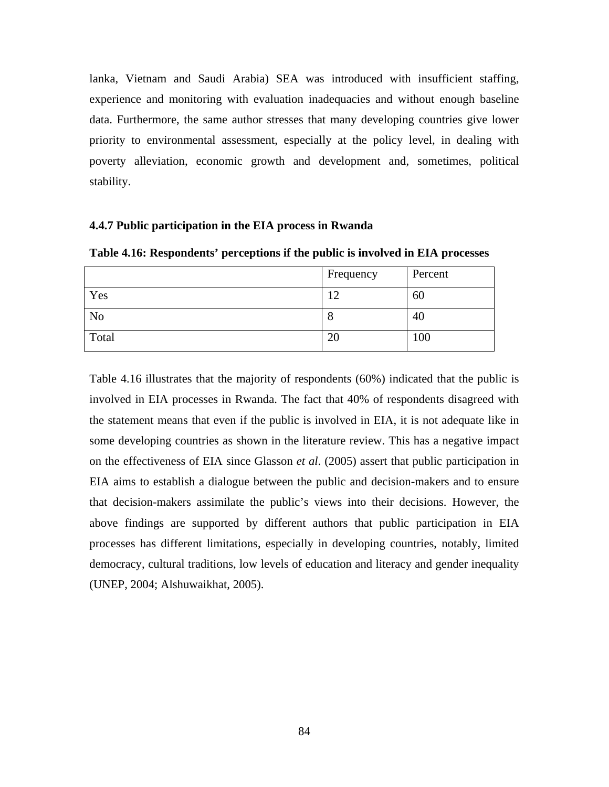lanka, Vietnam and Saudi Arabia) SEA was introduced with insufficient staffing, experience and monitoring with evaluation inadequacies and without enough baseline data. Furthermore, the same author stresses that many developing countries give lower priority to environmental assessment, especially at the policy level, in dealing with poverty alleviation, economic growth and development and, sometimes, political stability.

### **4.4.7 Public participation in the EIA process in Rwanda**

**Table 4.16: Respondents' perceptions if the public is involved in EIA processes** 

|                | Frequency | Percent |
|----------------|-----------|---------|
| Yes            | ി<br>ے    | 60      |
| N <sub>o</sub> | О         | 40      |
| Total          | 20        | 100     |

Table 4.16 illustrates that the majority of respondents (60%) indicated that the public is involved in EIA processes in Rwanda. The fact that 40% of respondents disagreed with the statement means that even if the public is involved in EIA, it is not adequate like in some developing countries as shown in the literature review. This has a negative impact on the effectiveness of EIA since Glasson *et al*. (2005) assert that public participation in EIA aims to establish a dialogue between the public and decision-makers and to ensure that decision-makers assimilate the public's views into their decisions. However, the above findings are supported by different authors that public participation in EIA processes has different limitations, especially in developing countries, notably, limited democracy, cultural traditions, low levels of education and literacy and gender inequality (UNEP, 2004; Alshuwaikhat, 2005).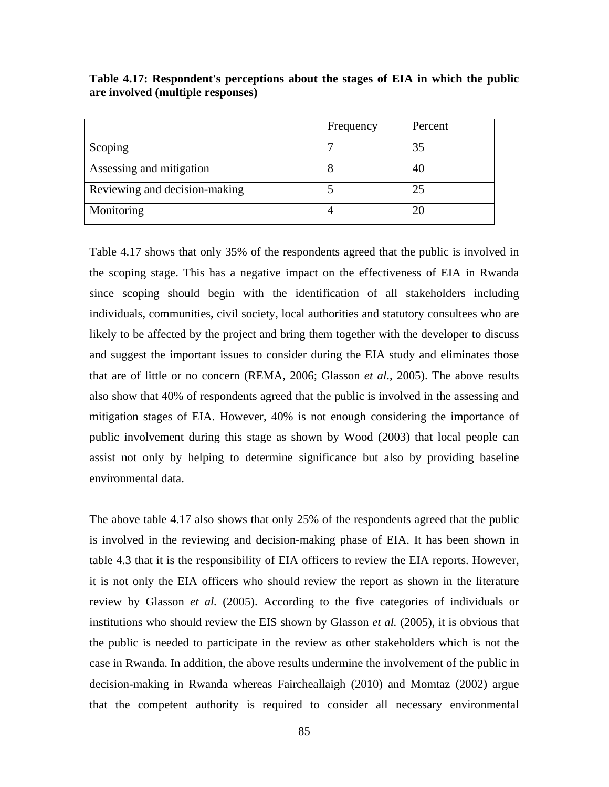|                               | Frequency | Percent |
|-------------------------------|-----------|---------|
| Scoping                       |           | 35      |
| Assessing and mitigation      |           | 40      |
| Reviewing and decision-making |           | 25      |
| Monitoring                    |           |         |

**Table 4.17: Respondent's perceptions about the stages of EIA in which the public are involved (multiple responses)** 

Table 4.17 shows that only 35% of the respondents agreed that the public is involved in the scoping stage. This has a negative impact on the effectiveness of EIA in Rwanda since scoping should begin with the identification of all stakeholders including individuals, communities, civil society, local authorities and statutory consultees who are likely to be affected by the project and bring them together with the developer to discuss and suggest the important issues to consider during the EIA study and eliminates those that are of little or no concern (REMA, 2006; Glasson *et al*., 2005). The above results also show that 40% of respondents agreed that the public is involved in the assessing and mitigation stages of EIA. However, 40% is not enough considering the importance of public involvement during this stage as shown by Wood (2003) that local people can assist not only by helping to determine significance but also by providing baseline environmental data.

The above table 4.17 also shows that only 25% of the respondents agreed that the public is involved in the reviewing and decision-making phase of EIA. It has been shown in table 4.3 that it is the responsibility of EIA officers to review the EIA reports. However, it is not only the EIA officers who should review the report as shown in the literature review by Glasson *et al.* (2005). According to the five categories of individuals or institutions who should review the EIS shown by Glasson *et al.* (2005), it is obvious that the public is needed to participate in the review as other stakeholders which is not the case in Rwanda. In addition, the above results undermine the involvement of the public in decision-making in Rwanda whereas Faircheallaigh (2010) and Momtaz (2002) argue that the competent authority is required to consider all necessary environmental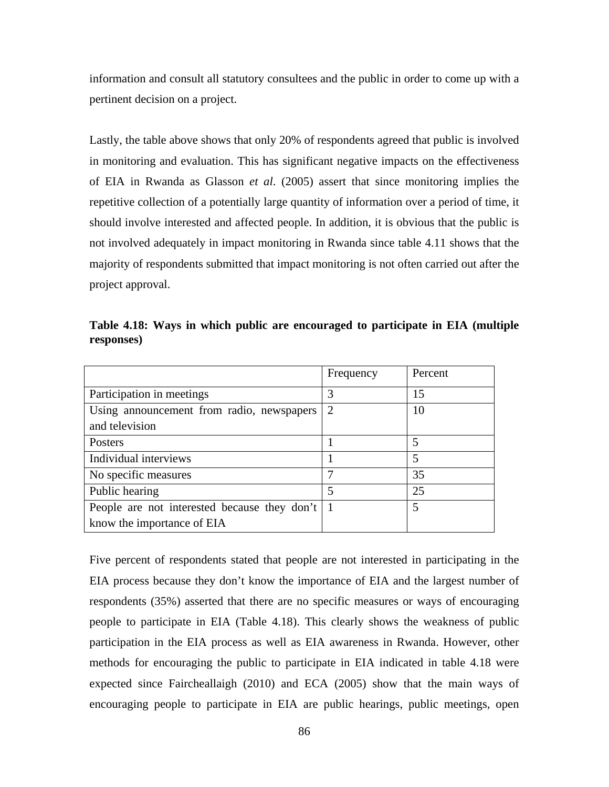information and consult all statutory consultees and the public in order to come up with a pertinent decision on a project.

Lastly, the table above shows that only 20% of respondents agreed that public is involved in monitoring and evaluation. This has significant negative impacts on the effectiveness of EIA in Rwanda as Glasson *et al*. (2005) assert that since monitoring implies the repetitive collection of a potentially large quantity of information over a period of time, it should involve interested and affected people. In addition, it is obvious that the public is not involved adequately in impact monitoring in Rwanda since table 4.11 shows that the majority of respondents submitted that impact monitoring is not often carried out after the project approval.

|                                           | Frequency                   | Percent |
|-------------------------------------------|-----------------------------|---------|
| Participation in meetings                 |                             | 15      |
| Using announcement from radio, newspapers | $\mathcal{D}_{\mathcal{L}}$ | 10      |
| and television                            |                             |         |
| Posters                                   |                             |         |
| Individual interviews                     |                             |         |
| No specific measures                      |                             | 35      |

Public hearing  $\begin{array}{ccc} 5 & 25 \end{array}$ 

People are not interested because they don't

know the importance of EIA

**Table 4.18: Ways in which public are encouraged to participate in EIA (multiple responses)** 

Five percent of respondents stated that people are not interested in participating in the EIA process because they don't know the importance of EIA and the largest number of respondents (35%) asserted that there are no specific measures or ways of encouraging people to participate in EIA (Table 4.18). This clearly shows the weakness of public participation in the EIA process as well as EIA awareness in Rwanda. However, other methods for encouraging the public to participate in EIA indicated in table 4.18 were expected since Faircheallaigh (2010) and ECA (2005) show that the main ways of encouraging people to participate in EIA are public hearings, public meetings, open

1 5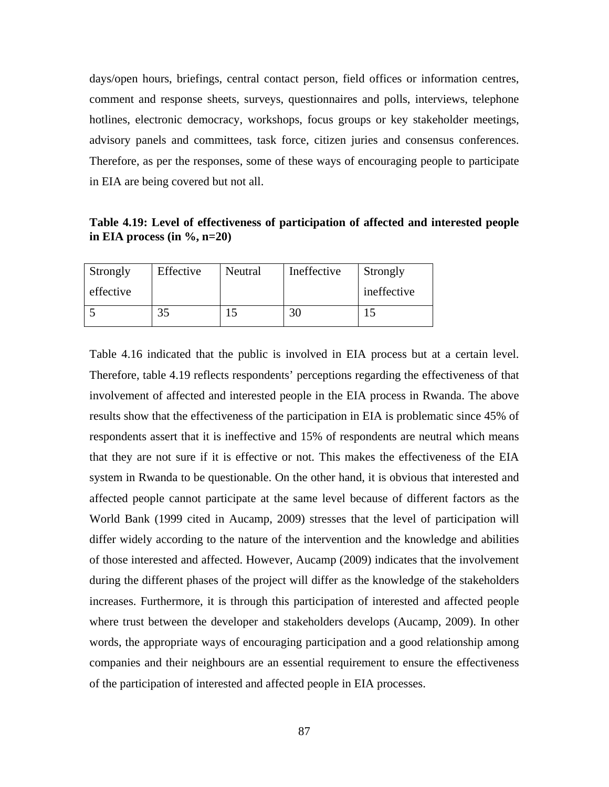days/open hours, briefings, central contact person, field offices or information centres, comment and response sheets, surveys, questionnaires and polls, interviews, telephone hotlines, electronic democracy, workshops, focus groups or key stakeholder meetings, advisory panels and committees, task force, citizen juries and consensus conferences. Therefore, as per the responses, some of these ways of encouraging people to participate in EIA are being covered but not all.

**Table 4.19: Level of effectiveness of participation of affected and interested people in EIA process (in %, n=20)** 

| Strongly  | Effective | Neutral | Ineffective | Strongly    |
|-----------|-----------|---------|-------------|-------------|
| effective |           |         |             | ineffective |
|           | 35        |         | 30          |             |

Table 4.16 indicated that the public is involved in EIA process but at a certain level. Therefore, table 4.19 reflects respondents' perceptions regarding the effectiveness of that involvement of affected and interested people in the EIA process in Rwanda. The above results show that the effectiveness of the participation in EIA is problematic since 45% of respondents assert that it is ineffective and 15% of respondents are neutral which means that they are not sure if it is effective or not. This makes the effectiveness of the EIA system in Rwanda to be questionable. On the other hand, it is obvious that interested and affected people cannot participate at the same level because of different factors as the World Bank (1999 cited in Aucamp, 2009) stresses that the level of participation will differ widely according to the nature of the intervention and the knowledge and abilities of those interested and affected. However, Aucamp (2009) indicates that the involvement during the different phases of the project will differ as the knowledge of the stakeholders increases. Furthermore, it is through this participation of interested and affected people where trust between the developer and stakeholders develops (Aucamp, 2009). In other words, the appropriate ways of encouraging participation and a good relationship among companies and their neighbours are an essential requirement to ensure the effectiveness of the participation of interested and affected people in EIA processes.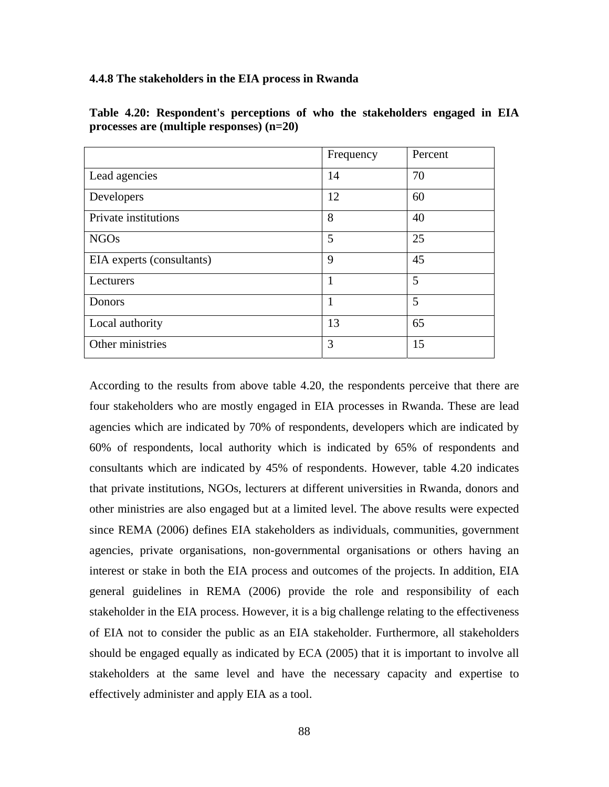## **4.4.8 The stakeholders in the EIA process in Rwanda**

|                           | Frequency | Percent |
|---------------------------|-----------|---------|
| Lead agencies             | 14        | 70      |
| Developers                | 12        | 60      |
| Private institutions      | 8         | 40      |
| <b>NGOs</b>               | 5         | 25      |
| EIA experts (consultants) | 9         | 45      |
| Lecturers                 |           | 5       |
| Donors                    | 1         | 5       |
| Local authority           | 13        | 65      |
| Other ministries          | 3         | 15      |

**Table 4.20: Respondent's perceptions of who the stakeholders engaged in EIA processes are (multiple responses) (n=20)** 

According to the results from above table 4.20, the respondents perceive that there are four stakeholders who are mostly engaged in EIA processes in Rwanda. These are lead agencies which are indicated by 70% of respondents, developers which are indicated by 60% of respondents, local authority which is indicated by 65% of respondents and consultants which are indicated by 45% of respondents. However, table 4.20 indicates that private institutions, NGOs, lecturers at different universities in Rwanda, donors and other ministries are also engaged but at a limited level. The above results were expected since REMA (2006) defines EIA stakeholders as individuals, communities, government agencies, private organisations, non-governmental organisations or others having an interest or stake in both the EIA process and outcomes of the projects. In addition, EIA general guidelines in REMA (2006) provide the role and responsibility of each stakeholder in the EIA process. However, it is a big challenge relating to the effectiveness of EIA not to consider the public as an EIA stakeholder. Furthermore, all stakeholders should be engaged equally as indicated by ECA (2005) that it is important to involve all stakeholders at the same level and have the necessary capacity and expertise to effectively administer and apply EIA as a tool.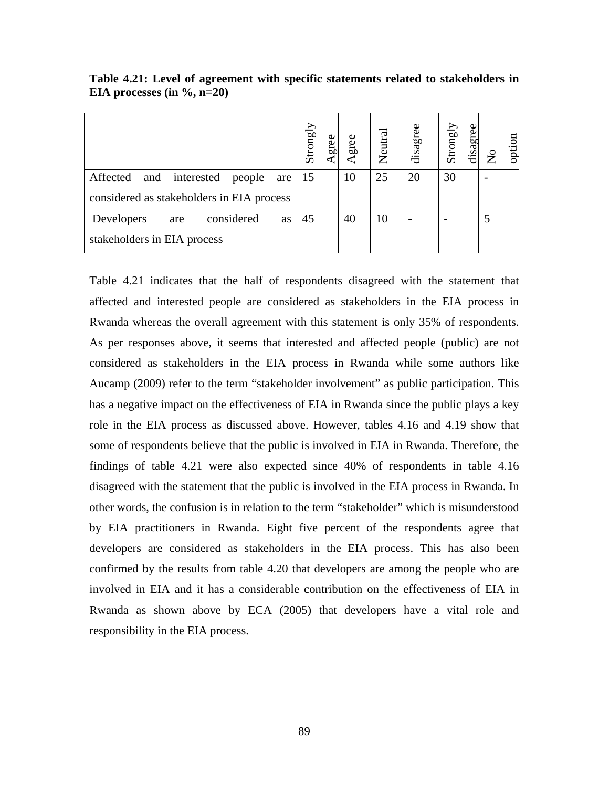|                                                                                             | Strongly<br>gree | Agree | Neutral | disagree | Strongly<br>disagree | option<br>$\overline{S}$ |
|---------------------------------------------------------------------------------------------|------------------|-------|---------|----------|----------------------|--------------------------|
| Affected<br>interested<br>and<br>people<br>are<br>considered as stakeholders in EIA process | -15              | 10    | 25      | 20       | 30                   |                          |
|                                                                                             |                  |       |         |          |                      |                          |
| considered<br>Developers<br>as<br>are                                                       | 45               | 40    | 10      |          |                      |                          |
| stakeholders in EIA process                                                                 |                  |       |         |          |                      |                          |

**Table 4.21: Level of agreement with specific statements related to stakeholders in EIA processes (in %, n=20)** 

Table 4.21 indicates that the half of respondents disagreed with the statement that affected and interested people are considered as stakeholders in the EIA process in Rwanda whereas the overall agreement with this statement is only 35% of respondents. As per responses above, it seems that interested and affected people (public) are not considered as stakeholders in the EIA process in Rwanda while some authors like Aucamp (2009) refer to the term "stakeholder involvement" as public participation. This has a negative impact on the effectiveness of EIA in Rwanda since the public plays a key role in the EIA process as discussed above. However, tables 4.16 and 4.19 show that some of respondents believe that the public is involved in EIA in Rwanda. Therefore, the findings of table 4.21 were also expected since 40% of respondents in table 4.16 disagreed with the statement that the public is involved in the EIA process in Rwanda. In other words, the confusion is in relation to the term "stakeholder" which is misunderstood by EIA practitioners in Rwanda. Eight five percent of the respondents agree that developers are considered as stakeholders in the EIA process. This has also been confirmed by the results from table 4.20 that developers are among the people who are involved in EIA and it has a considerable contribution on the effectiveness of EIA in Rwanda as shown above by ECA (2005) that developers have a vital role and responsibility in the EIA process.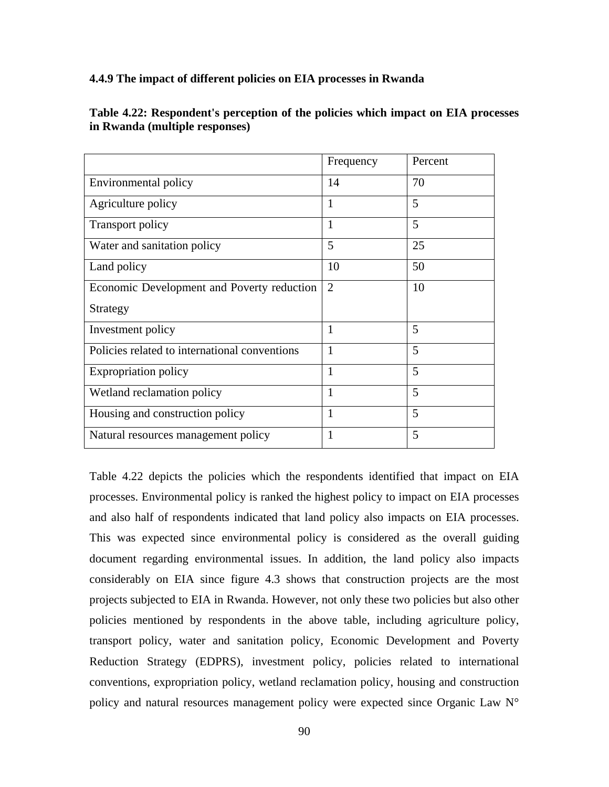## **4.4.9 The impact of different policies on EIA processes in Rwanda**

Investment policy 1 5

Policies related to international conventions 1 5

Expropriation policy 1 5

Wetland reclamation policy  $\begin{array}{|c|c|c|c|c|} \hline 1 & 1 & 5 \ \hline \end{array}$ 

Housing and construction policy  $\begin{array}{|c|c|c|c|c|} \hline 1 & 1 & 5 \ \hline \end{array}$ 

Natural resources management policy 1

Strategy

|                                            | Frequency      | Percent |
|--------------------------------------------|----------------|---------|
| Environmental policy                       | 14             | 70      |
| Agriculture policy                         |                | 5       |
| Transport policy                           |                | 5       |
| Water and sanitation policy                | 5              | 25      |
| Land policy                                | 10             | 50      |
| Economic Development and Poverty reduction | $\overline{2}$ | 10      |

**Table 4.22: Respondent's perception of the policies which impact on EIA processes in Rwanda (multiple responses)** 

Table 4.22 depicts the policies which the respondents identified that impact on EIA processes. Environmental policy is ranked the highest policy to impact on EIA processes and also half of respondents indicated that land policy also impacts on EIA processes. This was expected since environmental policy is considered as the overall guiding document regarding environmental issues. In addition, the land policy also impacts considerably on EIA since figure 4.3 shows that construction projects are the most projects subjected to EIA in Rwanda. However, not only these two policies but also other policies mentioned by respondents in the above table, including agriculture policy, transport policy, water and sanitation policy, Economic Development and Poverty Reduction Strategy (EDPRS), investment policy, policies related to international conventions, expropriation policy, wetland reclamation policy, housing and construction policy and natural resources management policy were expected since Organic Law N°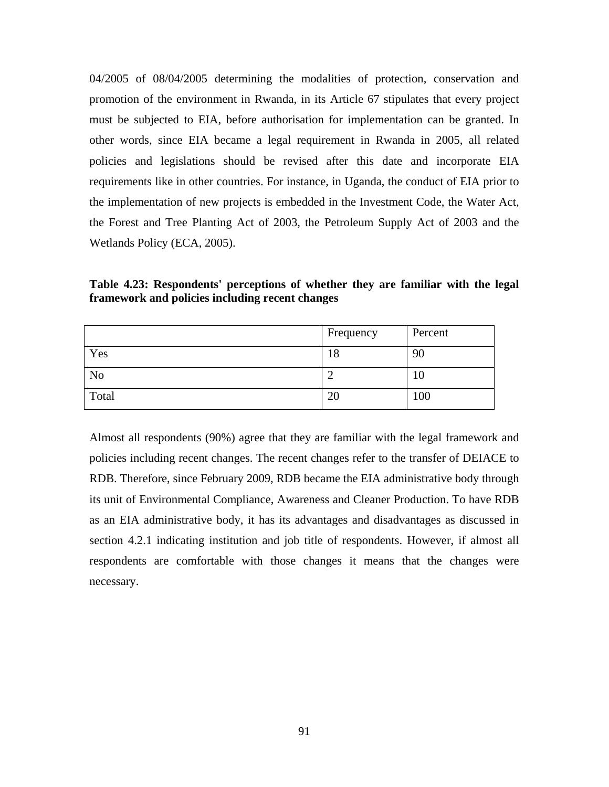04/2005 of 08/04/2005 determining the modalities of protection, conservation and promotion of the environment in Rwanda, in its Article 67 stipulates that every project must be subjected to EIA, before authorisation for implementation can be granted. In other words, since EIA became a legal requirement in Rwanda in 2005, all related policies and legislations should be revised after this date and incorporate EIA requirements like in other countries. For instance, in Uganda, the conduct of EIA prior to the implementation of new projects is embedded in the Investment Code, the Water Act, the Forest and Tree Planting Act of 2003, the Petroleum Supply Act of 2003 and the Wetlands Policy (ECA, 2005).

**Table 4.23: Respondents' perceptions of whether they are familiar with the legal framework and policies including recent changes** 

|                | Frequency | Percent |
|----------------|-----------|---------|
| Yes            | 18        | 90      |
| N <sub>o</sub> |           | 10      |
| Total          | 20        | 100     |

Almost all respondents (90%) agree that they are familiar with the legal framework and policies including recent changes. The recent changes refer to the transfer of DEIACE to RDB. Therefore, since February 2009, RDB became the EIA administrative body through its unit of Environmental Compliance, Awareness and Cleaner Production. To have RDB as an EIA administrative body, it has its advantages and disadvantages as discussed in section 4.2.1 indicating institution and job title of respondents. However, if almost all respondents are comfortable with those changes it means that the changes were necessary.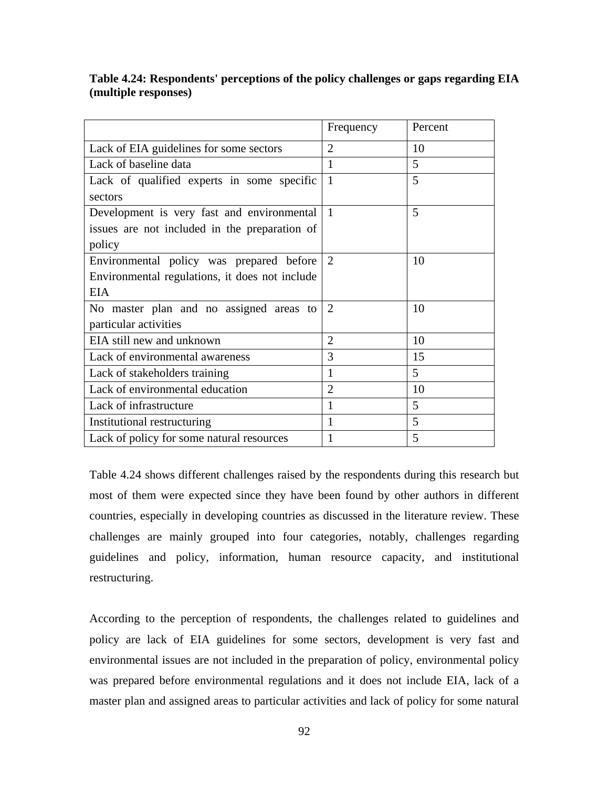# **Table 4.24: Respondents' perceptions of the policy challenges or gaps regarding EIA (multiple responses)**

|                                                | Frequency      | Percent |
|------------------------------------------------|----------------|---------|
| Lack of EIA guidelines for some sectors        | $\overline{2}$ | 10      |
| Lack of baseline data                          | $\mathbf{1}$   | 5       |
| Lack of qualified experts in some specific     | 1              | 5       |
| sectors                                        |                |         |
| Development is very fast and environmental     | 1              | 5       |
| issues are not included in the preparation of  |                |         |
| policy                                         |                |         |
| Environmental policy was prepared before       | 2              | 10      |
| Environmental regulations, it does not include |                |         |
| <b>EIA</b>                                     |                |         |
| No master plan and no assigned areas to        | $\overline{2}$ | 10      |
| particular activities                          |                |         |
| EIA still new and unknown                      | $\overline{2}$ | 10      |
| Lack of environmental awareness                | 3              | 15      |
| Lack of stakeholders training                  | 1              | 5       |
| Lack of environmental education                | $\overline{2}$ | 10      |
| Lack of infrastructure                         | 1              | 5       |
| Institutional restructuring                    | 1              | 5       |
| Lack of policy for some natural resources      | 1              | 5       |

Table 4.24 shows different challenges raised by the respondents during this research but most of them were expected since they have been found by other authors in different countries, especially in developing countries as discussed in the literature review. These challenges are mainly grouped into four categories, notably, challenges regarding guidelines and policy, information, human resource capacity, and institutional restructuring.

According to the perception of respondents, the challenges related to guidelines and policy are lack of EIA guidelines for some sectors, development is very fast and environmental issues are not included in the preparation of policy, environmental policy was prepared before environmental regulations and it does not include EIA, lack of a master plan and assigned areas to particular activities and lack of policy for some natural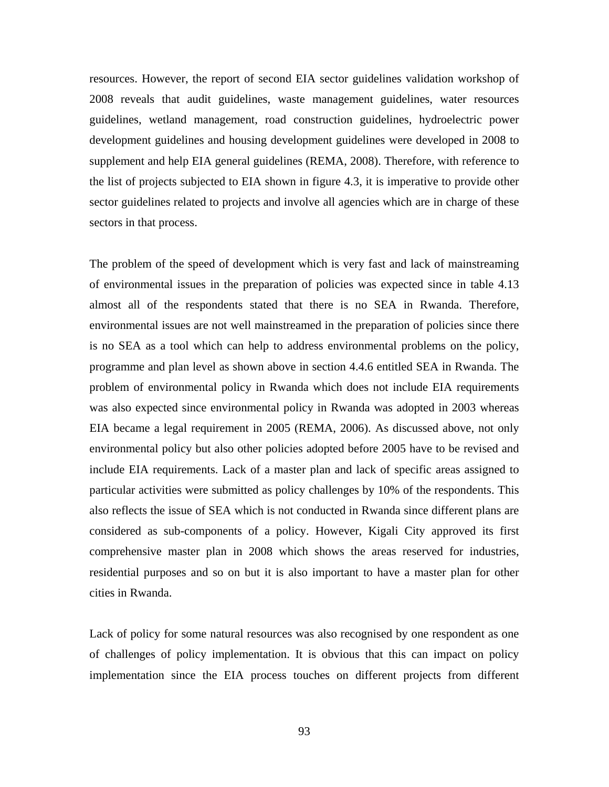resources. However, the report of second EIA sector guidelines validation workshop of 2008 reveals that audit guidelines, waste management guidelines, water resources guidelines, wetland management, road construction guidelines, hydroelectric power development guidelines and housing development guidelines were developed in 2008 to supplement and help EIA general guidelines (REMA, 2008). Therefore, with reference to the list of projects subjected to EIA shown in figure 4.3, it is imperative to provide other sector guidelines related to projects and involve all agencies which are in charge of these sectors in that process.

The problem of the speed of development which is very fast and lack of mainstreaming of environmental issues in the preparation of policies was expected since in table 4.13 almost all of the respondents stated that there is no SEA in Rwanda. Therefore, environmental issues are not well mainstreamed in the preparation of policies since there is no SEA as a tool which can help to address environmental problems on the policy, programme and plan level as shown above in section 4.4.6 entitled SEA in Rwanda. The problem of environmental policy in Rwanda which does not include EIA requirements was also expected since environmental policy in Rwanda was adopted in 2003 whereas EIA became a legal requirement in 2005 (REMA, 2006). As discussed above, not only environmental policy but also other policies adopted before 2005 have to be revised and include EIA requirements. Lack of a master plan and lack of specific areas assigned to particular activities were submitted as policy challenges by 10% of the respondents. This also reflects the issue of SEA which is not conducted in Rwanda since different plans are considered as sub-components of a policy. However, Kigali City approved its first comprehensive master plan in 2008 which shows the areas reserved for industries, residential purposes and so on but it is also important to have a master plan for other cities in Rwanda.

Lack of policy for some natural resources was also recognised by one respondent as one of challenges of policy implementation. It is obvious that this can impact on policy implementation since the EIA process touches on different projects from different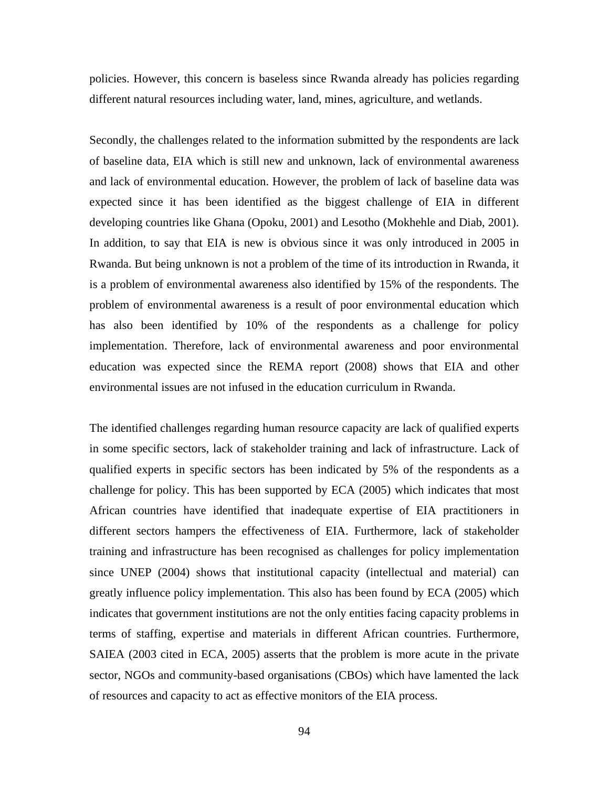policies. However, this concern is baseless since Rwanda already has policies regarding different natural resources including water, land, mines, agriculture, and wetlands.

Secondly, the challenges related to the information submitted by the respondents are lack of baseline data, EIA which is still new and unknown, lack of environmental awareness and lack of environmental education. However, the problem of lack of baseline data was expected since it has been identified as the biggest challenge of EIA in different developing countries like Ghana (Opoku, 2001) and Lesotho (Mokhehle and Diab, 2001). In addition, to say that EIA is new is obvious since it was only introduced in 2005 in Rwanda. But being unknown is not a problem of the time of its introduction in Rwanda, it is a problem of environmental awareness also identified by 15% of the respondents. The problem of environmental awareness is a result of poor environmental education which has also been identified by 10% of the respondents as a challenge for policy implementation. Therefore, lack of environmental awareness and poor environmental education was expected since the REMA report (2008) shows that EIA and other environmental issues are not infused in the education curriculum in Rwanda.

The identified challenges regarding human resource capacity are lack of qualified experts in some specific sectors, lack of stakeholder training and lack of infrastructure. Lack of qualified experts in specific sectors has been indicated by 5% of the respondents as a challenge for policy. This has been supported by ECA (2005) which indicates that most African countries have identified that inadequate expertise of EIA practitioners in different sectors hampers the effectiveness of EIA. Furthermore, lack of stakeholder training and infrastructure has been recognised as challenges for policy implementation since UNEP (2004) shows that institutional capacity (intellectual and material) can greatly influence policy implementation. This also has been found by ECA (2005) which indicates that government institutions are not the only entities facing capacity problems in terms of staffing, expertise and materials in different African countries. Furthermore, SAIEA (2003 cited in ECA, 2005) asserts that the problem is more acute in the private sector, NGOs and community-based organisations (CBOs) which have lamented the lack of resources and capacity to act as effective monitors of the EIA process.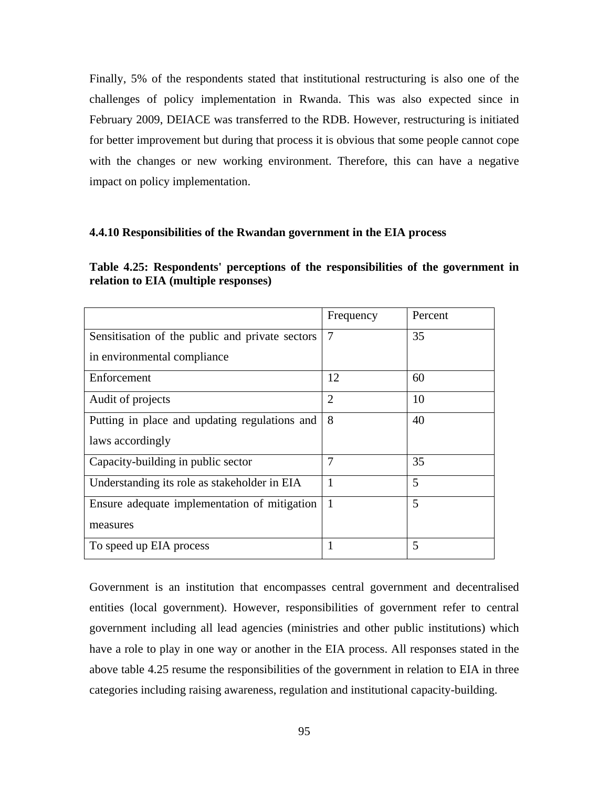Finally, 5% of the respondents stated that institutional restructuring is also one of the challenges of policy implementation in Rwanda. This was also expected since in February 2009, DEIACE was transferred to the RDB. However, restructuring is initiated for better improvement but during that process it is obvious that some people cannot cope with the changes or new working environment. Therefore, this can have a negative impact on policy implementation.

#### **4.4.10 Responsibilities of the Rwandan government in the EIA process**

| Table 4.25: Respondents' perceptions of the responsibilities of the government in |  |  |  |
|-----------------------------------------------------------------------------------|--|--|--|
| relation to EIA (multiple responses)                                              |  |  |  |

|                                                 | Frequency      | Percent |
|-------------------------------------------------|----------------|---------|
| Sensitisation of the public and private sectors | $\overline{7}$ | 35      |
| in environmental compliance                     |                |         |
| Enforcement                                     | 12             | 60      |
| Audit of projects                               | $\overline{2}$ | 10      |
| Putting in place and updating regulations and   | 8              | 40      |
| laws accordingly                                |                |         |
| Capacity-building in public sector              | 7              | 35      |
| Understanding its role as stakeholder in EIA    | 1              | 5       |
| Ensure adequate implementation of mitigation    | 1              | 5       |
| measures                                        |                |         |
| To speed up EIA process                         |                | 5       |

Government is an institution that encompasses central government and decentralised entities (local government). However, responsibilities of government refer to central government including all lead agencies (ministries and other public institutions) which have a role to play in one way or another in the EIA process. All responses stated in the above table 4.25 resume the responsibilities of the government in relation to EIA in three categories including raising awareness, regulation and institutional capacity-building.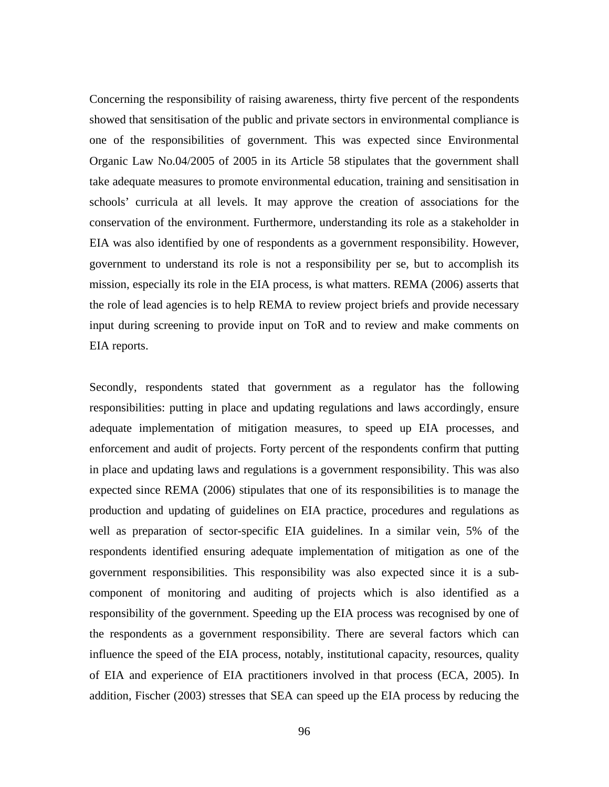Concerning the responsibility of raising awareness, thirty five percent of the respondents showed that sensitisation of the public and private sectors in environmental compliance is one of the responsibilities of government. This was expected since Environmental Organic Law No.04/2005 of 2005 in its Article 58 stipulates that the government shall take adequate measures to promote environmental education, training and sensitisation in schools' curricula at all levels. It may approve the creation of associations for the conservation of the environment. Furthermore, understanding its role as a stakeholder in EIA was also identified by one of respondents as a government responsibility. However, government to understand its role is not a responsibility per se, but to accomplish its mission, especially its role in the EIA process, is what matters. REMA (2006) asserts that the role of lead agencies is to help REMA to review project briefs and provide necessary input during screening to provide input on ToR and to review and make comments on EIA reports.

Secondly, respondents stated that government as a regulator has the following responsibilities: putting in place and updating regulations and laws accordingly, ensure adequate implementation of mitigation measures, to speed up EIA processes, and enforcement and audit of projects. Forty percent of the respondents confirm that putting in place and updating laws and regulations is a government responsibility. This was also expected since REMA (2006) stipulates that one of its responsibilities is to manage the production and updating of guidelines on EIA practice, procedures and regulations as well as preparation of sector-specific EIA guidelines. In a similar vein, 5% of the respondents identified ensuring adequate implementation of mitigation as one of the government responsibilities. This responsibility was also expected since it is a subcomponent of monitoring and auditing of projects which is also identified as a responsibility of the government. Speeding up the EIA process was recognised by one of the respondents as a government responsibility. There are several factors which can influence the speed of the EIA process, notably, institutional capacity, resources, quality of EIA and experience of EIA practitioners involved in that process (ECA, 2005). In addition, Fischer (2003) stresses that SEA can speed up the EIA process by reducing the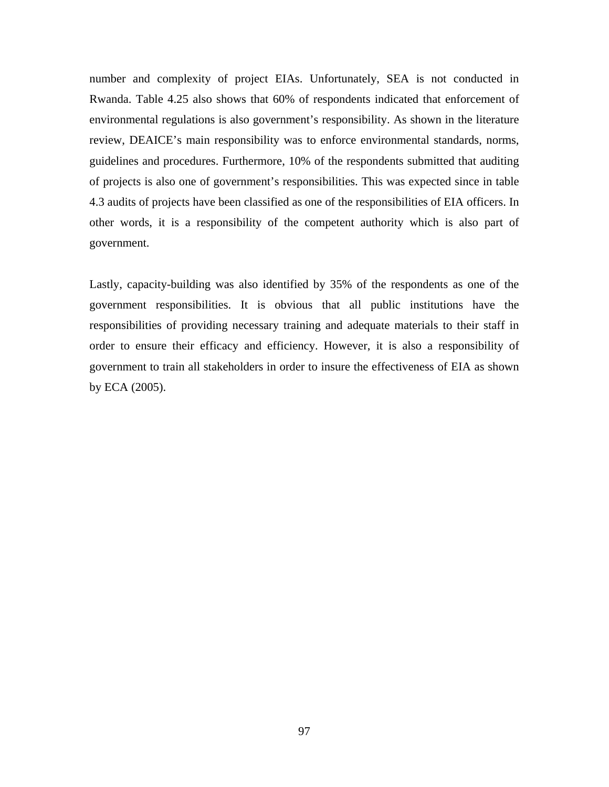number and complexity of project EIAs. Unfortunately, SEA is not conducted in Rwanda. Table 4.25 also shows that 60% of respondents indicated that enforcement of environmental regulations is also government's responsibility. As shown in the literature review, DEAICE's main responsibility was to enforce environmental standards, norms, guidelines and procedures. Furthermore, 10% of the respondents submitted that auditing of projects is also one of government's responsibilities. This was expected since in table 4.3 audits of projects have been classified as one of the responsibilities of EIA officers. In other words, it is a responsibility of the competent authority which is also part of government.

Lastly, capacity-building was also identified by 35% of the respondents as one of the government responsibilities. It is obvious that all public institutions have the responsibilities of providing necessary training and adequate materials to their staff in order to ensure their efficacy and efficiency. However, it is also a responsibility of government to train all stakeholders in order to insure the effectiveness of EIA as shown by ECA (2005).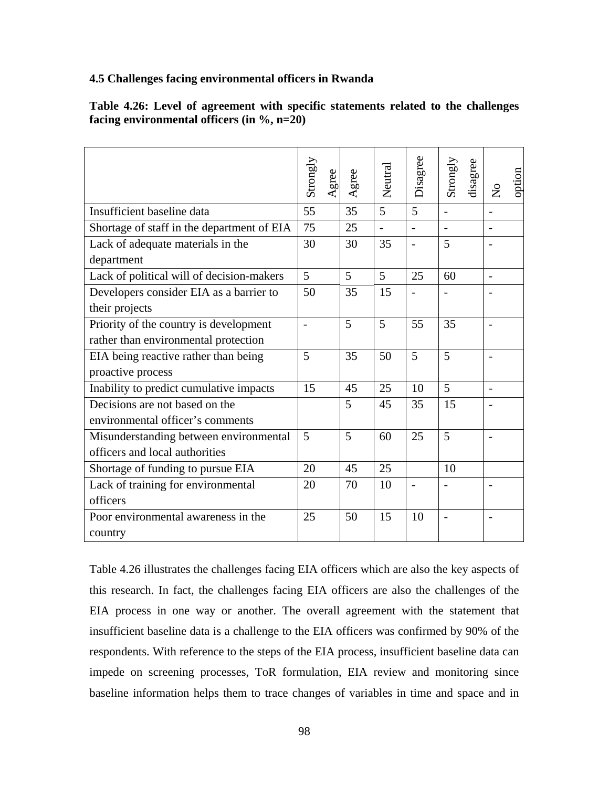## **4.5 Challenges facing environmental officers in Rwanda**

| Table 4.26: Level of agreement with specific statements related to the challenges |  |  |  |  |  |  |
|-----------------------------------------------------------------------------------|--|--|--|--|--|--|
| facing environmental officers (in $\%$ , n=20)                                    |  |  |  |  |  |  |

|                                            | Strongly<br>Agree | Agree | Neutral | Disagree       | Strongly<br>disagree | option<br>$\mathsf{S}^{\mathsf{O}}$ |
|--------------------------------------------|-------------------|-------|---------|----------------|----------------------|-------------------------------------|
| Insufficient baseline data                 | 55                | 35    | 5       | 5              | $\overline{a}$       |                                     |
| Shortage of staff in the department of EIA | 75                | 25    |         | $\overline{a}$ |                      | $\overline{a}$                      |
| Lack of adequate materials in the          | 30                | 30    | 35      |                | 5                    |                                     |
| department                                 |                   |       |         |                |                      |                                     |
| Lack of political will of decision-makers  | 5                 | 5     | 5       | 25             | 60                   |                                     |
| Developers consider EIA as a barrier to    | 50                | 35    | 15      |                |                      |                                     |
| their projects                             |                   |       |         |                |                      |                                     |
| Priority of the country is development     |                   | 5     | 5       | 55             | 35                   |                                     |
| rather than environmental protection       |                   |       |         |                |                      |                                     |
| EIA being reactive rather than being       | 5                 | 35    | 50      | 5              | 5                    |                                     |
| proactive process                          |                   |       |         |                |                      |                                     |
| Inability to predict cumulative impacts    | 15                | 45    | 25      | 10             | 5                    | $\overline{a}$                      |
| Decisions are not based on the             |                   | 5     | 45      | 35             | 15                   |                                     |
| environmental officer's comments           |                   |       |         |                |                      |                                     |
| Misunderstanding between environmental     | 5                 | 5     | 60      | 25             | 5                    |                                     |
| officers and local authorities             |                   |       |         |                |                      |                                     |
| Shortage of funding to pursue EIA          | 20                | 45    | 25      |                | 10                   |                                     |
| Lack of training for environmental         | 20                | 70    | 10      |                |                      |                                     |
| officers                                   |                   |       |         |                |                      |                                     |
| Poor environmental awareness in the        | 25                | 50    | 15      | 10             | $\overline{a}$       |                                     |
| country                                    |                   |       |         |                |                      |                                     |

Table 4.26 illustrates the challenges facing EIA officers which are also the key aspects of this research. In fact, the challenges facing EIA officers are also the challenges of the EIA process in one way or another. The overall agreement with the statement that insufficient baseline data is a challenge to the EIA officers was confirmed by 90% of the respondents. With reference to the steps of the EIA process, insufficient baseline data can impede on screening processes, ToR formulation, EIA review and monitoring since baseline information helps them to trace changes of variables in time and space and in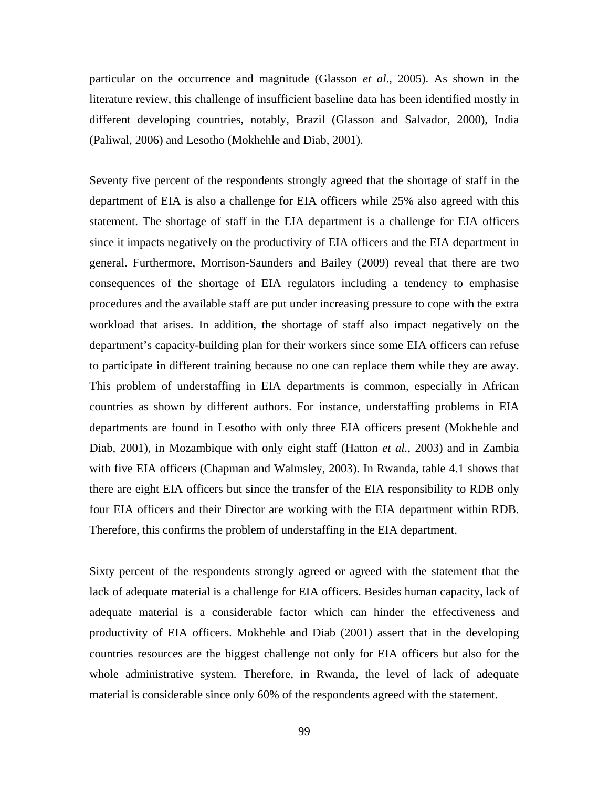particular on the occurrence and magnitude (Glasson *et al*., 2005). As shown in the literature review, this challenge of insufficient baseline data has been identified mostly in different developing countries, notably, Brazil (Glasson and Salvador, 2000), India (Paliwal, 2006) and Lesotho (Mokhehle and Diab, 2001).

Seventy five percent of the respondents strongly agreed that the shortage of staff in the department of EIA is also a challenge for EIA officers while 25% also agreed with this statement. The shortage of staff in the EIA department is a challenge for EIA officers since it impacts negatively on the productivity of EIA officers and the EIA department in general. Furthermore, Morrison-Saunders and Bailey (2009) reveal that there are two consequences of the shortage of EIA regulators including a tendency to emphasise procedures and the available staff are put under increasing pressure to cope with the extra workload that arises. In addition, the shortage of staff also impact negatively on the department's capacity-building plan for their workers since some EIA officers can refuse to participate in different training because no one can replace them while they are away. This problem of understaffing in EIA departments is common, especially in African countries as shown by different authors. For instance, understaffing problems in EIA departments are found in Lesotho with only three EIA officers present (Mokhehle and Diab, 2001), in Mozambique with only eight staff (Hatton *et al.*, 2003) and in Zambia with five EIA officers (Chapman and Walmsley, 2003). In Rwanda, table 4.1 shows that there are eight EIA officers but since the transfer of the EIA responsibility to RDB only four EIA officers and their Director are working with the EIA department within RDB. Therefore, this confirms the problem of understaffing in the EIA department.

Sixty percent of the respondents strongly agreed or agreed with the statement that the lack of adequate material is a challenge for EIA officers. Besides human capacity, lack of adequate material is a considerable factor which can hinder the effectiveness and productivity of EIA officers. Mokhehle and Diab (2001) assert that in the developing countries resources are the biggest challenge not only for EIA officers but also for the whole administrative system. Therefore, in Rwanda, the level of lack of adequate material is considerable since only 60% of the respondents agreed with the statement.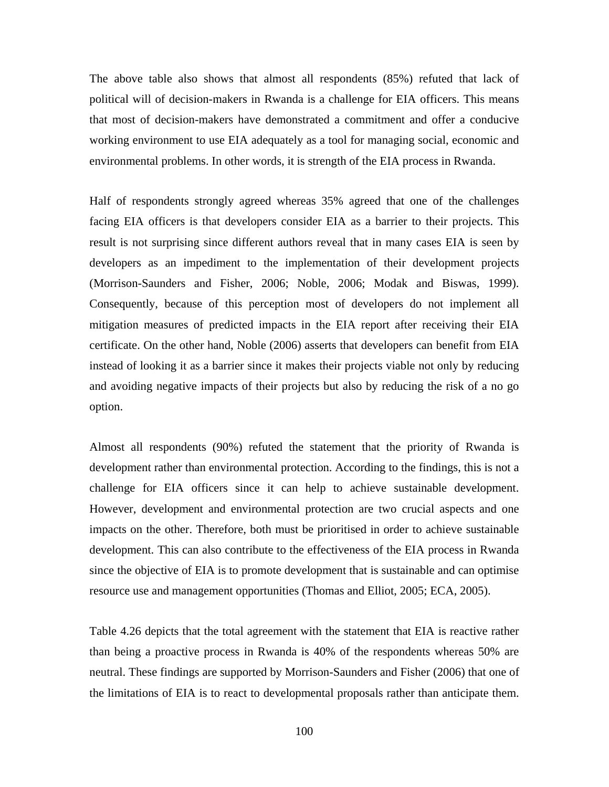The above table also shows that almost all respondents (85%) refuted that lack of political will of decision-makers in Rwanda is a challenge for EIA officers. This means that most of decision-makers have demonstrated a commitment and offer a conducive working environment to use EIA adequately as a tool for managing social, economic and environmental problems. In other words, it is strength of the EIA process in Rwanda.

Half of respondents strongly agreed whereas 35% agreed that one of the challenges facing EIA officers is that developers consider EIA as a barrier to their projects. This result is not surprising since different authors reveal that in many cases EIA is seen by developers as an impediment to the implementation of their development projects (Morrison-Saunders and Fisher, 2006; Noble, 2006; Modak and Biswas, 1999). Consequently, because of this perception most of developers do not implement all mitigation measures of predicted impacts in the EIA report after receiving their EIA certificate. On the other hand, Noble (2006) asserts that developers can benefit from EIA instead of looking it as a barrier since it makes their projects viable not only by reducing and avoiding negative impacts of their projects but also by reducing the risk of a no go option.

Almost all respondents (90%) refuted the statement that the priority of Rwanda is development rather than environmental protection. According to the findings, this is not a challenge for EIA officers since it can help to achieve sustainable development. However, development and environmental protection are two crucial aspects and one impacts on the other. Therefore, both must be prioritised in order to achieve sustainable development. This can also contribute to the effectiveness of the EIA process in Rwanda since the objective of EIA is to promote development that is sustainable and can optimise resource use and management opportunities (Thomas and Elliot, 2005; ECA, 2005).

Table 4.26 depicts that the total agreement with the statement that EIA is reactive rather than being a proactive process in Rwanda is 40% of the respondents whereas 50% are neutral. These findings are supported by Morrison-Saunders and Fisher (2006) that one of the limitations of EIA is to react to developmental proposals rather than anticipate them.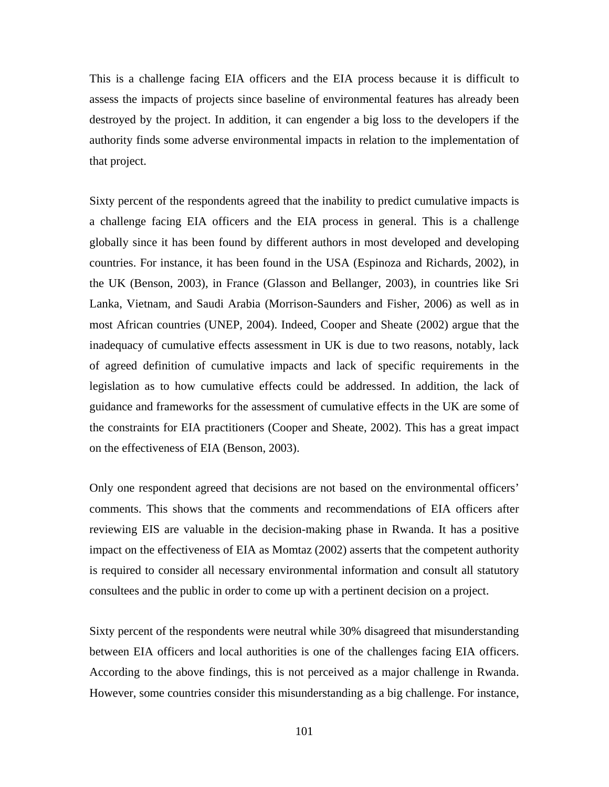This is a challenge facing EIA officers and the EIA process because it is difficult to assess the impacts of projects since baseline of environmental features has already been destroyed by the project. In addition, it can engender a big loss to the developers if the authority finds some adverse environmental impacts in relation to the implementation of that project.

Sixty percent of the respondents agreed that the inability to predict cumulative impacts is a challenge facing EIA officers and the EIA process in general. This is a challenge globally since it has been found by different authors in most developed and developing countries. For instance, it has been found in the USA (Espinoza and Richards, 2002), in the UK (Benson, 2003), in France (Glasson and Bellanger, 2003), in countries like Sri Lanka, Vietnam, and Saudi Arabia (Morrison-Saunders and Fisher, 2006) as well as in most African countries (UNEP, 2004). Indeed, Cooper and Sheate (2002) argue that the inadequacy of cumulative effects assessment in UK is due to two reasons, notably, lack of agreed definition of cumulative impacts and lack of specific requirements in the legislation as to how cumulative effects could be addressed. In addition, the lack of guidance and frameworks for the assessment of cumulative effects in the UK are some of the constraints for EIA practitioners (Cooper and Sheate, 2002). This has a great impact on the effectiveness of EIA (Benson, 2003).

Only one respondent agreed that decisions are not based on the environmental officers' comments. This shows that the comments and recommendations of EIA officers after reviewing EIS are valuable in the decision-making phase in Rwanda. It has a positive impact on the effectiveness of EIA as Momtaz (2002) asserts that the competent authority is required to consider all necessary environmental information and consult all statutory consultees and the public in order to come up with a pertinent decision on a project.

Sixty percent of the respondents were neutral while 30% disagreed that misunderstanding between EIA officers and local authorities is one of the challenges facing EIA officers. According to the above findings, this is not perceived as a major challenge in Rwanda. However, some countries consider this misunderstanding as a big challenge. For instance,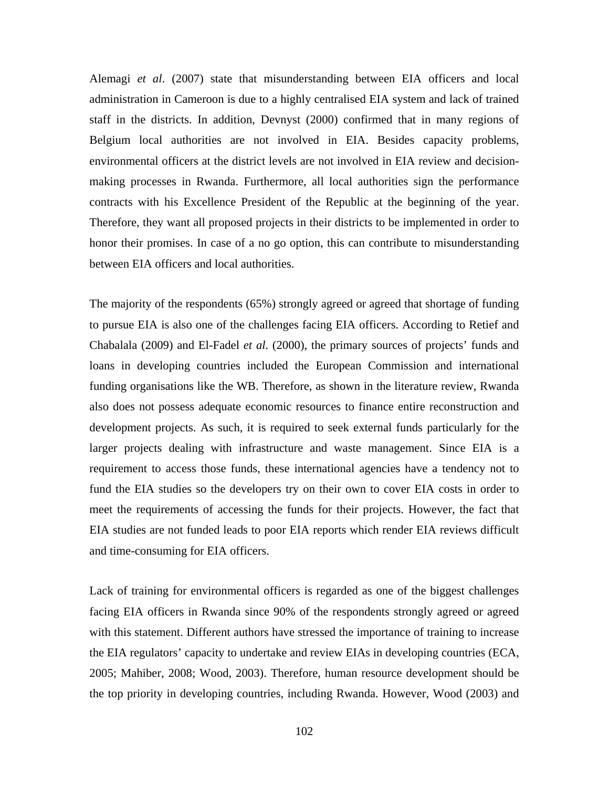Alemagi *et al*. (2007) state that misunderstanding between EIA officers and local administration in Cameroon is due to a highly centralised EIA system and lack of trained staff in the districts. In addition, Devnyst (2000) confirmed that in many regions of Belgium local authorities are not involved in EIA. Besides capacity problems, environmental officers at the district levels are not involved in EIA review and decisionmaking processes in Rwanda. Furthermore, all local authorities sign the performance contracts with his Excellence President of the Republic at the beginning of the year. Therefore, they want all proposed projects in their districts to be implemented in order to honor their promises. In case of a no go option, this can contribute to misunderstanding between EIA officers and local authorities.

The majority of the respondents (65%) strongly agreed or agreed that shortage of funding to pursue EIA is also one of the challenges facing EIA officers. According to Retief and Chabalala (2009) and El-Fadel *et al*. (2000), the primary sources of projects' funds and loans in developing countries included the European Commission and international funding organisations like the WB. Therefore, as shown in the literature review, Rwanda also does not possess adequate economic resources to finance entire reconstruction and development projects. As such, it is required to seek external funds particularly for the larger projects dealing with infrastructure and waste management. Since EIA is a requirement to access those funds, these international agencies have a tendency not to fund the EIA studies so the developers try on their own to cover EIA costs in order to meet the requirements of accessing the funds for their projects. However, the fact that EIA studies are not funded leads to poor EIA reports which render EIA reviews difficult and time-consuming for EIA officers.

Lack of training for environmental officers is regarded as one of the biggest challenges facing EIA officers in Rwanda since 90% of the respondents strongly agreed or agreed with this statement. Different authors have stressed the importance of training to increase the EIA regulators' capacity to undertake and review EIAs in developing countries (ECA, 2005; Mahiber, 2008; Wood, 2003). Therefore, human resource development should be the top priority in developing countries, including Rwanda. However, Wood (2003) and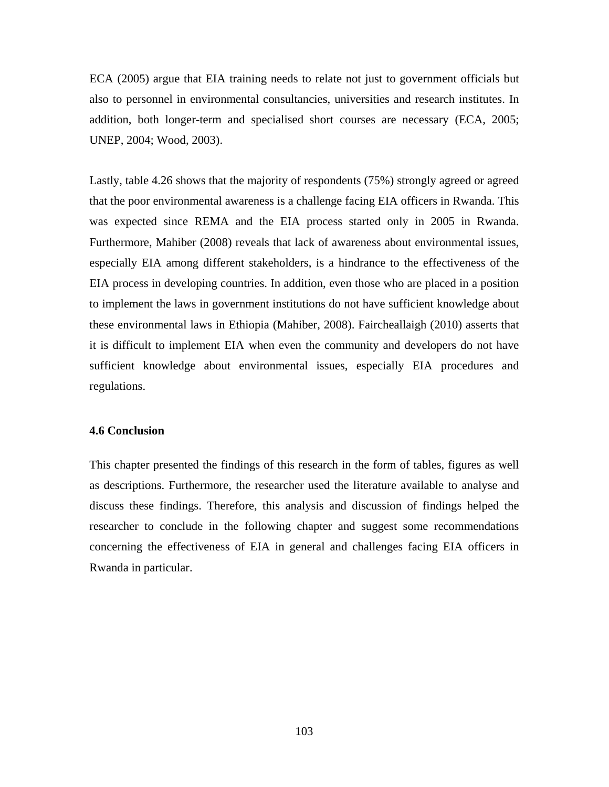ECA (2005) argue that EIA training needs to relate not just to government officials but also to personnel in environmental consultancies, universities and research institutes. In addition, both longer-term and specialised short courses are necessary (ECA, 2005; UNEP, 2004; Wood, 2003).

Lastly, table 4.26 shows that the majority of respondents (75%) strongly agreed or agreed that the poor environmental awareness is a challenge facing EIA officers in Rwanda. This was expected since REMA and the EIA process started only in 2005 in Rwanda. Furthermore, Mahiber (2008) reveals that lack of awareness about environmental issues, especially EIA among different stakeholders, is a hindrance to the effectiveness of the EIA process in developing countries. In addition, even those who are placed in a position to implement the laws in government institutions do not have sufficient knowledge about these environmental laws in Ethiopia (Mahiber, 2008). Faircheallaigh (2010) asserts that it is difficult to implement EIA when even the community and developers do not have sufficient knowledge about environmental issues, especially EIA procedures and regulations.

#### **4.6 Conclusion**

This chapter presented the findings of this research in the form of tables, figures as well as descriptions. Furthermore, the researcher used the literature available to analyse and discuss these findings. Therefore, this analysis and discussion of findings helped the researcher to conclude in the following chapter and suggest some recommendations concerning the effectiveness of EIA in general and challenges facing EIA officers in Rwanda in particular.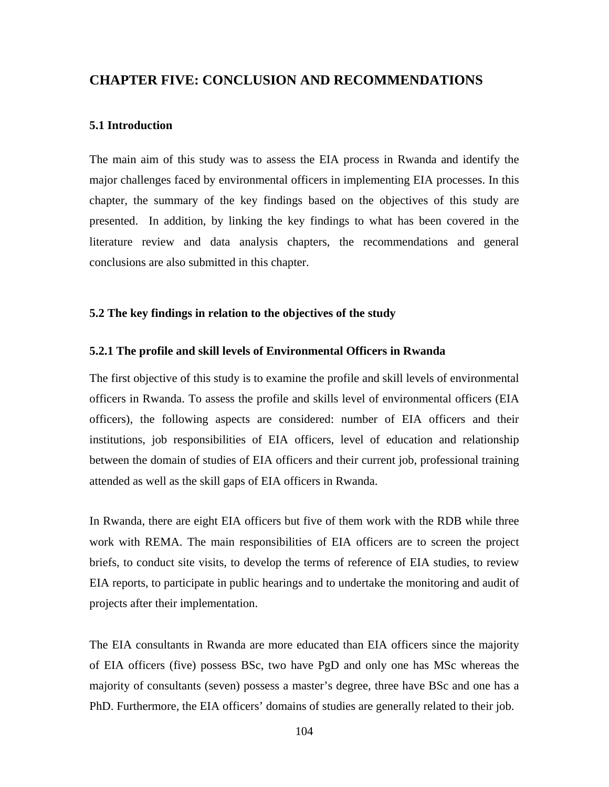## **CHAPTER FIVE: CONCLUSION AND RECOMMENDATIONS**

#### **5.1 Introduction**

The main aim of this study was to assess the EIA process in Rwanda and identify the major challenges faced by environmental officers in implementing EIA processes. In this chapter, the summary of the key findings based on the objectives of this study are presented. In addition, by linking the key findings to what has been covered in the literature review and data analysis chapters, the recommendations and general conclusions are also submitted in this chapter.

### **5.2 The key findings in relation to the objectives of the study**

#### **5.2.1 The profile and skill levels of Environmental Officers in Rwanda**

The first objective of this study is to examine the profile and skill levels of environmental officers in Rwanda. To assess the profile and skills level of environmental officers (EIA officers), the following aspects are considered: number of EIA officers and their institutions, job responsibilities of EIA officers, level of education and relationship between the domain of studies of EIA officers and their current job, professional training attended as well as the skill gaps of EIA officers in Rwanda.

In Rwanda, there are eight EIA officers but five of them work with the RDB while three work with REMA. The main responsibilities of EIA officers are to screen the project briefs, to conduct site visits, to develop the terms of reference of EIA studies, to review EIA reports, to participate in public hearings and to undertake the monitoring and audit of projects after their implementation.

The EIA consultants in Rwanda are more educated than EIA officers since the majority of EIA officers (five) possess BSc, two have PgD and only one has MSc whereas the majority of consultants (seven) possess a master's degree, three have BSc and one has a PhD. Furthermore, the EIA officers' domains of studies are generally related to their job.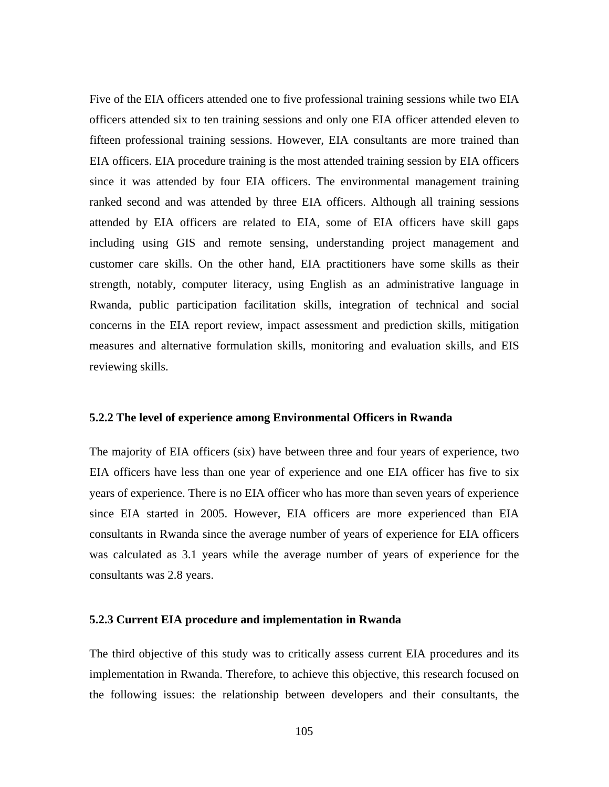Five of the EIA officers attended one to five professional training sessions while two EIA officers attended six to ten training sessions and only one EIA officer attended eleven to fifteen professional training sessions. However, EIA consultants are more trained than EIA officers. EIA procedure training is the most attended training session by EIA officers since it was attended by four EIA officers. The environmental management training ranked second and was attended by three EIA officers. Although all training sessions attended by EIA officers are related to EIA, some of EIA officers have skill gaps including using GIS and remote sensing, understanding project management and customer care skills. On the other hand, EIA practitioners have some skills as their strength, notably, computer literacy, using English as an administrative language in Rwanda, public participation facilitation skills, integration of technical and social concerns in the EIA report review, impact assessment and prediction skills, mitigation measures and alternative formulation skills, monitoring and evaluation skills, and EIS reviewing skills.

#### **5.2.2 The level of experience among Environmental Officers in Rwanda**

The majority of EIA officers (six) have between three and four years of experience, two EIA officers have less than one year of experience and one EIA officer has five to six years of experience. There is no EIA officer who has more than seven years of experience since EIA started in 2005. However, EIA officers are more experienced than EIA consultants in Rwanda since the average number of years of experience for EIA officers was calculated as 3.1 years while the average number of years of experience for the consultants was 2.8 years.

### **5.2.3 Current EIA procedure and implementation in Rwanda**

The third objective of this study was to critically assess current EIA procedures and its implementation in Rwanda. Therefore, to achieve this objective, this research focused on the following issues: the relationship between developers and their consultants, the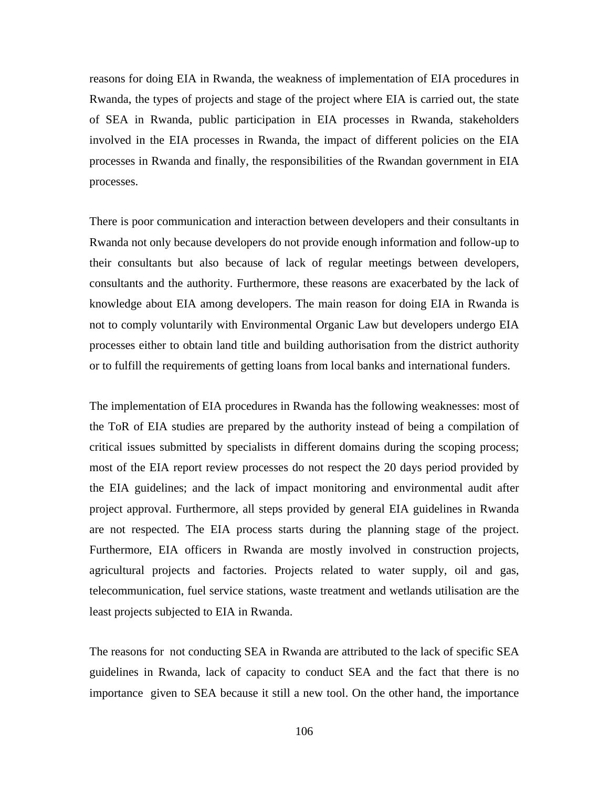reasons for doing EIA in Rwanda, the weakness of implementation of EIA procedures in Rwanda, the types of projects and stage of the project where EIA is carried out, the state of SEA in Rwanda, public participation in EIA processes in Rwanda, stakeholders involved in the EIA processes in Rwanda, the impact of different policies on the EIA processes in Rwanda and finally, the responsibilities of the Rwandan government in EIA processes.

There is poor communication and interaction between developers and their consultants in Rwanda not only because developers do not provide enough information and follow-up to their consultants but also because of lack of regular meetings between developers, consultants and the authority. Furthermore, these reasons are exacerbated by the lack of knowledge about EIA among developers. The main reason for doing EIA in Rwanda is not to comply voluntarily with Environmental Organic Law but developers undergo EIA processes either to obtain land title and building authorisation from the district authority or to fulfill the requirements of getting loans from local banks and international funders.

The implementation of EIA procedures in Rwanda has the following weaknesses: most of the ToR of EIA studies are prepared by the authority instead of being a compilation of critical issues submitted by specialists in different domains during the scoping process; most of the EIA report review processes do not respect the 20 days period provided by the EIA guidelines; and the lack of impact monitoring and environmental audit after project approval. Furthermore, all steps provided by general EIA guidelines in Rwanda are not respected. The EIA process starts during the planning stage of the project. Furthermore, EIA officers in Rwanda are mostly involved in construction projects, agricultural projects and factories. Projects related to water supply, oil and gas, telecommunication, fuel service stations, waste treatment and wetlands utilisation are the least projects subjected to EIA in Rwanda.

The reasons for not conducting SEA in Rwanda are attributed to the lack of specific SEA guidelines in Rwanda, lack of capacity to conduct SEA and the fact that there is no importance given to SEA because it still a new tool. On the other hand, the importance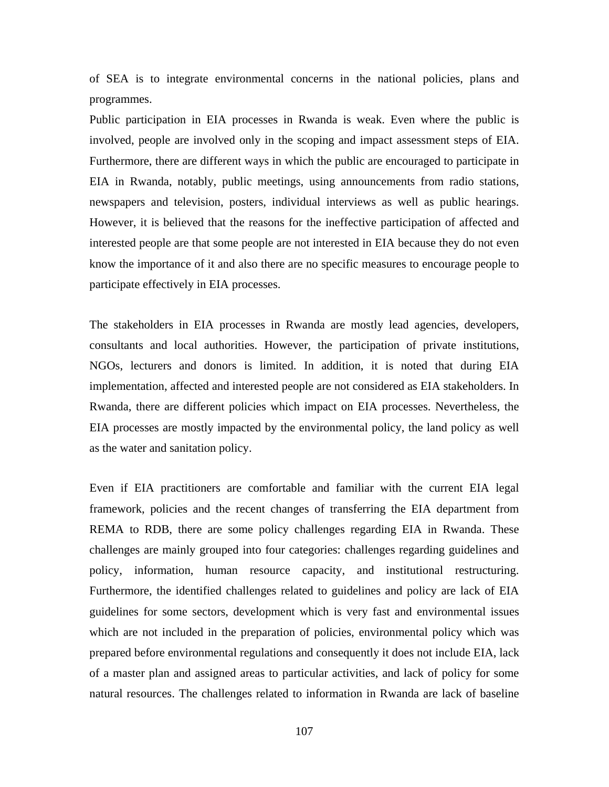of SEA is to integrate environmental concerns in the national policies, plans and programmes.

Public participation in EIA processes in Rwanda is weak. Even where the public is involved, people are involved only in the scoping and impact assessment steps of EIA. Furthermore, there are different ways in which the public are encouraged to participate in EIA in Rwanda, notably, public meetings, using announcements from radio stations, newspapers and television, posters, individual interviews as well as public hearings. However, it is believed that the reasons for the ineffective participation of affected and interested people are that some people are not interested in EIA because they do not even know the importance of it and also there are no specific measures to encourage people to participate effectively in EIA processes.

The stakeholders in EIA processes in Rwanda are mostly lead agencies, developers, consultants and local authorities. However, the participation of private institutions, NGOs, lecturers and donors is limited. In addition, it is noted that during EIA implementation, affected and interested people are not considered as EIA stakeholders. In Rwanda, there are different policies which impact on EIA processes. Nevertheless, the EIA processes are mostly impacted by the environmental policy, the land policy as well as the water and sanitation policy.

Even if EIA practitioners are comfortable and familiar with the current EIA legal framework, policies and the recent changes of transferring the EIA department from REMA to RDB, there are some policy challenges regarding EIA in Rwanda. These challenges are mainly grouped into four categories: challenges regarding guidelines and policy, information, human resource capacity, and institutional restructuring. Furthermore, the identified challenges related to guidelines and policy are lack of EIA guidelines for some sectors, development which is very fast and environmental issues which are not included in the preparation of policies, environmental policy which was prepared before environmental regulations and consequently it does not include EIA, lack of a master plan and assigned areas to particular activities, and lack of policy for some natural resources. The challenges related to information in Rwanda are lack of baseline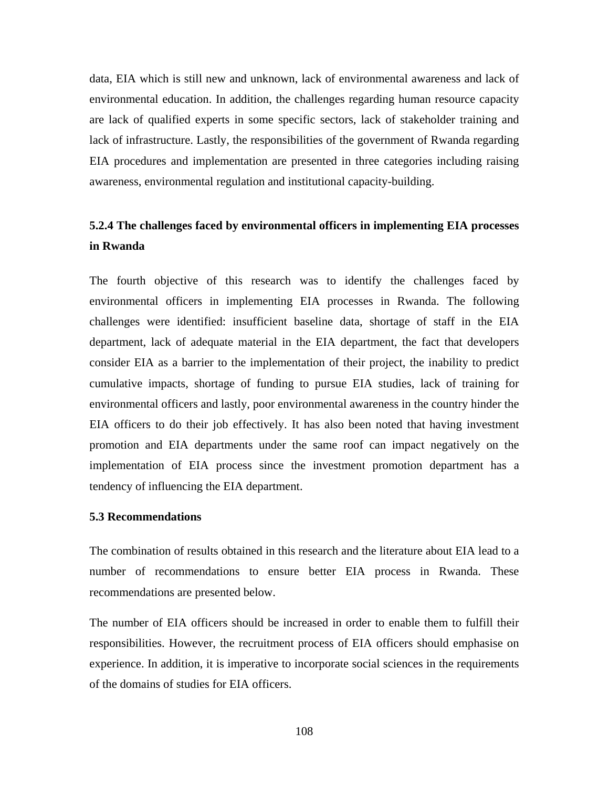data, EIA which is still new and unknown, lack of environmental awareness and lack of environmental education. In addition, the challenges regarding human resource capacity are lack of qualified experts in some specific sectors, lack of stakeholder training and lack of infrastructure. Lastly, the responsibilities of the government of Rwanda regarding EIA procedures and implementation are presented in three categories including raising awareness, environmental regulation and institutional capacity-building.

# **5.2.4 The challenges faced by environmental officers in implementing EIA processes in Rwanda**

The fourth objective of this research was to identify the challenges faced by environmental officers in implementing EIA processes in Rwanda. The following challenges were identified: insufficient baseline data, shortage of staff in the EIA department, lack of adequate material in the EIA department, the fact that developers consider EIA as a barrier to the implementation of their project, the inability to predict cumulative impacts, shortage of funding to pursue EIA studies, lack of training for environmental officers and lastly, poor environmental awareness in the country hinder the EIA officers to do their job effectively. It has also been noted that having investment promotion and EIA departments under the same roof can impact negatively on the implementation of EIA process since the investment promotion department has a tendency of influencing the EIA department.

#### **5.3 Recommendations**

The combination of results obtained in this research and the literature about EIA lead to a number of recommendations to ensure better EIA process in Rwanda. These recommendations are presented below.

The number of EIA officers should be increased in order to enable them to fulfill their responsibilities. However, the recruitment process of EIA officers should emphasise on experience. In addition, it is imperative to incorporate social sciences in the requirements of the domains of studies for EIA officers.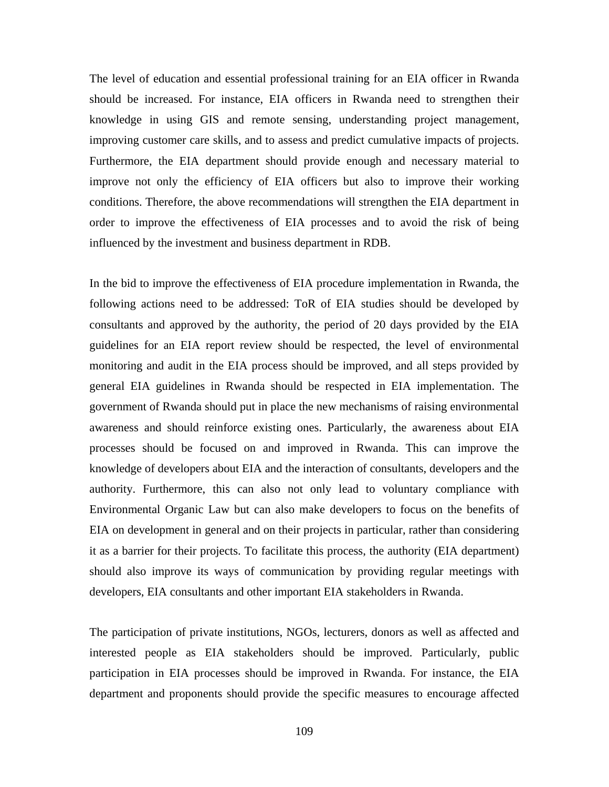The level of education and essential professional training for an EIA officer in Rwanda should be increased. For instance, EIA officers in Rwanda need to strengthen their knowledge in using GIS and remote sensing, understanding project management, improving customer care skills, and to assess and predict cumulative impacts of projects. Furthermore, the EIA department should provide enough and necessary material to improve not only the efficiency of EIA officers but also to improve their working conditions. Therefore, the above recommendations will strengthen the EIA department in order to improve the effectiveness of EIA processes and to avoid the risk of being influenced by the investment and business department in RDB.

In the bid to improve the effectiveness of EIA procedure implementation in Rwanda, the following actions need to be addressed: ToR of EIA studies should be developed by consultants and approved by the authority, the period of 20 days provided by the EIA guidelines for an EIA report review should be respected, the level of environmental monitoring and audit in the EIA process should be improved, and all steps provided by general EIA guidelines in Rwanda should be respected in EIA implementation. The government of Rwanda should put in place the new mechanisms of raising environmental awareness and should reinforce existing ones. Particularly, the awareness about EIA processes should be focused on and improved in Rwanda. This can improve the knowledge of developers about EIA and the interaction of consultants, developers and the authority. Furthermore, this can also not only lead to voluntary compliance with Environmental Organic Law but can also make developers to focus on the benefits of EIA on development in general and on their projects in particular, rather than considering it as a barrier for their projects. To facilitate this process, the authority (EIA department) should also improve its ways of communication by providing regular meetings with developers, EIA consultants and other important EIA stakeholders in Rwanda.

The participation of private institutions, NGOs, lecturers, donors as well as affected and interested people as EIA stakeholders should be improved. Particularly, public participation in EIA processes should be improved in Rwanda. For instance, the EIA department and proponents should provide the specific measures to encourage affected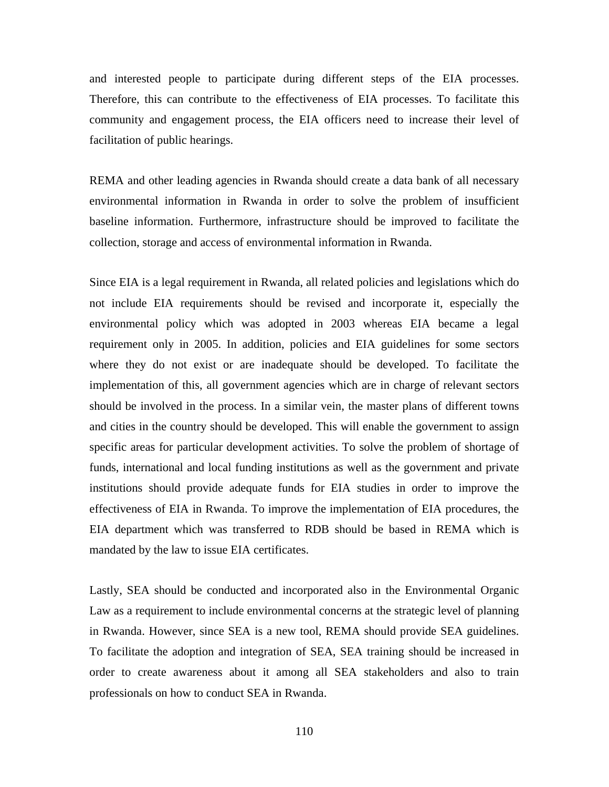and interested people to participate during different steps of the EIA processes. Therefore, this can contribute to the effectiveness of EIA processes. To facilitate this community and engagement process, the EIA officers need to increase their level of facilitation of public hearings.

REMA and other leading agencies in Rwanda should create a data bank of all necessary environmental information in Rwanda in order to solve the problem of insufficient baseline information. Furthermore, infrastructure should be improved to facilitate the collection, storage and access of environmental information in Rwanda.

Since EIA is a legal requirement in Rwanda, all related policies and legislations which do not include EIA requirements should be revised and incorporate it, especially the environmental policy which was adopted in 2003 whereas EIA became a legal requirement only in 2005. In addition, policies and EIA guidelines for some sectors where they do not exist or are inadequate should be developed. To facilitate the implementation of this, all government agencies which are in charge of relevant sectors should be involved in the process. In a similar vein, the master plans of different towns and cities in the country should be developed. This will enable the government to assign specific areas for particular development activities. To solve the problem of shortage of funds, international and local funding institutions as well as the government and private institutions should provide adequate funds for EIA studies in order to improve the effectiveness of EIA in Rwanda. To improve the implementation of EIA procedures, the EIA department which was transferred to RDB should be based in REMA which is mandated by the law to issue EIA certificates.

Lastly, SEA should be conducted and incorporated also in the Environmental Organic Law as a requirement to include environmental concerns at the strategic level of planning in Rwanda. However, since SEA is a new tool, REMA should provide SEA guidelines. To facilitate the adoption and integration of SEA, SEA training should be increased in order to create awareness about it among all SEA stakeholders and also to train professionals on how to conduct SEA in Rwanda.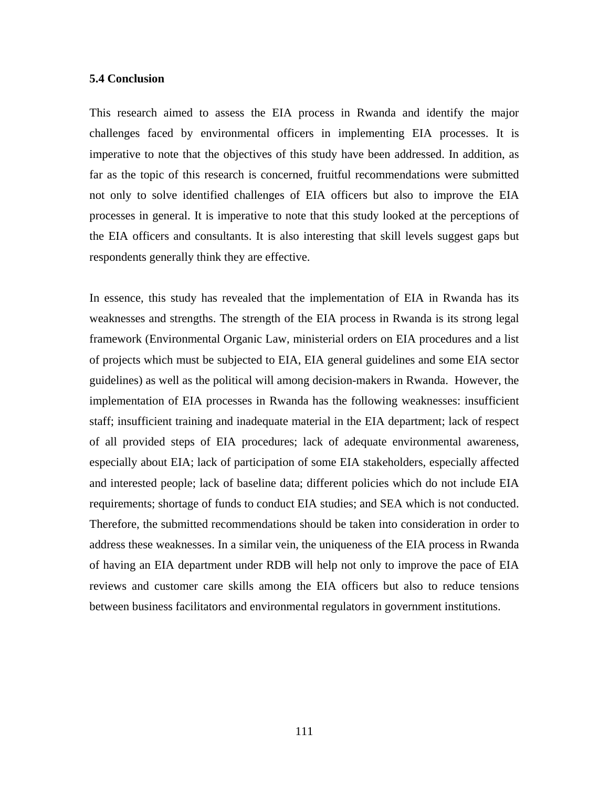### **5.4 Conclusion**

This research aimed to assess the EIA process in Rwanda and identify the major challenges faced by environmental officers in implementing EIA processes. It is imperative to note that the objectives of this study have been addressed. In addition, as far as the topic of this research is concerned, fruitful recommendations were submitted not only to solve identified challenges of EIA officers but also to improve the EIA processes in general. It is imperative to note that this study looked at the perceptions of the EIA officers and consultants. It is also interesting that skill levels suggest gaps but respondents generally think they are effective.

In essence, this study has revealed that the implementation of EIA in Rwanda has its weaknesses and strengths. The strength of the EIA process in Rwanda is its strong legal framework (Environmental Organic Law, ministerial orders on EIA procedures and a list of projects which must be subjected to EIA, EIA general guidelines and some EIA sector guidelines) as well as the political will among decision-makers in Rwanda. However, the implementation of EIA processes in Rwanda has the following weaknesses: insufficient staff; insufficient training and inadequate material in the EIA department; lack of respect of all provided steps of EIA procedures; lack of adequate environmental awareness, especially about EIA; lack of participation of some EIA stakeholders, especially affected and interested people; lack of baseline data; different policies which do not include EIA requirements; shortage of funds to conduct EIA studies; and SEA which is not conducted. Therefore, the submitted recommendations should be taken into consideration in order to address these weaknesses. In a similar vein, the uniqueness of the EIA process in Rwanda of having an EIA department under RDB will help not only to improve the pace of EIA reviews and customer care skills among the EIA officers but also to reduce tensions between business facilitators and environmental regulators in government institutions.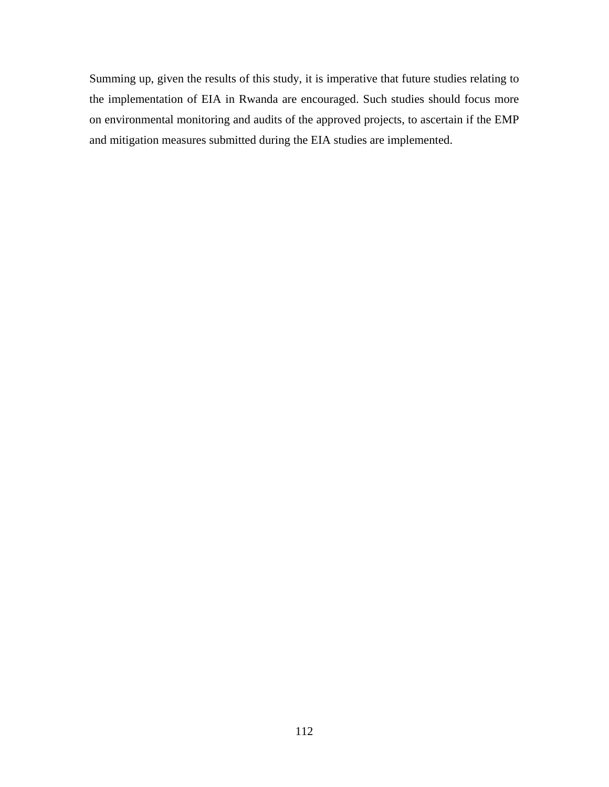Summing up, given the results of this study, it is imperative that future studies relating to the implementation of EIA in Rwanda are encouraged. Such studies should focus more on environmental monitoring and audits of the approved projects, to ascertain if the EMP and mitigation measures submitted during the EIA studies are implemented.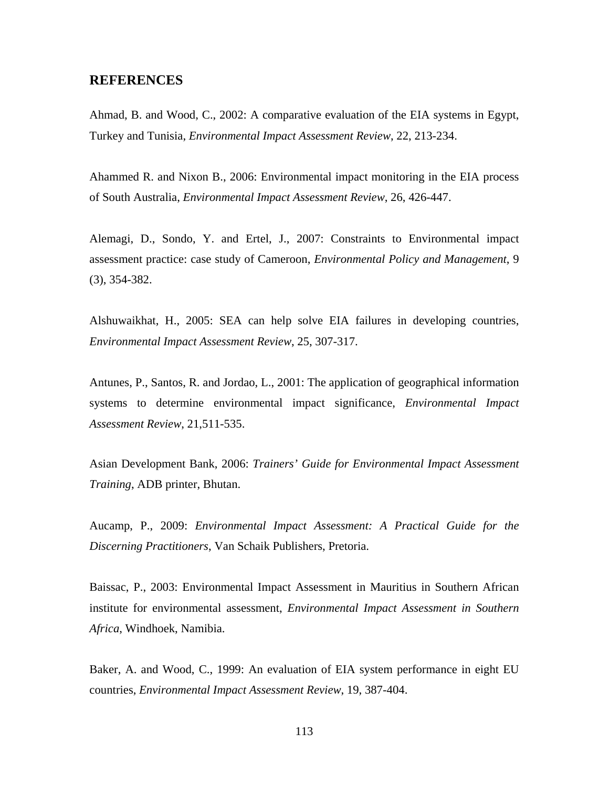## **REFERENCES**

Ahmad, B. and Wood, C., 2002: A comparative evaluation of the EIA systems in Egypt, Turkey and Tunisia, *Environmental Impact Assessment Review*, 22, 213-234.

Ahammed R. and Nixon B., 2006: Environmental impact monitoring in the EIA process of South Australia, *Environmental Impact Assessment Review*, 26, 426-447.

Alemagi, D., Sondo, Y. and Ertel, J., 2007: Constraints to Environmental impact assessment practice: case study of Cameroon, *Environmental Policy and Management*, 9 (3), 354-382.

Alshuwaikhat, H., 2005: SEA can help solve EIA failures in developing countries, *Environmental Impact Assessment Review*, 25, 307-317.

Antunes, P., Santos, R. and Jordao, L., 2001: The application of geographical information systems to determine environmental impact significance, *Environmental Impact Assessment Review*, 21,511-535.

Asian Development Bank, 2006: *Trainers' Guide for Environmental Impact Assessment Training*, ADB printer, Bhutan.

Aucamp, P., 2009: *Environmental Impact Assessment: A Practical Guide for the Discerning Practitioners*, Van Schaik Publishers, Pretoria.

Baissac, P., 2003: Environmental Impact Assessment in Mauritius in Southern African institute for environmental assessment, *Environmental Impact Assessment in Southern Africa*, Windhoek, Namibia.

Baker, A. and Wood, C., 1999: An evaluation of EIA system performance in eight EU countries, *Environmental Impact Assessment Review*, 19, 387-404.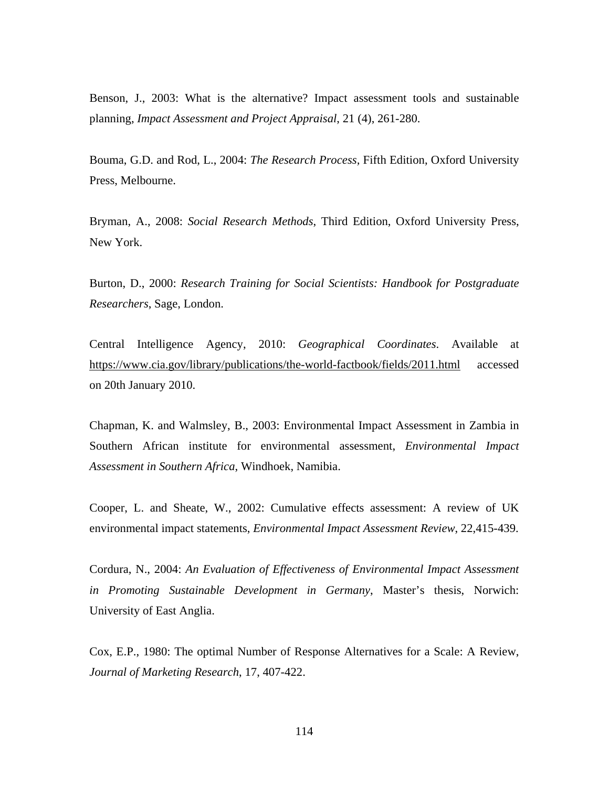Benson, J., 2003: What is the alternative? Impact assessment tools and sustainable planning, *Impact Assessment and Project Appraisal*, 21 (4), 261-280.

Bouma, G.D. and Rod, L., 2004: *The Research Process,* Fifth Edition, Oxford University Press, Melbourne.

Bryman, A., 2008: *Social Research Methods*, Third Edition, Oxford University Press, New York.

Burton, D., 2000: *Research Training for Social Scientists: Handbook for Postgraduate Researchers*, Sage, London.

Central Intelligence Agency, 2010: *Geographical Coordinates*. Available at https://www.cia.gov/library/publications/the-world-factbook/fields/2011.html accessed on 20th January 2010.

Chapman, K. and Walmsley, B., 2003: Environmental Impact Assessment in Zambia in Southern African institute for environmental assessment, *Environmental Impact Assessment in Southern Africa*, Windhoek, Namibia.

Cooper, L. and Sheate, W., 2002: Cumulative effects assessment: A review of UK environmental impact statements, *Environmental Impact Assessment Review*, 22,415-439.

Cordura, N., 2004: *An Evaluation of Effectiveness of Environmental Impact Assessment in Promoting Sustainable Development in Germany*, Master's thesis, Norwich: University of East Anglia.

Cox, E.P., 1980: The optimal Number of Response Alternatives for a Scale: A Review, *Journal of Marketing Research*, 17, 407-422.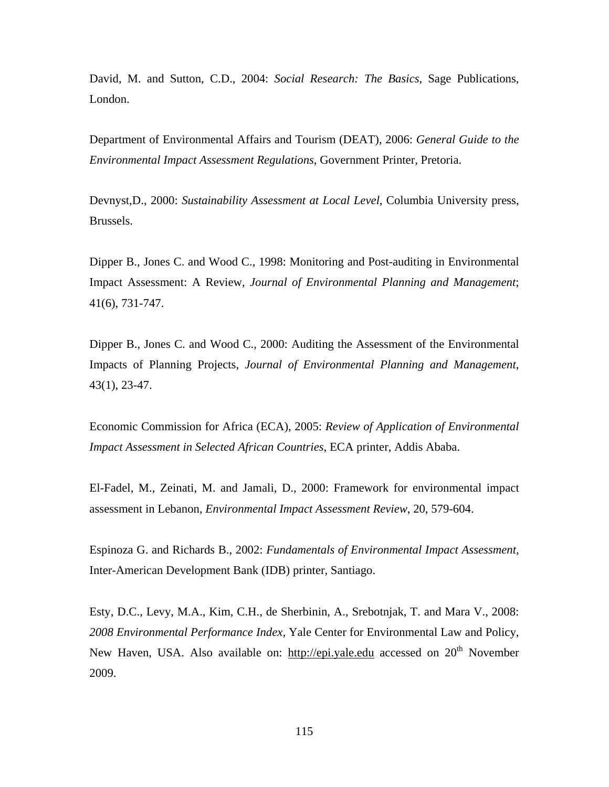David, M. and Sutton, C.D., 2004: *Social Research: The Basics*, Sage Publications, London.

Department of Environmental Affairs and Tourism (DEAT), 2006: *General Guide to the Environmental Impact Assessment Regulations*, Government Printer, Pretoria.

Devnyst,D., 2000: *Sustainability Assessment at Local Level*, Columbia University press, Brussels.

Dipper B., Jones C. and Wood C., 1998: Monitoring and Post-auditing in Environmental Impact Assessment: A Review, *Journal of Environmental Planning and Management*; 41(6), 731-747.

Dipper B., Jones C. and Wood C., 2000: Auditing the Assessment of the Environmental Impacts of Planning Projects, *Journal of Environmental Planning and Management*, 43(1), 23-47.

Economic Commission for Africa (ECA), 2005: *Review of Application of Environmental Impact Assessment in Selected African Countries*, ECA printer, Addis Ababa.

El-Fadel, M., Zeinati, M. and Jamali, D., 2000: Framework for environmental impact assessment in Lebanon, *Environmental Impact Assessment Review*, 20, 579-604.

Espinoza G. and Richards B., 2002: *Fundamentals of Environmental Impact Assessment,* Inter-American Development Bank (IDB) printer, Santiago.

Esty, D.C., Levy, M.A., Kim, C.H., de Sherbinin, A., Srebotnjak, T. and Mara V., 2008: *2008 Environmental Performance Index,* Yale Center for Environmental Law and Policy, New Haven, USA. Also available on: http://epi.yale.edu accessed on  $20<sup>th</sup>$  November 2009.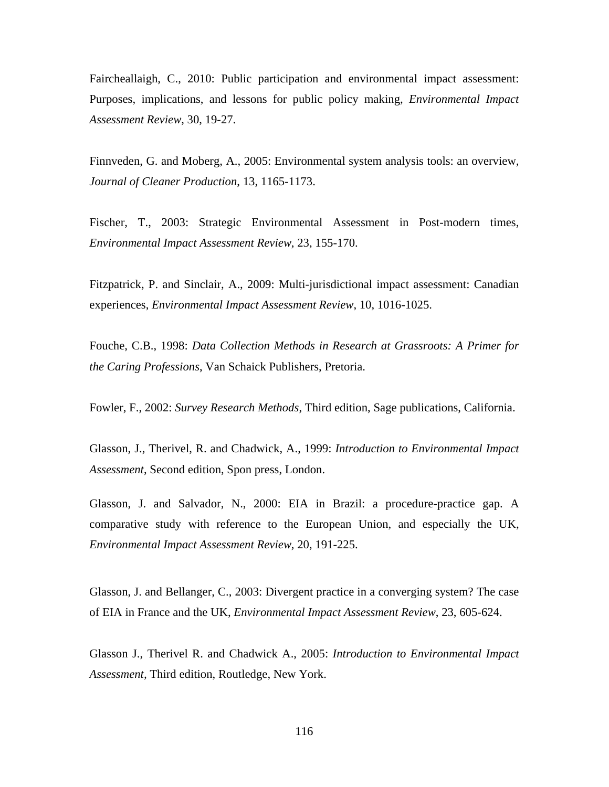Faircheallaigh, C., 2010: Public participation and environmental impact assessment: Purposes, implications, and lessons for public policy making, *Environmental Impact Assessment Review*, 30, 19-27.

Finnveden, G. and Moberg, A., 2005: Environmental system analysis tools: an overview*, Journal of Cleaner Production*, 13, 1165-1173.

Fischer, T., 2003: Strategic Environmental Assessment in Post-modern times, *Environmental Impact Assessment Review*, 23, 155-170.

Fitzpatrick, P. and Sinclair, A., 2009: Multi-jurisdictional impact assessment: Canadian experiences, *Environmental Impact Assessment Review*, 10, 1016-1025.

Fouche, C.B., 1998: *Data Collection Methods in Research at Grassroots: A Primer for the Caring Professions*, Van Schaick Publishers, Pretoria.

Fowler, F., 2002: *Survey Research Methods*, Third edition, Sage publications, California.

Glasson, J., Therivel, R. and Chadwick, A., 1999: *Introduction to Environmental Impact Assessment*, Second edition, Spon press, London.

Glasson, J. and Salvador, N., 2000: EIA in Brazil: a procedure-practice gap. A comparative study with reference to the European Union, and especially the UK, *Environmental Impact Assessment Review*, 20, 191-225.

Glasson, J. and Bellanger, C., 2003: Divergent practice in a converging system? The case of EIA in France and the UK, *Environmental Impact Assessment Review*, 23, 605-624.

Glasson J., Therivel R. and Chadwick A., 2005: *Introduction to Environmental Impact Assessment,* Third edition, Routledge, New York.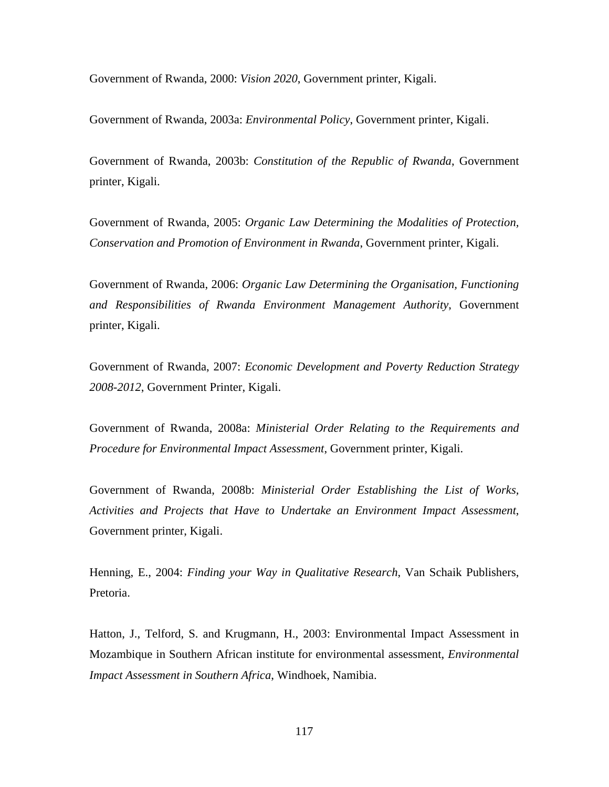Government of Rwanda, 2000: *Vision 2020*, Government printer, Kigali.

Government of Rwanda, 2003a: *Environmental Policy*, Government printer, Kigali.

Government of Rwanda, 2003b: *Constitution of the Republic of Rwanda*, Government printer, Kigali.

Government of Rwanda, 2005: *Organic Law Determining the Modalities of Protection, Conservation and Promotion of Environment in Rwanda*, Government printer, Kigali.

Government of Rwanda, 2006: *Organic Law Determining the Organisation, Functioning and Responsibilities of Rwanda Environment Management Authority*, Government printer, Kigali.

Government of Rwanda, 2007: *Economic Development and Poverty Reduction Strategy 2008-2012*, Government Printer, Kigali.

Government of Rwanda, 2008a: *Ministerial Order Relating to the Requirements and Procedure for Environmental Impact Assessment*, Government printer, Kigali.

Government of Rwanda, 2008b: *Ministerial Order Establishing the List of Works, Activities and Projects that Have to Undertake an Environment Impact Assessment*, Government printer, Kigali.

Henning, E., 2004: *Finding your Way in Qualitative Research*, Van Schaik Publishers, Pretoria.

Hatton, J., Telford, S. and Krugmann, H., 2003: Environmental Impact Assessment in Mozambique in Southern African institute for environmental assessment, *Environmental Impact Assessment in Southern Africa*, Windhoek, Namibia.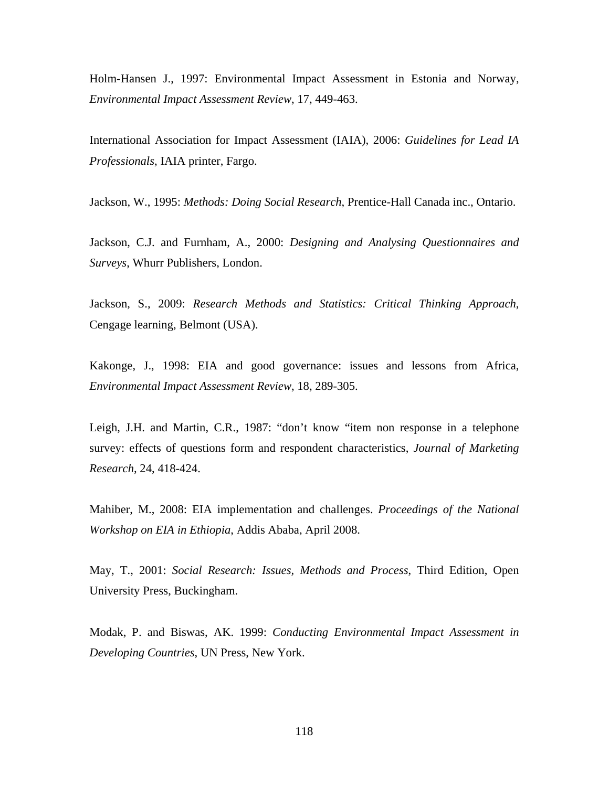Holm-Hansen J., 1997: Environmental Impact Assessment in Estonia and Norway, *Environmental Impact Assessment Review*, 17, 449-463.

International Association for Impact Assessment (IAIA), 2006: *Guidelines for Lead IA Professionals*, IAIA printer, Fargo.

Jackson, W., 1995: *Methods: Doing Social Research*, Prentice-Hall Canada inc., Ontario.

Jackson, C.J. and Furnham, A., 2000: *Designing and Analysing Questionnaires and Surveys*, Whurr Publishers, London.

Jackson, S., 2009: *Research Methods and Statistics: Critical Thinking Approach*, Cengage learning, Belmont (USA).

Kakonge, J., 1998: EIA and good governance: issues and lessons from Africa, *Environmental Impact Assessment Review*, 18, 289-305.

Leigh, J.H. and Martin, C.R., 1987: "don't know "item non response in a telephone survey: effects of questions form and respondent characteristics, *Journal of Marketing Research*, 24, 418-424.

Mahiber, M., 2008: EIA implementation and challenges. *Proceedings of the National Workshop on EIA in Ethiopia*, Addis Ababa, April 2008.

May, T., 2001: *Social Research: Issues, Methods and Process*, Third Edition, Open University Press, Buckingham.

Modak, P. and Biswas, AK. 1999: *Conducting Environmental Impact Assessment in Developing Countries*, UN Press, New York.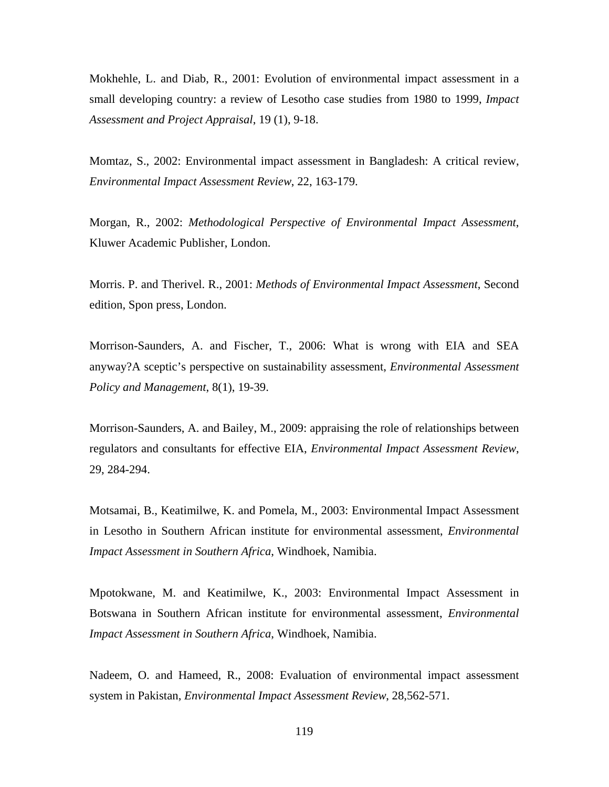Mokhehle, L. and Diab, R., 2001: Evolution of environmental impact assessment in a small developing country: a review of Lesotho case studies from 1980 to 1999, *Impact Assessment and Project Appraisal*, 19 (1), 9-18.

Momtaz, S., 2002: Environmental impact assessment in Bangladesh: A critical review, *Environmental Impact Assessment Review*, 22, 163-179.

Morgan, R., 2002: *Methodological Perspective of Environmental Impact Assessment*, Kluwer Academic Publisher, London.

Morris. P. and Therivel. R., 2001: *Methods of Environmental Impact Assessment*, Second edition, Spon press, London.

Morrison-Saunders, A. and Fischer, T., 2006: What is wrong with EIA and SEA anyway?A sceptic's perspective on sustainability assessment, *Environmental Assessment Policy and Management*, 8(1), 19-39.

Morrison-Saunders, A. and Bailey, M., 2009: appraising the role of relationships between regulators and consultants for effective EIA, *Environmental Impact Assessment Review*, 29, 284-294.

Motsamai, B., Keatimilwe, K. and Pomela, M., 2003: Environmental Impact Assessment in Lesotho in Southern African institute for environmental assessment, *Environmental Impact Assessment in Southern Africa*, Windhoek, Namibia.

Mpotokwane, M. and Keatimilwe, K., 2003: Environmental Impact Assessment in Botswana in Southern African institute for environmental assessment, *Environmental Impact Assessment in Southern Africa*, Windhoek, Namibia.

Nadeem, O. and Hameed, R., 2008: Evaluation of environmental impact assessment system in Pakistan, *Environmental Impact Assessment Review*, 28,562-571.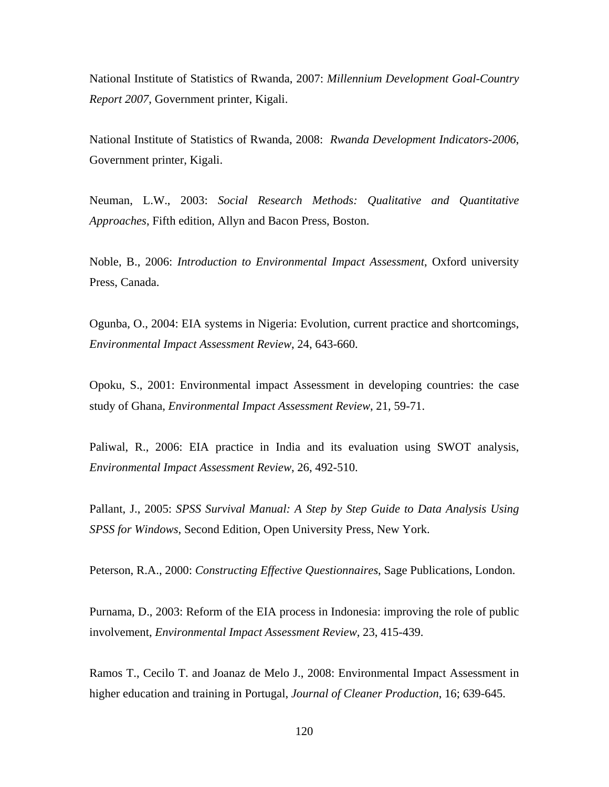National Institute of Statistics of Rwanda, 2007: *Millennium Development Goal-Country Report 2007*, Government printer, Kigali.

National Institute of Statistics of Rwanda, 2008: *Rwanda Development Indicators-2006*, Government printer, Kigali.

Neuman, L.W., 2003: *Social Research Methods: Qualitative and Quantitative Approaches*, Fifth edition, Allyn and Bacon Press, Boston.

Noble, B., 2006: *Introduction to Environmental Impact Assessment*, Oxford university Press, Canada.

Ogunba, O., 2004: EIA systems in Nigeria: Evolution, current practice and shortcomings, *Environmental Impact Assessment Review*, 24, 643-660.

Opoku, S., 2001: Environmental impact Assessment in developing countries: the case study of Ghana, *Environmental Impact Assessment Review*, 21, 59-71.

Paliwal, R., 2006: EIA practice in India and its evaluation using SWOT analysis, *Environmental Impact Assessment Review*, 26, 492-510.

Pallant, J., 2005: *SPSS Survival Manual: A Step by Step Guide to Data Analysis Using SPSS for Windows*, Second Edition, Open University Press, New York.

Peterson, R.A., 2000: *Constructing Effective Questionnaires*, Sage Publications, London.

Purnama, D., 2003: Reform of the EIA process in Indonesia: improving the role of public involvement, *Environmental Impact Assessment Review,* 23, 415-439.

Ramos T., Cecilo T. and Joanaz de Melo J., 2008: Environmental Impact Assessment in higher education and training in Portugal, *Journal of Cleaner Production*, 16; 639-645.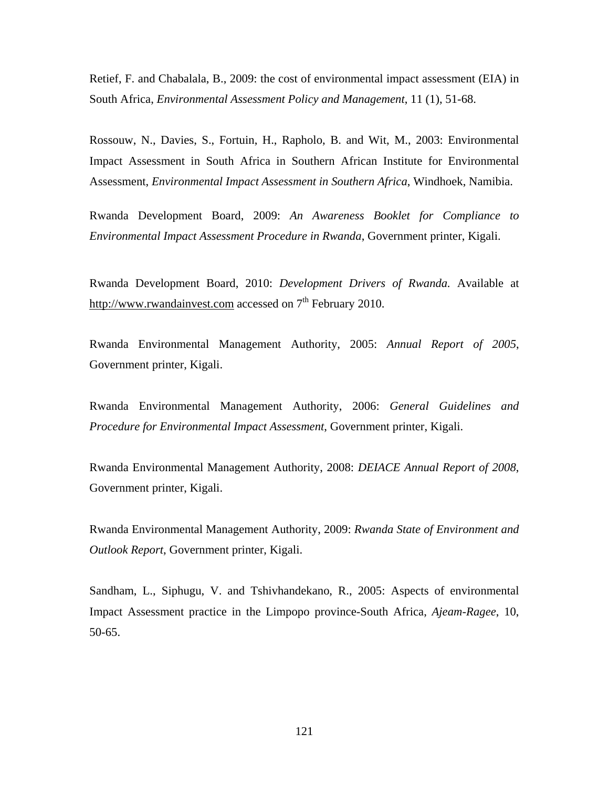Retief, F. and Chabalala, B., 2009: the cost of environmental impact assessment (EIA) in South Africa, *Environmental Assessment Policy and Management*, 11 (1), 51-68.

Rossouw, N., Davies, S., Fortuin, H., Rapholo, B. and Wit, M., 2003: Environmental Impact Assessment in South Africa in Southern African Institute for Environmental Assessment, *Environmental Impact Assessment in Southern Africa*, Windhoek, Namibia.

Rwanda Development Board, 2009: *An Awareness Booklet for Compliance to Environmental Impact Assessment Procedure in Rwanda*, Government printer, Kigali.

Rwanda Development Board, 2010: *Development Drivers of Rwanda.* Available at http://www.rwandainvest.com accessed on  $7<sup>th</sup>$  February 2010.

Rwanda Environmental Management Authority, 2005: *Annual Report of 2005*, Government printer, Kigali.

Rwanda Environmental Management Authority, 2006: *General Guidelines and Procedure for Environmental Impact Assessment*, Government printer, Kigali.

Rwanda Environmental Management Authority, 2008: *DEIACE Annual Report of 2008*, Government printer, Kigali.

Rwanda Environmental Management Authority, 2009: *Rwanda State of Environment and Outlook Report*, Government printer, Kigali.

Sandham, L., Siphugu, V. and Tshivhandekano, R., 2005: Aspects of environmental Impact Assessment practice in the Limpopo province-South Africa, *Ajeam-Ragee*, 10, 50-65.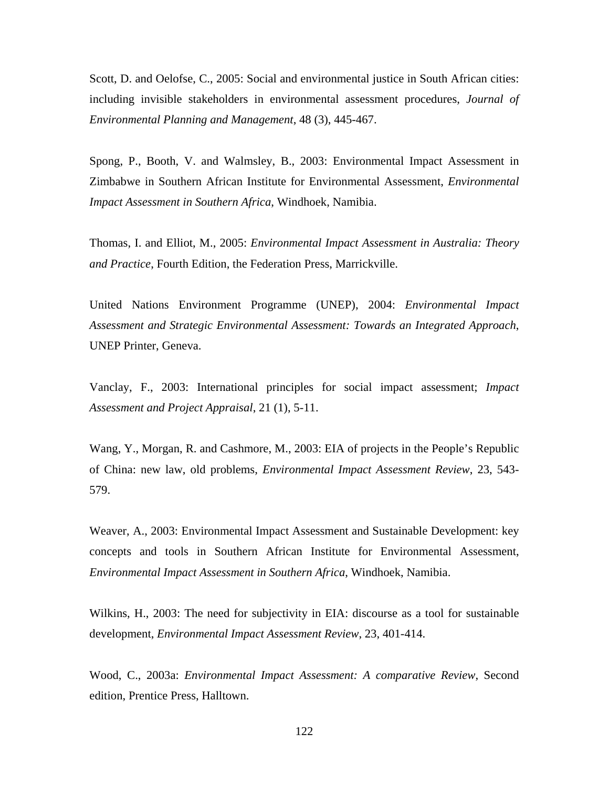Scott, D. and Oelofse, C., 2005: Social and environmental justice in South African cities: including invisible stakeholders in environmental assessment procedures, *Journal of Environmental Planning and Management*, 48 (3), 445-467.

Spong, P., Booth, V. and Walmsley, B., 2003: Environmental Impact Assessment in Zimbabwe in Southern African Institute for Environmental Assessment, *Environmental Impact Assessment in Southern Africa*, Windhoek, Namibia.

Thomas, I. and Elliot, M., 2005: *Environmental Impact Assessment in Australia: Theory and Practice*, Fourth Edition, the Federation Press, Marrickville.

United Nations Environment Programme (UNEP), 2004: *Environmental Impact Assessment and Strategic Environmental Assessment: Towards an Integrated Approach*, UNEP Printer, Geneva.

Vanclay, F., 2003: International principles for social impact assessment; *Impact Assessment and Project Appraisal*, 21 (1), 5-11.

Wang, Y., Morgan, R. and Cashmore, M., 2003: EIA of projects in the People's Republic of China: new law, old problems, *Environmental Impact Assessment Review*, 23, 543- 579.

Weaver, A., 2003: Environmental Impact Assessment and Sustainable Development: key concepts and tools in Southern African Institute for Environmental Assessment, *Environmental Impact Assessment in Southern Africa*, Windhoek, Namibia.

Wilkins, H., 2003: The need for subjectivity in EIA: discourse as a tool for sustainable development, *Environmental Impact Assessment Review*, 23, 401-414.

Wood, C., 2003a: *Environmental Impact Assessment: A comparative Review*, Second edition, Prentice Press, Halltown.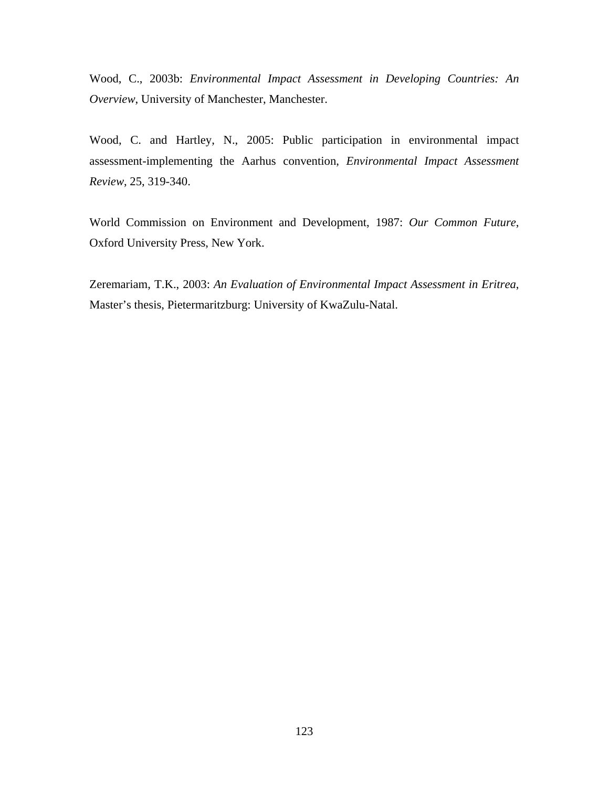Wood, C., 2003b: *Environmental Impact Assessment in Developing Countries: An Overview*, University of Manchester, Manchester.

Wood, C. and Hartley, N., 2005: Public participation in environmental impact assessment-implementing the Aarhus convention, *Environmental Impact Assessment Review*, 25, 319-340.

World Commission on Environment and Development, 1987: *Our Common Future*, Oxford University Press, New York.

Zeremariam, T.K., 2003: *An Evaluation of Environmental Impact Assessment in Eritrea*, Master's thesis, Pietermaritzburg: University of KwaZulu-Natal.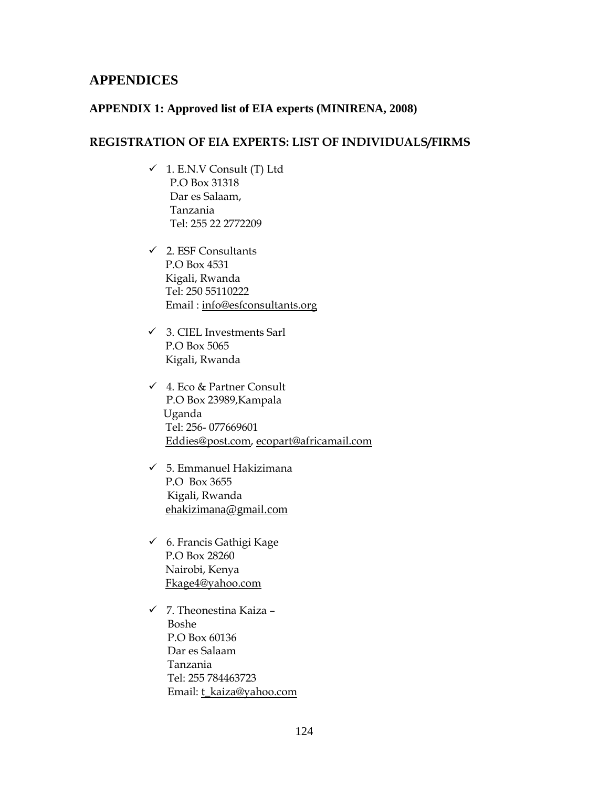## **APPENDICES**

## **APPENDIX 1: Approved list of EIA experts (MINIRENA, 2008)**

## **REGISTRATION OF EIA EXPERTS: LIST OF INDIVIDUALS/FIRMS**

- $\checkmark$  1. E.N.V Consult (T) Ltd P.O Box 31318 Dar es Salaam, Tanzania Tel: 255 22 2772209
- $\checkmark$  2. ESF Consultants P.O Box 4531 Kigali, Rwanda Tel: 250 55110222 Email : info@esfconsultants.org
- $\checkmark$  3. CIEL Investments Sarl P.O Box 5065 Kigali, Rwanda
- $\checkmark$  4. Eco & Partner Consult P.O Box 23989,Kampala Uganda Tel: 256- 077669601 Eddies@post.com, ecopart@africamail.com
- $\checkmark$  5. Emmanuel Hakizimana P.O Box 3655 Kigali, Rwanda ehakizimana@gmail.com
- $6$ . Francis Gathigi Kage P.O Box 28260 Nairobi, Kenya Fkage4@yahoo.com
- $\checkmark$  7. Theonestina Kaiza Boshe P.O Box 60136 Dar es Salaam Tanzania Tel: 255 784463723 Email: t\_kaiza@yahoo.com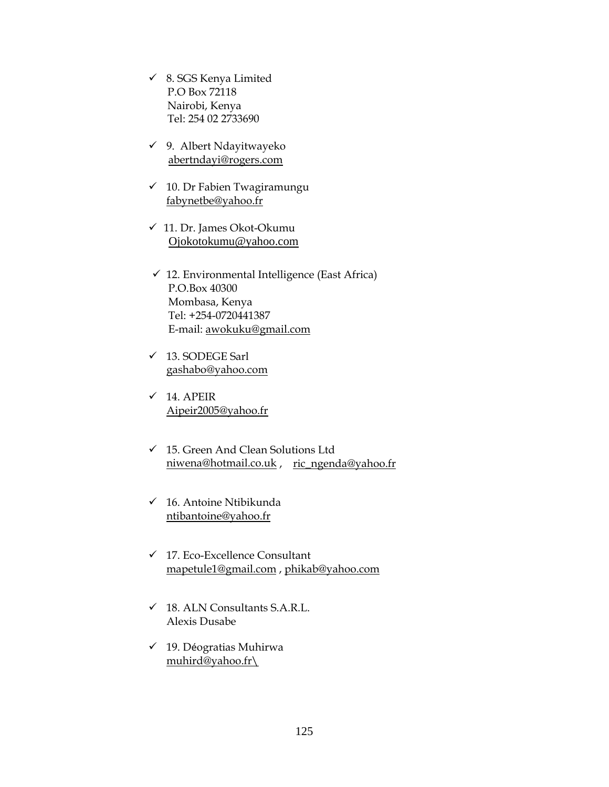- $\checkmark$  8. SGS Kenya Limited P.O Box 72118 Nairobi, Kenya Tel: 254 02 2733690
- $\checkmark$  9. Albert Ndayitwayeko abertndayi@rogers.com
- $\checkmark$  10. Dr Fabien Twagiramungu fabynetbe@yahoo.fr
- $\checkmark$  11. Dr. James Okot-Okumu Ojokotokumu@yahoo.com
- $\checkmark$  12. Environmental Intelligence (East Africa) P.O.Box 40300 Mombasa, Kenya Tel: +254-0720441387 E-mail: awokuku@gmail.com
- $\checkmark$  13. SODEGE Sarl gashabo@yahoo.com
- $\checkmark$  14. APEIR Aipeir2005@yahoo.fr
- $\checkmark$  15. Green And Clean Solutions Ltd niwena@hotmail.co.uk , ric\_ngenda@yahoo.fr
- $\checkmark$  16. Antoine Ntibikunda ntibantoine@yahoo.fr
- $\checkmark$  17. Eco-Excellence Consultant mapetule1@gmail.com , phikab@yahoo.com
- $\checkmark$  18. ALN Consultants S.A.R.L. Alexis Dusabe
- $\checkmark$  19. Déogratias Muhirwa muhird@yahoo.fr\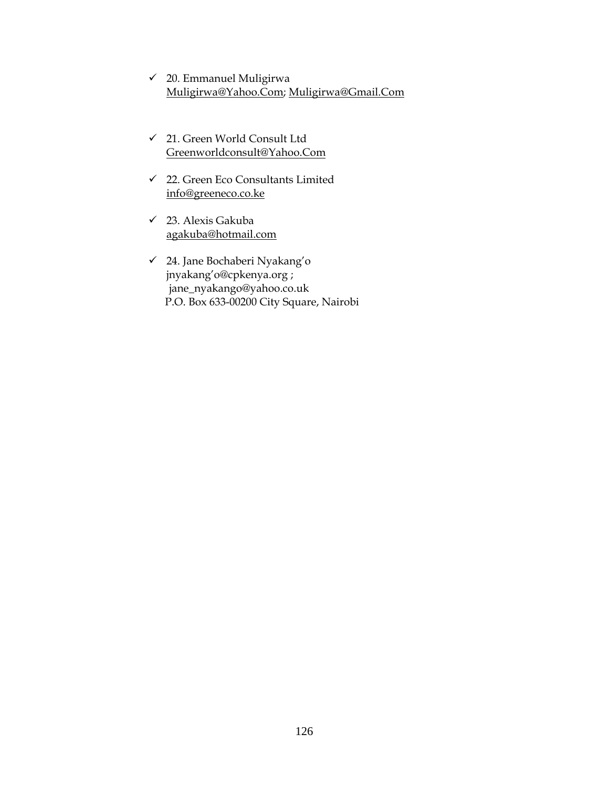- $\checkmark$  20. Emmanuel Muligirwa Muligirwa@Yahoo.Com; Muligirwa@Gmail.Com
- 9 21. Green World Consult Ltd Greenworldconsult@Yahoo.Com
- $\checkmark$  22. Green Eco Consultants Limited info@greeneco.co.ke
- $\checkmark$  23. Alexis Gakuba agakuba@hotmail.com
- 9 24. Jane Bochaberi Nyakang'o jnyakang'o@cpkenya.org ; jane\_nyakango@yahoo.co.uk P.O. Box 633-00200 City Square, Nairobi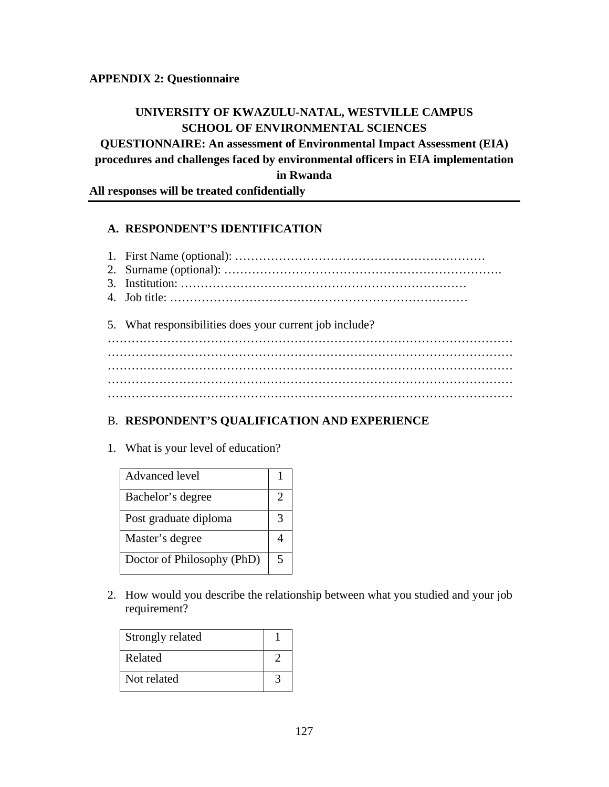## **APPENDIX 2: Questionnaire**

## **UNIVERSITY OF KWAZULU-NATAL, WESTVILLE CAMPUS SCHOOL OF ENVIRONMENTAL SCIENCES**

**QUESTIONNAIRE: An assessment of Environmental Impact Assessment (EIA) procedures and challenges faced by environmental officers in EIA implementation in Rwanda** 

**All responses will be treated confidentially** 

## **A. RESPONDENT'S IDENTIFICATION**

1. First Name (optional): ……………………………………………………… 2. Surname (optional): ……………………………………………………………. 3. Institution: ……………………………………………………………… 4. Job title: ………………………………………………………………… 5. What responsibilities does your current job include?

………………………………………………………………………………………… ………………………………………………………………………………………… ………………………………………………………………………………………… ………………………………………………………………………………………… …………………………………………………………………………………………

## B. **RESPONDENT'S QUALIFICATION AND EXPERIENCE**

1. What is your level of education?

| <b>Advanced</b> level      |   |
|----------------------------|---|
| Bachelor's degree          | 2 |
| Post graduate diploma      |   |
| Master's degree            |   |
| Doctor of Philosophy (PhD) | 5 |

2. How would you describe the relationship between what you studied and your job requirement?

| Strongly related |  |
|------------------|--|
| Related          |  |
| Not related      |  |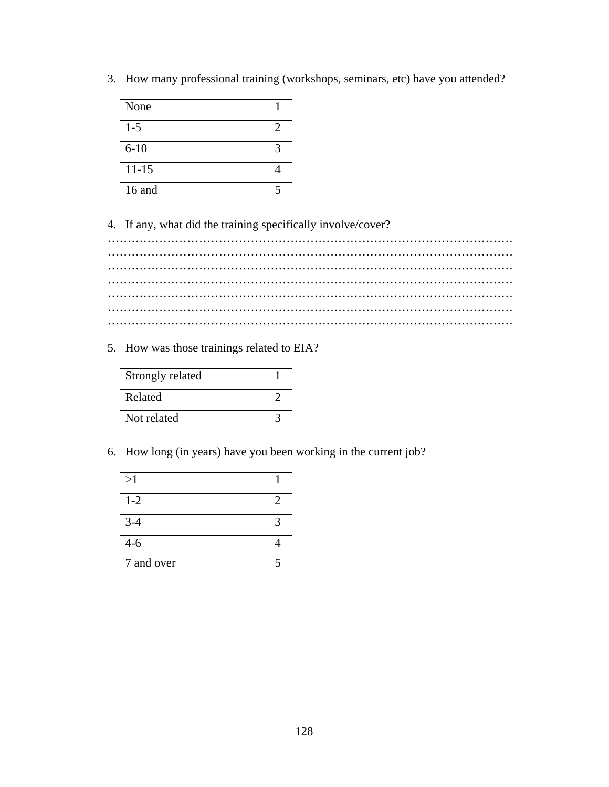3. How many professional training (workshops, seminars, etc) have you attended?

| None      |                        |
|-----------|------------------------|
| $1 - 5$   | $\mathfrak{D}_{\cdot}$ |
| $6 - 10$  | $\mathcal{R}$          |
| $11 - 15$ |                        |
| 16 and    |                        |

4. If any, what did the training specifically involve/cover?

………………………………………………………………………………………… ………………………………………………………………………………………… ………………………………………………………………………………………… ………………………………………………………………………………………… ………………………………………………………………………………………… ………………………………………………………………………………………… …………………………………………………………………………………………

5. How was those trainings related to EIA?

| Strongly related |  |
|------------------|--|
| Related          |  |
| Not related      |  |

6. How long (in years) have you been working in the current job?

| >1         |   |
|------------|---|
| $1 - 2$    | 2 |
| $3-4$      | ٩ |
| $4 - 6$    |   |
| 7 and over |   |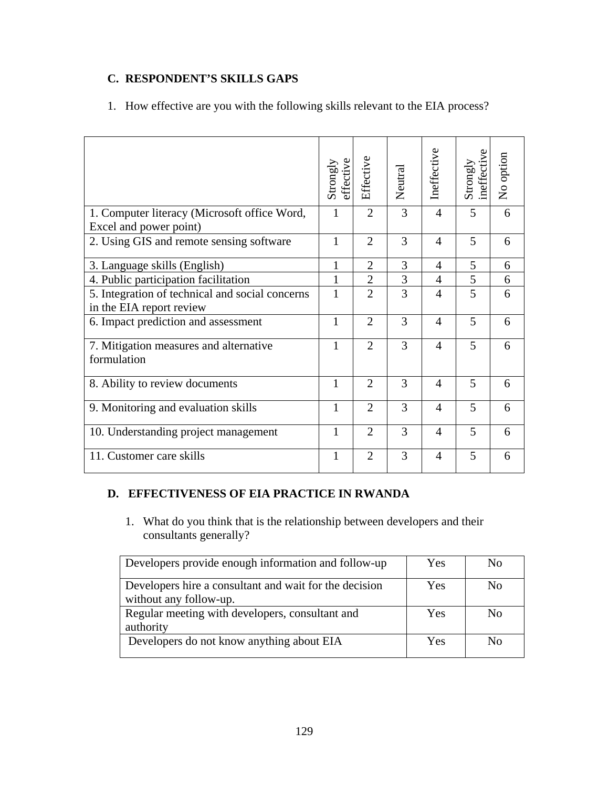# **C. RESPONDENT'S SKILLS GAPS**

|  |  |  | 1. How effective are you with the following skills relevant to the EIA process? |  |  |
|--|--|--|---------------------------------------------------------------------------------|--|--|
|--|--|--|---------------------------------------------------------------------------------|--|--|

|                                                                             | Strongly<br>effective | Effective                   | Neutral | Ineffective    | Strongly<br>ineffecti | No option |
|-----------------------------------------------------------------------------|-----------------------|-----------------------------|---------|----------------|-----------------------|-----------|
| 1. Computer literacy (Microsoft office Word,<br>Excel and power point)      | 1                     | $\overline{2}$              | 3       | $\overline{4}$ | 5                     | 6         |
| 2. Using GIS and remote sensing software                                    | $\mathbf{1}$          | $\overline{2}$              | 3       | 4              | 5                     | 6         |
| 3. Language skills (English)                                                | 1                     | $\overline{2}$              | 3       | $\overline{4}$ | 5                     | 6         |
| 4. Public participation facilitation                                        | $\mathbf{1}$          | $\overline{2}$              | 3       | $\overline{4}$ | 5                     | 6         |
| 5. Integration of technical and social concerns<br>in the EIA report review | 1                     | $\overline{2}$              | 3       | $\overline{4}$ | 5                     | 6         |
| 6. Impact prediction and assessment                                         | $\mathbf{1}$          | $\overline{2}$              | 3       | $\overline{4}$ | 5                     | 6         |
| 7. Mitigation measures and alternative<br>formulation                       | 1                     | $\mathcal{D}_{\mathcal{L}}$ | 3       | $\overline{4}$ | 5                     | 6         |
| 8. Ability to review documents                                              | 1                     | $\overline{2}$              | 3       | $\overline{4}$ | 5                     | 6         |
| 9. Monitoring and evaluation skills                                         | 1                     | $\overline{2}$              | 3       | $\overline{4}$ | 5                     | 6         |
| 10. Understanding project management                                        | 1                     | $\overline{2}$              | 3       | $\overline{4}$ | 5                     | 6         |
| 11. Customer care skills                                                    | 1                     | $\overline{2}$              | 3       | $\overline{4}$ | 5                     | 6         |

## **D. EFFECTIVENESS OF EIA PRACTICE IN RWANDA**

1. What do you think that is the relationship between developers and their consultants generally?

| Developers provide enough information and follow-up                              | Yes | No.          |
|----------------------------------------------------------------------------------|-----|--------------|
| Developers hire a consultant and wait for the decision<br>without any follow-up. | Yes | No           |
| Regular meeting with developers, consultant and<br>authority                     | Yes | $N_{\Omega}$ |
| Developers do not know anything about EIA                                        | Yes | Nο           |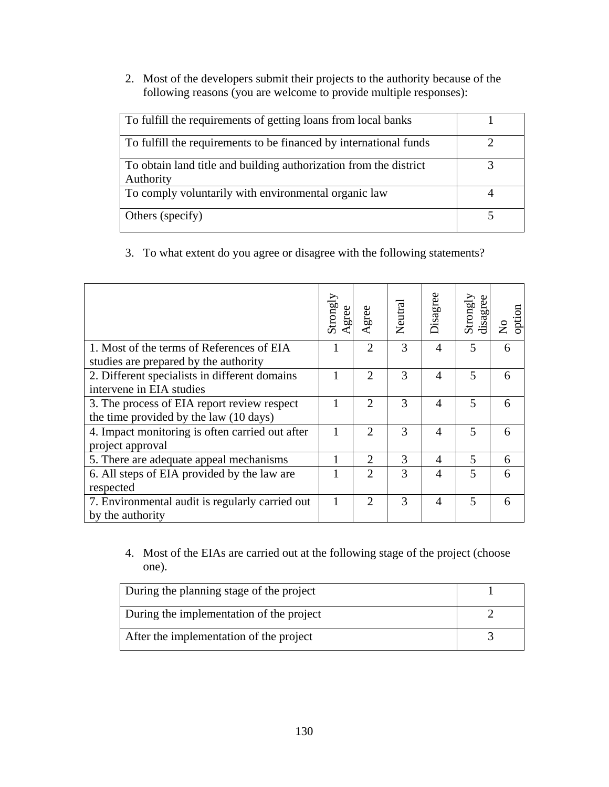2. Most of the developers submit their projects to the authority because of the following reasons (you are welcome to provide multiple responses):

| To fulfill the requirements of getting loans from local banks                  |  |
|--------------------------------------------------------------------------------|--|
| To fulfill the requirements to be financed by international funds              |  |
| To obtain land title and building authorization from the district<br>Authority |  |
| To comply voluntarily with environmental organic law                           |  |
| Others (specify)                                                               |  |

3. To what extent do you agree or disagree with the following statements?

|                                                                                       | Strongly<br>gree | Agree                       | Neutral | Disagree       | Strongly<br>disagree | option<br>2 |
|---------------------------------------------------------------------------------------|------------------|-----------------------------|---------|----------------|----------------------|-------------|
| 1. Most of the terms of References of EIA<br>studies are prepared by the authority    |                  | 2                           | 3       | $\overline{4}$ | 5                    | 6           |
| 2. Different specialists in different domains<br>intervene in EIA studies             |                  | $\overline{2}$              | 3       | $\overline{4}$ | 5                    | 6           |
| 3. The process of EIA report review respect<br>the time provided by the law (10 days) |                  | $\overline{2}$              | 3       | 4              | 5                    | 6           |
| 4. Impact monitoring is often carried out after<br>project approval                   | 1                | 2                           | 3       | $\overline{4}$ | 5                    | 6           |
| 5. There are adequate appeal mechanisms                                               |                  | $\mathcal{D}_{\mathcal{L}}$ | 3       | 4              | 5                    | 6           |
| 6. All steps of EIA provided by the law are<br>respected                              |                  | 2                           | 3       | $\overline{4}$ | 5                    | 6           |
| 7. Environmental audit is regularly carried out<br>by the authority                   | 1                | 2                           | 3       | 4              | 5                    | 6           |

4. Most of the EIAs are carried out at the following stage of the project (choose one).

| During the planning stage of the project |  |
|------------------------------------------|--|
| During the implementation of the project |  |
| After the implementation of the project  |  |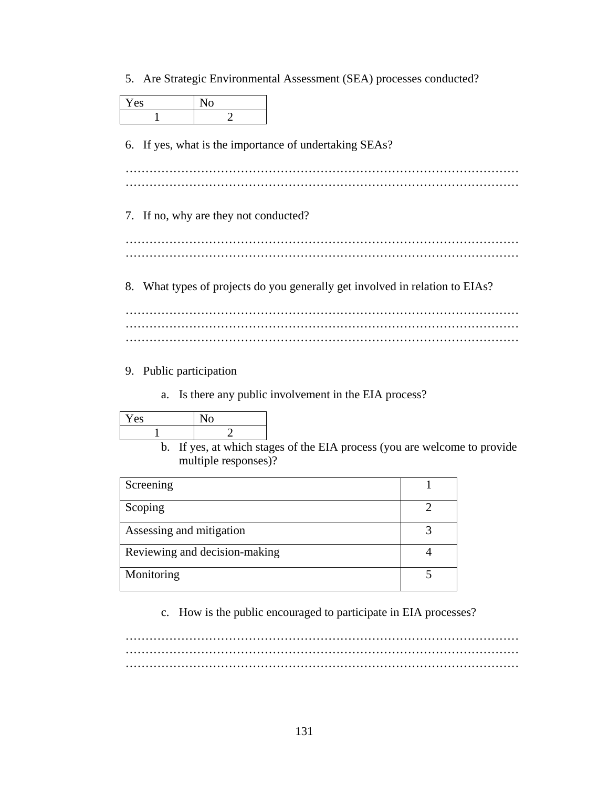5. Are Strategic Environmental Assessment (SEA) processes conducted?

| Yes                                                    |                         | N <sub>0</sub>                        |                                                                           |  |  |  |  |
|--------------------------------------------------------|-------------------------|---------------------------------------|---------------------------------------------------------------------------|--|--|--|--|
|                                                        | 1                       | $\overline{2}$                        |                                                                           |  |  |  |  |
| 6. If yes, what is the importance of undertaking SEAs? |                         |                                       |                                                                           |  |  |  |  |
|                                                        |                         |                                       |                                                                           |  |  |  |  |
|                                                        |                         |                                       |                                                                           |  |  |  |  |
|                                                        |                         | 7. If no, why are they not conducted? |                                                                           |  |  |  |  |
|                                                        |                         |                                       |                                                                           |  |  |  |  |
|                                                        |                         |                                       |                                                                           |  |  |  |  |
| 8.                                                     |                         |                                       | What types of projects do you generally get involved in relation to EIAs? |  |  |  |  |
|                                                        |                         |                                       |                                                                           |  |  |  |  |
|                                                        |                         |                                       |                                                                           |  |  |  |  |
|                                                        | 9. Public participation |                                       |                                                                           |  |  |  |  |

a. Is there any public involvement in the EIA process?

| ′es<br>ь. |  |
|-----------|--|
|           |  |

b. If yes, at which stages of the EIA process (you are welcome to provide multiple responses)?

| Screening                     |  |
|-------------------------------|--|
| Scoping                       |  |
| Assessing and mitigation      |  |
| Reviewing and decision-making |  |
| Monitoring                    |  |

c. How is the public encouraged to participate in EIA processes?

……………………………………………………………………………………… ……………………………………………………………………………………… ………………………………………………………………………………………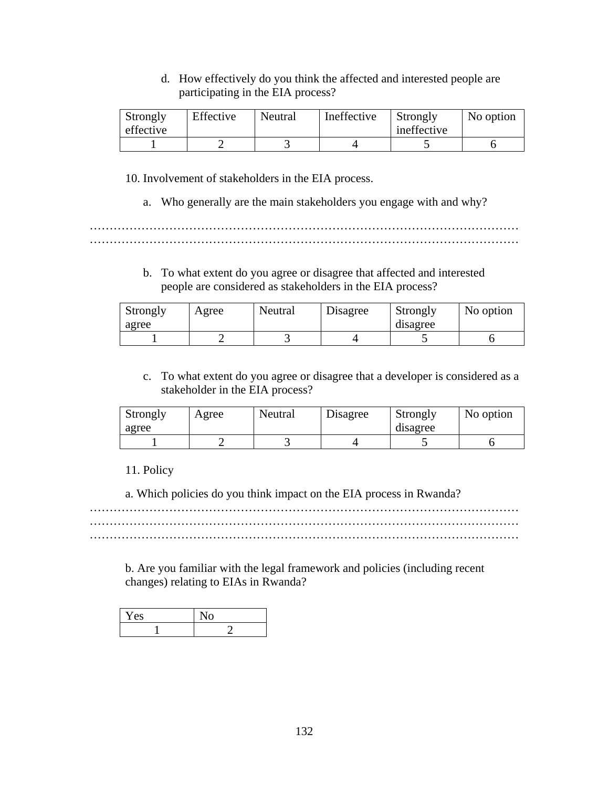## d. How effectively do you think the affected and interested people are participating in the EIA process?

| Strongly<br>effective | Effective | Neutral | Ineffective | Strongly<br>ineffective | No option |  |
|-----------------------|-----------|---------|-------------|-------------------------|-----------|--|
|                       |           |         |             |                         |           |  |

10. Involvement of stakeholders in the EIA process.

a. Who generally are the main stakeholders you engage with and why?

……………………………………………………………………………………………… ………………………………………………………………………………………………

> b. To what extent do you agree or disagree that affected and interested people are considered as stakeholders in the EIA process?

| Strongly<br>agree | Agree | Neutral | Disagree | Strongly<br>disagree | No option |  |
|-------------------|-------|---------|----------|----------------------|-----------|--|
|                   |       |         |          |                      |           |  |

c. To what extent do you agree or disagree that a developer is considered as a stakeholder in the EIA process?

| Strongly<br>agree | Agree | Neutral | Disagree | Strongly<br>disagree | No option |
|-------------------|-------|---------|----------|----------------------|-----------|
|                   |       |         |          |                      |           |

11. Policy

a. Which policies do you think impact on the EIA process in Rwanda?

……………………………………………………………………………………………… ……………………………………………………………………………………………… ………………………………………………………………………………………………

b. Are you familiar with the legal framework and policies (including recent changes) relating to EIAs in Rwanda?

| Yes |  |
|-----|--|
|     |  |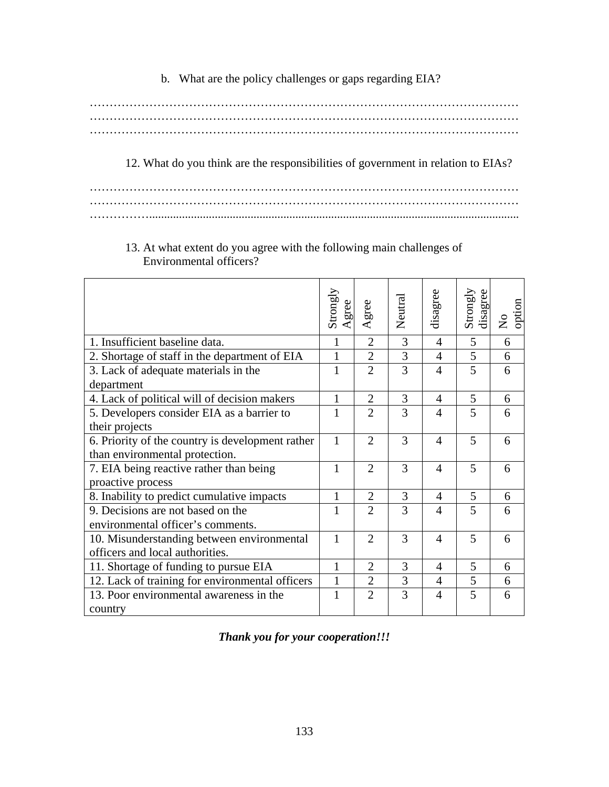b. What are the policy challenges or gaps regarding EIA?

……………………………………………………………………………………………… ……………………………………………………………………………………………… ………………………………………………………………………………………………

12. What do you think are the responsibilities of government in relation to EIAs?

……………………………………………………………………………………………… ……………………………………………………………………………………………… ……………............................................................................................................................

# 13. At what extent do you agree with the following main challenges of Environmental officers?

|                                                  | Strongly<br>gree | Agree          | Neutral | disagree       | Strongly<br>disagree | option<br>$\zeta$ |
|--------------------------------------------------|------------------|----------------|---------|----------------|----------------------|-------------------|
| 1. Insufficient baseline data.                   | 1                | $\overline{2}$ | 3       | 4              | 5                    | 6                 |
| 2. Shortage of staff in the department of EIA    | 1                | $\overline{2}$ | 3       | 4              | 5                    | 6                 |
| 3. Lack of adequate materials in the             | 1                | $\overline{2}$ | 3       | 4              | 5                    | 6                 |
| department                                       |                  |                |         |                |                      |                   |
| 4. Lack of political will of decision makers     | $\mathbf{1}$     | $\overline{2}$ | 3       | 4              | 5                    | 6                 |
| 5. Developers consider EIA as a barrier to       | $\mathbf{1}$     | $\overline{2}$ | 3       | 4              | 5                    | 6                 |
| their projects                                   |                  |                |         |                |                      |                   |
| 6. Priority of the country is development rather |                  | $\overline{2}$ | 3       | 4              | 5                    | 6                 |
| than environmental protection.                   |                  |                |         |                |                      |                   |
| 7. EIA being reactive rather than being          | 1                | $\mathfrak{2}$ | 3       | 4              | 5                    | 6                 |
| proactive process                                |                  |                |         |                |                      |                   |
| 8. Inability to predict cumulative impacts       | 1                | $\overline{2}$ | 3       | 4              | 5                    | 6                 |
| 9. Decisions are not based on the                | 1                | $\overline{2}$ | 3       | 4              | 5                    | 6                 |
| environmental officer's comments.                |                  |                |         |                |                      |                   |
| 10. Misunderstanding between environmental       |                  | 2              | 3       | 4              | 5                    | 6                 |
| officers and local authorities.                  |                  |                |         |                |                      |                   |
| 11. Shortage of funding to pursue EIA            | $\mathbf{1}$     | $\overline{2}$ | 3       | 4              | 5                    | 6                 |
| 12. Lack of training for environmental officers  | 1                | $\overline{2}$ | 3       | $\overline{4}$ | 5                    | 6                 |
| 13. Poor environmental awareness in the          | 1                | $\overline{2}$ | 3       | 4              | 5                    | 6                 |
| country                                          |                  |                |         |                |                      |                   |

*Thank you for your cooperation!!!*